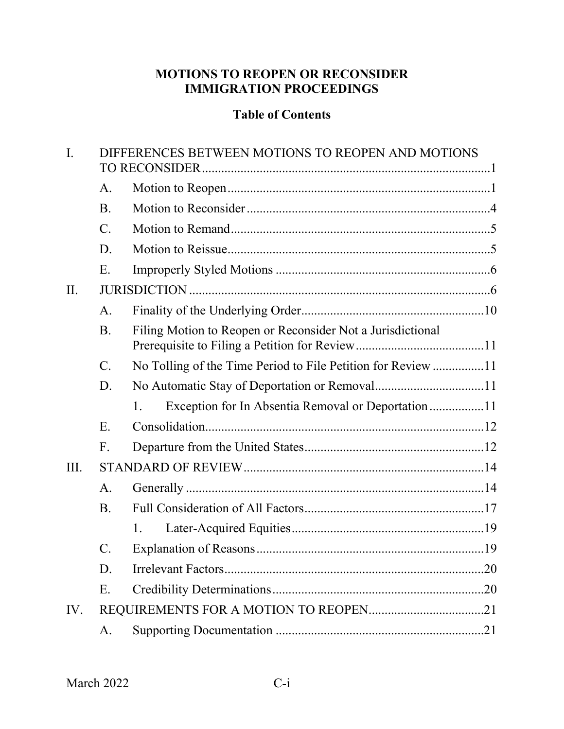# **MOTIONS TO REOPEN OR RECONSIDER IMMIGRATION PROCEEDINGS**

## **Table of Contents**

| $\mathbf{I}$ . | DIFFERENCES BETWEEN MOTIONS TO REOPEN AND MOTIONS |                                                             |  |  |  |  |  |
|----------------|---------------------------------------------------|-------------------------------------------------------------|--|--|--|--|--|
|                | A.                                                |                                                             |  |  |  |  |  |
|                | <b>B.</b>                                         |                                                             |  |  |  |  |  |
|                | $C$ .                                             |                                                             |  |  |  |  |  |
|                | D.                                                |                                                             |  |  |  |  |  |
|                | Ε.                                                |                                                             |  |  |  |  |  |
| II.            |                                                   |                                                             |  |  |  |  |  |
|                | A.                                                |                                                             |  |  |  |  |  |
|                | <b>B.</b>                                         | Filing Motion to Reopen or Reconsider Not a Jurisdictional  |  |  |  |  |  |
|                | $C$ .                                             | No Tolling of the Time Period to File Petition for Review11 |  |  |  |  |  |
|                | D.                                                |                                                             |  |  |  |  |  |
|                |                                                   | Exception for In Absentia Removal or Deportation11<br>1.    |  |  |  |  |  |
|                | E.                                                |                                                             |  |  |  |  |  |
|                | F.                                                |                                                             |  |  |  |  |  |
| III.           |                                                   |                                                             |  |  |  |  |  |
|                | A.                                                |                                                             |  |  |  |  |  |
|                | <b>B.</b>                                         |                                                             |  |  |  |  |  |
|                |                                                   | 1.                                                          |  |  |  |  |  |
|                | $\mathcal{C}$ .                                   |                                                             |  |  |  |  |  |
|                | D.                                                | .20                                                         |  |  |  |  |  |
|                | Ε.                                                |                                                             |  |  |  |  |  |
| IV.            |                                                   |                                                             |  |  |  |  |  |
|                | A.                                                |                                                             |  |  |  |  |  |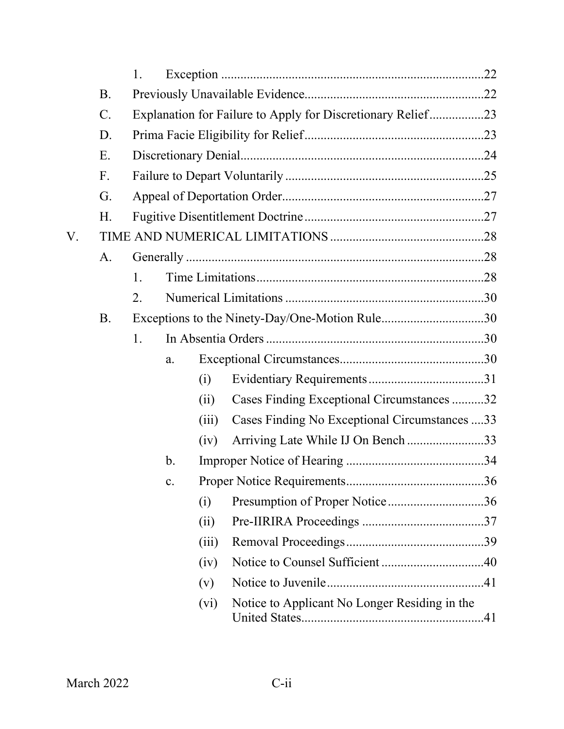|    |                 | 1.                                                          |               |       |                                                |  |
|----|-----------------|-------------------------------------------------------------|---------------|-------|------------------------------------------------|--|
|    | <b>B.</b>       |                                                             |               |       |                                                |  |
|    | $\mathcal{C}$ . | Explanation for Failure to Apply for Discretionary Relief23 |               |       |                                                |  |
|    | D.              |                                                             |               |       |                                                |  |
|    | Ε.              |                                                             |               |       |                                                |  |
|    | F.              |                                                             |               |       |                                                |  |
|    | G.              |                                                             |               |       |                                                |  |
|    | Η.              |                                                             |               |       |                                                |  |
| V. |                 |                                                             |               |       |                                                |  |
|    | A.              |                                                             |               |       |                                                |  |
|    |                 | 1.                                                          |               |       |                                                |  |
|    |                 | 2.                                                          |               |       |                                                |  |
|    | <b>B.</b>       |                                                             |               |       | Exceptions to the Ninety-Day/One-Motion Rule30 |  |
|    |                 | 1.                                                          |               |       |                                                |  |
|    |                 |                                                             | a.            |       |                                                |  |
|    |                 |                                                             |               | (i)   |                                                |  |
|    |                 |                                                             |               | (ii)  | Cases Finding Exceptional Circumstances32      |  |
|    |                 |                                                             |               | (iii) | Cases Finding No Exceptional Circumstances 33  |  |
|    |                 |                                                             |               | (iv)  | Arriving Late While IJ On Bench 33             |  |
|    |                 |                                                             | $\mathbf b$ . |       |                                                |  |
|    |                 |                                                             | c.            |       |                                                |  |
|    |                 |                                                             |               | (i)   | Presumption of Proper Notice36                 |  |
|    |                 |                                                             |               | (ii)  |                                                |  |
|    |                 |                                                             |               | (iii) |                                                |  |
|    |                 |                                                             |               | (iv)  |                                                |  |
|    |                 |                                                             |               | (v)   |                                                |  |
|    |                 |                                                             |               | (vi)  | Notice to Applicant No Longer Residing in the  |  |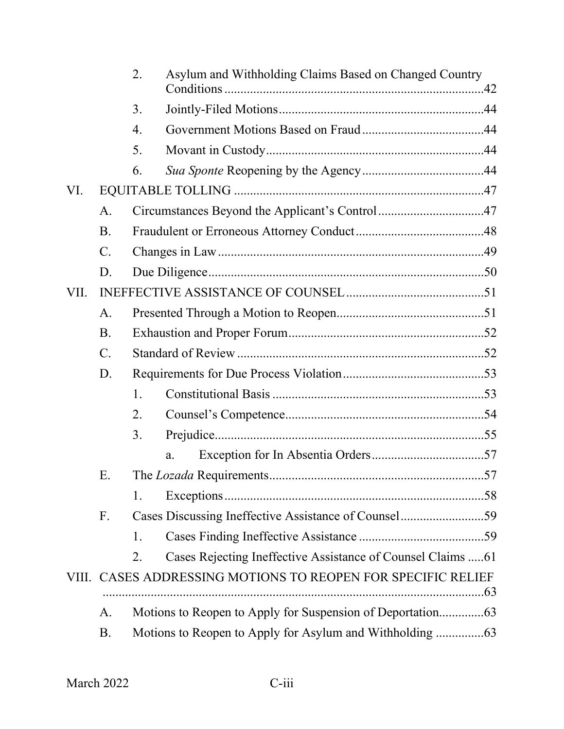|      |                 | 2.                                             | Asylum and Withholding Claims Based on Changed Country       |  |  |  |  |
|------|-----------------|------------------------------------------------|--------------------------------------------------------------|--|--|--|--|
|      |                 | 3.                                             |                                                              |  |  |  |  |
|      |                 | 4.                                             |                                                              |  |  |  |  |
|      |                 | 5.                                             |                                                              |  |  |  |  |
|      |                 | 6.                                             |                                                              |  |  |  |  |
| VI.  |                 |                                                |                                                              |  |  |  |  |
|      | A.              | Circumstances Beyond the Applicant's Control47 |                                                              |  |  |  |  |
|      | <b>B.</b>       |                                                |                                                              |  |  |  |  |
|      | $\mathcal{C}$ . |                                                |                                                              |  |  |  |  |
|      | D.              |                                                |                                                              |  |  |  |  |
| VII. |                 |                                                |                                                              |  |  |  |  |
|      | A.              |                                                |                                                              |  |  |  |  |
|      | <b>B.</b>       |                                                |                                                              |  |  |  |  |
|      | $C$ .           |                                                |                                                              |  |  |  |  |
|      | D.              |                                                |                                                              |  |  |  |  |
|      |                 | 1.                                             |                                                              |  |  |  |  |
|      |                 | 2.                                             |                                                              |  |  |  |  |
|      |                 | 3.                                             |                                                              |  |  |  |  |
|      |                 |                                                | a.                                                           |  |  |  |  |
|      | Ε.              |                                                |                                                              |  |  |  |  |
|      |                 | 1.                                             |                                                              |  |  |  |  |
|      | F.              |                                                | Cases Discussing Ineffective Assistance of Counsel59         |  |  |  |  |
|      |                 | 1.                                             |                                                              |  |  |  |  |
|      |                 | 2.                                             | Cases Rejecting Ineffective Assistance of Counsel Claims  61 |  |  |  |  |
|      |                 |                                                | VIII. CASES ADDRESSING MOTIONS TO REOPEN FOR SPECIFIC RELIEF |  |  |  |  |
|      | А.              |                                                |                                                              |  |  |  |  |
|      | <b>B.</b>       |                                                |                                                              |  |  |  |  |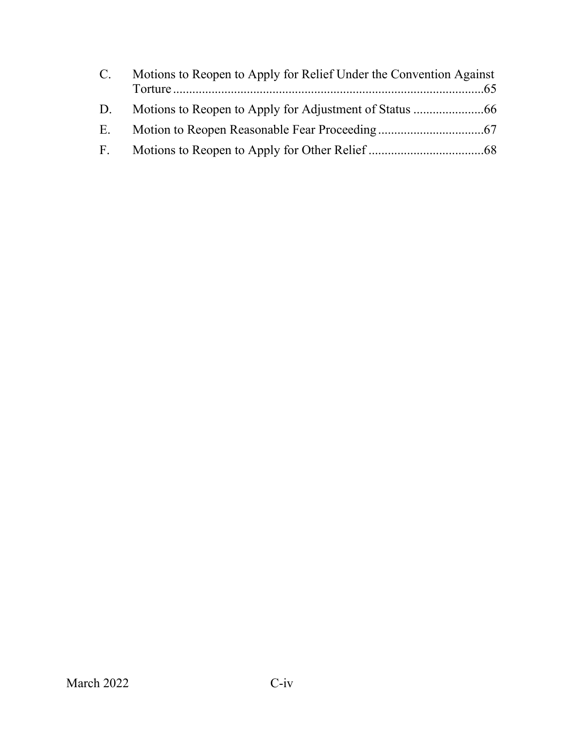| $C_{\cdot}$  | Motions to Reopen to Apply for Relief Under the Convention Against |
|--------------|--------------------------------------------------------------------|
| D.           |                                                                    |
| E.           |                                                                    |
| $F_{\rm{L}}$ |                                                                    |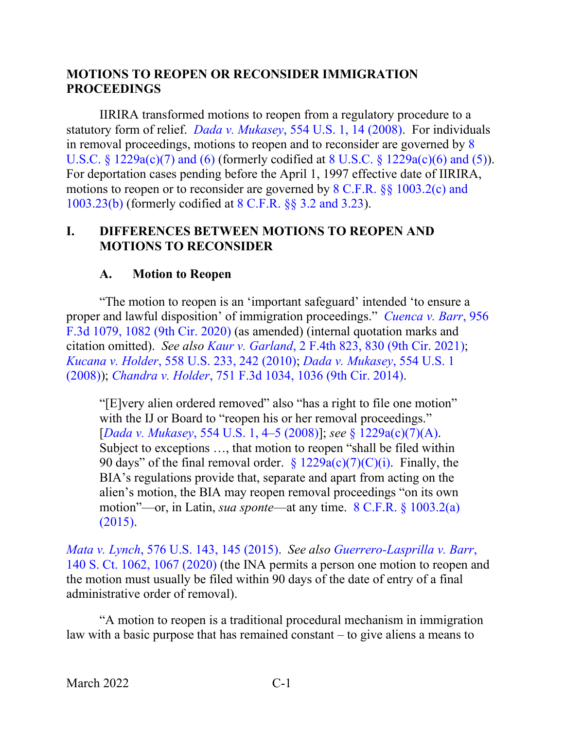#### **MOTIONS TO REOPEN OR RECONSIDER IMMIGRATION PROCEEDINGS**

IIRIRA transformed motions to reopen from a regulatory procedure to a statutory form of relief. *Dada v. Mukasey*[, 554 U.S. 1, 14 \(2008\).](https://www.westlaw.com/Document/I017a50133b9211ddb6a3a099756c05b7/View/FullText.html?transitionType=Default&contextData=(sc.Default)&VR=3.0&RS=da3.0&fragmentIdentifier=co_pp_sp_780_14) For individuals in removal proceedings, motions to reopen and to reconsider are governed by [8](https://www.westlaw.com/Document/NFF9ECF308EBA11DAAF57BD3E6EFC5A3E/View/FullText.html?transitionType=Default&contextData=(sc.Default)&VR=3.0&RS=da3.0)  U.S.C. § [1229a\(c\)\(7\) and \(6\)](https://www.westlaw.com/Document/NFF9ECF308EBA11DAAF57BD3E6EFC5A3E/View/FullText.html?transitionType=Default&contextData=(sc.Default)&VR=3.0&RS=da3.0) (formerly codified at 8 U.S.C. § [1229a\(c\)\(6\) and \(5\)\)](https://www.westlaw.com/Document/NFF9ECF308EBA11DAAF57BD3E6EFC5A3E/View/FullText.html?transitionType=Default&contextData=(sc.Default)&VR=3.0&RS=da3.0). For deportation cases pending before the April 1, 1997 effective date of IIRIRA, motions to reopen or to reconsider are governed by 8 C.F.R. §§ [1003.2\(c\) and](https://www.westlaw.com/Document/NA64E50805C1D11ECAE78A32A341D5C78/View/FullText.html?transitionType=Default&contextData=(sc.Default)&VR=3.0&RS=da3.0)  [1003.23\(b\)](https://www.westlaw.com/Document/NA64E50805C1D11ECAE78A32A341D5C78/View/FullText.html?transitionType=Default&contextData=(sc.Default)&VR=3.0&RS=da3.0) (formerly codified at 8 C.F.R. §§ [3.2 and 3.23\)](https://www.westlaw.com/Document/N3CDBDF40D0ED11DA9851C540EDD1CE89/View/FullText.html?transitionType=Default&contextData=(sc.Default)&VR=3.0&RS=da3.0).

#### <span id="page-4-0"></span>**I. DIFFERENCES BETWEEN MOTIONS TO REOPEN AND MOTIONS TO RECONSIDER**

#### **A. Motion to Reopen**

<span id="page-4-1"></span>"The motion to reopen is an 'important safeguard' intended 'to ensure a proper and lawful disposition' of immigration proceedings." *[Cuenca v. Barr](https://www.westlaw.com/Document/Ifa062bf07eaa11eab9598d2db129301e/View/FullText.html?transitionType=Default&contextData=(sc.Default)&VR=3.0&RS=da3.0&fragmentIdentifier=co_pp_sp_506_1082)*, 956 [F.3d 1079, 1082 \(9th Cir. 2020\)](https://www.westlaw.com/Document/Ifa062bf07eaa11eab9598d2db129301e/View/FullText.html?transitionType=Default&contextData=(sc.Default)&VR=3.0&RS=da3.0&fragmentIdentifier=co_pp_sp_506_1082) (as amended) (internal quotation marks and citation omitted). *See also Kaur v. Garland*[, 2 F.4th 823, 830 \(9th Cir. 2021\);](https://www.westlaw.com/Document/Ia5b92ef0d2c111ebb381adeb81954cc5/View/FullText.html?transitionType=Default&contextData=(sc.Default)&VR=3.0&RS=da3.0&fragmentIdentifier=co_pp_sp_8173_830) *Kucana v. Holder*[, 558 U.S. 233, 242 \(2010\);](https://www.westlaw.com/Document/I638108a705be11dfae65b23e804c3c12/View/FullText.html?transitionType=Default&contextData=(sc.Default)&VR=3.0&RS=da3.0&fragmentIdentifier=co_pp_sp_780_242) *[Dada v. Mukasey](https://www.westlaw.com/Document/I017a50133b9211ddb6a3a099756c05b7/View/FullText.html?transitionType=Default&contextData=(sc.Default)&VR=3.0&RS=da3.0)*, 554 U.S. 1 [\(2008\)\)](https://www.westlaw.com/Document/I017a50133b9211ddb6a3a099756c05b7/View/FullText.html?transitionType=Default&contextData=(sc.Default)&VR=3.0&RS=da3.0); *Chandra v. Holder*[, 751 F.3d 1034, 1036 \(9th Cir. 2014\).](https://www.westlaw.com/Document/Ia86600d3d9e211e390d4edf60ce7d742/View/FullText.html?transitionType=Default&contextData=(sc.Default)&VR=3.0&RS=da3.0&fragmentIdentifier=co_pp_sp_506_1036)

"[E]very alien ordered removed" also "has a right to file one motion" with the IJ or Board to "reopen his or her removal proceedings." [*Dada v. Mukasey*[, 554 U.S. 1, 4–5 \(2008\)\]](https://www.westlaw.com/Document/I017a50133b9211ddb6a3a099756c05b7/View/FullText.html?transitionType=Default&contextData=(sc.Default)&VR=3.0&RS=da3.0&fragmentIdentifier=co_pp_sp_780_4); *see* § [1229a\(c\)\(7\)\(A\).](https://www.westlaw.com/Document/NFF9ECF308EBA11DAAF57BD3E6EFC5A3E/View/FullText.html?transitionType=Default&contextData=(sc.Default)&VR=3.0&RS=da3.0) Subject to exceptions …, that motion to reopen "shall be filed within 90 days" of the final removal order.  $\S 1229a(c)(7)(C)(i)$ . Finally, the BIA's regulations provide that, separate and apart from acting on the alien's motion, the BIA may reopen removal proceedings "on its own motion"—or, in Latin, *sua sponte*—at any time. [8 C.F.R. §](https://www.westlaw.com/Document/NA64E50805C1D11ECAE78A32A341D5C78/View/FullText.html?transitionType=Default&contextData=(sc.Default)&VR=3.0&RS=da3.0) 1003.2(a) [\(2015\).](https://www.westlaw.com/Document/NA64E50805C1D11ECAE78A32A341D5C78/View/FullText.html?transitionType=Default&contextData=(sc.Default)&VR=3.0&RS=da3.0)

*Mata v. Lynch*[, 576 U.S. 143, 145 \(2015\).](https://www.westlaw.com/Document/I2040d285136211e5a807ad48145ed9f1/View/FullText.html?transitionType=Default&contextData=(sc.Default)&VR=3.0&RS=da3.0&fragmentIdentifier=co_pp_sp_780_145) *See also [Guerrero-Lasprilla v. Barr](https://www.westlaw.com/Document/Id819770f6cd611ea96bae63bc27a1895/View/FullText.html?transitionType=Default&contextData=(sc.Default)&VR=3.0&RS=da3.0&fragmentIdentifier=co_pp_sp_708_1067)*, [140 S. Ct. 1062, 1067 \(2020\)](https://www.westlaw.com/Document/Id819770f6cd611ea96bae63bc27a1895/View/FullText.html?transitionType=Default&contextData=(sc.Default)&VR=3.0&RS=da3.0&fragmentIdentifier=co_pp_sp_708_1067) (the INA permits a person one motion to reopen and the motion must usually be filed within 90 days of the date of entry of a final administrative order of removal).

"A motion to reopen is a traditional procedural mechanism in immigration law with a basic purpose that has remained constant – to give aliens a means to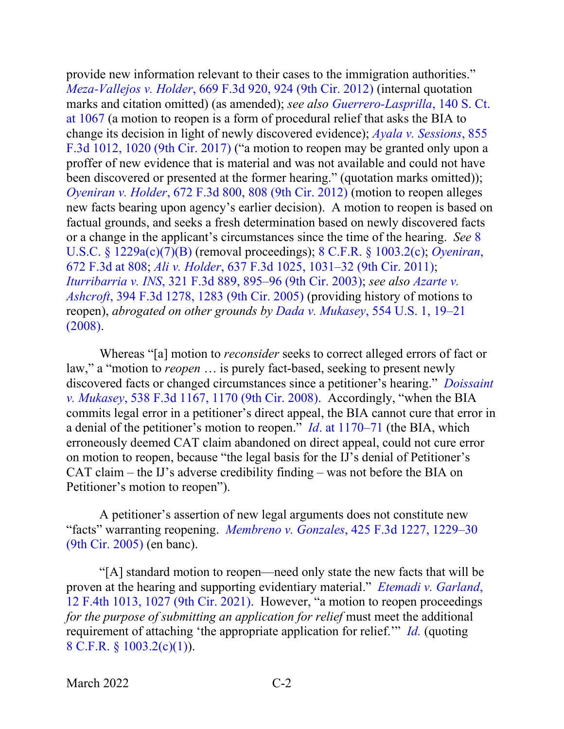provide new information relevant to their cases to the immigration authorities." *Meza-Vallejos v. Holder*[, 669 F.3d 920, 924 \(9th Cir. 2012\)](https://www.westlaw.com/Document/I8e547a02436e11e1bd928e1973ff4e60/View/FullText.html?transitionType=Default&contextData=(sc.Default)&VR=3.0&RS=da3.0&fragmentIdentifier=co_pp_sp_506_924) (internal quotation marks and citation omitted) (as amended); *see also [Guerrero-Lasprilla](https://www.westlaw.com/Document/Id819770f6cd611ea96bae63bc27a1895/View/FullText.html?transitionType=Default&contextData=(sc.Default)&VR=3.0&RS=da3.0&fragmentIdentifier=co_pp_sp_708_1067)*, 140 S. Ct. [at 1067](https://www.westlaw.com/Document/Id819770f6cd611ea96bae63bc27a1895/View/FullText.html?transitionType=Default&contextData=(sc.Default)&VR=3.0&RS=da3.0&fragmentIdentifier=co_pp_sp_708_1067) (a motion to reopen is a form of procedural relief that asks the BIA to change its decision in light of newly discovered evidence); *[Ayala v. Sessions](https://www.westlaw.com/Document/Ie2aa3c402e9d11e7815ea6969ee18a03/View/FullText.html?transitionType=Default&contextData=(sc.Default)&VR=3.0&RS=da3.0&fragmentIdentifier=co_pp_sp_506_1020)*, 855 [F.3d 1012, 1020 \(9th Cir. 2017\)](https://www.westlaw.com/Document/Ie2aa3c402e9d11e7815ea6969ee18a03/View/FullText.html?transitionType=Default&contextData=(sc.Default)&VR=3.0&RS=da3.0&fragmentIdentifier=co_pp_sp_506_1020) ("a motion to reopen may be granted only upon a proffer of new evidence that is material and was not available and could not have been discovered or presented at the former hearing." (quotation marks omitted)); *Oyeniran v. Holder*[, 672 F.3d 800, 808 \(9th Cir. 2012\)](https://www.westlaw.com/Document/I8201589067ea11e18b1ac573b20fcfb7/View/FullText.html?transitionType=Default&contextData=(sc.Default)&VR=3.0&RS=da3.0&fragmentIdentifier=co_pp_sp_506_808) (motion to reopen alleges new facts bearing upon agency's earlier decision). A motion to reopen is based on factual grounds, and seeks a fresh determination based on newly discovered facts or a change in the applicant's circumstances since the time of the hearing. *See* [8](https://www.westlaw.com/Document/NFF9ECF308EBA11DAAF57BD3E6EFC5A3E/View/FullText.html?transitionType=Default&contextData=(sc.Default)&VR=3.0&RS=da3.0)  U.S.C. § [1229a\(c\)\(7\)\(B\)](https://www.westlaw.com/Document/NFF9ECF308EBA11DAAF57BD3E6EFC5A3E/View/FullText.html?transitionType=Default&contextData=(sc.Default)&VR=3.0&RS=da3.0) (removal proceedings); [8 C.F.R. §](https://www.westlaw.com/Document/NA64E50805C1D11ECAE78A32A341D5C78/View/FullText.html?transitionType=Default&contextData=(sc.Default)&VR=3.0&RS=da3.0) 1003.2(c); *[Oyeniran](https://www.westlaw.com/Document/I8201589067ea11e18b1ac573b20fcfb7/View/FullText.html?transitionType=Default&contextData=(sc.Default)&VR=3.0&RS=da3.0&fragmentIdentifier=co_pp_sp_506_808)*, [672 F.3d at 808;](https://www.westlaw.com/Document/I8201589067ea11e18b1ac573b20fcfb7/View/FullText.html?transitionType=Default&contextData=(sc.Default)&VR=3.0&RS=da3.0&fragmentIdentifier=co_pp_sp_506_808) *Ali v. Holder*[, 637 F.3d 1025, 1031–32 \(9th Cir. 2011\);](https://www.westlaw.com/Document/I10dc7c24517a11e0b931b80af77abaf1/View/FullText.html?transitionType=Default&contextData=(sc.Default)&VR=3.0&RS=da3.0&fragmentIdentifier=co_pp_sp_506_1031) *Iturribarria v. INS*[, 321 F.3d 889, 895–96 \(9th Cir. 2003\);](https://www.westlaw.com/Document/I83dfa6c589c711d9b6ea9f5a173c4523/View/FullText.html?transitionType=Default&contextData=(sc.Default)&VR=3.0&RS=da3.0&fragmentIdentifier=co_pp_sp_506_895) *see also [Azarte v.](https://www.westlaw.com/Document/Icb861ea279e011d9ac1ffa9f33b6c3b0/View/FullText.html?transitionType=Default&contextData=(sc.Default)&VR=3.0&RS=da3.0&fragmentIdentifier=co_pp_sp_506_1283)  Ashcroft*[, 394 F.3d 1278, 1283 \(9th Cir. 2005\)](https://www.westlaw.com/Document/Icb861ea279e011d9ac1ffa9f33b6c3b0/View/FullText.html?transitionType=Default&contextData=(sc.Default)&VR=3.0&RS=da3.0&fragmentIdentifier=co_pp_sp_506_1283) (providing history of motions to reopen), *abrogated on other grounds by Dada v. Mukasey*[, 554 U.S. 1, 19–21](https://www.westlaw.com/Document/I017a50133b9211ddb6a3a099756c05b7/View/FullText.html?transitionType=Default&contextData=(sc.Default)&VR=3.0&RS=da3.0&fragmentIdentifier=co_pp_sp_780_19)  [\(2008\).](https://www.westlaw.com/Document/I017a50133b9211ddb6a3a099756c05b7/View/FullText.html?transitionType=Default&contextData=(sc.Default)&VR=3.0&RS=da3.0&fragmentIdentifier=co_pp_sp_780_19)

Whereas "[a] motion to *reconsider* seeks to correct alleged errors of fact or law," a "motion to *reopen* … is purely fact-based, seeking to present newly discovered facts or changed circumstances since a petitioner's hearing." *[Doissaint](https://www.westlaw.com/Document/I972ab3026d1d11ddb5cbad29a280d47c/View/FullText.html?transitionType=Default&contextData=(sc.Default)&VR=3.0&RS=da3.0&fragmentIdentifier=co_pp_sp_506_1170)  v. Mukasey*[, 538 F.3d 1167, 1170 \(9th Cir. 2008\).](https://www.westlaw.com/Document/I972ab3026d1d11ddb5cbad29a280d47c/View/FullText.html?transitionType=Default&contextData=(sc.Default)&VR=3.0&RS=da3.0&fragmentIdentifier=co_pp_sp_506_1170) Accordingly, "when the BIA commits legal error in a petitioner's direct appeal, the BIA cannot cure that error in a denial of the petitioner's motion to reopen." *Id*[. at 1170–71](https://www.westlaw.com/Document/I972ab3026d1d11ddb5cbad29a280d47c/View/FullText.html?transitionType=Default&contextData=(sc.Default)&VR=3.0&RS=da3.0&fragmentIdentifier=co_pp_sp_506_1170) (the BIA, which erroneously deemed CAT claim abandoned on direct appeal, could not cure error on motion to reopen, because "the legal basis for the IJ's denial of Petitioner's CAT claim – the IJ's adverse credibility finding – was not before the BIA on Petitioner's motion to reopen").

A petitioner's assertion of new legal arguments does not constitute new "facts" warranting reopening. *Membreno v. Gonzales*[, 425 F.3d 1227, 1229–30](https://www.westlaw.com/Document/I3f951cbf3ccd11da974abd26ac2a6030/View/FullText.html?transitionType=Default&contextData=(sc.Default)&VR=3.0&RS=da3.0&fragmentIdentifier=co_pp_sp_506_1229)  [\(9th Cir. 2005\)](https://www.westlaw.com/Document/I3f951cbf3ccd11da974abd26ac2a6030/View/FullText.html?transitionType=Default&contextData=(sc.Default)&VR=3.0&RS=da3.0&fragmentIdentifier=co_pp_sp_506_1229) (en banc).

"[A] standard motion to reopen—need only state the new facts that will be proven at the hearing and supporting evidentiary material." *[Etemadi v. Garland](https://www.westlaw.com/Document/I5967496011a511ecb72ce2c86e84f35e/View/FullText.html?transitionType=Default&contextData=(sc.Default)&VR=3.0&RS=da3.0&fragmentIdentifier=co_pp_sp_8173_1027)*, [12 F.4th 1013, 1027 \(9th Cir. 2021\).](https://www.westlaw.com/Document/I5967496011a511ecb72ce2c86e84f35e/View/FullText.html?transitionType=Default&contextData=(sc.Default)&VR=3.0&RS=da3.0&fragmentIdentifier=co_pp_sp_8173_1027) However, "a motion to reopen proceedings *for the purpose of submitting an application for relief* must meet the additional requirement of attaching 'the appropriate application for relief.'" *[Id.](https://www.westlaw.com/Document/I5967496011a511ecb72ce2c86e84f35e/View/FullText.html?transitionType=Default&contextData=(sc.Default)&VR=3.0&RS=da3.0)* (quoting 8 C.F.R. § [1003.2\(c\)\(1\)\)](https://www.westlaw.com/Document/NA64E50805C1D11ECAE78A32A341D5C78/View/FullText.html?transitionType=Default&contextData=(sc.Default)&VR=3.0&RS=da3.0).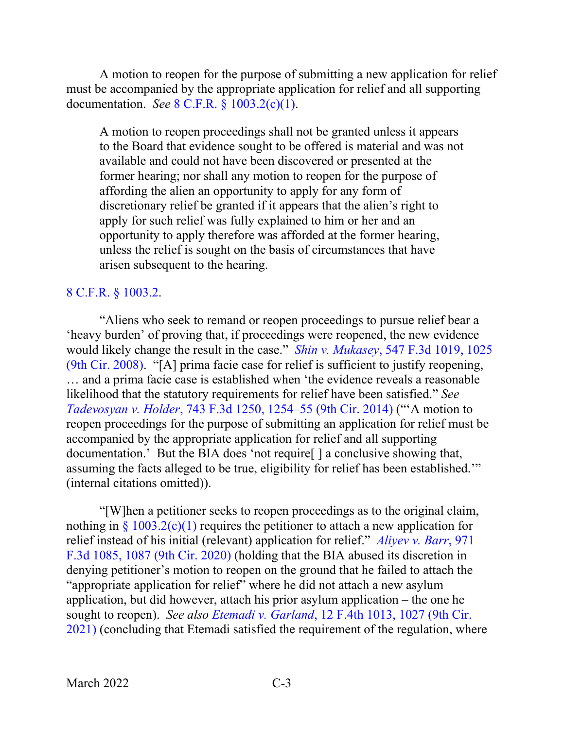A motion to reopen for the purpose of submitting a new application for relief must be accompanied by the appropriate application for relief and all supporting documentation. *See* 8 C.F.R. § [1003.2\(c\)\(1\).](https://www.westlaw.com/Document/NA64E50805C1D11ECAE78A32A341D5C78/View/FullText.html?transitionType=Default&contextData=(sc.Default)&VR=3.0&RS=da3.0)

A motion to reopen proceedings shall not be granted unless it appears to the Board that evidence sought to be offered is material and was not available and could not have been discovered or presented at the former hearing; nor shall any motion to reopen for the purpose of affording the alien an opportunity to apply for any form of discretionary relief be granted if it appears that the alien's right to apply for such relief was fully explained to him or her and an opportunity to apply therefore was afforded at the former hearing, unless the relief is sought on the basis of circumstances that have arisen subsequent to the hearing.

## [8 C.F.R. §](https://www.westlaw.com/Document/NA64E50805C1D11ECAE78A32A341D5C78/View/FullText.html?transitionType=Default&contextData=(sc.Default)&VR=3.0&RS=da3.0) 1003.2.

"Aliens who seek to remand or reopen proceedings to pursue relief bear a 'heavy burden' of proving that, if proceedings were reopened, the new evidence would likely change the result in the case." *Shin v. Mukasey*[, 547 F.3d 1019, 1025](https://www.westlaw.com/Document/I83fcd5889fcd11dd9876f446780b7bdc/View/FullText.html?transitionType=Default&contextData=(sc.Default)&VR=3.0&RS=da3.0&fragmentIdentifier=co_pp_sp_506_1025)  [\(9th Cir. 2008\).](https://www.westlaw.com/Document/I83fcd5889fcd11dd9876f446780b7bdc/View/FullText.html?transitionType=Default&contextData=(sc.Default)&VR=3.0&RS=da3.0&fragmentIdentifier=co_pp_sp_506_1025) "[A] prima facie case for relief is sufficient to justify reopening, … and a prima facie case is established when 'the evidence reveals a reasonable likelihood that the statutory requirements for relief have been satisfied." *See Tadevosyan v. Holder*[, 743 F.3d 1250, 1254–55 \(9th Cir. 2014\)](https://www.westlaw.com/Document/If35953889fc811e381b8b0e9e015e69e/View/FullText.html?transitionType=Default&contextData=(sc.Default)&VR=3.0&RS=da3.0&fragmentIdentifier=co_pp_sp_506_1254) ("'A motion to reopen proceedings for the purpose of submitting an application for relief must be accompanied by the appropriate application for relief and all supporting documentation.' But the BIA does 'not require[ ] a conclusive showing that, assuming the facts alleged to be true, eligibility for relief has been established.'" (internal citations omitted)).

"[W]hen a petitioner seeks to reopen proceedings as to the original claim, nothing in  $\S 1003.2(c)(1)$  $\S 1003.2(c)(1)$  requires the petitioner to attach a new application for relief instead of his initial (relevant) application for relief." *[Aliyev v. Barr](https://www.westlaw.com/Document/Ibba63580e64711eab5eeeeed678e6b81/View/FullText.html?transitionType=Default&contextData=(sc.Default)&VR=3.0&RS=da3.0&fragmentIdentifier=co_pp_sp_506_1087)*, 971 [F.3d 1085, 1087 \(9th Cir. 2020\)](https://www.westlaw.com/Document/Ibba63580e64711eab5eeeeed678e6b81/View/FullText.html?transitionType=Default&contextData=(sc.Default)&VR=3.0&RS=da3.0&fragmentIdentifier=co_pp_sp_506_1087) (holding that the BIA abused its discretion in denying petitioner's motion to reopen on the ground that he failed to attach the "appropriate application for relief" where he did not attach a new asylum application, but did however, attach his prior asylum application – the one he sought to reopen). *See also Etemadi v. Garland*[, 12 F.4th 1013, 1027 \(9th Cir.](https://www.westlaw.com/Document/I5967496011a511ecb72ce2c86e84f35e/View/FullText.html?transitionType=Default&contextData=(sc.Default)&VR=3.0&RS=da3.0&fragmentIdentifier=co_pp_sp_8173_1027)  [2021\)](https://www.westlaw.com/Document/I5967496011a511ecb72ce2c86e84f35e/View/FullText.html?transitionType=Default&contextData=(sc.Default)&VR=3.0&RS=da3.0&fragmentIdentifier=co_pp_sp_8173_1027) (concluding that Etemadi satisfied the requirement of the regulation, where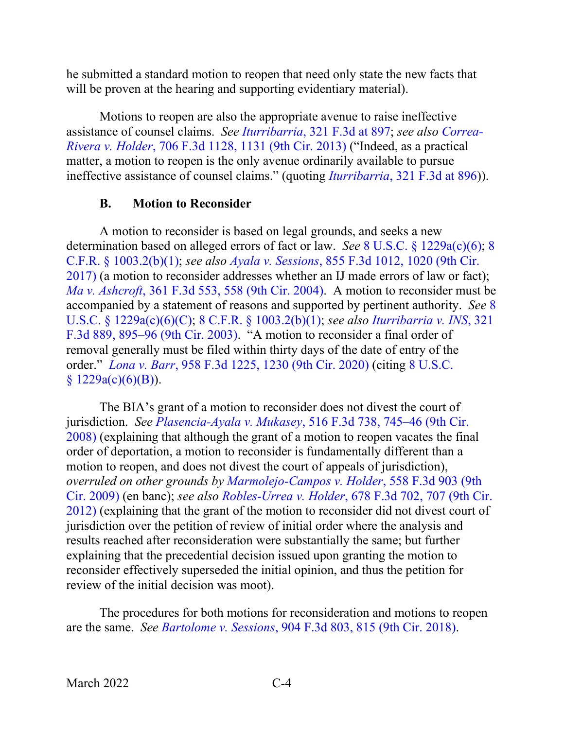he submitted a standard motion to reopen that need only state the new facts that will be proven at the hearing and supporting evidentiary material).

Motions to reopen are also the appropriate avenue to raise ineffective assistance of counsel claims. *See [Iturribarria](https://www.westlaw.com/Document/I83dfa6c589c711d9b6ea9f5a173c4523/View/FullText.html?transitionType=Default&contextData=(sc.Default)&VR=3.0&RS=da3.0&fragmentIdentifier=co_pp_sp_506_897)*, 321 F.3d at 897; *see also [Correa-](https://www.westlaw.com/Document/I69c033b8704e11e2a531ef6793d44951/View/FullText.html?transitionType=Default&contextData=(sc.Default)&VR=3.0&RS=da3.0&fragmentIdentifier=co_pp_sp_506_1131)Rivera v. Holder*[, 706 F.3d 1128, 1131 \(9th Cir. 2013\)](https://www.westlaw.com/Document/I69c033b8704e11e2a531ef6793d44951/View/FullText.html?transitionType=Default&contextData=(sc.Default)&VR=3.0&RS=da3.0&fragmentIdentifier=co_pp_sp_506_1131) ("Indeed, as a practical matter, a motion to reopen is the only avenue ordinarily available to pursue ineffective assistance of counsel claims." (quoting *Iturribarria*[, 321 F.3d at 896\)](https://www.westlaw.com/Document/I83dfa6c589c711d9b6ea9f5a173c4523/View/FullText.html?transitionType=Default&contextData=(sc.Default)&VR=3.0&RS=da3.0&fragmentIdentifier=co_pp_sp_506_896)).

#### **B. Motion to Reconsider**

<span id="page-7-0"></span>A motion to reconsider is based on legal grounds, and seeks a new determination based on alleged errors of fact or law. *See* 8 U.S.C. § [1229a\(c\)\(6\);](https://www.westlaw.com/Document/NFF9ECF308EBA11DAAF57BD3E6EFC5A3E/View/FullText.html?transitionType=Default&contextData=(sc.Default)&VR=3.0&RS=da3.0) [8](https://www.westlaw.com/Document/NA64E50805C1D11ECAE78A32A341D5C78/View/FullText.html?transitionType=Default&contextData=(sc.Default)&VR=3.0&RS=da3.0)  C.F.R. § [1003.2\(b\)\(1\);](https://www.westlaw.com/Document/NA64E50805C1D11ECAE78A32A341D5C78/View/FullText.html?transitionType=Default&contextData=(sc.Default)&VR=3.0&RS=da3.0) *see also Ayala v. Sessions*[, 855 F.3d 1012, 1020 \(9th Cir.](https://www.westlaw.com/Document/Ie2aa3c402e9d11e7815ea6969ee18a03/View/FullText.html?transitionType=Default&contextData=(sc.Default)&VR=3.0&RS=da3.0&fragmentIdentifier=co_pp_sp_506_1020)  [2017\)](https://www.westlaw.com/Document/Ie2aa3c402e9d11e7815ea6969ee18a03/View/FullText.html?transitionType=Default&contextData=(sc.Default)&VR=3.0&RS=da3.0&fragmentIdentifier=co_pp_sp_506_1020) (a motion to reconsider addresses whether an IJ made errors of law or fact); *Ma v. Ashcroft*[, 361 F.3d 553, 558 \(9th Cir. 2004\).](https://www.westlaw.com/Document/I7d8ae9cd89fc11d98b51ba734bfc3c79/View/FullText.html?transitionType=Default&contextData=(sc.Default)&VR=3.0&RS=da3.0&fragmentIdentifier=co_pp_sp_506_558) A motion to reconsider must be accompanied by a statement of reasons and supported by pertinent authority. *See* [8](https://www.westlaw.com/Document/NFF9ECF308EBA11DAAF57BD3E6EFC5A3E/View/FullText.html?transitionType=Default&contextData=(sc.Default)&VR=3.0&RS=da3.0)  U.S.C. § [1229a\(c\)\(6\)\(C\);](https://www.westlaw.com/Document/NFF9ECF308EBA11DAAF57BD3E6EFC5A3E/View/FullText.html?transitionType=Default&contextData=(sc.Default)&VR=3.0&RS=da3.0) 8 C.F.R. § [1003.2\(b\)\(1\);](https://www.westlaw.com/Document/NA64E50805C1D11ECAE78A32A341D5C78/View/FullText.html?transitionType=Default&contextData=(sc.Default)&VR=3.0&RS=da3.0) *see also [Iturribarria v. INS](https://www.westlaw.com/Document/I83dfa6c589c711d9b6ea9f5a173c4523/View/FullText.html?transitionType=Default&contextData=(sc.Default)&VR=3.0&RS=da3.0&fragmentIdentifier=co_pp_sp_506_895)*, 321 [F.3d 889, 895–96 \(9th Cir. 2003\).](https://www.westlaw.com/Document/I83dfa6c589c711d9b6ea9f5a173c4523/View/FullText.html?transitionType=Default&contextData=(sc.Default)&VR=3.0&RS=da3.0&fragmentIdentifier=co_pp_sp_506_895) "A motion to reconsider a final order of removal generally must be filed within thirty days of the date of entry of the order." *Lona v. Barr*[, 958 F.3d 1225, 1230 \(9th Cir. 2020\)](https://www.westlaw.com/Document/I29dec8e096fd11ea8cb395d22c142a61/View/FullText.html?transitionType=Default&contextData=(sc.Default)&VR=3.0&RS=da3.0&fragmentIdentifier=co_pp_sp_506_1230) (citing [8 U.S.C.](https://www.westlaw.com/Document/NFF9ECF308EBA11DAAF57BD3E6EFC5A3E/View/FullText.html?transitionType=Default&contextData=(sc.Default)&VR=3.0&RS=da3.0)   $$1229a(c)(6)(B)).$  $$1229a(c)(6)(B)).$  $$1229a(c)(6)(B)).$ 

The BIA's grant of a motion to reconsider does not divest the court of jurisdiction. *See Plasencia-Ayala v. Mukasey*[, 516 F.3d 738, 745–46 \(9th Cir.](https://www.westlaw.com/Document/I55ee4ac9d5b111dcb6a3a099756c05b7/View/FullText.html?transitionType=Default&contextData=(sc.Default)&VR=3.0&RS=da3.0&fragmentIdentifier=co_pp_sp_506_745)  [2008\)](https://www.westlaw.com/Document/I55ee4ac9d5b111dcb6a3a099756c05b7/View/FullText.html?transitionType=Default&contextData=(sc.Default)&VR=3.0&RS=da3.0&fragmentIdentifier=co_pp_sp_506_745) (explaining that although the grant of a motion to reopen vacates the final order of deportation, a motion to reconsider is fundamentally different than a motion to reopen, and does not divest the court of appeals of jurisdiction), *overruled on other grounds by [Marmolejo-Campos v. Holder](https://www.westlaw.com/Document/I485e37cd08c411deb6a3a099756c05b7/View/FullText.html?transitionType=Default&contextData=(sc.Default)&VR=3.0&RS=da3.0)*, 558 F.3d 903 (9th [Cir. 2009\)](https://www.westlaw.com/Document/I485e37cd08c411deb6a3a099756c05b7/View/FullText.html?transitionType=Default&contextData=(sc.Default)&VR=3.0&RS=da3.0) (en banc); *see also Robles-Urrea v. Holder*[, 678 F.3d 702, 707 \(9th Cir.](https://www.westlaw.com/Document/I1d6de01a8d4711e196ddf76f9be2cc49/View/FullText.html?transitionType=Default&contextData=(sc.Default)&VR=3.0&RS=da3.0&fragmentIdentifier=co_pp_sp_506_707)  [2012\)](https://www.westlaw.com/Document/I1d6de01a8d4711e196ddf76f9be2cc49/View/FullText.html?transitionType=Default&contextData=(sc.Default)&VR=3.0&RS=da3.0&fragmentIdentifier=co_pp_sp_506_707) (explaining that the grant of the motion to reconsider did not divest court of jurisdiction over the petition of review of initial order where the analysis and results reached after reconsideration were substantially the same; but further explaining that the precedential decision issued upon granting the motion to reconsider effectively superseded the initial opinion, and thus the petition for review of the initial decision was moot).

The procedures for both motions for reconsideration and motions to reopen are the same. *See Bartolome v. Sessions*[, 904 F.3d 803, 815 \(9th Cir. 2018\).](https://www.westlaw.com/Document/Id75f61d0b83511e8b93ad6f77bf99296/View/FullText.html?transitionType=Default&contextData=(sc.Default)&VR=3.0&RS=da3.0&fragmentIdentifier=co_pp_sp_506_815)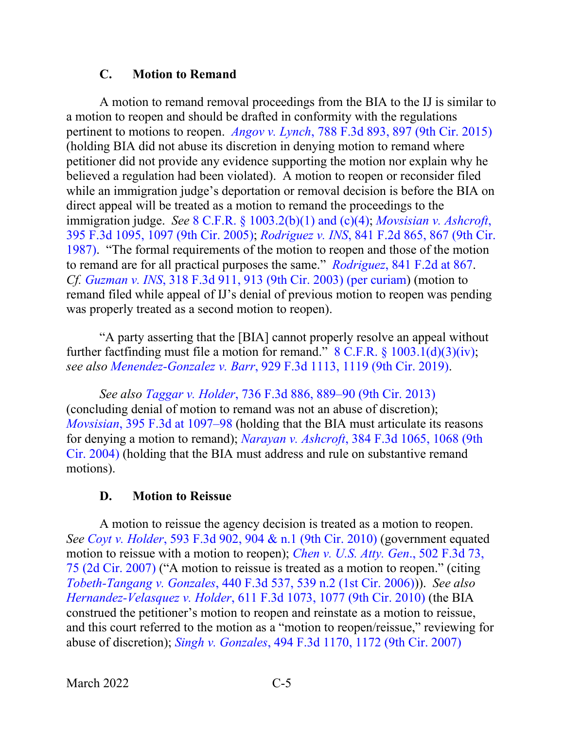#### **C. Motion to Remand**

<span id="page-8-0"></span>A motion to remand removal proceedings from the BIA to the IJ is similar to a motion to reopen and should be drafted in conformity with the regulations pertinent to motions to reopen. *Angov v. Lynch*[, 788 F.3d 893, 897 \(9th Cir. 2015\)](https://www.westlaw.com/Document/Ie8d8b5ea0e1011e5a795ac035416da91/View/FullText.html?transitionType=Default&contextData=(sc.Default)&VR=3.0&RS=da3.0&fragmentIdentifier=co_pp_sp_506_897) (holding BIA did not abuse its discretion in denying motion to remand where petitioner did not provide any evidence supporting the motion nor explain why he believed a regulation had been violated). A motion to reopen or reconsider filed while an immigration judge's deportation or removal decision is before the BIA on direct appeal will be treated as a motion to remand the proceedings to the immigration judge. *See* 8 C.F.R. § [1003.2\(b\)\(1\) and \(c\)\(4\);](https://www.westlaw.com/Document/NA64E50805C1D11ECAE78A32A341D5C78/View/FullText.html?transitionType=Default&contextData=(sc.Default)&VR=3.0&RS=da3.0) *[Movsisian v. Ashcroft](https://www.westlaw.com/Document/I5e1111c179ec11d99c4dbb2f0352441d/View/FullText.html?transitionType=Default&contextData=(sc.Default)&VR=3.0&RS=da3.0&fragmentIdentifier=co_pp_sp_506_1097)*, [395 F.3d 1095, 1097 \(9th Cir. 2005\);](https://www.westlaw.com/Document/I5e1111c179ec11d99c4dbb2f0352441d/View/FullText.html?transitionType=Default&contextData=(sc.Default)&VR=3.0&RS=da3.0&fragmentIdentifier=co_pp_sp_506_1097) *Rodriguez v. INS*[, 841 F.2d 865, 867 \(9th Cir.](https://www.westlaw.com/Document/I84b31702957211d993e6d35cc61aab4a/View/FullText.html?transitionType=Default&contextData=(sc.Default)&VR=3.0&RS=da3.0&fragmentIdentifier=co_pp_sp_350_867)  [1987\).](https://www.westlaw.com/Document/I84b31702957211d993e6d35cc61aab4a/View/FullText.html?transitionType=Default&contextData=(sc.Default)&VR=3.0&RS=da3.0&fragmentIdentifier=co_pp_sp_350_867) "The formal requirements of the motion to reopen and those of the motion to remand are for all practical purposes the same." *Rodriguez*[, 841 F.2d at 867.](https://www.westlaw.com/Document/I84b31702957211d993e6d35cc61aab4a/View/FullText.html?transitionType=Default&contextData=(sc.Default)&VR=3.0&RS=da3.0&fragmentIdentifier=co_pp_sp_350_867) *Cf. Guzman v. INS*[, 318 F.3d 911, 913 \(9th Cir. 2003\) \(per curiam\)](https://www.westlaw.com/Document/Ib669e66689c011d98b51ba734bfc3c79/View/FullText.html?transitionType=Default&contextData=(sc.Default)&VR=3.0&RS=da3.0&fragmentIdentifier=co_pp_sp_506_913) (motion to remand filed while appeal of IJ's denial of previous motion to reopen was pending was properly treated as a second motion to reopen).

"A party asserting that the [BIA] cannot properly resolve an appeal without further factfinding must file a motion for remand."  $8 \text{ C.F.R.}$   $\frac{1003.1(\text{d})(3)(\text{iv})}{(3)(\text{iv})}$ ; *see also Menendez-Gonzalez v. Barr*[, 929 F.3d 1113, 1119 \(9th Cir. 2019\).](https://www.westlaw.com/Document/Iae0de080a3f911e981b9f3f7c11376fd/View/FullText.html?transitionType=Default&contextData=(sc.Default)&VR=3.0&RS=da3.0&fragmentIdentifier=co_pp_sp_506_1119)

*See also Taggar v. Holder*[, 736 F.3d 886, 889–90 \(9th Cir. 2013\)](https://www.westlaw.com/Document/Iaec3297f5b6f11e3b48bea39e86d4142/View/FullText.html?transitionType=Default&contextData=(sc.Default)&VR=3.0&RS=da3.0&fragmentIdentifier=co_pp_sp_506_889) (concluding denial of motion to remand was not an abuse of discretion); *Movsisian*[, 395 F.3d at 1097–98](https://www.westlaw.com/Document/I5e1111c179ec11d99c4dbb2f0352441d/View/FullText.html?transitionType=Default&contextData=(sc.Default)&VR=3.0&RS=da3.0&fragmentIdentifier=co_pp_sp_506_1097) (holding that the BIA must articulate its reasons for denying a motion to remand); *Narayan v. Ashcroft*[, 384 F.3d 1065, 1068 \(9th](https://www.westlaw.com/Document/I0f5f74538bac11d99a6fdc806bf1638e/View/FullText.html?transitionType=Default&contextData=(sc.Default)&VR=3.0&RS=da3.0&fragmentIdentifier=co_pp_sp_506_1068)  [Cir. 2004\)](https://www.westlaw.com/Document/I0f5f74538bac11d99a6fdc806bf1638e/View/FullText.html?transitionType=Default&contextData=(sc.Default)&VR=3.0&RS=da3.0&fragmentIdentifier=co_pp_sp_506_1068) (holding that the BIA must address and rule on substantive remand motions).

#### **D. Motion to Reissue**

<span id="page-8-1"></span>A motion to reissue the agency decision is treated as a motion to reopen. *See Coyt v. Holder*[, 593 F.3d 902, 904 & n.1 \(9th Cir. 2010\)](https://www.westlaw.com/Document/Ic37bb13505e411df8bf6cd8525c41437/View/FullText.html?transitionType=Default&contextData=(sc.Default)&VR=3.0&RS=da3.0&fragmentIdentifier=co_pp_sp_506_904+%26+n.1) (government equated motion to reissue with a motion to reopen); *[Chen v. U.S. Atty. Gen](https://www.westlaw.com/Document/Ied868d3f605f11dca1e6fa81e64372bf/View/FullText.html?transitionType=Default&contextData=(sc.Default)&VR=3.0&RS=da3.0&fragmentIdentifier=co_pp_sp_506_75)*., 502 F.3d 73, [75 \(2d Cir. 2007\)](https://www.westlaw.com/Document/Ied868d3f605f11dca1e6fa81e64372bf/View/FullText.html?transitionType=Default&contextData=(sc.Default)&VR=3.0&RS=da3.0&fragmentIdentifier=co_pp_sp_506_75) ("A motion to reissue is treated as a motion to reopen." (citing *Tobeth-Tangang v. Gonzales*[, 440 F.3d 537, 539 n.2 \(1st Cir. 2006\)\)](https://www.westlaw.com/Document/Ic949f462b39f11da97faf3f66e4b6844/View/FullText.html?transitionType=Default&contextData=(sc.Default)&VR=3.0&RS=da3.0&fragmentIdentifier=co_pp_sp_506_539+n.2)). *See also Hernandez-Velasquez v. Holder*[, 611 F.3d 1073, 1077 \(9th Cir. 2010\)](https://www.westlaw.com/Document/Ib4e9557f8f3a11df86c1ad798a0ca1c1/View/FullText.html?transitionType=Default&contextData=(sc.Default)&VR=3.0&RS=da3.0&fragmentIdentifier=co_pp_sp_506_1077) (the BIA construed the petitioner's motion to reopen and reinstate as a motion to reissue, and this court referred to the motion as a "motion to reopen/reissue," reviewing for abuse of discretion); *Singh v. Gonzales*[, 494 F.3d 1170, 1172 \(9th Cir. 2007\)](https://www.westlaw.com/Document/I71293e6e35ea11dcaba8d9d29eb57eff/View/FullText.html?transitionType=Default&contextData=(sc.Default)&VR=3.0&RS=da3.0&fragmentIdentifier=co_pp_sp_506_1172)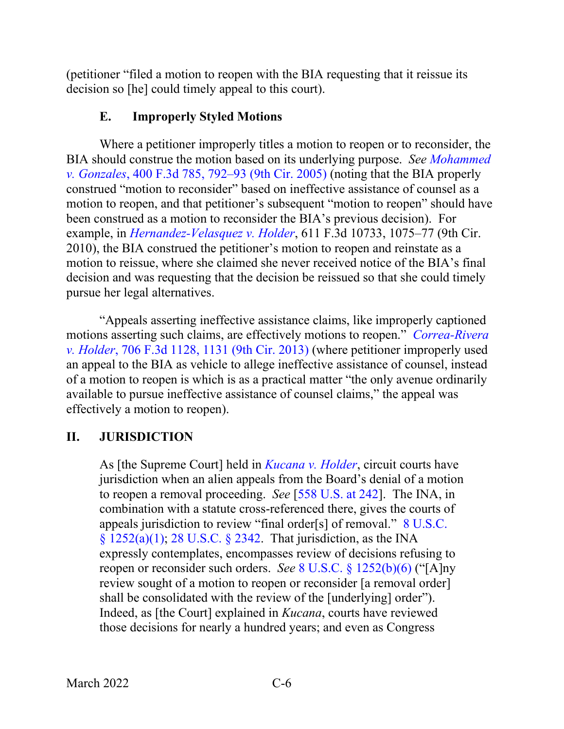(petitioner "filed a motion to reopen with the BIA requesting that it reissue its decision so [he] could timely appeal to this court).

# **E. Improperly Styled Motions**

<span id="page-9-0"></span>Where a petitioner improperly titles a motion to reopen or to reconsider, the BIA should construe the motion based on its underlying purpose. *See [Mohammed](https://www.westlaw.com/Document/Iccc09121919f11d993e6d35cc61aab4a/View/FullText.html?transitionType=Default&contextData=(sc.Default)&VR=3.0&RS=da3.0&fragmentIdentifier=co_pp_sp_506_792)  v. Gonzales*[, 400 F.3d 785, 792–93 \(9th Cir. 2005\)](https://www.westlaw.com/Document/Iccc09121919f11d993e6d35cc61aab4a/View/FullText.html?transitionType=Default&contextData=(sc.Default)&VR=3.0&RS=da3.0&fragmentIdentifier=co_pp_sp_506_792) (noting that the BIA properly construed "motion to reconsider" based on ineffective assistance of counsel as a motion to reopen, and that petitioner's subsequent "motion to reopen" should have been construed as a motion to reconsider the BIA's previous decision). For example, in *[Hernandez-Velasquez v. Holder](https://www.westlaw.com/Document/Ib4e9557f8f3a11df86c1ad798a0ca1c1/View/FullText.html?transitionType=Default&contextData=(sc.Default)&VR=3.0&RS=da3.0)*, 611 F.3d 10733, 1075–77 (9th Cir. 2010), the BIA construed the petitioner's motion to reopen and reinstate as a motion to reissue, where she claimed she never received notice of the BIA's final decision and was requesting that the decision be reissued so that she could timely pursue her legal alternatives.

"Appeals asserting ineffective assistance claims, like improperly captioned motions asserting such claims, are effectively motions to reopen." *[Correa-Rivera](https://www.westlaw.com/Document/I69c033b8704e11e2a531ef6793d44951/View/FullText.html?transitionType=Default&contextData=(sc.Default)&VR=3.0&RS=da3.0&fragmentIdentifier=co_pp_sp_506_1131)  v. Holder*, 706 [F.3d 1128, 1131 \(9th Cir. 2013\)](https://www.westlaw.com/Document/I69c033b8704e11e2a531ef6793d44951/View/FullText.html?transitionType=Default&contextData=(sc.Default)&VR=3.0&RS=da3.0&fragmentIdentifier=co_pp_sp_506_1131) (where petitioner improperly used an appeal to the BIA as vehicle to allege ineffective assistance of counsel, instead of a motion to reopen is which is as a practical matter "the only avenue ordinarily available to pursue ineffective assistance of counsel claims," the appeal was effectively a motion to reopen).

# <span id="page-9-1"></span>**II. JURISDICTION**

As [the Supreme Court] held in *[Kucana v. Holder](https://www.westlaw.com/Document/I638108a705be11dfae65b23e804c3c12/View/FullText.html?transitionType=Default&contextData=(sc.Default)&VR=3.0&RS=da3.0)*, circuit courts have jurisdiction when an alien appeals from the Board's denial of a motion to reopen a removal proceeding. *See* [\[558 U.S. at 242\]](https://www.westlaw.com/Document/I638108a705be11dfae65b23e804c3c12/View/FullText.html?transitionType=Default&contextData=(sc.Default)&VR=3.0&RS=da3.0&fragmentIdentifier=co_pp_sp_780_242). The INA, in combination with a statute cross-referenced there, gives the courts of appeals jurisdiction to review "final order[s] of removal." [8 U.S.C.](https://www.westlaw.com/Document/N6DA60B40D3B511D9B9348E3FD7EA6B83/View/FullText.html?transitionType=Default&contextData=(sc.Default)&VR=3.0&RS=da3.0)   $\S$  [1252\(a\)\(1\);](https://www.westlaw.com/Document/N6DA60B40D3B511D9B9348E3FD7EA6B83/View/FullText.html?transitionType=Default&contextData=(sc.Default)&VR=3.0&RS=da3.0) 28 U.S.C.  $\S$  2342. That jurisdiction, as the INA expressly contemplates, encompasses review of decisions refusing to reopen or reconsider such orders. *See* 8 U.S.C. § [1252\(b\)\(6\)](https://www.westlaw.com/Document/N6DA60B40D3B511D9B9348E3FD7EA6B83/View/FullText.html?transitionType=Default&contextData=(sc.Default)&VR=3.0&RS=da3.0) ("[A]ny review sought of a motion to reopen or reconsider [a removal order] shall be consolidated with the review of the [underlying] order"). Indeed, as [the Court] explained in *Kucana*, courts have reviewed those decisions for nearly a hundred years; and even as Congress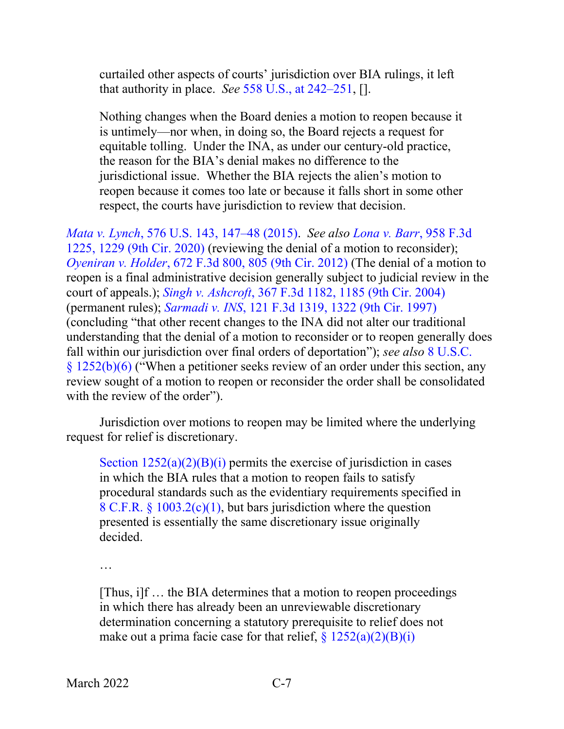curtailed other aspects of courts' jurisdiction over BIA rulings, it left that authority in place. *See* [558 U.S., at 242–251,](https://www.westlaw.com/Document/I638108a705be11dfae65b23e804c3c12/View/FullText.html?transitionType=Default&contextData=(sc.Default)&VR=3.0&RS=da3.0&fragmentIdentifier=co_pp_sp_780_242) [].

Nothing changes when the Board denies a motion to reopen because it is untimely—nor when, in doing so, the Board rejects a request for equitable tolling. Under the INA, as under our century-old practice, the reason for the BIA's denial makes no difference to the jurisdictional issue. Whether the BIA rejects the alien's motion to reopen because it comes too late or because it falls short in some other respect, the courts have jurisdiction to review that decision.

*Mata v. Lynch*[, 576 U.S. 143, 147–48 \(2015\).](https://www.westlaw.com/Document/I2040d285136211e5a807ad48145ed9f1/View/FullText.html?transitionType=Default&contextData=(sc.Default)&VR=3.0&RS=da3.0&fragmentIdentifier=co_pp_sp_780_147) *See also [Lona v. Barr](https://www.westlaw.com/Document/I29dec8e096fd11ea8cb395d22c142a61/View/FullText.html?transitionType=Default&contextData=(sc.Default)&VR=3.0&RS=da3.0&fragmentIdentifier=co_pp_sp_506_1229)*, 958 F.3d [1225, 1229 \(9th Cir. 2020\)](https://www.westlaw.com/Document/I29dec8e096fd11ea8cb395d22c142a61/View/FullText.html?transitionType=Default&contextData=(sc.Default)&VR=3.0&RS=da3.0&fragmentIdentifier=co_pp_sp_506_1229) (reviewing the denial of a motion to reconsider); *Oyeniran v. Holder*[, 672 F.3d 800, 805 \(9th Cir. 2012\)](https://www.westlaw.com/Document/I8201589067ea11e18b1ac573b20fcfb7/View/FullText.html?transitionType=Default&contextData=(sc.Default)&VR=3.0&RS=da3.0&fragmentIdentifier=co_pp_sp_506_805) (The denial of a motion to reopen is a final administrative decision generally subject to judicial review in the court of appeals.); *Singh v. Ashcroft*[, 367 F.3d 1182, 1185 \(9th Cir. 2004\)](https://www.westlaw.com/Document/I02d0acc38a0511d98b51ba734bfc3c79/View/FullText.html?transitionType=Default&contextData=(sc.Default)&VR=3.0&RS=da3.0&fragmentIdentifier=co_pp_sp_506_1185) (permanent rules); *Sarmadi v. INS*[, 121 F.3d 1319, 1322 \(9th Cir. 1997\)](https://www.westlaw.com/Document/I026e66ee942911d9bdd1cfdd544ca3a4/View/FullText.html?transitionType=Default&contextData=(sc.Default)&VR=3.0&RS=da3.0&fragmentIdentifier=co_pp_sp_506_1322) (concluding "that other recent changes to the INA did not alter our traditional understanding that the denial of a motion to reconsider or to reopen generally does fall within our jurisdiction over final orders of deportation"); *see also* [8 U.S.C.](https://www.westlaw.com/Document/N6DA60B40D3B511D9B9348E3FD7EA6B83/View/FullText.html?transitionType=Default&contextData=(sc.Default)&VR=3.0&RS=da3.0)  § [1252\(b\)\(6\)](https://www.westlaw.com/Document/N6DA60B40D3B511D9B9348E3FD7EA6B83/View/FullText.html?transitionType=Default&contextData=(sc.Default)&VR=3.0&RS=da3.0) ("When a petitioner seeks review of an order under this section, any review sought of a motion to reopen or reconsider the order shall be consolidated with the review of the order".

Jurisdiction over motions to reopen may be limited where the underlying request for relief is discretionary.

Section  $1252(a)(2)(B)(i)$  permits the exercise of jurisdiction in cases in which the BIA rules that a motion to reopen fails to satisfy procedural standards such as the evidentiary requirements specified in 8 C.F.R. § [1003.2\(c\)\(1\),](https://www.westlaw.com/Document/NA64E50805C1D11ECAE78A32A341D5C78/View/FullText.html?transitionType=Default&contextData=(sc.Default)&VR=3.0&RS=da3.0) but bars jurisdiction where the question presented is essentially the same discretionary issue originally decided.

…

[Thus, i]f … the BIA determines that a motion to reopen proceedings in which there has already been an unreviewable discretionary determination concerning a statutory prerequisite to relief does not make out a prima facie case for that relief,  $\frac{8}{2}$  [1252\(a\)\(2\)\(B\)\(i\)](https://www.westlaw.com/Document/N6DA60B40D3B511D9B9348E3FD7EA6B83/View/FullText.html?transitionType=Default&contextData=(sc.Default)&VR=3.0&RS=da3.0)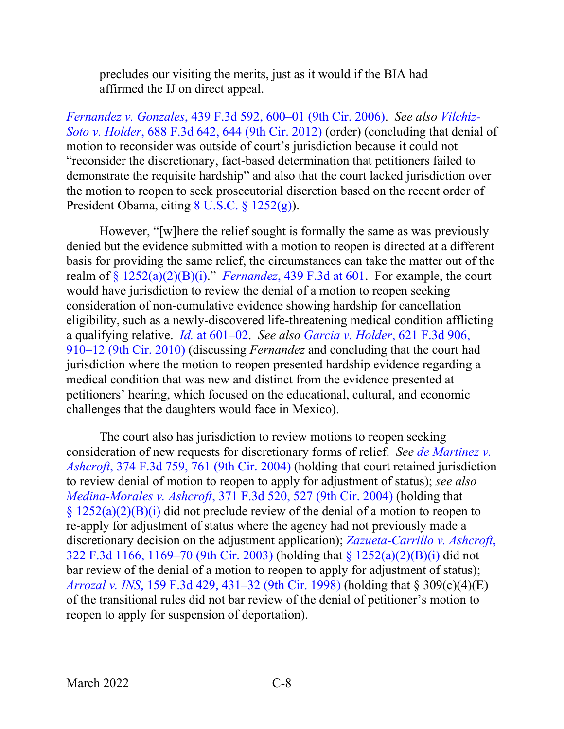precludes our visiting the merits, just as it would if the BIA had affirmed the IJ on direct appeal.

*Fernandez v. Gonzales*[, 439 F.3d 592, 600–01 \(9th Cir. 2006\).](https://www.westlaw.com/Document/I64ef25dba9da11daa20eccddde63d628/View/FullText.html?transitionType=Default&contextData=(sc.Default)&VR=3.0&RS=da3.0&fragmentIdentifier=co_pp_sp_506_600) *See also [Vilchiz-](https://www.westlaw.com/Document/I6fb2e540e25811e1b343c837631e1747/View/FullText.html?transitionType=Default&contextData=(sc.Default)&VR=3.0&RS=da3.0&fragmentIdentifier=co_pp_sp_506_644)Soto v. Holder*[, 688 F.3d 642, 644 \(9th Cir. 2012\)](https://www.westlaw.com/Document/I6fb2e540e25811e1b343c837631e1747/View/FullText.html?transitionType=Default&contextData=(sc.Default)&VR=3.0&RS=da3.0&fragmentIdentifier=co_pp_sp_506_644) (order) (concluding that denial of motion to reconsider was outside of court's jurisdiction because it could not "reconsider the discretionary, fact-based determination that petitioners failed to demonstrate the requisite hardship" and also that the court lacked jurisdiction over the motion to reopen to seek prosecutorial discretion based on the recent order of President Obama, citing [8 U.S.C. §](https://www.westlaw.com/Document/N6DA60B40D3B511D9B9348E3FD7EA6B83/View/FullText.html?transitionType=Default&contextData=(sc.Default)&VR=3.0&RS=da3.0) 1252(g)).

However, "[w]here the relief sought is formally the same as was previously denied but the evidence submitted with a motion to reopen is directed at a different basis for providing the same relief, the circumstances can take the matter out of the realm of § [1252\(a\)\(2\)\(B\)\(i\).](https://www.westlaw.com/Document/N6DA60B40D3B511D9B9348E3FD7EA6B83/View/FullText.html?transitionType=Default&contextData=(sc.Default)&VR=3.0&RS=da3.0)" *[Fernandez](https://www.westlaw.com/Document/I64ef25dba9da11daa20eccddde63d628/View/FullText.html?transitionType=Default&contextData=(sc.Default)&VR=3.0&RS=da3.0&fragmentIdentifier=co_pp_sp_506_601)*, 439 F.3d at 601. For example, the court would have jurisdiction to review the denial of a motion to reopen seeking consideration of non-cumulative evidence showing hardship for cancellation eligibility, such as a newly-discovered life-threatening medical condition afflicting a qualifying relative. *Id.* [at 601–02.](https://www.westlaw.com/Document/I64ef25dba9da11daa20eccddde63d628/View/FullText.html?transitionType=Default&contextData=(sc.Default)&VR=3.0&RS=da3.0&fragmentIdentifier=co_pp_sp_506_601) *See also [Garcia v. Holder](https://www.westlaw.com/Document/Ibc8c4637b67611dfb5fdfcf739be147c/View/FullText.html?transitionType=Default&contextData=(sc.Default)&VR=3.0&RS=da3.0&fragmentIdentifier=co_pp_sp_506_910)*, 621 F.3d 906, [910–12 \(9th Cir. 2010\)](https://www.westlaw.com/Document/Ibc8c4637b67611dfb5fdfcf739be147c/View/FullText.html?transitionType=Default&contextData=(sc.Default)&VR=3.0&RS=da3.0&fragmentIdentifier=co_pp_sp_506_910) (discussing *Fernandez* and concluding that the court had jurisdiction where the motion to reopen presented hardship evidence regarding a medical condition that was new and distinct from the evidence presented at petitioners' hearing, which focused on the educational, cultural, and economic challenges that the daughters would face in Mexico).

The court also has jurisdiction to review motions to reopen seeking consideration of new requests for discretionary forms of relief. *See [de Martinez v.](https://www.westlaw.com/Document/Ibddcad358b9e11d99dcc8cc3e68b51e9/View/FullText.html?transitionType=Default&contextData=(sc.Default)&VR=3.0&RS=da3.0&fragmentIdentifier=co_pp_sp_506_761)  Ashcroft*[, 374 F.3d 759, 761 \(9th Cir. 2004\)](https://www.westlaw.com/Document/Ibddcad358b9e11d99dcc8cc3e68b51e9/View/FullText.html?transitionType=Default&contextData=(sc.Default)&VR=3.0&RS=da3.0&fragmentIdentifier=co_pp_sp_506_761) (holding that court retained jurisdiction to review denial of motion to reopen to apply for adjustment of status); *see also Medina-Morales v. Ashcroft*[, 371 F.3d 520, 527 \(9th Cir. 2004\)](https://www.westlaw.com/Document/I19ee076f8b9811d99a6fdc806bf1638e/View/FullText.html?transitionType=Default&contextData=(sc.Default)&VR=3.0&RS=da3.0&fragmentIdentifier=co_pp_sp_506_527) (holding that  $\S 1252(a)(2)(B)(i)$  $\S 1252(a)(2)(B)(i)$  did not preclude review of the denial of a motion to reopen to re-apply for adjustment of status where the agency had not previously made a discretionary decision on the adjustment application); *[Zazueta-Carrillo v. Ashcroft](https://www.westlaw.com/Document/I59f962f689cc11d9b6ea9f5a173c4523/View/FullText.html?transitionType=Default&contextData=(sc.Default)&VR=3.0&RS=da3.0&fragmentIdentifier=co_pp_sp_506_1169)*, [322 F.3d 1166, 1169–70 \(9th Cir. 2003\)](https://www.westlaw.com/Document/I59f962f689cc11d9b6ea9f5a173c4523/View/FullText.html?transitionType=Default&contextData=(sc.Default)&VR=3.0&RS=da3.0&fragmentIdentifier=co_pp_sp_506_1169) (holding that § [1252\(a\)\(2\)\(B\)\(i\)](https://www.westlaw.com/Document/N6DA60B40D3B511D9B9348E3FD7EA6B83/View/FullText.html?transitionType=Default&contextData=(sc.Default)&VR=3.0&RS=da3.0) did not bar review of the denial of a motion to reopen to apply for adjustment of status); *Arrozal v. INS*[, 159 F.3d 429, 431–32 \(9th Cir. 1998\)](https://www.westlaw.com/Document/I8da9284b947811d9bdd1cfdd544ca3a4/View/FullText.html?transitionType=Default&contextData=(sc.Default)&VR=3.0&RS=da3.0&fragmentIdentifier=co_pp_sp_506_431) (holding that § 309(c)(4)(E) of the transitional rules did not bar review of the denial of petitioner's motion to reopen to apply for suspension of deportation).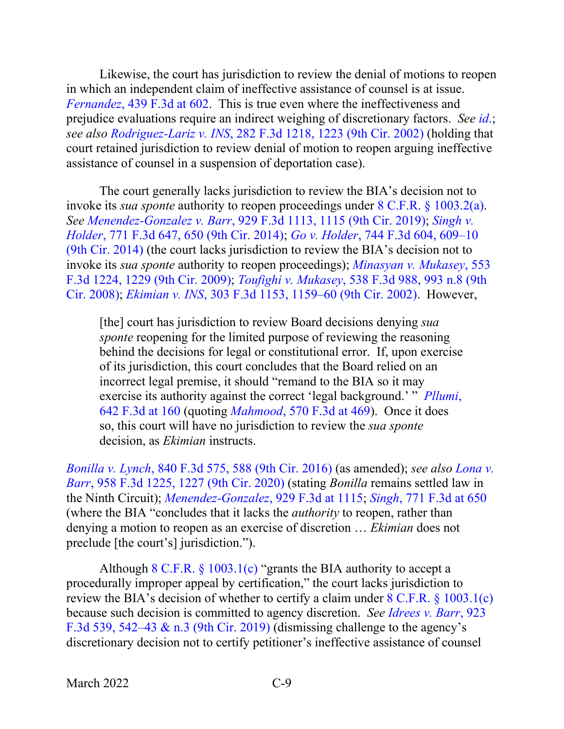Likewise, the court has jurisdiction to review the denial of motions to reopen in which an independent claim of ineffective assistance of counsel is at issue. *Fernandez*[, 439 F.3d at 602.](https://www.westlaw.com/Document/I64ef25dba9da11daa20eccddde63d628/View/FullText.html?transitionType=Default&contextData=(sc.Default)&VR=3.0&RS=da3.0&fragmentIdentifier=co_pp_sp_506_602) This is true even where the ineffectiveness and prejudice evaluations require an indirect weighing of discretionary factors. *See [id](https://www.westlaw.com/Document/I64ef25dba9da11daa20eccddde63d628/View/FullText.html?transitionType=Default&contextData=(sc.Default)&VR=3.0&RS=da3.0)*.; *see also Rodriguez-Lariz v. INS*[, 282 F.3d 1218, 1223 \(9th Cir. 2002\)](https://www.westlaw.com/Document/Ie0594c0a79cf11d9bf29e2067ad74e5b/View/FullText.html?transitionType=Default&contextData=(sc.Default)&VR=3.0&RS=da3.0&fragmentIdentifier=co_pp_sp_506_1223) (holding that court retained jurisdiction to review denial of motion to reopen arguing ineffective assistance of counsel in a suspension of deportation case).

The court generally lacks jurisdiction to review the BIA's decision not to invoke its *sua sponte* authority to reopen proceedings under [8 C.F.R. § 1003.2\(a\).](https://www.westlaw.com/Document/NA64E50805C1D11ECAE78A32A341D5C78/View/FullText.html?transitionType=Default&contextData=(sc.Default)&VR=3.0&RS=da3.0) *See Menendez-Gonzalez v. Barr*[, 929 F.3d 1113, 1115 \(9th Cir. 2019\);](https://www.westlaw.com/Document/Iae0de080a3f911e981b9f3f7c11376fd/View/FullText.html?transitionType=Default&contextData=(sc.Default)&VR=3.0&RS=da3.0&fragmentIdentifier=co_pp_sp_506_1115) *[Singh v.](https://www.westlaw.com/Document/I5d8bedcf6b7311e4b4bafa136b480ad2/View/FullText.html?transitionType=Default&contextData=(sc.Default)&VR=3.0&RS=da3.0&fragmentIdentifier=co_pp_sp_506_650)  Holder*[, 771 F.3d 647, 650 \(9th Cir. 2014\);](https://www.westlaw.com/Document/I5d8bedcf6b7311e4b4bafa136b480ad2/View/FullText.html?transitionType=Default&contextData=(sc.Default)&VR=3.0&RS=da3.0&fragmentIdentifier=co_pp_sp_506_650) *Go v. Holder*[, 744 F.3d 604, 609–10](https://www.westlaw.com/Document/Ic3bae503a66511e39ac8bab74931929c/View/FullText.html?transitionType=Default&contextData=(sc.Default)&VR=3.0&RS=da3.0&fragmentIdentifier=co_pp_sp_506_609)  [\(9th Cir. 2014\)](https://www.westlaw.com/Document/Ic3bae503a66511e39ac8bab74931929c/View/FullText.html?transitionType=Default&contextData=(sc.Default)&VR=3.0&RS=da3.0&fragmentIdentifier=co_pp_sp_506_609) (the court lacks jurisdiction to review the BIA's decision not to invoke its *sua sponte* authority to reopen proceedings); *[Minasyan v. Mukasey](https://www.westlaw.com/Document/Ia08ea7a2e72611ddb7e683ba170699a5/View/FullText.html?transitionType=Default&contextData=(sc.Default)&VR=3.0&RS=da3.0&fragmentIdentifier=co_pp_sp_506_1229)*, 553 [F.3d 1224, 1229 \(9th Cir. 2009\);](https://www.westlaw.com/Document/Ia08ea7a2e72611ddb7e683ba170699a5/View/FullText.html?transitionType=Default&contextData=(sc.Default)&VR=3.0&RS=da3.0&fragmentIdentifier=co_pp_sp_506_1229) *Toufighi v. Mukasey*[, 538 F.3d 988, 993 n.8 \(9th](https://www.westlaw.com/Document/Idecbc5b86d3a11ddbc7bf97f340af743/View/FullText.html?transitionType=Default&contextData=(sc.Default)&VR=3.0&RS=da3.0&fragmentIdentifier=co_pp_sp_506_993+n.8)  [Cir. 2008\);](https://www.westlaw.com/Document/Idecbc5b86d3a11ddbc7bf97f340af743/View/FullText.html?transitionType=Default&contextData=(sc.Default)&VR=3.0&RS=da3.0&fragmentIdentifier=co_pp_sp_506_993+n.8) *Ekimian v. INS*[, 303 F.3d 1153, 1159–60 \(9th Cir. 2002\).](https://www.westlaw.com/Document/I551690b889ad11d98b51ba734bfc3c79/View/FullText.html?transitionType=Default&contextData=(sc.Default)&VR=3.0&RS=da3.0&fragmentIdentifier=co_pp_sp_506_1159) However,

[the] court has jurisdiction to review Board decisions denying *sua sponte* reopening for the limited purpose of reviewing the reasoning behind the decisions for legal or constitutional error. If, upon exercise of its jurisdiction, this court concludes that the Board relied on an incorrect legal premise, it should "remand to the BIA so it may exercise its authority against the correct 'legal background.' " *[Pllumi](https://www.westlaw.com/Document/Iafc28773604b11e089b3e4fa6356f33d/View/FullText.html?transitionType=Default&contextData=(sc.Default)&VR=3.0&RS=da3.0&fragmentIdentifier=co_pp_sp_506_160)*, [642 F.3d at 160](https://www.westlaw.com/Document/Iafc28773604b11e089b3e4fa6356f33d/View/FullText.html?transitionType=Default&contextData=(sc.Default)&VR=3.0&RS=da3.0&fragmentIdentifier=co_pp_sp_506_160) (quoting *Mahmood*[, 570 F.3d at 469\)](https://www.westlaw.com/Document/Idc73b80d617611de9988d233d23fe599/View/FullText.html?transitionType=Default&contextData=(sc.Default)&VR=3.0&RS=da3.0&fragmentIdentifier=co_pp_sp_506_469). Once it does so, this court will have no jurisdiction to review the *sua sponte* decision, as *Ekimian* instructs.

*Bonilla v. Lynch*[, 840 F.3d 575, 588 \(9th Cir. 2016\)](https://www.westlaw.com/Document/I036825c0972511e69e6ceb9009bbadab/View/FullText.html?transitionType=Default&contextData=(sc.Default)&VR=3.0&RS=da3.0&fragmentIdentifier=co_pp_sp_506_588) (as amended); *see also [Lona v.](https://www.westlaw.com/Document/I29dec8e096fd11ea8cb395d22c142a61/View/FullText.html?transitionType=Default&contextData=(sc.Default)&VR=3.0&RS=da3.0&fragmentIdentifier=co_pp_sp_506_1227)  Barr*[, 958 F.3d 1225, 1227 \(9th Cir. 2020\)](https://www.westlaw.com/Document/I29dec8e096fd11ea8cb395d22c142a61/View/FullText.html?transitionType=Default&contextData=(sc.Default)&VR=3.0&RS=da3.0&fragmentIdentifier=co_pp_sp_506_1227) (stating *Bonilla* remains settled law in the Ninth Circuit); *[Menendez-Gonzalez](https://www.westlaw.com/Document/Iae0de080a3f911e981b9f3f7c11376fd/View/FullText.html?transitionType=Default&contextData=(sc.Default)&VR=3.0&RS=da3.0&fragmentIdentifier=co_pp_sp_506_1115)*, 929 F.3d at 1115; *Singh*[, 771 F.3d at 650](https://www.westlaw.com/Document/I5d8bedcf6b7311e4b4bafa136b480ad2/View/FullText.html?transitionType=Default&contextData=(sc.Default)&VR=3.0&RS=da3.0&fragmentIdentifier=co_pp_sp_506_650) (where the BIA "concludes that it lacks the *authority* to reopen, rather than denying a motion to reopen as an exercise of discretion … *Ekimian* does not preclude [the court's] jurisdiction.").

Although [8 C.F.R. §](https://www.westlaw.com/Document/N0D3F3A905C1C11ECAC9ED6A94397B751/View/FullText.html?transitionType=Default&contextData=(sc.Default)&VR=3.0&RS=da3.0) 1003.1(c) "grants the BIA authority to accept a procedurally improper appeal by certification," the court lacks jurisdiction to review the BIA's decision of whether to certify a claim under  $8 \text{ C.F.R. }$   $\{1003.1(c)$ because such decision is committed to agency discretion. *See [Idrees v. Barr](https://www.westlaw.com/Document/I4fb710506b6f11e99d608a2f8658c0b8/View/FullText.html?transitionType=Default&contextData=(sc.Default)&VR=3.0&RS=da3.0&fragmentIdentifier=co_pp_sp_506_542)*, 923 F.3d 539, 542–43  $\&$  n.3 (9th Cir. 2019) (dismissing challenge to the agency's discretionary decision not to certify petitioner's ineffective assistance of counsel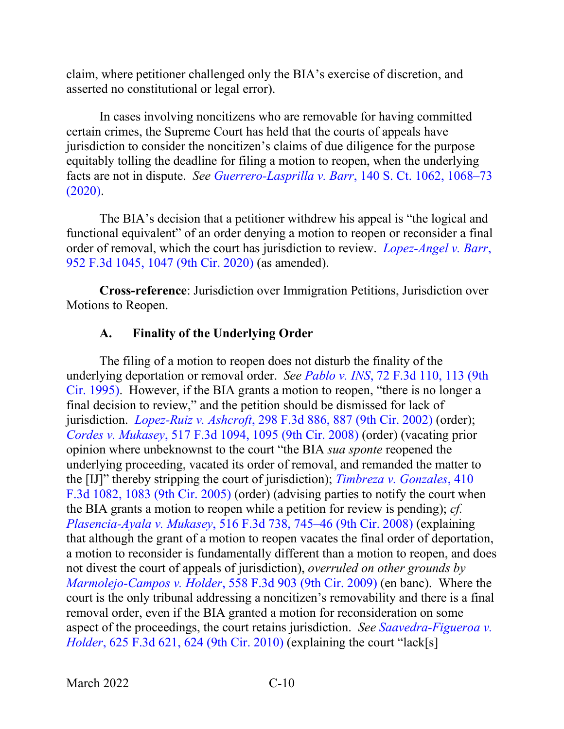claim, where petitioner challenged only the BIA's exercise of discretion, and asserted no constitutional or legal error).

In cases involving noncitizens who are removable for having committed certain crimes, the Supreme Court has held that the courts of appeals have jurisdiction to consider the noncitizen's claims of due diligence for the purpose equitably tolling the deadline for filing a motion to reopen, when the underlying facts are not in dispute. *See [Guerrero-Lasprilla v. Barr](https://www.westlaw.com/Document/Id819770f6cd611ea96bae63bc27a1895/View/FullText.html?transitionType=Default&contextData=(sc.Default)&VR=3.0&RS=da3.0&fragmentIdentifier=co_pp_sp_708_1068)*, 140 S. Ct. 1062, 1068–73 [\(2020\).](https://www.westlaw.com/Document/Id819770f6cd611ea96bae63bc27a1895/View/FullText.html?transitionType=Default&contextData=(sc.Default)&VR=3.0&RS=da3.0&fragmentIdentifier=co_pp_sp_708_1068)

The BIA's decision that a petitioner withdrew his appeal is "the logical and functional equivalent" of an order denying a motion to reopen or reconsider a final order of removal, which the court has jurisdiction to review. *[Lopez-Angel v. Barr](https://www.westlaw.com/Document/I738a6580689f11eaae65c24a92a27fc2/View/FullText.html?transitionType=Default&contextData=(sc.Default)&VR=3.0&RS=da3.0&fragmentIdentifier=co_pp_sp_506_1047)*, [952 F.3d 1045, 1047 \(9th Cir. 2020\)](https://www.westlaw.com/Document/I738a6580689f11eaae65c24a92a27fc2/View/FullText.html?transitionType=Default&contextData=(sc.Default)&VR=3.0&RS=da3.0&fragmentIdentifier=co_pp_sp_506_1047) (as amended).

**Cross-reference**: Jurisdiction over Immigration Petitions, Jurisdiction over Motions to Reopen.

## **A. Finality of the Underlying Order**

<span id="page-13-0"></span>The filing of a motion to reopen does not disturb the finality of the underlying deportation or removal order. *See Pablo v. INS*[, 72 F.3d 110, 113 \(9th](https://www.westlaw.com/Document/I1b20c41f91c411d993e6d35cc61aab4a/View/FullText.html?transitionType=Default&contextData=(sc.Default)&VR=3.0&RS=da3.0&fragmentIdentifier=co_pp_sp_506_113)  [Cir. 1995\).](https://www.westlaw.com/Document/I1b20c41f91c411d993e6d35cc61aab4a/View/FullText.html?transitionType=Default&contextData=(sc.Default)&VR=3.0&RS=da3.0&fragmentIdentifier=co_pp_sp_506_113) However, if the BIA grants a motion to reopen, "there is no longer a final decision to review," and the petition should be dismissed for lack of jurisdiction. *Lopez-Ruiz v. Ashcroft*[, 298 F.3d 886, 887 \(9th Cir. 2002\)](https://www.westlaw.com/Document/Icba5dba479e011d9ac1ffa9f33b6c3b0/View/FullText.html?transitionType=Default&contextData=(sc.Default)&VR=3.0&RS=da3.0&fragmentIdentifier=co_pp_sp_506_887) (order); *Cordes v. Mukasey*[, 517 F.3d 1094, 1095 \(9th Cir. 2008\)](https://www.westlaw.com/Document/Iec9891c3e3c011dcb595a478de34cd72/View/FullText.html?transitionType=Default&contextData=(sc.Default)&VR=3.0&RS=da3.0&fragmentIdentifier=co_pp_sp_506_1095) (order) (vacating prior opinion where unbeknownst to the court "the BIA *sua sponte* reopened the underlying proceeding, vacated its order of removal, and remanded the matter to the [IJ]" thereby stripping the court of jurisdiction); *[Timbreza v. Gonzales](https://www.westlaw.com/Document/Ifed10be3d78711d9a489ee624f1f6e1a/View/FullText.html?transitionType=Default&contextData=(sc.Default)&VR=3.0&RS=da3.0&fragmentIdentifier=co_pp_sp_506_1083)*, 410 [F.3d 1082, 1083 \(9th Cir. 2005\)](https://www.westlaw.com/Document/Ifed10be3d78711d9a489ee624f1f6e1a/View/FullText.html?transitionType=Default&contextData=(sc.Default)&VR=3.0&RS=da3.0&fragmentIdentifier=co_pp_sp_506_1083) (order) (advising parties to notify the court when the BIA grants a motion to reopen while a petition for review is pending); *cf. [Plasencia-Ayala v. Mukasey](https://www.westlaw.com/Document/I55ee4ac9d5b111dcb6a3a099756c05b7/View/FullText.html?transitionType=Default&contextData=(sc.Default)&VR=3.0&RS=da3.0&fragmentIdentifier=co_pp_sp_506_745)*, 516 F.3d 738, 745–46 (9th Cir. 2008) (explaining that although the grant of a motion to reopen vacates the final order of deportation, a motion to reconsider is fundamentally different than a motion to reopen, and does not divest the court of appeals of jurisdiction), *overruled on other grounds by [Marmolejo-Campos v. Holder](https://www.westlaw.com/Document/I485e37cd08c411deb6a3a099756c05b7/View/FullText.html?transitionType=Default&contextData=(sc.Default)&VR=3.0&RS=da3.0)*, 558 F.3d 903 (9th Cir. 2009) (en banc). Where the court is the only tribunal addressing a noncitizen's removability and there is a final removal order, even if the BIA granted a motion for reconsideration on some aspect of the proceedings, the court retains jurisdiction. *See [Saavedra-Figueroa v.](https://www.westlaw.com/Document/I03e6a0b2e8cd11dfaa23bccc834e9520/View/FullText.html?transitionType=Default&contextData=(sc.Default)&VR=3.0&RS=da3.0&fragmentIdentifier=co_pp_sp_506_624)  Holder*[, 625 F.3d 621, 624 \(9th Cir. 2010\)](https://www.westlaw.com/Document/I03e6a0b2e8cd11dfaa23bccc834e9520/View/FullText.html?transitionType=Default&contextData=(sc.Default)&VR=3.0&RS=da3.0&fragmentIdentifier=co_pp_sp_506_624) (explaining the court "lack[s]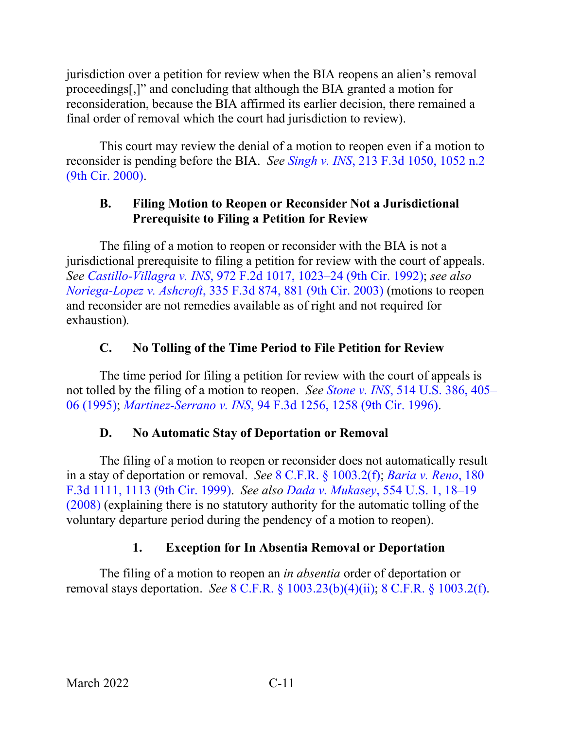jurisdiction over a petition for review when the BIA reopens an alien's removal proceedings[,]" and concluding that although the BIA granted a motion for reconsideration, because the BIA affirmed its earlier decision, there remained a final order of removal which the court had jurisdiction to review).

This court may review the denial of a motion to reopen even if a motion to reconsider is pending before the BIA. *See Singh v. INS*[, 213 F.3d 1050, 1052 n.2](https://www.westlaw.com/Document/I0624f6b0798411d98c82a53fc8ac8757/View/FullText.html?transitionType=Default&contextData=(sc.Default)&VR=3.0&RS=da3.0&fragmentIdentifier=co_pp_sp_506_1052+n.2)  [\(9th Cir. 2000\).](https://www.westlaw.com/Document/I0624f6b0798411d98c82a53fc8ac8757/View/FullText.html?transitionType=Default&contextData=(sc.Default)&VR=3.0&RS=da3.0&fragmentIdentifier=co_pp_sp_506_1052+n.2)

## <span id="page-14-0"></span>**B. Filing Motion to Reopen or Reconsider Not a Jurisdictional Prerequisite to Filing a Petition for Review**

The filing of a motion to reopen or reconsider with the BIA is not a jurisdictional prerequisite to filing a petition for review with the court of appeals. *See Castillo-Villagra v. INS*[, 972 F.2d 1017, 1023–24 \(9th Cir. 1992\);](https://www.westlaw.com/Document/I91915a2694d411d9bc61beebb95be672/View/FullText.html?transitionType=Default&contextData=(sc.Default)&VR=3.0&RS=da3.0&fragmentIdentifier=co_pp_sp_350_1023) *see also Noriega-Lopez v. Ashcroft*[, 335 F.3d 874, 881 \(9th Cir. 2003\)](https://www.westlaw.com/Document/Ie9f2550789e111d9903eeb4634b8d78e/View/FullText.html?transitionType=Default&contextData=(sc.Default)&VR=3.0&RS=da3.0&fragmentIdentifier=co_pp_sp_506_881) (motions to reopen and reconsider are not remedies available as of right and not required for exhaustion)*.*

# **C. No Tolling of the Time Period to File Petition for Review**

<span id="page-14-1"></span>The time period for filing a petition for review with the court of appeals is not tolled by the filing of a motion to reopen. *See Stone v. INS*[, 514 U.S. 386, 405–](https://www.westlaw.com/Document/I027c48969c4b11d991d0cc6b54f12d4d/View/FullText.html?transitionType=Default&contextData=(sc.Default)&VR=3.0&RS=da3.0&fragmentIdentifier=co_pp_sp_780_405) [06 \(1995\);](https://www.westlaw.com/Document/I027c48969c4b11d991d0cc6b54f12d4d/View/FullText.html?transitionType=Default&contextData=(sc.Default)&VR=3.0&RS=da3.0&fragmentIdentifier=co_pp_sp_780_405) *Martinez-Serrano v. INS*[, 94 F.3d 1256, 1258 \(9th Cir. 1996\).](https://www.westlaw.com/Document/I3e3cdc31934611d9bdd1cfdd544ca3a4/View/FullText.html?transitionType=Default&contextData=(sc.Default)&VR=3.0&RS=da3.0&fragmentIdentifier=co_pp_sp_506_1258)

#### **D. No Automatic Stay of Deportation or Removal**

<span id="page-14-2"></span>The filing of a motion to reopen or reconsider does not automatically result in a stay of deportation or removal. *See* [8 C.F.R. §](https://www.westlaw.com/Document/NA64E50805C1D11ECAE78A32A341D5C78/View/FullText.html?transitionType=Default&contextData=(sc.Default)&VR=3.0&RS=da3.0) 1003.2(f); *[Baria v. Reno](https://www.westlaw.com/Document/Idde904c494a911d9a707f4371c9c34f0/View/FullText.html?transitionType=Default&contextData=(sc.Default)&VR=3.0&RS=da3.0&fragmentIdentifier=co_pp_sp_506_1113)*, 180 [F.3d 1111, 1113 \(9th Cir. 1999\).](https://www.westlaw.com/Document/Idde904c494a911d9a707f4371c9c34f0/View/FullText.html?transitionType=Default&contextData=(sc.Default)&VR=3.0&RS=da3.0&fragmentIdentifier=co_pp_sp_506_1113) *See also Dada v. Mukasey*[, 554 U.S. 1, 18–19](https://www.westlaw.com/Document/I017a50133b9211ddb6a3a099756c05b7/View/FullText.html?transitionType=Default&contextData=(sc.Default)&VR=3.0&RS=da3.0&fragmentIdentifier=co_pp_sp_780_18)  [\(2008\)](https://www.westlaw.com/Document/I017a50133b9211ddb6a3a099756c05b7/View/FullText.html?transitionType=Default&contextData=(sc.Default)&VR=3.0&RS=da3.0&fragmentIdentifier=co_pp_sp_780_18) (explaining there is no statutory authority for the automatic tolling of the voluntary departure period during the pendency of a motion to reopen).

# **1. Exception for In Absentia Removal or Deportation**

<span id="page-14-3"></span>The filing of a motion to reopen an *in absentia* order of deportation or removal stays deportation. *See* 8 C.F.R. § [1003.23\(b\)\(4\)\(ii\);](https://www.westlaw.com/Document/N3221B9F05C2111ECBF0FBEFEA0C9DE47/View/FullText.html?transitionType=Default&contextData=(sc.Default)&VR=3.0&RS=da3.0) [8 C.F.R. §](https://www.westlaw.com/Document/NA64E50805C1D11ECAE78A32A341D5C78/View/FullText.html?transitionType=Default&contextData=(sc.Default)&VR=3.0&RS=da3.0) 1003.2(f).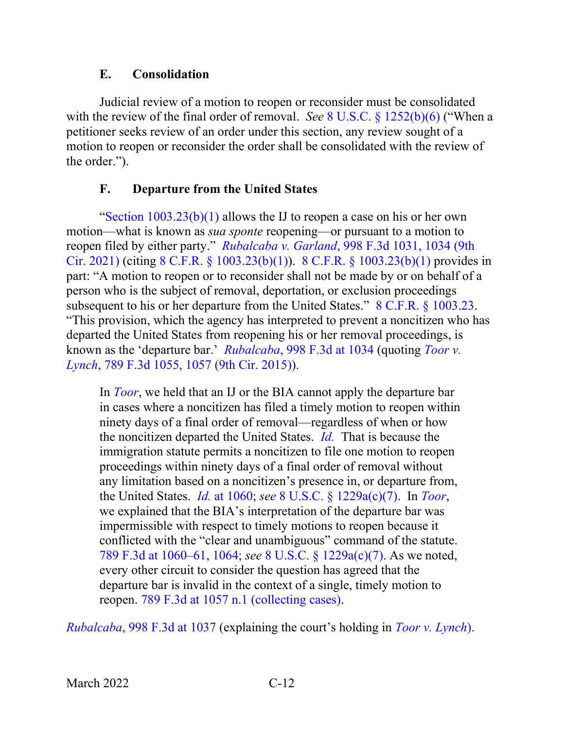#### **E. Consolidation**

<span id="page-15-0"></span>Judicial review of a motion to reopen or reconsider must be consolidated with the review of the final order of removal. *See* 8 U.S.C. § [1252\(b\)\(6\)](https://www.westlaw.com/Document/N6DA60B40D3B511D9B9348E3FD7EA6B83/View/FullText.html?transitionType=Default&contextData=(sc.Default)&VR=3.0&RS=da3.0) ("When a petitioner seeks review of an order under this section, any review sought of a motion to reopen or reconsider the order shall be consolidated with the review of the order.").

# **F. Departure from the United States**

<span id="page-15-1"></span>"Section  $1003.23(b)(1)$  allows the IJ to reopen a case on his or her own motion—what is known as *sua sponte* reopening—or pursuant to a motion to reopen filed by either party." *Rubalcaba v. Garland*[, 998 F.3d 1031, 1034 \(9th](https://www.westlaw.com/Document/Ib8851b70c3da11ebb1cbbeff33b6dc3d/View/FullText.html?transitionType=Default&contextData=(sc.Default)&VR=3.0&RS=da3.0&fragmentIdentifier=co_pp_sp_506_1034)  [Cir. 2021\)](https://www.westlaw.com/Document/Ib8851b70c3da11ebb1cbbeff33b6dc3d/View/FullText.html?transitionType=Default&contextData=(sc.Default)&VR=3.0&RS=da3.0&fragmentIdentifier=co_pp_sp_506_1034) (citing 8 C.F.R. § [1003.23\(b\)\(1\)\)](https://www.westlaw.com/Document/N3221B9F05C2111ECBF0FBEFEA0C9DE47/View/FullText.html?transitionType=Default&contextData=(sc.Default)&VR=3.0&RS=da3.0). 8 C.F.R. § [1003.23\(b\)\(1\)](https://www.westlaw.com/Document/N3221B9F05C2111ECBF0FBEFEA0C9DE47/View/FullText.html?transitionType=Default&contextData=(sc.Default)&VR=3.0&RS=da3.0) provides in part: "A motion to reopen or to reconsider shall not be made by or on behalf of a person who is the subject of removal, deportation, or exclusion proceedings subsequent to his or her departure from the United States." [8 C.F.R. §](https://www.westlaw.com/Document/N3221B9F05C2111ECBF0FBEFEA0C9DE47/View/FullText.html?transitionType=Default&contextData=(sc.Default)&VR=3.0&RS=da3.0) 1003.23. "This provision, which the agency has interpreted to prevent a noncitizen who has departed the United States from reopening his or her removal proceedings, is known as the 'departure bar.' *Rubalcaba*[, 998 F.3d at 1034](https://www.westlaw.com/Document/Ib8851b70c3da11ebb1cbbeff33b6dc3d/View/FullText.html?transitionType=Default&contextData=(sc.Default)&VR=3.0&RS=da3.0&fragmentIdentifier=co_pp_sp_506_1034) (quoting *[Toor v.](https://www.westlaw.com/Document/I445e386514f011e5b86bd602cb8781fa/View/FullText.html?transitionType=Default&contextData=(sc.Default)&VR=3.0&RS=da3.0&fragmentIdentifier=co_pp_sp_506_1057)  Lynch*[, 789 F.3d 1055, 1057 \(9th Cir. 2015\)\)](https://www.westlaw.com/Document/I445e386514f011e5b86bd602cb8781fa/View/FullText.html?transitionType=Default&contextData=(sc.Default)&VR=3.0&RS=da3.0&fragmentIdentifier=co_pp_sp_506_1057).

In *[Toor](https://www.westlaw.com/Document/I445e386514f011e5b86bd602cb8781fa/View/FullText.html?transitionType=Default&contextData=(sc.Default)&VR=3.0&RS=da3.0)*, we held that an IJ or the BIA cannot apply the departure bar in cases where a noncitizen has filed a timely motion to reopen within ninety days of a final order of removal—regardless of when or how the noncitizen departed the United States. *[Id.](https://www.westlaw.com/Document/I445e386514f011e5b86bd602cb8781fa/View/FullText.html?transitionType=Default&contextData=(sc.Default)&VR=3.0&RS=da3.0)* That is because the immigration statute permits a noncitizen to file one motion to reopen proceedings within ninety days of a final order of removal without any limitation based on a noncitizen's presence in, or departure from, the United States. *Id.* [at 1060;](https://www.westlaw.com/Document/I445e386514f011e5b86bd602cb8781fa/View/FullText.html?transitionType=Default&contextData=(sc.Default)&VR=3.0&RS=da3.0&fragmentIdentifier=co_pp_sp_506_1060) *see* 8 U.S.C. § [1229a\(c\)\(7\).](https://www.westlaw.com/Document/NFF9ECF308EBA11DAAF57BD3E6EFC5A3E/View/FullText.html?transitionType=Default&contextData=(sc.Default)&VR=3.0&RS=da3.0) In *[Toor](https://www.westlaw.com/Document/I445e386514f011e5b86bd602cb8781fa/View/FullText.html?transitionType=Default&contextData=(sc.Default)&VR=3.0&RS=da3.0)*, we explained that the BIA's interpretation of the departure bar was impermissible with respect to timely motions to reopen because it conflicted with the "clear and unambiguous" command of the statute. [789 F.3d at 1060–61, 1064;](https://www.westlaw.com/Document/I445e386514f011e5b86bd602cb8781fa/View/FullText.html?transitionType=Default&contextData=(sc.Default)&VR=3.0&RS=da3.0&fragmentIdentifier=co_pp_sp_506_1060) *see* 8 U.S.C. § [1229a\(c\)\(7\).](https://www.westlaw.com/Document/NFF9ECF308EBA11DAAF57BD3E6EFC5A3E/View/FullText.html?transitionType=Default&contextData=(sc.Default)&VR=3.0&RS=da3.0) As we noted, every other circuit to consider the question has agreed that the departure bar is invalid in the context of a single, timely motion to reopen. [789 F.3d at 1057 n.1 \(collecting cases\).](https://www.westlaw.com/Document/I445e386514f011e5b86bd602cb8781fa/View/FullText.html?transitionType=Default&contextData=(sc.Default)&VR=3.0&RS=da3.0&fragmentIdentifier=co_pp_sp_506_1057)

*Rubalcaba*[, 998 F.3d at 1037](https://www.westlaw.com/Document/Ib8851b70c3da11ebb1cbbeff33b6dc3d/View/FullText.html?transitionType=Default&contextData=(sc.Default)&VR=3.0&RS=da3.0&fragmentIdentifier=co_pp_sp_506_1037) (explaining the court's holding in *[Toor v. Lynch](https://www.westlaw.com/Document/I445e386514f011e5b86bd602cb8781fa/View/FullText.html?transitionType=Default&contextData=(sc.Default)&VR=3.0&RS=da3.0)*).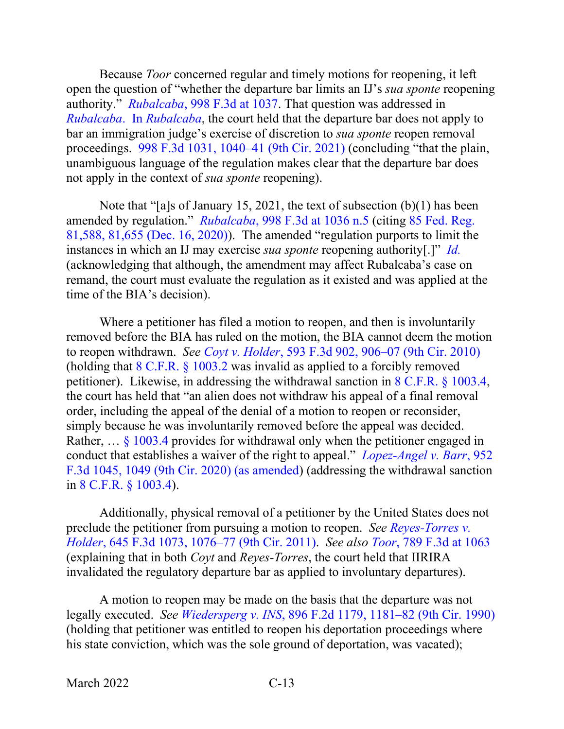Because *Toor* concerned regular and timely motions for reopening, it left open the question of "whether the departure bar limits an IJ's *sua sponte* reopening authority." *Rubalcaba*[, 998 F.3d at 1037.](https://www.westlaw.com/Document/Ib8851b70c3da11ebb1cbbeff33b6dc3d/View/FullText.html?transitionType=Default&contextData=(sc.Default)&VR=3.0&RS=da3.0&fragmentIdentifier=co_pp_sp_506_1037) That question was addressed in *[Rubalcaba](https://www.westlaw.com/Document/Ib8851b70c3da11ebb1cbbeff33b6dc3d/View/FullText.html?transitionType=Default&contextData=(sc.Default)&VR=3.0&RS=da3.0)*. In *Rubalcaba*, the court held that the departure bar does not apply to bar an immigration judge's exercise of discretion to *sua sponte* reopen removal proceedings. [998 F.3d 1031, 1040–41 \(9th Cir. 2021\)](https://www.westlaw.com/Document/Ib8851b70c3da11ebb1cbbeff33b6dc3d/View/FullText.html?transitionType=Default&contextData=(sc.Default)&VR=3.0&RS=da3.0&fragmentIdentifier=co_pp_sp_506_1040) (concluding "that the plain, unambiguous language of the regulation makes clear that the departure bar does not apply in the context of *sua sponte* reopening).

Note that "[a]s of January 15, 2021, the text of subsection (b)(1) has been amended by regulation." *Rubalcaba*[, 998 F.3d at 1036 n.5](https://www.westlaw.com/Document/Ib8851b70c3da11ebb1cbbeff33b6dc3d/View/FullText.html?transitionType=Default&contextData=(sc.Default)&VR=3.0&RS=da3.0&fragmentIdentifier=co_pp_sp_506_1036) (citing [85 Fed. Reg.](https://www.westlaw.com/Document/I7A8514E03F8E11EBACA09EC5772AB024/View/FullText.html?transitionType=Default&contextData=(sc.Default)&VR=3.0&RS=da3.0&fragmentIdentifier=co_pp_sp_1037_81%2c655)  [81,588, 81,655 \(Dec. 16, 2020\)\)](https://www.westlaw.com/Document/I7A8514E03F8E11EBACA09EC5772AB024/View/FullText.html?transitionType=Default&contextData=(sc.Default)&VR=3.0&RS=da3.0&fragmentIdentifier=co_pp_sp_1037_81%2c655). The amended "regulation purports to limit the instances in which an IJ may exercise *sua sponte* reopening authority[.]" *[Id.](https://www.westlaw.com/Document/Ib8851b70c3da11ebb1cbbeff33b6dc3d/View/FullText.html?transitionType=Default&contextData=(sc.Default)&VR=3.0&RS=da3.0)* (acknowledging that although, the amendment may affect Rubalcaba's case on remand, the court must evaluate the regulation as it existed and was applied at the time of the BIA's decision).

Where a petitioner has filed a motion to reopen, and then is involuntarily removed before the BIA has ruled on the motion, the BIA cannot deem the motion to reopen withdrawn. *See Coyt v. Holder*[, 593 F.3d 902, 906–07 \(9th Cir. 2010\)](https://www.westlaw.com/Document/Ic37bb13505e411df8bf6cd8525c41437/View/FullText.html?transitionType=Default&contextData=(sc.Default)&VR=3.0&RS=da3.0&fragmentIdentifier=co_pp_sp_506_906) (holding that [8 C.F.R. §](https://www.westlaw.com/Document/NA64E50805C1D11ECAE78A32A341D5C78/View/FullText.html?transitionType=Default&contextData=(sc.Default)&VR=3.0&RS=da3.0) 1003.2 was invalid as applied to a forcibly removed petitioner). Likewise, in addressing the withdrawal sanction in [8 C.F.R. §](https://www.westlaw.com/Document/N13A30CC08A8011D9A785E455AAD0CC92/View/FullText.html?transitionType=Default&contextData=(sc.Default)&VR=3.0&RS=da3.0) 1003.4, the court has held that "an alien does not withdraw his appeal of a final removal order, including the appeal of the denial of a motion to reopen or reconsider, simply because he was involuntarily removed before the appeal was decided. Rather, ... § [1003.4](https://www.westlaw.com/Document/N13A30CC08A8011D9A785E455AAD0CC92/View/FullText.html?transitionType=Default&contextData=(sc.Default)&VR=3.0&RS=da3.0) provides for withdrawal only when the petitioner engaged in conduct that establishes a waiver of the right to appeal." *[Lopez-Angel v. Barr](https://www.westlaw.com/Document/I738a6580689f11eaae65c24a92a27fc2/View/FullText.html?transitionType=Default&contextData=(sc.Default)&VR=3.0&RS=da3.0&fragmentIdentifier=co_pp_sp_506_1049)*, 952 [F.3d 1045, 1049 \(9th Cir. 2020\) \(as amended\)](https://www.westlaw.com/Document/I738a6580689f11eaae65c24a92a27fc2/View/FullText.html?transitionType=Default&contextData=(sc.Default)&VR=3.0&RS=da3.0&fragmentIdentifier=co_pp_sp_506_1049) (addressing the withdrawal sanction in [8 C.F.R. §](https://www.westlaw.com/Document/N13A30CC08A8011D9A785E455AAD0CC92/View/FullText.html?transitionType=Default&contextData=(sc.Default)&VR=3.0&RS=da3.0) 1003.4).

Additionally, physical removal of a petitioner by the United States does not preclude the petitioner from pursuing a motion to reopen. *See [Reyes-Torres v.](https://www.westlaw.com/Document/I80d9042b610d11e089b3e4fa6356f33d/View/FullText.html?transitionType=Default&contextData=(sc.Default)&VR=3.0&RS=da3.0&fragmentIdentifier=co_pp_sp_506_1076)  Holder*[, 645 F.3d 1073, 1076–77 \(9th Cir. 2011\).](https://www.westlaw.com/Document/I80d9042b610d11e089b3e4fa6356f33d/View/FullText.html?transitionType=Default&contextData=(sc.Default)&VR=3.0&RS=da3.0&fragmentIdentifier=co_pp_sp_506_1076) *See also Toor*[, 789 F.3d at 1063](https://www.westlaw.com/Document/I445e386514f011e5b86bd602cb8781fa/View/FullText.html?transitionType=Default&contextData=(sc.Default)&VR=3.0&RS=da3.0&fragmentIdentifier=co_pp_sp_506_1063) (explaining that in both *Coyt* and *Reyes-Torres*, the court held that IIRIRA invalidated the regulatory departure bar as applied to involuntary departures).

A motion to reopen may be made on the basis that the departure was not legally executed. *See Wiedersperg v. INS*[, 896 F.2d 1179, 1181–82 \(9th Cir. 1990\)](https://www.westlaw.com/Document/Ie347f596971d11d9bdd1cfdd544ca3a4/View/FullText.html?transitionType=Default&contextData=(sc.Default)&VR=3.0&RS=da3.0&fragmentIdentifier=co_pp_sp_350_1181) (holding that petitioner was entitled to reopen his deportation proceedings where his state conviction, which was the sole ground of deportation, was vacated);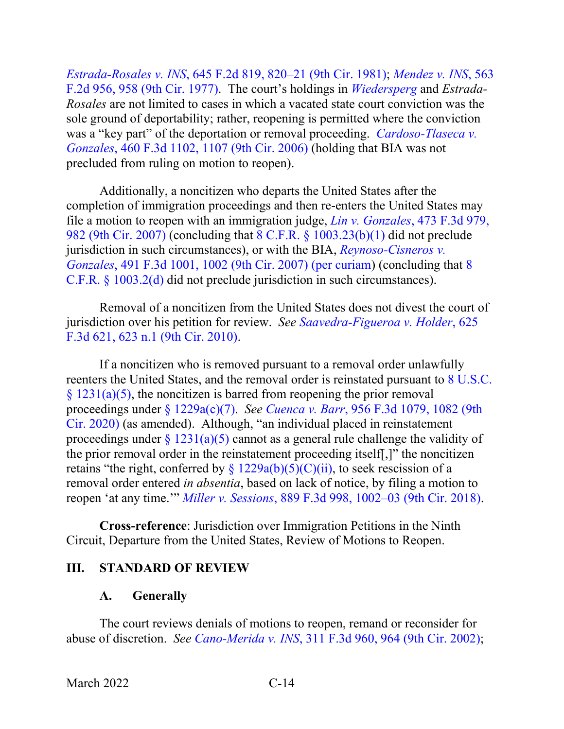*Estrada-Rosales v. INS*[, 645 F.2d 819, 820–21 \(9th Cir. 1981\);](https://www.westlaw.com/Document/Ia167b74c927811d9bdd1cfdd544ca3a4/View/FullText.html?transitionType=Default&contextData=(sc.Default)&VR=3.0&RS=da3.0&fragmentIdentifier=co_pp_sp_350_820) *[Mendez v. INS](https://www.westlaw.com/Document/I10af223d910411d993e6d35cc61aab4a/View/FullText.html?transitionType=Default&contextData=(sc.Default)&VR=3.0&RS=da3.0&fragmentIdentifier=co_pp_sp_350_958)*, 563 [F.2d 956, 958 \(9th Cir. 1977\).](https://www.westlaw.com/Document/I10af223d910411d993e6d35cc61aab4a/View/FullText.html?transitionType=Default&contextData=(sc.Default)&VR=3.0&RS=da3.0&fragmentIdentifier=co_pp_sp_350_958) The court's holdings in *[Wiedersperg](https://www.westlaw.com/Document/Ie347f596971d11d9bdd1cfdd544ca3a4/View/FullText.html?transitionType=Default&contextData=(sc.Default)&VR=3.0&RS=da3.0)* and *Estrada-Rosales* are not limited to cases in which a vacated state court conviction was the sole ground of deportability; rather, reopening is permitted where the conviction was a "key part" of the deportation or removal proceeding. *[Cardoso-Tlaseca v.](https://www.westlaw.com/Document/Ic9afef2c314011dbb0d3b726c66cf290/View/FullText.html?transitionType=Default&contextData=(sc.Default)&VR=3.0&RS=da3.0&fragmentIdentifier=co_pp_sp_506_1107)  Gonzales*[, 460 F.3d 1102, 1107 \(9th Cir. 2006\)](https://www.westlaw.com/Document/Ic9afef2c314011dbb0d3b726c66cf290/View/FullText.html?transitionType=Default&contextData=(sc.Default)&VR=3.0&RS=da3.0&fragmentIdentifier=co_pp_sp_506_1107) (holding that BIA was not precluded from ruling on motion to reopen).

Additionally, a noncitizen who departs the United States after the completion of immigration proceedings and then re-enters the United States may file a motion to reopen with an immigration judge, *Lin v. Gonzales*[, 473 F.3d 979,](https://www.westlaw.com/Document/I680a345d9d0811dbb38df5bc58c34d92/View/FullText.html?transitionType=Default&contextData=(sc.Default)&VR=3.0&RS=da3.0&fragmentIdentifier=co_pp_sp_506_982)  [982 \(9th Cir. 2007\)](https://www.westlaw.com/Document/I680a345d9d0811dbb38df5bc58c34d92/View/FullText.html?transitionType=Default&contextData=(sc.Default)&VR=3.0&RS=da3.0&fragmentIdentifier=co_pp_sp_506_982) (concluding that 8 C.F.R. § [1003.23\(b\)\(1\)](https://www.westlaw.com/Document/N3221B9F05C2111ECBF0FBEFEA0C9DE47/View/FullText.html?transitionType=Default&contextData=(sc.Default)&VR=3.0&RS=da3.0) did not preclude jurisdiction in such circumstances), or with the BIA, *[Reynoso-Cisneros v.](https://www.westlaw.com/Document/Ie799033d14f511dcb035bac3a32ef289/View/FullText.html?transitionType=Default&contextData=(sc.Default)&VR=3.0&RS=da3.0&fragmentIdentifier=co_pp_sp_506_1002)  Gonzales*[, 491 F.3d 1001, 1002 \(9th Cir. 2007\) \(per curiam\)](https://www.westlaw.com/Document/Ie799033d14f511dcb035bac3a32ef289/View/FullText.html?transitionType=Default&contextData=(sc.Default)&VR=3.0&RS=da3.0&fragmentIdentifier=co_pp_sp_506_1002) (concluding that [8](https://www.westlaw.com/Document/NA64E50805C1D11ECAE78A32A341D5C78/View/FullText.html?transitionType=Default&contextData=(sc.Default)&VR=3.0&RS=da3.0)  C.F.R. § [1003.2\(d\)](https://www.westlaw.com/Document/NA64E50805C1D11ECAE78A32A341D5C78/View/FullText.html?transitionType=Default&contextData=(sc.Default)&VR=3.0&RS=da3.0) did not preclude jurisdiction in such circumstances).

Removal of a noncitizen from the United States does not divest the court of jurisdiction over his petition for review. *See [Saavedra-Figueroa v. Holder](https://www.westlaw.com/Document/I03e6a0b2e8cd11dfaa23bccc834e9520/View/FullText.html?transitionType=Default&contextData=(sc.Default)&VR=3.0&RS=da3.0&fragmentIdentifier=co_pp_sp_506_623+n.1)*, 625 [F.3d 621, 623 n.1 \(9th Cir. 2010\).](https://www.westlaw.com/Document/I03e6a0b2e8cd11dfaa23bccc834e9520/View/FullText.html?transitionType=Default&contextData=(sc.Default)&VR=3.0&RS=da3.0&fragmentIdentifier=co_pp_sp_506_623+n.1)

If a noncitizen who is removed pursuant to a removal order unlawfully reenters the United States, and the removal order is reinstated pursuant to [8 U.S.C.](https://www.westlaw.com/Document/N769233908F8B11DAAF58BD3E6EFC5A3E/View/FullText.html?transitionType=Default&contextData=(sc.Default)&VR=3.0&RS=da3.0)   $\S$  1231(a)(5), the noncitizen is barred from reopening the prior removal proceedings under [§ 1229a\(c\)\(7\).](https://www.westlaw.com/Document/NFF9ECF308EBA11DAAF57BD3E6EFC5A3E/View/FullText.html?transitionType=Default&contextData=(sc.Default)&VR=3.0&RS=da3.0) *See Cuenca v. Barr*[, 956 F.3d 1079, 1082 \(9th](https://www.westlaw.com/Document/Ifa062bf07eaa11eab9598d2db129301e/View/FullText.html?transitionType=Default&contextData=(sc.Default)&VR=3.0&RS=da3.0&fragmentIdentifier=co_pp_sp_506_1082)  [Cir. 2020\)](https://www.westlaw.com/Document/Ifa062bf07eaa11eab9598d2db129301e/View/FullText.html?transitionType=Default&contextData=(sc.Default)&VR=3.0&RS=da3.0&fragmentIdentifier=co_pp_sp_506_1082) (as amended). Although, "an individual placed in reinstatement proceedings under  $\S 1231(a)(5)$  cannot as a general rule challenge the validity of the prior removal order in the reinstatement proceeding itself[,]" the noncitizen retains "the right, conferred by  $\S 1229a(b)(5)(C)(ii)$ , to seek rescission of a removal order entered *in absentia*, based on lack of notice, by filing a motion to reopen 'at any time.'" *Miller v. Sessions*[, 889 F.3d 998, 1002–03 \(9th Cir. 2018\).](https://www.westlaw.com/Document/I30809a1052db11e89034f60e1699ddbe/View/FullText.html?transitionType=Default&contextData=(sc.Default)&VR=3.0&RS=da3.0&fragmentIdentifier=co_pp_sp_506_1002)

**Cross-reference**: Jurisdiction over Immigration Petitions in the Ninth Circuit, Departure from the United States, Review of Motions to Reopen.

#### <span id="page-17-1"></span><span id="page-17-0"></span>**III. STANDARD OF REVIEW**

#### **A. Generally**

The court reviews denials of motions to reopen, remand or reconsider for abuse of discretion. *See Cano-Merida v. INS*[, 311 F.3d 960, 964 \(9th Cir. 2002\);](https://www.westlaw.com/Document/I38f6820a89b711d9ac45f46c5ea084a3/View/FullText.html?transitionType=Default&contextData=(sc.Default)&VR=3.0&RS=da3.0&fragmentIdentifier=co_pp_sp_506_964)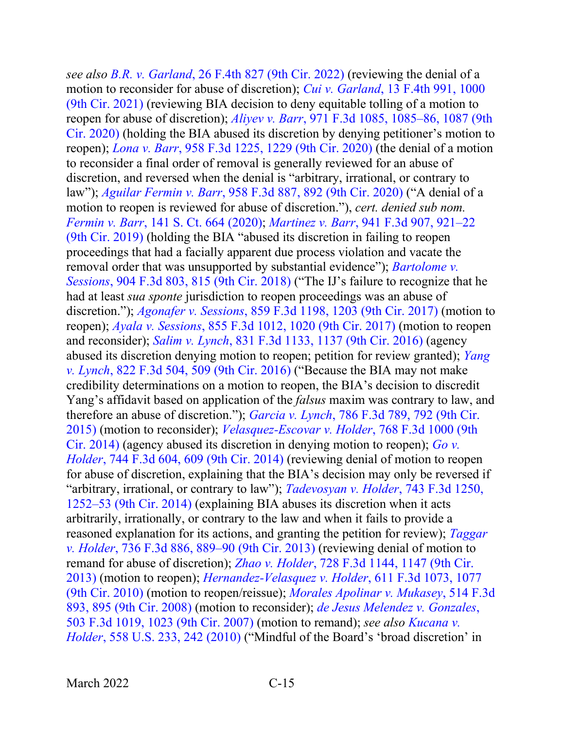*see also B.R. v. Garland*[, 26 F.4th 827 \(9th Cir. 2022\)](https://www.westlaw.com/Document/I87dcb7d094ea11ec926fda2e29669d8a/View/FullText.html?transitionType=Default&contextData=(sc.Default)&VR=3.0&RS=da3.0) (reviewing the denial of a motion to reconsider for abuse of discretion); *Cui v. [Garland](https://www.westlaw.com/Document/I6b62a7b01ca211ec925cb2bf681461fd/View/FullText.html?transitionType=Default&contextData=(sc.Default)&VR=3.0&RS=da3.0&fragmentIdentifier=co_pp_sp_8173_1000)*, 13 F.4th 991, 1000 (9th Cir. [2021\)](https://www.westlaw.com/Document/I6b62a7b01ca211ec925cb2bf681461fd/View/FullText.html?transitionType=Default&contextData=(sc.Default)&VR=3.0&RS=da3.0&fragmentIdentifier=co_pp_sp_8173_1000) (reviewing BIA decision to deny equitable tolling of a motion to reopen for abuse of discretion); *Aliyev v. Barr*[, 971 F.3d 1085, 1085–86, 1087 \(9th](https://www.westlaw.com/Document/Ibba63580e64711eab5eeeeed678e6b81/View/FullText.html?transitionType=Default&contextData=(sc.Default)&VR=3.0&RS=da3.0&fragmentIdentifier=co_pp_sp_506_1085)  [Cir. 2020\)](https://www.westlaw.com/Document/Ibba63580e64711eab5eeeeed678e6b81/View/FullText.html?transitionType=Default&contextData=(sc.Default)&VR=3.0&RS=da3.0&fragmentIdentifier=co_pp_sp_506_1085) (holding the BIA abused its discretion by denying petitioner's motion to reopen); *Lona v. Barr*[, 958 F.3d 1225, 1229 \(9th Cir. 2020\)](https://www.westlaw.com/Document/I29dec8e096fd11ea8cb395d22c142a61/View/FullText.html?transitionType=Default&contextData=(sc.Default)&VR=3.0&RS=da3.0&fragmentIdentifier=co_pp_sp_506_1229) (the denial of a motion to reconsider a final order of removal is generally reviewed for an abuse of discretion, and reversed when the denial is "arbitrary, irrational, or contrary to law"); *Aguilar Fermin v. Barr*[, 958 F.3d 887, 892 \(9th Cir. 2020\)](https://www.westlaw.com/Document/I0f45f6b08f1511ea8b0f97acce53a660/View/FullText.html?transitionType=Default&contextData=(sc.Default)&VR=3.0&RS=da3.0&fragmentIdentifier=co_pp_sp_506_892) ("A denial of a motion to reopen is reviewed for abuse of discretion."), *cert. denied sub nom. Fermin v. Barr*, 141 S. [Ct. 664 \(2020\);](https://www.westlaw.com/Link/Document/FullText?cite=141SCT664&VR=3.0&RS=da3.0) *Martinez v. Barr*[, 941 F.3d 907, 921–22](https://www.westlaw.com/Document/I41902900fb4611e9ad6fd2296b11a061/View/FullText.html?transitionType=Default&contextData=(sc.Default)&VR=3.0&RS=da3.0&fragmentIdentifier=co_pp_sp_506_921)  [\(9th Cir. 2019\)](https://www.westlaw.com/Document/I41902900fb4611e9ad6fd2296b11a061/View/FullText.html?transitionType=Default&contextData=(sc.Default)&VR=3.0&RS=da3.0&fragmentIdentifier=co_pp_sp_506_921) (holding the BIA "abused its discretion in failing to reopen proceedings that had a facially apparent due process violation and vacate the removal order that was unsupported by substantial evidence"); *[Bartolome v.](https://www.westlaw.com/Document/Id75f61d0b83511e8b93ad6f77bf99296/View/FullText.html?transitionType=Default&contextData=(sc.Default)&VR=3.0&RS=da3.0&fragmentIdentifier=co_pp_sp_506_815)  Sessions*[, 904 F.3d 803, 815 \(9th Cir. 2018\)](https://www.westlaw.com/Document/Id75f61d0b83511e8b93ad6f77bf99296/View/FullText.html?transitionType=Default&contextData=(sc.Default)&VR=3.0&RS=da3.0&fragmentIdentifier=co_pp_sp_506_815) ("The IJ's failure to recognize that he had at least *sua sponte* jurisdiction to reopen proceedings was an abuse of discretion."); *Agonafer v. Sessions*[, 859 F.3d 1198, 1203 \(9th Cir. 2017\)](https://www.westlaw.com/Document/Ic0d3d020583411e7b7978f65e9bf93b3/View/FullText.html?transitionType=Default&contextData=(sc.Default)&VR=3.0&RS=da3.0&fragmentIdentifier=co_pp_sp_506_1203) (motion to reopen); *Ayala v. Sessions*[, 855 F.3d 1012, 1020 \(9th Cir. 2017\)](https://www.westlaw.com/Document/Ie2aa3c402e9d11e7815ea6969ee18a03/View/FullText.html?transitionType=Default&contextData=(sc.Default)&VR=3.0&RS=da3.0&fragmentIdentifier=co_pp_sp_506_1020) (motion to reopen and reconsider); *Salim v. Lynch*, 831 [F.3d 1133, 1137 \(9th Cir. 2016\)](https://www.westlaw.com/Document/Ic4d603c0586511e6b150a0f8f302dd90/View/FullText.html?transitionType=Default&contextData=(sc.Default)&VR=3.0&RS=da3.0&fragmentIdentifier=co_pp_sp_506_1137) (agency abused its discretion denying motion to reopen; petition for review granted); *[Yang](https://www.westlaw.com/Document/I0e8c27ab1e3311e6b4bafa136b480ad2/View/FullText.html?transitionType=Default&contextData=(sc.Default)&VR=3.0&RS=da3.0&fragmentIdentifier=co_pp_sp_506_509)  v. Lynch*[, 822 F.3d 504, 509 \(9th Cir. 2016\)](https://www.westlaw.com/Document/I0e8c27ab1e3311e6b4bafa136b480ad2/View/FullText.html?transitionType=Default&contextData=(sc.Default)&VR=3.0&RS=da3.0&fragmentIdentifier=co_pp_sp_506_509) ("Because the BIA may not make credibility determinations on a motion to reopen, the BIA's decision to discredit Yang's affidavit based on application of the *falsus* maxim was contrary to law, and therefore an abuse of discretion."); *Garcia v. Lynch*[, 786 F.3d 789, 792 \(9th Cir.](https://www.westlaw.com/Document/I9879d327ff1e11e490d4edf60ce7d742/View/FullText.html?transitionType=Default&contextData=(sc.Default)&VR=3.0&RS=da3.0&fragmentIdentifier=co_pp_sp_506_792)  [2015\)](https://www.westlaw.com/Document/I9879d327ff1e11e490d4edf60ce7d742/View/FullText.html?transitionType=Default&contextData=(sc.Default)&VR=3.0&RS=da3.0&fragmentIdentifier=co_pp_sp_506_792) (motion to reconsider); *[Velasquez-Escovar v. Holder](https://www.westlaw.com/Document/I1fdc6bb5480611e4a795ac035416da91/View/FullText.html?transitionType=Default&contextData=(sc.Default)&VR=3.0&RS=da3.0)*, 768 F.3d 1000 (9th [Cir. 2014\)](https://www.westlaw.com/Document/I1fdc6bb5480611e4a795ac035416da91/View/FullText.html?transitionType=Default&contextData=(sc.Default)&VR=3.0&RS=da3.0) (agency abused its discretion in denying motion to reopen); *[Go v.](https://www.westlaw.com/Document/Ic3bae503a66511e39ac8bab74931929c/View/FullText.html?transitionType=Default&contextData=(sc.Default)&VR=3.0&RS=da3.0&fragmentIdentifier=co_pp_sp_506_609)  Holder*[, 744 F.3d 604, 609 \(9th Cir. 2014\)](https://www.westlaw.com/Document/Ic3bae503a66511e39ac8bab74931929c/View/FullText.html?transitionType=Default&contextData=(sc.Default)&VR=3.0&RS=da3.0&fragmentIdentifier=co_pp_sp_506_609) (reviewing denial of motion to reopen for abuse of discretion, explaining that the BIA's decision may only be reversed if "arbitrary, irrational, or contrary to law"); *[Tadevosyan v. Holder](https://www.westlaw.com/Document/If35953889fc811e381b8b0e9e015e69e/View/FullText.html?transitionType=Default&contextData=(sc.Default)&VR=3.0&RS=da3.0&fragmentIdentifier=co_pp_sp_506_1252)*, 743 F.3d 1250, [1252–53 \(9th Cir. 2014\)](https://www.westlaw.com/Document/If35953889fc811e381b8b0e9e015e69e/View/FullText.html?transitionType=Default&contextData=(sc.Default)&VR=3.0&RS=da3.0&fragmentIdentifier=co_pp_sp_506_1252) (explaining BIA abuses its discretion when it acts arbitrarily, irrationally, or contrary to the law and when it fails to provide a reasoned explanation for its actions, and granting the petition for review); *[Taggar](https://www.westlaw.com/Document/Iaec3297f5b6f11e3b48bea39e86d4142/View/FullText.html?transitionType=Default&contextData=(sc.Default)&VR=3.0&RS=da3.0&fragmentIdentifier=co_pp_sp_506_889)  v. Holder*[, 736 F.3d 886, 889–90 \(9th Cir. 2013\)](https://www.westlaw.com/Document/Iaec3297f5b6f11e3b48bea39e86d4142/View/FullText.html?transitionType=Default&contextData=(sc.Default)&VR=3.0&RS=da3.0&fragmentIdentifier=co_pp_sp_506_889) (reviewing denial of motion to remand for abuse of discretion); *Zhao v. Holder*[, 728 F.3d 1144, 1147 \(9th Cir.](https://www.westlaw.com/Document/Ia0dd0db616b511e3981fa20c4f198a69/View/FullText.html?transitionType=Default&contextData=(sc.Default)&VR=3.0&RS=da3.0&fragmentIdentifier=co_pp_sp_506_1147)  [2013\)](https://www.westlaw.com/Document/Ia0dd0db616b511e3981fa20c4f198a69/View/FullText.html?transitionType=Default&contextData=(sc.Default)&VR=3.0&RS=da3.0&fragmentIdentifier=co_pp_sp_506_1147) (motion to reopen); *[Hernandez-Velasquez v. Holder](https://www.westlaw.com/Document/Ib4e9557f8f3a11df86c1ad798a0ca1c1/View/FullText.html?transitionType=Default&contextData=(sc.Default)&VR=3.0&RS=da3.0&fragmentIdentifier=co_pp_sp_506_1077)*, 611 F.3d 1073, 1077 [\(9th Cir. 2010\)](https://www.westlaw.com/Document/Ib4e9557f8f3a11df86c1ad798a0ca1c1/View/FullText.html?transitionType=Default&contextData=(sc.Default)&VR=3.0&RS=da3.0&fragmentIdentifier=co_pp_sp_506_1077) (motion to reopen/reissue); *[Morales Apolinar v. Mukasey](https://www.westlaw.com/Document/I8cf48729cab111dc9876f446780b7bdc/View/FullText.html?transitionType=Default&contextData=(sc.Default)&VR=3.0&RS=da3.0&fragmentIdentifier=co_pp_sp_506_895)*, 514 F.3d [893, 895 \(9th Cir. 2008\)](https://www.westlaw.com/Document/I8cf48729cab111dc9876f446780b7bdc/View/FullText.html?transitionType=Default&contextData=(sc.Default)&VR=3.0&RS=da3.0&fragmentIdentifier=co_pp_sp_506_895) (motion to reconsider); *[de Jesus Melendez v. Gonzales](https://www.westlaw.com/Document/I0971842166cf11dcbd4c839f532b53c5/View/FullText.html?transitionType=Default&contextData=(sc.Default)&VR=3.0&RS=da3.0&fragmentIdentifier=co_pp_sp_506_1023)*, [503 F.3d 1019, 1023 \(9th Cir. 2007\)](https://www.westlaw.com/Document/I0971842166cf11dcbd4c839f532b53c5/View/FullText.html?transitionType=Default&contextData=(sc.Default)&VR=3.0&RS=da3.0&fragmentIdentifier=co_pp_sp_506_1023) (motion to remand); *see also [Kucana v.](https://www.westlaw.com/Document/I638108a705be11dfae65b23e804c3c12/View/FullText.html?transitionType=Default&contextData=(sc.Default)&VR=3.0&RS=da3.0&fragmentIdentifier=co_pp_sp_780_242)  Holder*[, 558 U.S. 233, 242 \(2010\)](https://www.westlaw.com/Document/I638108a705be11dfae65b23e804c3c12/View/FullText.html?transitionType=Default&contextData=(sc.Default)&VR=3.0&RS=da3.0&fragmentIdentifier=co_pp_sp_780_242) ("Mindful of the Board's 'broad discretion' in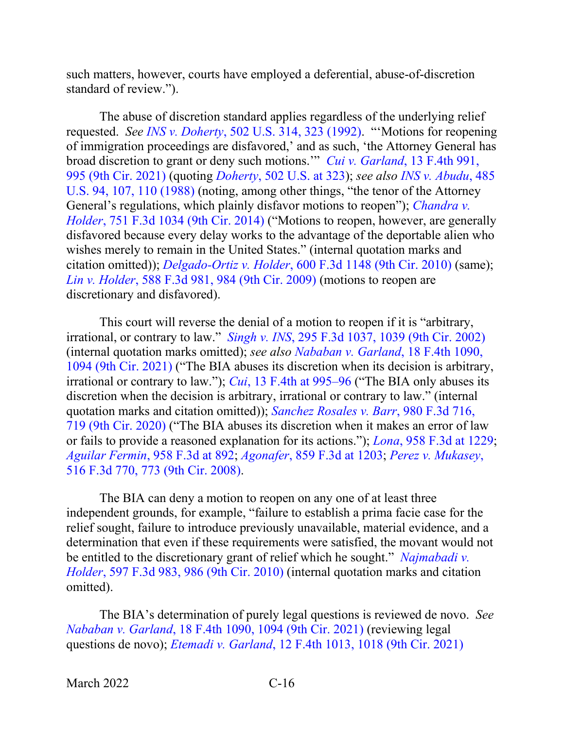such matters, however, courts have employed a deferential, abuse-of-discretion standard of review.").

The abuse of discretion standard applies regardless of the underlying relief requested. *See INS v. Doherty*[, 502 U.S. 314, 323 \(1992\).](https://www.westlaw.com/Document/Idf00c0b09c9c11d993e6d35cc61aab4a/View/FullText.html?transitionType=Default&contextData=(sc.Default)&VR=3.0&RS=da3.0&fragmentIdentifier=co_pp_sp_780_323) "'Motions for reopening of immigration proceedings are disfavored,' and as such, 'the Attorney General has broad discretion to grant or deny such motions.'" *Cui v. Garland*[, 13 F.4th 991,](https://www.westlaw.com/Document/I6b62a7b01ca211ec925cb2bf681461fd/View/FullText.html?transitionType=Default&contextData=(sc.Default)&VR=3.0&RS=da3.0&fragmentIdentifier=co_pp_sp_8173_995)  [995 \(9th Cir. 2021\)](https://www.westlaw.com/Document/I6b62a7b01ca211ec925cb2bf681461fd/View/FullText.html?transitionType=Default&contextData=(sc.Default)&VR=3.0&RS=da3.0&fragmentIdentifier=co_pp_sp_8173_995) (quoting *Doherty*[, 502 U.S. at 323\)](https://www.westlaw.com/Document/Idf00c0b09c9c11d993e6d35cc61aab4a/View/FullText.html?transitionType=Default&contextData=(sc.Default)&VR=3.0&RS=da3.0&fragmentIdentifier=co_pp_sp_780_323); *see also [INS v. Abudu](https://www.westlaw.com/Document/I650213d29c9711d9bc61beebb95be672/View/FullText.html?transitionType=Default&contextData=(sc.Default)&VR=3.0&RS=da3.0&fragmentIdentifier=co_pp_sp_780_107%2c+110)*, 485 [U.S. 94, 107, 110 \(1988\)](https://www.westlaw.com/Document/I650213d29c9711d9bc61beebb95be672/View/FullText.html?transitionType=Default&contextData=(sc.Default)&VR=3.0&RS=da3.0&fragmentIdentifier=co_pp_sp_780_107%2c+110) (noting, among other things, "the tenor of the Attorney General's regulations, which plainly disfavor motions to reopen"); *[Chandra v.](https://www.westlaw.com/Document/Ia86600d3d9e211e390d4edf60ce7d742/View/FullText.html?transitionType=Default&contextData=(sc.Default)&VR=3.0&RS=da3.0)  Holder*, [751 F.3d 1034 \(9th Cir. 2014\)](https://www.westlaw.com/Document/Ia86600d3d9e211e390d4edf60ce7d742/View/FullText.html?transitionType=Default&contextData=(sc.Default)&VR=3.0&RS=da3.0) ("Motions to reopen, however, are generally disfavored because every delay works to the advantage of the deportable alien who wishes merely to remain in the United States." (internal quotation marks and citation omitted)); *Delgado-Ortiz v. Holder*[, 600 F.3d 1148 \(9th Cir. 2010\)](https://www.westlaw.com/Document/I56b6ac4e46a311dfae65b23e804c3c12/View/FullText.html?transitionType=Default&contextData=(sc.Default)&VR=3.0&RS=da3.0) (same); *Lin v. Holder*[, 588 F.3d 981, 984 \(9th Cir. 2009\)](https://www.westlaw.com/Document/Iae152f54e06b11dea82ab9f4ee295c21/View/FullText.html?transitionType=Default&contextData=(sc.Default)&VR=3.0&RS=da3.0&fragmentIdentifier=co_pp_sp_506_984) (motions to reopen are discretionary and disfavored).

This court will reverse the denial of a motion to reopen if it is "arbitrary, irrational, or contrary to law." *Singh v. INS*[, 295 F.3d 1037, 1039 \(9th Cir. 2002\)](https://www.westlaw.com/Document/I86e3639279de11d99c4dbb2f0352441d/View/FullText.html?transitionType=Default&contextData=(sc.Default)&VR=3.0&RS=da3.0&fragmentIdentifier=co_pp_sp_506_1039) (internal quotation marks omitted); *see also [Nababan v. Garland](https://www.westlaw.com/Document/Ic45d3c204c9711ecbe28a1944976b7ad/View/FullText.html?transitionType=Default&contextData=(sc.Default)&VR=3.0&RS=da3.0&fragmentIdentifier=co_pp_sp_8173_1094)*, 18 F.4th 1090, [1094 \(9th Cir. 2021\)](https://www.westlaw.com/Document/Ic45d3c204c9711ecbe28a1944976b7ad/View/FullText.html?transitionType=Default&contextData=(sc.Default)&VR=3.0&RS=da3.0&fragmentIdentifier=co_pp_sp_8173_1094) ("The BIA abuses its discretion when its decision is arbitrary, irrational or contrary to law."); *Cui*[, 13 F.4th at 995–96](https://www.westlaw.com/Document/I6b62a7b01ca211ec925cb2bf681461fd/View/FullText.html?transitionType=Default&contextData=(sc.Default)&VR=3.0&RS=da3.0&fragmentIdentifier=co_pp_sp_8173_995) ("The BIA only abuses its discretion when the decision is arbitrary, irrational or contrary to law." (internal quotation marks and citation omitted)); *[Sanchez Rosales v. Barr](https://www.westlaw.com/Document/Icfa9f87029e311ebad91f726ad2fe5fa/View/FullText.html?transitionType=Default&contextData=(sc.Default)&VR=3.0&RS=da3.0&fragmentIdentifier=co_pp_sp_506_719)*, 980 F.3d 716, [719 \(9th Cir. 2020\)](https://www.westlaw.com/Document/Icfa9f87029e311ebad91f726ad2fe5fa/View/FullText.html?transitionType=Default&contextData=(sc.Default)&VR=3.0&RS=da3.0&fragmentIdentifier=co_pp_sp_506_719) ("The BIA abuses its discretion when it makes an error of law or fails to provide a reasoned explanation for its actions."); *Lona*, 958 [F.3d at 1229;](https://www.westlaw.com/Document/I29dec8e096fd11ea8cb395d22c142a61/View/FullText.html?transitionType=Default&contextData=(sc.Default)&VR=3.0&RS=da3.0&fragmentIdentifier=co_pp_sp_506_1229) *Aguilar Fermin*[, 958 F.3d at 892;](https://www.westlaw.com/Document/I0f45f6b08f1511ea8b0f97acce53a660/View/FullText.html?transitionType=Default&contextData=(sc.Default)&VR=3.0&RS=da3.0&fragmentIdentifier=co_pp_sp_506_892) *Agonafer*[, 859 F.3d at 1203;](https://www.westlaw.com/Document/Ic0d3d020583411e7b7978f65e9bf93b3/View/FullText.html?transitionType=Default&contextData=(sc.Default)&VR=3.0&RS=da3.0&fragmentIdentifier=co_pp_sp_506_1203) *[Perez v. Mukasey](https://www.westlaw.com/Document/I8002158cdb0211dca9c2f716e0c816ba/View/FullText.html?transitionType=Default&contextData=(sc.Default)&VR=3.0&RS=da3.0&fragmentIdentifier=co_pp_sp_506_773)*, [516 F.3d 770, 773 \(9th Cir. 2008\).](https://www.westlaw.com/Document/I8002158cdb0211dca9c2f716e0c816ba/View/FullText.html?transitionType=Default&contextData=(sc.Default)&VR=3.0&RS=da3.0&fragmentIdentifier=co_pp_sp_506_773)

The BIA can deny a motion to reopen on any one of at least three independent grounds, for example, "failure to establish a prima facie case for the relief sought, failure to introduce previously unavailable, material evidence, and a determination that even if these requirements were satisfied, the movant would not be entitled to the discretionary grant of relief which he sought." *[Najmabadi v.](https://www.westlaw.com/Document/I577261602bab11df8bf6cd8525c41437/View/FullText.html?transitionType=Default&contextData=(sc.Default)&VR=3.0&RS=da3.0&fragmentIdentifier=co_pp_sp_506_986)  Holder*[, 597 F.3d 983, 986 \(9th Cir. 2010\)](https://www.westlaw.com/Document/I577261602bab11df8bf6cd8525c41437/View/FullText.html?transitionType=Default&contextData=(sc.Default)&VR=3.0&RS=da3.0&fragmentIdentifier=co_pp_sp_506_986) (internal quotation marks and citation omitted).

The BIA's determination of purely legal questions is reviewed de novo. *See Nababan v. Garland*[, 18 F.4th 1090, 1094 \(9th Cir. 2021\)](https://www.westlaw.com/Document/Ic45d3c204c9711ecbe28a1944976b7ad/View/FullText.html?transitionType=Default&contextData=(sc.Default)&VR=3.0&RS=da3.0&fragmentIdentifier=co_pp_sp_8173_1094) (reviewing legal questions de novo); *Etemadi v. Garland*[, 12 F.4th 1013, 1018 \(9th Cir. 2021\)](https://www.westlaw.com/Document/I5967496011a511ecb72ce2c86e84f35e/View/FullText.html?transitionType=Default&contextData=(sc.Default)&VR=3.0&RS=da3.0&fragmentIdentifier=co_pp_sp_8173_1018)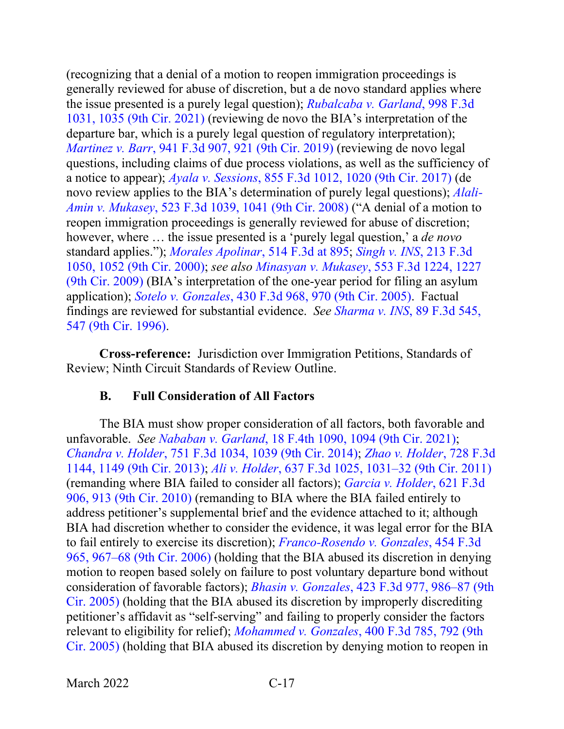(recognizing that a denial of a motion to reopen immigration proceedings is generally reviewed for abuse of discretion, but a de novo standard applies where the issue presented is a purely legal question); *[Rubalcaba v. Garland](https://www.westlaw.com/Document/Ib8851b70c3da11ebb1cbbeff33b6dc3d/View/FullText.html?transitionType=Default&contextData=(sc.Default)&VR=3.0&RS=da3.0&fragmentIdentifier=co_pp_sp_506_1035)*, 998 F.3d [1031, 1035 \(9th Cir. 2021\)](https://www.westlaw.com/Document/Ib8851b70c3da11ebb1cbbeff33b6dc3d/View/FullText.html?transitionType=Default&contextData=(sc.Default)&VR=3.0&RS=da3.0&fragmentIdentifier=co_pp_sp_506_1035) (reviewing de novo the BIA's interpretation of the departure bar, which is a purely legal question of regulatory interpretation); *Martinez v. Barr*[, 941 F.3d 907, 921 \(9th Cir. 2019\)](https://www.westlaw.com/Document/I41902900fb4611e9ad6fd2296b11a061/View/FullText.html?transitionType=Default&contextData=(sc.Default)&VR=3.0&RS=da3.0&fragmentIdentifier=co_pp_sp_506_921) (reviewing de novo legal questions, including claims of due process violations, as well as the sufficiency of a notice to appear); *Ayala v. Sessions*[, 855 F.3d 1012, 1020 \(9th Cir. 2017\)](https://www.westlaw.com/Document/Ie2aa3c402e9d11e7815ea6969ee18a03/View/FullText.html?transitionType=Default&contextData=(sc.Default)&VR=3.0&RS=da3.0&fragmentIdentifier=co_pp_sp_506_1020) (de novo review applies to the BIA's determination of purely legal questions); *[Alali-](https://www.westlaw.com/Document/Ifd62c482152311ddb7e483ba170699a5/View/FullText.html?transitionType=Default&contextData=(sc.Default)&VR=3.0&RS=da3.0&fragmentIdentifier=co_pp_sp_506_1041)Amin v. Mukasey*[, 523 F.3d 1039, 1041 \(9th Cir. 2008\)](https://www.westlaw.com/Document/Ifd62c482152311ddb7e483ba170699a5/View/FullText.html?transitionType=Default&contextData=(sc.Default)&VR=3.0&RS=da3.0&fragmentIdentifier=co_pp_sp_506_1041) ("A denial of a motion to reopen immigration proceedings is generally reviewed for abuse of discretion; however, where … the issue presented is a 'purely legal question,' a *de novo* standard applies."); *[Morales Apolinar](https://www.westlaw.com/Document/I8cf48729cab111dc9876f446780b7bdc/View/FullText.html?transitionType=Default&contextData=(sc.Default)&VR=3.0&RS=da3.0&fragmentIdentifier=co_pp_sp_506_895)*, 514 F.3d at 895; *[Singh v. INS](https://www.westlaw.com/Document/I0624f6b0798411d98c82a53fc8ac8757/View/FullText.html?transitionType=Default&contextData=(sc.Default)&VR=3.0&RS=da3.0&fragmentIdentifier=co_pp_sp_506_1052)*, 213 F.3d [1050, 1052 \(9th Cir. 2000\);](https://www.westlaw.com/Document/I0624f6b0798411d98c82a53fc8ac8757/View/FullText.html?transitionType=Default&contextData=(sc.Default)&VR=3.0&RS=da3.0&fragmentIdentifier=co_pp_sp_506_1052) *see also Minasyan v. Mukasey*[, 553 F.3d 1224, 1227](https://www.westlaw.com/Document/Ia08ea7a2e72611ddb7e683ba170699a5/View/FullText.html?transitionType=Default&contextData=(sc.Default)&VR=3.0&RS=da3.0&fragmentIdentifier=co_pp_sp_506_1227)  [\(9th Cir. 2009\)](https://www.westlaw.com/Document/Ia08ea7a2e72611ddb7e683ba170699a5/View/FullText.html?transitionType=Default&contextData=(sc.Default)&VR=3.0&RS=da3.0&fragmentIdentifier=co_pp_sp_506_1227) (BIA's interpretation of the one-year period for filing an asylum application); *Sotelo v. Gonzales*[, 430 F.3d 968, 970 \(9th Cir. 2005\).](https://www.westlaw.com/Document/Ieeeacdd1674911dab072a248d584787d/View/FullText.html?transitionType=Default&contextData=(sc.Default)&VR=3.0&RS=da3.0&fragmentIdentifier=co_pp_sp_506_970) Factual findings are reviewed for substantial evidence. *See [Sharma v. INS](https://www.westlaw.com/Document/I8fc4a4df933111d9a707f4371c9c34f0/View/FullText.html?transitionType=Default&contextData=(sc.Default)&VR=3.0&RS=da3.0&fragmentIdentifier=co_pp_sp_506_547)*, 89 F.3d 545, [547 \(9th Cir. 1996\).](https://www.westlaw.com/Document/I8fc4a4df933111d9a707f4371c9c34f0/View/FullText.html?transitionType=Default&contextData=(sc.Default)&VR=3.0&RS=da3.0&fragmentIdentifier=co_pp_sp_506_547)

**Cross-reference:** Jurisdiction over Immigration Petitions, Standards of Review; Ninth Circuit Standards of Review Outline.

#### **B. Full Consideration of All Factors**

<span id="page-20-0"></span>The BIA must show proper consideration of all factors, both favorable and unfavorable. *See Nababan v. Garland*[, 18 F.4th 1090, 1094 \(9th Cir. 2021\);](https://www.westlaw.com/Document/Ic45d3c204c9711ecbe28a1944976b7ad/View/FullText.html?transitionType=Default&contextData=(sc.Default)&VR=3.0&RS=da3.0&fragmentIdentifier=co_pp_sp_8173_1094) *Chandra v. Holder*[, 751 F.3d 1034, 1039 \(9th Cir. 2014\);](https://www.westlaw.com/Document/Ia86600d3d9e211e390d4edf60ce7d742/View/FullText.html?transitionType=Default&contextData=(sc.Default)&VR=3.0&RS=da3.0&fragmentIdentifier=co_pp_sp_506_1039) *[Zhao v. Holder](https://www.westlaw.com/Document/Ia0dd0db616b511e3981fa20c4f198a69/View/FullText.html?transitionType=Default&contextData=(sc.Default)&VR=3.0&RS=da3.0&fragmentIdentifier=co_pp_sp_506_1149)*, 728 F.3d [1144, 1149 \(9th Cir. 2013\);](https://www.westlaw.com/Document/Ia0dd0db616b511e3981fa20c4f198a69/View/FullText.html?transitionType=Default&contextData=(sc.Default)&VR=3.0&RS=da3.0&fragmentIdentifier=co_pp_sp_506_1149) *Ali v. Holder*[, 637 F.3d 1025, 1031–32 \(9th Cir. 2011\)](https://www.westlaw.com/Document/I10dc7c24517a11e0b931b80af77abaf1/View/FullText.html?transitionType=Default&contextData=(sc.Default)&VR=3.0&RS=da3.0&fragmentIdentifier=co_pp_sp_506_1031) (remanding where BIA failed to consider all factors); *[Garcia v. Holder](https://www.westlaw.com/Document/Ibc8c4637b67611dfb5fdfcf739be147c/View/FullText.html?transitionType=Default&contextData=(sc.Default)&VR=3.0&RS=da3.0&fragmentIdentifier=co_pp_sp_506_913)*, 621 F.3d [906, 913 \(9th Cir. 2010\)](https://www.westlaw.com/Document/Ibc8c4637b67611dfb5fdfcf739be147c/View/FullText.html?transitionType=Default&contextData=(sc.Default)&VR=3.0&RS=da3.0&fragmentIdentifier=co_pp_sp_506_913) (remanding to BIA where the BIA failed entirely to address petitioner's supplemental brief and the evidence attached to it; although BIA had discretion whether to consider the evidence, it was legal error for the BIA to fail entirely to exercise its discretion); *[Franco-Rosendo v. Gonzales](https://www.westlaw.com/Document/I56622913162b11db99dab759416ba200/View/FullText.html?transitionType=Default&contextData=(sc.Default)&VR=3.0&RS=da3.0&fragmentIdentifier=co_pp_sp_506_967)*, 454 F.3d [965, 967–68 \(9th Cir. 2006\)](https://www.westlaw.com/Document/I56622913162b11db99dab759416ba200/View/FullText.html?transitionType=Default&contextData=(sc.Default)&VR=3.0&RS=da3.0&fragmentIdentifier=co_pp_sp_506_967) (holding that the BIA abused its discretion in denying motion to reopen based solely on failure to post voluntary departure bond without consideration of favorable factors); *Bhasin v. Gonzales*[, 423 F.3d 977, 986–87 \(9th](https://www.westlaw.com/Document/I0d89dd331b0b11daaea49302b5f61a35/View/FullText.html?transitionType=Default&contextData=(sc.Default)&VR=3.0&RS=da3.0&fragmentIdentifier=co_pp_sp_506_986)  [Cir. 2005\)](https://www.westlaw.com/Document/I0d89dd331b0b11daaea49302b5f61a35/View/FullText.html?transitionType=Default&contextData=(sc.Default)&VR=3.0&RS=da3.0&fragmentIdentifier=co_pp_sp_506_986) (holding that the BIA abused its discretion by improperly discrediting petitioner's affidavit as "self-serving" and failing to properly consider the factors relevant to eligibility for relief); *Mohammed v. Gonzales*[, 400 F.3d 785, 792 \(9th](https://www.westlaw.com/Document/Iccc09121919f11d993e6d35cc61aab4a/View/FullText.html?transitionType=Default&contextData=(sc.Default)&VR=3.0&RS=da3.0&fragmentIdentifier=co_pp_sp_506_792)  [Cir. 2005\)](https://www.westlaw.com/Document/Iccc09121919f11d993e6d35cc61aab4a/View/FullText.html?transitionType=Default&contextData=(sc.Default)&VR=3.0&RS=da3.0&fragmentIdentifier=co_pp_sp_506_792) (holding that BIA abused its discretion by denying motion to reopen in

March 2022 C-17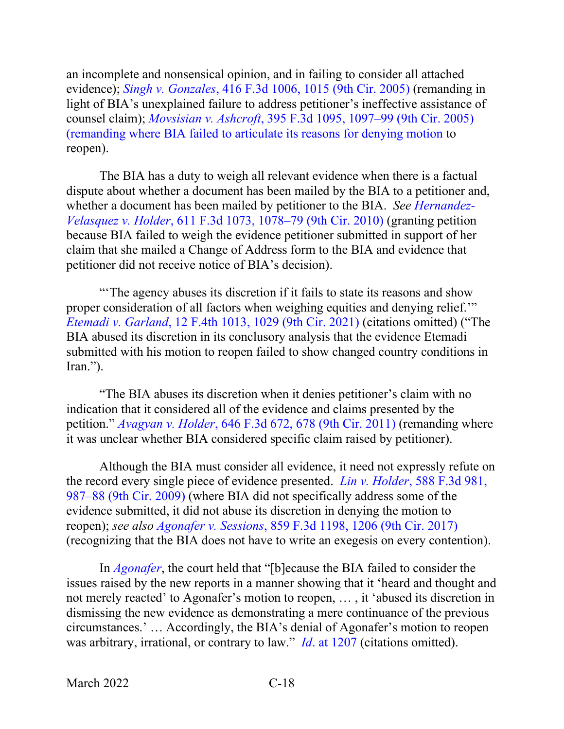an incomplete and nonsensical opinion, and in failing to consider all attached evidence); *Singh v. Gonzales*[, 416 F.3d 1006, 1015 \(9th Cir. 2005\)](https://www.westlaw.com/Document/I5c2f58a3006311da8ac8f235252e36df/View/FullText.html?transitionType=Default&contextData=(sc.Default)&VR=3.0&RS=da3.0&fragmentIdentifier=co_pp_sp_506_1015) (remanding in light of BIA's unexplained failure to address petitioner's ineffective assistance of counsel claim); *Movsisian v. Ashcroft*[, 395 F.3d 1095, 1097–99 \(9th Cir. 2005\)](https://www.westlaw.com/Document/I5e1111c179ec11d99c4dbb2f0352441d/View/FullText.html?transitionType=Default&contextData=(sc.Default)&VR=3.0&RS=da3.0&fragmentIdentifier=co_pp_sp_506_1097)  [\(remanding where BIA failed to articulate its reasons for denying motion](https://www.westlaw.com/Document/I5e1111c179ec11d99c4dbb2f0352441d/View/FullText.html?transitionType=Default&contextData=(sc.Default)&VR=3.0&RS=da3.0&fragmentIdentifier=co_pp_sp_506_1097) to reopen).

The BIA has a duty to weigh all relevant evidence when there is a factual dispute about whether a document has been mailed by the BIA to a petitioner and, whether a document has been mailed by petitioner to the BIA. *See [Hernandez-](https://www.westlaw.com/Document/Ib4e9557f8f3a11df86c1ad798a0ca1c1/View/FullText.html?transitionType=Default&contextData=(sc.Default)&VR=3.0&RS=da3.0&fragmentIdentifier=co_pp_sp_506_1078)Velasquez v. Holder*[, 611 F.3d 1073, 1078–79 \(9th Cir. 2010\)](https://www.westlaw.com/Document/Ib4e9557f8f3a11df86c1ad798a0ca1c1/View/FullText.html?transitionType=Default&contextData=(sc.Default)&VR=3.0&RS=da3.0&fragmentIdentifier=co_pp_sp_506_1078) (granting petition because BIA failed to weigh the evidence petitioner submitted in support of her claim that she mailed a Change of Address form to the BIA and evidence that petitioner did not receive notice of BIA's decision).

"'The agency abuses its discretion if it fails to state its reasons and show proper consideration of all factors when weighing equities and denying relief.'" *Etemadi v. Garland*[, 12 F.4th 1013, 1029 \(9th Cir. 2021\)](https://www.westlaw.com/Document/I5967496011a511ecb72ce2c86e84f35e/View/FullText.html?transitionType=Default&contextData=(sc.Default)&VR=3.0&RS=da3.0&fragmentIdentifier=co_pp_sp_8173_1029) (citations omitted) ("The BIA abused its discretion in its conclusory analysis that the evidence Etemadi submitted with his motion to reopen failed to show changed country conditions in Iran.").

"The BIA abuses its discretion when it denies petitioner's claim with no indication that it considered all of the evidence and claims presented by the petition." *Avagyan v. Holder*[, 646 F.3d 672, 678 \(9th Cir. 2011\)](https://www.westlaw.com/Document/Ib2489e9ba3fa11e093b4f77be4dcecfa/View/FullText.html?transitionType=Default&contextData=(sc.Default)&VR=3.0&RS=da3.0&fragmentIdentifier=co_pp_sp_506_678) (remanding where it was unclear whether BIA considered specific claim raised by petitioner).

Although the BIA must consider all evidence, it need not expressly refute on the record every single piece of evidence presented. *Lin v. Holder*[, 588 F.3d 981,](https://www.westlaw.com/Document/Iae152f54e06b11dea82ab9f4ee295c21/View/FullText.html?transitionType=Default&contextData=(sc.Default)&VR=3.0&RS=da3.0&fragmentIdentifier=co_pp_sp_506_987)  [987–88 \(9th Cir. 2009\)](https://www.westlaw.com/Document/Iae152f54e06b11dea82ab9f4ee295c21/View/FullText.html?transitionType=Default&contextData=(sc.Default)&VR=3.0&RS=da3.0&fragmentIdentifier=co_pp_sp_506_987) (where BIA did not specifically address some of the evidence submitted, it did not abuse its discretion in denying the motion to reopen); *see also Agonafer v. Sessions*[, 859 F.3d 1198, 1206 \(9th Cir. 2017\)](https://www.westlaw.com/Document/Ic0d3d020583411e7b7978f65e9bf93b3/View/FullText.html?transitionType=Default&contextData=(sc.Default)&VR=3.0&RS=da3.0&fragmentIdentifier=co_pp_sp_506_1206) (recognizing that the BIA does not have to write an exegesis on every contention).

In *[Agonafer](https://www.westlaw.com/Document/Ic0d3d020583411e7b7978f65e9bf93b3/View/FullText.html?transitionType=Default&contextData=(sc.Default)&VR=3.0&RS=da3.0)*, the court held that "[b]ecause the BIA failed to consider the issues raised by the new reports in a manner showing that it 'heard and thought and not merely reacted' to Agonafer's motion to reopen, … , it 'abused its discretion in dismissing the new evidence as demonstrating a mere continuance of the previous circumstances.' … Accordingly, the BIA's denial of Agonafer's motion to reopen was arbitrary, irrational, or contrary to law." *Id*[. at 1207](https://www.westlaw.com/Document/Ic0d3d020583411e7b7978f65e9bf93b3/View/FullText.html?transitionType=Default&contextData=(sc.Default)&VR=3.0&RS=da3.0&fragmentIdentifier=co_pp_sp_506_1207) (citations omitted).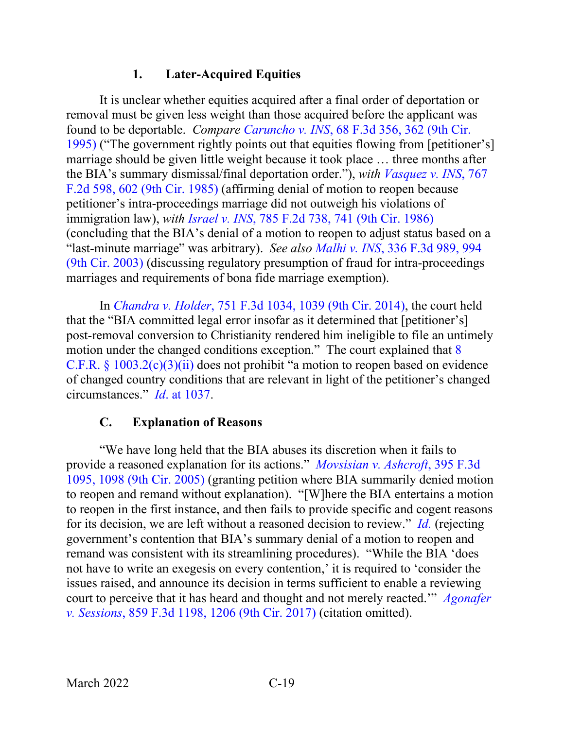## **1. Later-Acquired Equities**

<span id="page-22-0"></span>It is unclear whether equities acquired after a final order of deportation or removal must be given less weight than those acquired before the applicant was found to be deportable. *Compare Caruncho v. INS*[, 68 F.3d 356, 362 \(9th Cir.](https://www.westlaw.com/Document/I9505d9f591bf11d9bc61beebb95be672/View/FullText.html?transitionType=Default&contextData=(sc.Default)&VR=3.0&RS=da3.0&fragmentIdentifier=co_pp_sp_506_362)  [1995\)](https://www.westlaw.com/Document/I9505d9f591bf11d9bc61beebb95be672/View/FullText.html?transitionType=Default&contextData=(sc.Default)&VR=3.0&RS=da3.0&fragmentIdentifier=co_pp_sp_506_362) ("The government rightly points out that equities flowing from [petitioner's] marriage should be given little weight because it took place … three months after the BIA's summary dismissal/final deportation order."), *with [Vasquez v. INS](https://www.westlaw.com/Document/I4c5d979294af11d9a707f4371c9c34f0/View/FullText.html?transitionType=Default&contextData=(sc.Default)&VR=3.0&RS=da3.0&fragmentIdentifier=co_pp_sp_350_602)*, 767 [F.2d 598, 602 \(9th Cir. 1985\)](https://www.westlaw.com/Document/I4c5d979294af11d9a707f4371c9c34f0/View/FullText.html?transitionType=Default&contextData=(sc.Default)&VR=3.0&RS=da3.0&fragmentIdentifier=co_pp_sp_350_602) (affirming denial of motion to reopen because petitioner's intra-proceedings marriage did not outweigh his violations of immigration law), *with Israel v. INS*[, 785 F.2d 738, 741 \(9th Cir. 1986\)](https://www.westlaw.com/Document/I2ec0b9a094c911d993e6d35cc61aab4a/View/FullText.html?transitionType=Default&contextData=(sc.Default)&VR=3.0&RS=da3.0&fragmentIdentifier=co_pp_sp_350_741) (concluding that the BIA's denial of a motion to reopen to adjust status based on a "last-minute marriage" was arbitrary). *See also Malhi v. INS*, [336 F.3d 989, 994](https://www.westlaw.com/Document/If91816ed89e211d9b6ea9f5a173c4523/View/FullText.html?transitionType=Default&contextData=(sc.Default)&VR=3.0&RS=da3.0&fragmentIdentifier=co_pp_sp_506_994)  [\(9th Cir. 2003\)](https://www.westlaw.com/Document/If91816ed89e211d9b6ea9f5a173c4523/View/FullText.html?transitionType=Default&contextData=(sc.Default)&VR=3.0&RS=da3.0&fragmentIdentifier=co_pp_sp_506_994) (discussing regulatory presumption of fraud for intra-proceedings marriages and requirements of bona fide marriage exemption).

In *Chandra v. Holder*[, 751 F.3d 1034, 1039 \(9th Cir. 2014\),](https://www.westlaw.com/Document/Ia86600d3d9e211e390d4edf60ce7d742/View/FullText.html?transitionType=Default&contextData=(sc.Default)&VR=3.0&RS=da3.0&fragmentIdentifier=co_pp_sp_506_1039) the court held that the "BIA committed legal error insofar as it determined that [petitioner's] post-removal conversion to Christianity rendered him ineligible to file an untimely motion under the changed conditions exception." The court explained that [8](https://www.westlaw.com/Document/NA64E50805C1D11ECAE78A32A341D5C78/View/FullText.html?transitionType=Default&contextData=(sc.Default)&VR=3.0&RS=da3.0)  C.F.R. §  $1003.2(c)(3)(ii)$  does not prohibit "a motion to reopen based on evidence of changed country conditions that are relevant in light of the petitioner's changed circumstances." *Id*[. at 1037.](https://www.westlaw.com/Document/Ia86600d3d9e211e390d4edf60ce7d742/View/FullText.html?transitionType=Default&contextData=(sc.Default)&VR=3.0&RS=da3.0&fragmentIdentifier=co_pp_sp_506_1037)

#### **C. Explanation of Reasons**

<span id="page-22-1"></span>"We have long held that the BIA abuses its discretion when it fails to provide a reasoned explanation for its actions." *[Movsisian v. Ashcroft](https://www.westlaw.com/Document/I5e1111c179ec11d99c4dbb2f0352441d/View/FullText.html?transitionType=Default&contextData=(sc.Default)&VR=3.0&RS=da3.0&fragmentIdentifier=co_pp_sp_506_1098)*, 395 F.3d [1095, 1098 \(9th Cir. 2005\)](https://www.westlaw.com/Document/I5e1111c179ec11d99c4dbb2f0352441d/View/FullText.html?transitionType=Default&contextData=(sc.Default)&VR=3.0&RS=da3.0&fragmentIdentifier=co_pp_sp_506_1098) (granting petition where BIA summarily denied motion to reopen and remand without explanation). "[W]here the BIA entertains a motion to reopen in the first instance, and then fails to provide specific and cogent reasons for its decision, we are left without a reasoned decision to review." *[Id.](https://www.westlaw.com/Document/I5e1111c179ec11d99c4dbb2f0352441d/View/FullText.html?transitionType=Default&contextData=(sc.Default)&VR=3.0&RS=da3.0)* (rejecting government's contention that BIA's summary denial of a motion to reopen and remand was consistent with its streamlining procedures). "While the BIA 'does not have to write an exegesis on every contention,' it is required to 'consider the issues raised, and announce its decision in terms sufficient to enable a reviewing court to perceive that it has heard and thought and not merely reacted.'" *[Agonafer](https://www.westlaw.com/Document/Ic0d3d020583411e7b7978f65e9bf93b3/View/FullText.html?transitionType=Default&contextData=(sc.Default)&VR=3.0&RS=da3.0&fragmentIdentifier=co_pp_sp_506_1206)  v. Sessions*[, 859 F.3d 1198, 1206 \(9th Cir. 2017\)](https://www.westlaw.com/Document/Ic0d3d020583411e7b7978f65e9bf93b3/View/FullText.html?transitionType=Default&contextData=(sc.Default)&VR=3.0&RS=da3.0&fragmentIdentifier=co_pp_sp_506_1206) (citation omitted).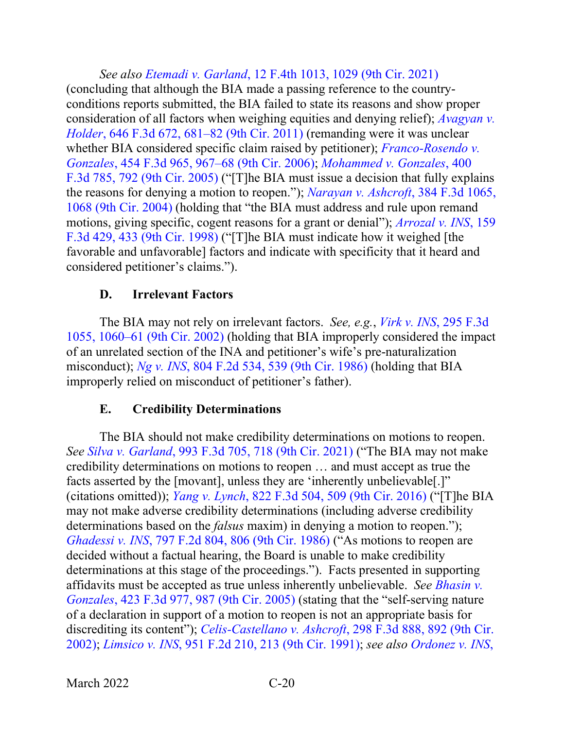*See also Etemadi v. Garland*[, 12 F.4th 1013, 1029 \(9th Cir. 2021\)](https://www.westlaw.com/Document/I5967496011a511ecb72ce2c86e84f35e/View/FullText.html?transitionType=Default&contextData=(sc.Default)&VR=3.0&RS=da3.0&fragmentIdentifier=co_pp_sp_8173_1029) (concluding that although the BIA made a passing reference to the countryconditions reports submitted, the BIA failed to state its reasons and show proper consideration of all factors when weighing equities and denying relief); *[Avagyan v.](https://www.westlaw.com/Document/Ib2489e9ba3fa11e093b4f77be4dcecfa/View/FullText.html?transitionType=Default&contextData=(sc.Default)&VR=3.0&RS=da3.0&fragmentIdentifier=co_pp_sp_506_681)  Holder*[, 646 F.3d 672, 681–82 \(9th Cir. 2011\)](https://www.westlaw.com/Document/Ib2489e9ba3fa11e093b4f77be4dcecfa/View/FullText.html?transitionType=Default&contextData=(sc.Default)&VR=3.0&RS=da3.0&fragmentIdentifier=co_pp_sp_506_681) (remanding were it was unclear whether BIA considered specific claim raised by petitioner); *[Franco-Rosendo v.](https://www.westlaw.com/Document/I56622913162b11db99dab759416ba200/View/FullText.html?transitionType=Default&contextData=(sc.Default)&VR=3.0&RS=da3.0&fragmentIdentifier=co_pp_sp_506_967)  Gonzales*[, 454 F.3d 965, 967–68 \(9th Cir. 2006\);](https://www.westlaw.com/Document/I56622913162b11db99dab759416ba200/View/FullText.html?transitionType=Default&contextData=(sc.Default)&VR=3.0&RS=da3.0&fragmentIdentifier=co_pp_sp_506_967) *[Mohammed v. Gonzales](https://www.westlaw.com/Document/Iccc09121919f11d993e6d35cc61aab4a/View/FullText.html?transitionType=Default&contextData=(sc.Default)&VR=3.0&RS=da3.0&fragmentIdentifier=co_pp_sp_506_792)*, 400 [F.3d 785, 792 \(9th Cir. 2005\)](https://www.westlaw.com/Document/Iccc09121919f11d993e6d35cc61aab4a/View/FullText.html?transitionType=Default&contextData=(sc.Default)&VR=3.0&RS=da3.0&fragmentIdentifier=co_pp_sp_506_792) ("[T]he BIA must issue a decision that fully explains the reasons for denying a motion to reopen."); *[Narayan v. Ashcroft](https://www.westlaw.com/Document/I0f5f74538bac11d99a6fdc806bf1638e/View/FullText.html?transitionType=Default&contextData=(sc.Default)&VR=3.0&RS=da3.0&fragmentIdentifier=co_pp_sp_506_1068)*, 384 F.3d 1065, [1068 \(9th Cir. 2004\)](https://www.westlaw.com/Document/I0f5f74538bac11d99a6fdc806bf1638e/View/FullText.html?transitionType=Default&contextData=(sc.Default)&VR=3.0&RS=da3.0&fragmentIdentifier=co_pp_sp_506_1068) (holding that "the BIA must address and rule upon remand motions, giving specific, cogent reasons for a grant or denial"); *[Arrozal v. INS](https://www.westlaw.com/Document/I8da9284b947811d9bdd1cfdd544ca3a4/View/FullText.html?transitionType=Default&contextData=(sc.Default)&VR=3.0&RS=da3.0&fragmentIdentifier=co_pp_sp_506_433)*, 159 [F.3d 429, 433 \(9th Cir. 1998\)](https://www.westlaw.com/Document/I8da9284b947811d9bdd1cfdd544ca3a4/View/FullText.html?transitionType=Default&contextData=(sc.Default)&VR=3.0&RS=da3.0&fragmentIdentifier=co_pp_sp_506_433) ("[T]he BIA must indicate how it weighed [the favorable and unfavorable] factors and indicate with specificity that it heard and considered petitioner's claims.").

#### **D. Irrelevant Factors**

<span id="page-23-0"></span>The BIA may not rely on irrelevant factors. *See, e.g.*, *[Virk v. INS](https://www.westlaw.com/Document/Ie4426f4479de11d9ac1ffa9f33b6c3b0/View/FullText.html?transitionType=Default&contextData=(sc.Default)&VR=3.0&RS=da3.0&fragmentIdentifier=co_pp_sp_506_1060)*, 295 F.3d [1055, 1060–61 \(9th Cir. 2002\)](https://www.westlaw.com/Document/Ie4426f4479de11d9ac1ffa9f33b6c3b0/View/FullText.html?transitionType=Default&contextData=(sc.Default)&VR=3.0&RS=da3.0&fragmentIdentifier=co_pp_sp_506_1060) (holding that BIA improperly considered the impact of an unrelated section of the INA and petitioner's wife's pre-naturalization misconduct); *Ng v. INS*[, 804 F.2d 534, 539 \(9th Cir. 1986\)](https://www.westlaw.com/Document/I80719d0194d311d9a707f4371c9c34f0/View/FullText.html?transitionType=Default&contextData=(sc.Default)&VR=3.0&RS=da3.0&fragmentIdentifier=co_pp_sp_350_539) (holding that BIA improperly relied on misconduct of petitioner's father).

#### **E. Credibility Determinations**

<span id="page-23-1"></span>The BIA should not make credibility determinations on motions to reopen. *See Silva v. Garland*[, 993 F.3d 705, 718 \(9th Cir. 2021\)](https://www.westlaw.com/Document/I77eeccc0919711eb86f0fe514fc262aa/View/FullText.html?transitionType=Default&contextData=(sc.Default)&VR=3.0&RS=da3.0&fragmentIdentifier=co_pp_sp_506_718) ("The BIA may not make credibility determinations on motions to reopen … and must accept as true the facts asserted by the [movant], unless they are 'inherently unbelievable[.]" (citations omitted)); *Yang v. Lynch*[, 822 F.3d 504, 509 \(9th Cir. 2016\)](https://www.westlaw.com/Document/I0e8c27ab1e3311e6b4bafa136b480ad2/View/FullText.html?transitionType=Default&contextData=(sc.Default)&VR=3.0&RS=da3.0&fragmentIdentifier=co_pp_sp_506_509) ("[T]he BIA may not make adverse credibility determinations (including adverse credibility determinations based on the *falsus* maxim) in denying a motion to reopen."); *Ghadessi v. INS*[, 797 F.2d 804, 806 \(9th Cir. 1986\)](https://www.westlaw.com/Document/Iaba7d5dc94cd11d9a707f4371c9c34f0/View/FullText.html?transitionType=Default&contextData=(sc.Default)&VR=3.0&RS=da3.0&fragmentIdentifier=co_pp_sp_350_806) ("As motions to reopen are decided without a factual hearing, the Board is unable to make credibility determinations at this stage of the proceedings."). Facts presented in supporting affidavits must be accepted as true unless inherently unbelievable. *See [Bhasin v.](https://www.westlaw.com/Document/I0d89dd331b0b11daaea49302b5f61a35/View/FullText.html?transitionType=Default&contextData=(sc.Default)&VR=3.0&RS=da3.0&fragmentIdentifier=co_pp_sp_506_987)  Gonzales*[, 423 F.3d 977, 987 \(9th Cir. 2005\)](https://www.westlaw.com/Document/I0d89dd331b0b11daaea49302b5f61a35/View/FullText.html?transitionType=Default&contextData=(sc.Default)&VR=3.0&RS=da3.0&fragmentIdentifier=co_pp_sp_506_987) (stating that the "self-serving nature of a declaration in support of a motion to reopen is not an appropriate basis for discrediting its content"); *Celis-Castellano v. Ashcroft*[, 298 F.3d 888, 892 \(9th Cir.](https://www.westlaw.com/Document/Icba406e679e011d9ac1ffa9f33b6c3b0/View/FullText.html?transitionType=Default&contextData=(sc.Default)&VR=3.0&RS=da3.0&fragmentIdentifier=co_pp_sp_506_892)  [2002\);](https://www.westlaw.com/Document/Icba406e679e011d9ac1ffa9f33b6c3b0/View/FullText.html?transitionType=Default&contextData=(sc.Default)&VR=3.0&RS=da3.0&fragmentIdentifier=co_pp_sp_506_892) *Limsico v. INS*[, 951 F.2d 210, 213 \(9th Cir. 1991\);](https://www.westlaw.com/Document/I1f63cd1394c611d9a707f4371c9c34f0/View/FullText.html?transitionType=Default&contextData=(sc.Default)&VR=3.0&RS=da3.0&fragmentIdentifier=co_pp_sp_350_213) *see also [Ordonez v. INS](https://www.westlaw.com/Document/Ibb13149989eb11d9903eeb4634b8d78e/View/FullText.html?transitionType=Default&contextData=(sc.Default)&VR=3.0&RS=da3.0&fragmentIdentifier=co_pp_sp_506_786)*,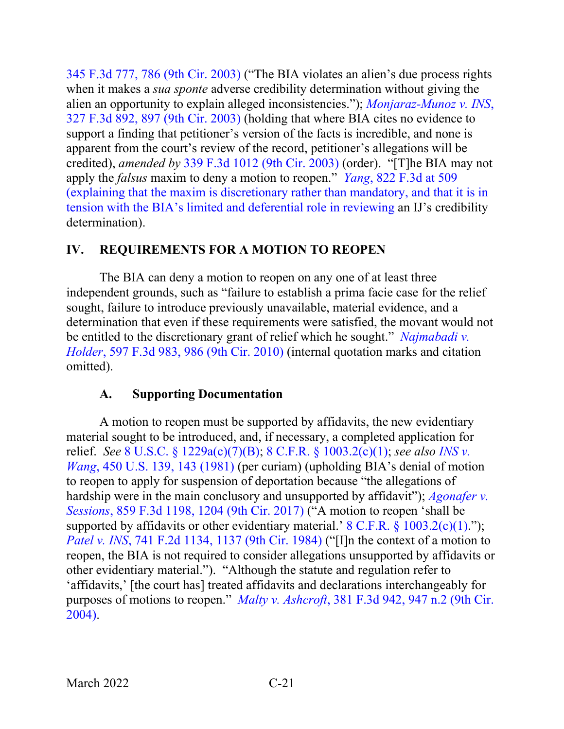[345 F.3d 777, 786 \(9th Cir. 2003\)](https://www.westlaw.com/Document/Ibb13149989eb11d9903eeb4634b8d78e/View/FullText.html?transitionType=Default&contextData=(sc.Default)&VR=3.0&RS=da3.0&fragmentIdentifier=co_pp_sp_506_786) ("The BIA violates an alien's due process rights when it makes a *sua sponte* adverse credibility determination without giving the alien an opportunity to explain alleged inconsistencies."); *[Monjaraz-Munoz v. INS](https://www.westlaw.com/Document/I45146a0b89d711d9b6ea9f5a173c4523/View/FullText.html?transitionType=Default&contextData=(sc.Default)&VR=3.0&RS=da3.0&fragmentIdentifier=co_pp_sp_506_897)*, [327 F.3d 892, 897 \(9th Cir. 2003\)](https://www.westlaw.com/Document/I45146a0b89d711d9b6ea9f5a173c4523/View/FullText.html?transitionType=Default&contextData=(sc.Default)&VR=3.0&RS=da3.0&fragmentIdentifier=co_pp_sp_506_897) (holding that where BIA cites no evidence to support a finding that petitioner's version of the facts is incredible, and none is apparent from the court's review of the record, petitioner's allegations will be credited), *amended by* [339 F.3d 1012 \(9th Cir. 2003\)](https://www.westlaw.com/Document/Icfa8945989e811d9903eeb4634b8d78e/View/FullText.html?transitionType=Default&contextData=(sc.Default)&VR=3.0&RS=da3.0) (order). "[T]he BIA may not apply the *falsus* maxim to deny a motion to reopen." *Yang*[, 822 F.3d at 509](https://www.westlaw.com/Document/I0e8c27ab1e3311e6b4bafa136b480ad2/View/FullText.html?transitionType=Default&contextData=(sc.Default)&VR=3.0&RS=da3.0&fragmentIdentifier=co_pp_sp_506_509) [\(explaining that the maxim is discretionary rather than mandatory, and that it is in](https://www.westlaw.com/Document/I0e8c27ab1e3311e6b4bafa136b480ad2/View/FullText.html?transitionType=Default&contextData=(sc.Default)&VR=3.0&RS=da3.0&fragmentIdentifier=co_pp_sp_506_509)  [tension with the BIA's limited and deferential role in reviewing](https://www.westlaw.com/Document/I0e8c27ab1e3311e6b4bafa136b480ad2/View/FullText.html?transitionType=Default&contextData=(sc.Default)&VR=3.0&RS=da3.0&fragmentIdentifier=co_pp_sp_506_509) an IJ's credibility determination).

#### <span id="page-24-0"></span>**IV. REQUIREMENTS FOR A MOTION TO REOPEN**

The BIA can deny a motion to reopen on any one of at least three independent grounds, such as "failure to establish a prima facie case for the relief sought, failure to introduce previously unavailable, material evidence, and a determination that even if these requirements were satisfied, the movant would not be entitled to the discretionary grant of relief which he sought." *[Najmabadi v.](https://www.westlaw.com/Document/I577261602bab11df8bf6cd8525c41437/View/FullText.html?transitionType=Default&contextData=(sc.Default)&VR=3.0&RS=da3.0&fragmentIdentifier=co_pp_sp_506_986)  Holder*[, 597 F.3d 983, 986 \(9th Cir. 2010\)](https://www.westlaw.com/Document/I577261602bab11df8bf6cd8525c41437/View/FullText.html?transitionType=Default&contextData=(sc.Default)&VR=3.0&RS=da3.0&fragmentIdentifier=co_pp_sp_506_986) (internal quotation marks and citation omitted).

#### **A. Supporting Documentation**

<span id="page-24-1"></span>A motion to reopen must be supported by affidavits, the new evidentiary material sought to be introduced, and, if necessary, a completed application for relief. *See* [8 U.S.C. § 1229a\(c\)\(7\)\(B\);](https://www.westlaw.com/Document/NFF9ECF308EBA11DAAF57BD3E6EFC5A3E/View/FullText.html?transitionType=Default&contextData=(sc.Default)&VR=3.0&RS=da3.0) 8 C.F.R. § [1003.2\(c\)\(1\);](https://www.westlaw.com/Document/NA64E50805C1D11ECAE78A32A341D5C78/View/FullText.html?transitionType=Default&contextData=(sc.Default)&VR=3.0&RS=da3.0) *see also [INS v.](https://www.westlaw.com/Document/I178ff5949c1f11d993e6d35cc61aab4a/View/FullText.html?transitionType=Default&contextData=(sc.Default)&VR=3.0&RS=da3.0&fragmentIdentifier=co_pp_sp_780_143)  Wang*[, 450 U.S. 139, 143 \(1981\)](https://www.westlaw.com/Document/I178ff5949c1f11d993e6d35cc61aab4a/View/FullText.html?transitionType=Default&contextData=(sc.Default)&VR=3.0&RS=da3.0&fragmentIdentifier=co_pp_sp_780_143) (per curiam) (upholding BIA's denial of motion to reopen to apply for suspension of deportation because "the allegations of hardship were in the main conclusory and unsupported by affidavit"); *[Agonafer v.](https://www.westlaw.com/Document/Ic0d3d020583411e7b7978f65e9bf93b3/View/FullText.html?transitionType=Default&contextData=(sc.Default)&VR=3.0&RS=da3.0&fragmentIdentifier=co_pp_sp_506_1204)  Sessions*[, 859 F.3d 1198, 1204 \(9th Cir. 2017\)](https://www.westlaw.com/Document/Ic0d3d020583411e7b7978f65e9bf93b3/View/FullText.html?transitionType=Default&contextData=(sc.Default)&VR=3.0&RS=da3.0&fragmentIdentifier=co_pp_sp_506_1204) ("A motion to reopen 'shall be supported by affidavits or other evidentiary material.' 8 C.F.R.  $\S$  [1003.2\(c\)\(1\).](https://www.westlaw.com/Document/NA64E50805C1D11ECAE78A32A341D5C78/View/FullText.html?transitionType=Default&contextData=(sc.Default)&VR=3.0&RS=da3.0)"); *Patel v. INS*[, 741 F.2d 1134, 1137 \(9th Cir. 1984\)](https://www.westlaw.com/Document/I9a6e67e5945811d9a707f4371c9c34f0/View/FullText.html?transitionType=Default&contextData=(sc.Default)&VR=3.0&RS=da3.0&fragmentIdentifier=co_pp_sp_350_1137) ("[I]n the context of a motion to reopen, the BIA is not required to consider allegations unsupported by affidavits or other evidentiary material."). "Although the statute and regulation refer to 'affidavits,' [the court has] treated affidavits and declarations interchangeably for purposes of motions to reopen." *Malty v. Ashcroft*[, 381 F.3d 942, 947 n.2 \(9th Cir.](https://www.westlaw.com/Document/I3519d29b8bb011d99dcc8cc3e68b51e9/View/FullText.html?transitionType=Default&contextData=(sc.Default)&VR=3.0&RS=da3.0&fragmentIdentifier=co_pp_sp_506_947+n.2)  [2004\).](https://www.westlaw.com/Document/I3519d29b8bb011d99dcc8cc3e68b51e9/View/FullText.html?transitionType=Default&contextData=(sc.Default)&VR=3.0&RS=da3.0&fragmentIdentifier=co_pp_sp_506_947+n.2)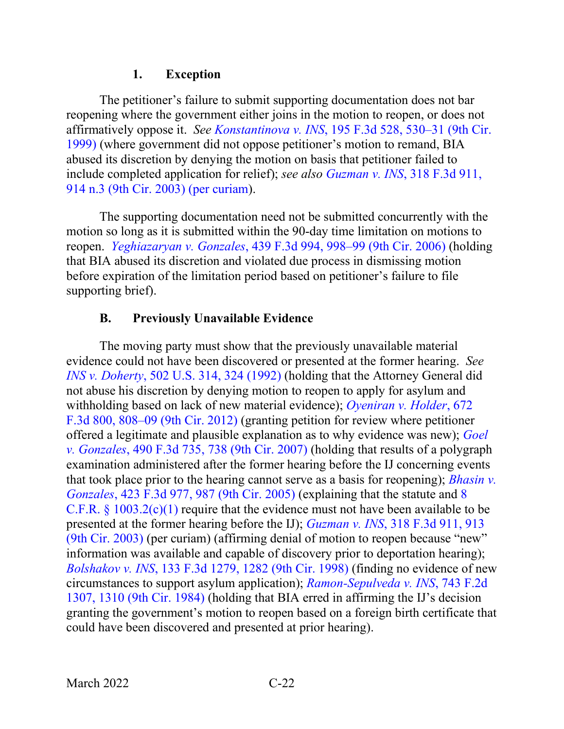#### **1. Exception**

<span id="page-25-0"></span>The petitioner's failure to submit supporting documentation does not bar reopening where the government either joins in the motion to reopen, or does not affirmatively oppose it. *See Konstantinova v. INS*[, 195 F.3d 528, 530–31 \(9th Cir.](https://www.westlaw.com/Document/I986e898794b611d9bc61beebb95be672/View/FullText.html?transitionType=Default&contextData=(sc.Default)&VR=3.0&RS=da3.0&fragmentIdentifier=co_pp_sp_506_530)  [1999\)](https://www.westlaw.com/Document/I986e898794b611d9bc61beebb95be672/View/FullText.html?transitionType=Default&contextData=(sc.Default)&VR=3.0&RS=da3.0&fragmentIdentifier=co_pp_sp_506_530) (where government did not oppose petitioner's motion to remand, BIA abused its discretion by denying the motion on basis that petitioner failed to include completed application for relief); *see also Guzman v. INS*[, 318 F.3d 911,](https://www.westlaw.com/Document/Ib669e66689c011d98b51ba734bfc3c79/View/FullText.html?transitionType=Default&contextData=(sc.Default)&VR=3.0&RS=da3.0&fragmentIdentifier=co_pp_sp_506_914+n.3)  [914 n.3 \(9th Cir. 2003\) \(per curiam\)](https://www.westlaw.com/Document/Ib669e66689c011d98b51ba734bfc3c79/View/FullText.html?transitionType=Default&contextData=(sc.Default)&VR=3.0&RS=da3.0&fragmentIdentifier=co_pp_sp_506_914+n.3).

The supporting documentation need not be submitted concurrently with the motion so long as it is submitted within the 90-day time limitation on motions to reopen. *Yeghiazaryan v. Gonzales*[, 439 F.3d 994, 998–99 \(9th Cir. 2006\)](https://www.westlaw.com/Document/I131a7ac0b04711da9cfda9de91273d56/View/FullText.html?transitionType=Default&contextData=(sc.Default)&VR=3.0&RS=da3.0&fragmentIdentifier=co_pp_sp_506_998) (holding that BIA abused its discretion and violated due process in dismissing motion before expiration of the limitation period based on petitioner's failure to file supporting brief).

## **B. Previously Unavailable Evidence**

<span id="page-25-1"></span>The moving party must show that the previously unavailable material evidence could not have been discovered or presented at the former hearing. *See INS v. Doherty*[, 502 U.S. 314, 324 \(1992\)](https://www.westlaw.com/Document/Idf00c0b09c9c11d993e6d35cc61aab4a/View/FullText.html?transitionType=Default&contextData=(sc.Default)&VR=3.0&RS=da3.0&fragmentIdentifier=co_pp_sp_780_324) (holding that the Attorney General did not abuse his discretion by denying motion to reopen to apply for asylum and withholding based on lack of new material evidence); *[Oyeniran v. Holder](https://www.westlaw.com/Document/I8201589067ea11e18b1ac573b20fcfb7/View/FullText.html?transitionType=Default&contextData=(sc.Default)&VR=3.0&RS=da3.0&fragmentIdentifier=co_pp_sp_506_808)*, 672 [F.3d 800, 808–09 \(9th Cir. 2012\)](https://www.westlaw.com/Document/I8201589067ea11e18b1ac573b20fcfb7/View/FullText.html?transitionType=Default&contextData=(sc.Default)&VR=3.0&RS=da3.0&fragmentIdentifier=co_pp_sp_506_808) (granting petition for review where petitioner offered a legitimate and plausible explanation as to why evidence was new); *[Goel](https://www.westlaw.com/Document/Ifdbc1c721ac711dc9b239dfedc9bb45f/View/FullText.html?transitionType=Default&contextData=(sc.Default)&VR=3.0&RS=da3.0&fragmentIdentifier=co_pp_sp_506_738)  v. Gonzales*, [490 F.3d 735, 738 \(9th Cir. 2007\)](https://www.westlaw.com/Document/Ifdbc1c721ac711dc9b239dfedc9bb45f/View/FullText.html?transitionType=Default&contextData=(sc.Default)&VR=3.0&RS=da3.0&fragmentIdentifier=co_pp_sp_506_738) (holding that results of a polygraph examination administered after the former hearing before the IJ concerning events that took place prior to the hearing cannot serve as a basis for reopening); *[Bhasin v.](https://www.westlaw.com/Document/I0d89dd331b0b11daaea49302b5f61a35/View/FullText.html?transitionType=Default&contextData=(sc.Default)&VR=3.0&RS=da3.0&fragmentIdentifier=co_pp_sp_506_987)  Gonzales*[, 423 F.3d 977, 987 \(9th Cir. 2005\)](https://www.westlaw.com/Document/I0d89dd331b0b11daaea49302b5f61a35/View/FullText.html?transitionType=Default&contextData=(sc.Default)&VR=3.0&RS=da3.0&fragmentIdentifier=co_pp_sp_506_987) (explaining that the statute and [8](https://www.westlaw.com/Document/NA64E50805C1D11ECAE78A32A341D5C78/View/FullText.html?transitionType=Default&contextData=(sc.Default)&VR=3.0&RS=da3.0)  C.F.R. § [1003.2\(c\)\(1\)](https://www.westlaw.com/Document/NA64E50805C1D11ECAE78A32A341D5C78/View/FullText.html?transitionType=Default&contextData=(sc.Default)&VR=3.0&RS=da3.0) require that the evidence must not have been available to be presented at the former hearing before the IJ); *Guzman v. INS*[, 318 F.3d 911, 913](https://www.westlaw.com/Document/Ib669e66689c011d98b51ba734bfc3c79/View/FullText.html?transitionType=Default&contextData=(sc.Default)&VR=3.0&RS=da3.0&fragmentIdentifier=co_pp_sp_506_913)  [\(9th Cir. 2003\)](https://www.westlaw.com/Document/Ib669e66689c011d98b51ba734bfc3c79/View/FullText.html?transitionType=Default&contextData=(sc.Default)&VR=3.0&RS=da3.0&fragmentIdentifier=co_pp_sp_506_913) (per curiam) (affirming denial of motion to reopen because "new" information was available and capable of discovery prior to deportation hearing); *Bolshakov v. INS*[, 133 F.3d 1279, 1282 \(9th Cir. 1998\)](https://www.westlaw.com/Document/I419b3373943811d9a707f4371c9c34f0/View/FullText.html?transitionType=Default&contextData=(sc.Default)&VR=3.0&RS=da3.0&fragmentIdentifier=co_pp_sp_506_1282) (finding no evidence of new circumstances to support asylum application); *[Ramon-Sepulveda v. INS](https://www.westlaw.com/Document/I4627f775944c11d9a707f4371c9c34f0/View/FullText.html?transitionType=Default&contextData=(sc.Default)&VR=3.0&RS=da3.0&fragmentIdentifier=co_pp_sp_350_1310)*, 743 F.2d [1307, 1310 \(9th Cir. 1984\)](https://www.westlaw.com/Document/I4627f775944c11d9a707f4371c9c34f0/View/FullText.html?transitionType=Default&contextData=(sc.Default)&VR=3.0&RS=da3.0&fragmentIdentifier=co_pp_sp_350_1310) (holding that BIA erred in affirming the IJ's decision granting the government's motion to reopen based on a foreign birth certificate that could have been discovered and presented at prior hearing).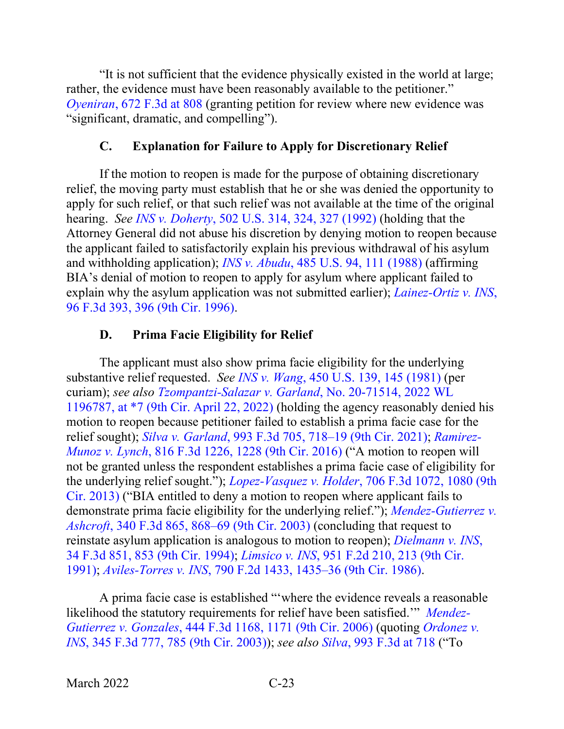"It is not sufficient that the evidence physically existed in the world at large; rather, the evidence must have been reasonably available to the petitioner." *Oyeniran*[, 672 F.3d at 808](https://www.westlaw.com/Document/I8201589067ea11e18b1ac573b20fcfb7/View/FullText.html?transitionType=Default&contextData=(sc.Default)&VR=3.0&RS=da3.0&fragmentIdentifier=co_pp_sp_506_808) (granting petition for review where new evidence was "significant, dramatic, and compelling").

#### **C. Explanation for Failure to Apply for Discretionary Relief**

<span id="page-26-0"></span>If the motion to reopen is made for the purpose of obtaining discretionary relief, the moving party must establish that he or she was denied the opportunity to apply for such relief, or that such relief was not available at the time of the original hearing. *See INS v. Doherty*[, 502 U.S. 314, 324, 327 \(1992\)](https://www.westlaw.com/Document/Idf00c0b09c9c11d993e6d35cc61aab4a/View/FullText.html?transitionType=Default&contextData=(sc.Default)&VR=3.0&RS=da3.0&fragmentIdentifier=co_pp_sp_780_324%2c+327) (holding that the Attorney General did not abuse his discretion by denying motion to reopen because the applicant failed to satisfactorily explain his previous withdrawal of his asylum and withholding application); *INS v. Abudu*[, 485 U.S. 94, 111 \(1988\)](https://www.westlaw.com/Document/I650213d29c9711d9bc61beebb95be672/View/FullText.html?transitionType=Default&contextData=(sc.Default)&VR=3.0&RS=da3.0&fragmentIdentifier=co_pp_sp_780_111) (affirming BIA's denial of motion to reopen to apply for asylum where applicant failed to explain why the asylum application was not submitted earlier); *[Lainez-Ortiz v. INS](https://www.westlaw.com/Document/I433ac8a3934611d993e6d35cc61aab4a/View/FullText.html?transitionType=Default&contextData=(sc.Default)&VR=3.0&RS=da3.0&fragmentIdentifier=co_pp_sp_506_396)*, [96 F.3d 393, 396 \(9th Cir. 1996\).](https://www.westlaw.com/Document/I433ac8a3934611d993e6d35cc61aab4a/View/FullText.html?transitionType=Default&contextData=(sc.Default)&VR=3.0&RS=da3.0&fragmentIdentifier=co_pp_sp_506_396)

#### **D. Prima Facie Eligibility for Relief**

<span id="page-26-1"></span>The applicant must also show prima facie eligibility for the underlying substantive relief requested. *See INS v. Wang*[, 450 U.S. 139, 145 \(1981\)](https://www.westlaw.com/Document/I178ff5949c1f11d993e6d35cc61aab4a/View/FullText.html?transitionType=Default&contextData=(sc.Default)&VR=3.0&RS=da3.0&fragmentIdentifier=co_pp_sp_780_145) (per curiam); *see also [Tzompantzi-Salazar v. Garland](https://www.westlaw.com/Document/I7ac9a0e0c1ad11ec99dfd0646e92f5e0/View/FullText.html?transitionType=Default&contextData=(sc.Default)&VR=3.0&RS=da3.0&fragmentIdentifier=co_pp_sp_999_7)*, No. 20-71514, 2022 WL [1196787, at \\*7 \(9th Cir. April 22, 2022\)](https://www.westlaw.com/Document/I7ac9a0e0c1ad11ec99dfd0646e92f5e0/View/FullText.html?transitionType=Default&contextData=(sc.Default)&VR=3.0&RS=da3.0&fragmentIdentifier=co_pp_sp_999_7) (holding the agency reasonably denied his motion to reopen because petitioner failed to establish a prima facie case for the relief sought); *Silva v. Garland*[, 993 F.3d 705, 718–19 \(9th Cir. 2021\);](https://www.westlaw.com/Document/I77eeccc0919711eb86f0fe514fc262aa/View/FullText.html?transitionType=Default&contextData=(sc.Default)&VR=3.0&RS=da3.0&fragmentIdentifier=co_pp_sp_506_718) *[Ramirez-](https://www.westlaw.com/Document/I3ae05113efbb11e5b4bafa136b480ad2/View/FullText.html?transitionType=Default&contextData=(sc.Default)&VR=3.0&RS=da3.0&fragmentIdentifier=co_pp_sp_506_1228)Munoz v. Lynch*[, 816 F.3d 1226, 1228 \(9th Cir. 2016\)](https://www.westlaw.com/Document/I3ae05113efbb11e5b4bafa136b480ad2/View/FullText.html?transitionType=Default&contextData=(sc.Default)&VR=3.0&RS=da3.0&fragmentIdentifier=co_pp_sp_506_1228) ("A motion to reopen will not be granted unless the respondent establishes a prima facie case of eligibility for the underlying relief sought."); *Lopez-Vasquez v. Holder*[, 706 F.3d 1072, 1080 \(9th](https://www.westlaw.com/Document/I32a666d96c9111e2a531ef6793d44951/View/FullText.html?transitionType=Default&contextData=(sc.Default)&VR=3.0&RS=da3.0&fragmentIdentifier=co_pp_sp_506_1080)  [Cir. 2013\)](https://www.westlaw.com/Document/I32a666d96c9111e2a531ef6793d44951/View/FullText.html?transitionType=Default&contextData=(sc.Default)&VR=3.0&RS=da3.0&fragmentIdentifier=co_pp_sp_506_1080) ("BIA entitled to deny a motion to reopen where applicant fails to demonstrate prima facie eligibility for the underlying relief."); *[Mendez-Gutierrez v.](https://www.westlaw.com/Document/I9875389289e711d9903eeb4634b8d78e/View/FullText.html?transitionType=Default&contextData=(sc.Default)&VR=3.0&RS=da3.0&fragmentIdentifier=co_pp_sp_506_868)  Ashcroft*[, 340 F.3d 865, 868–69 \(9th Cir. 2003\)](https://www.westlaw.com/Document/I9875389289e711d9903eeb4634b8d78e/View/FullText.html?transitionType=Default&contextData=(sc.Default)&VR=3.0&RS=da3.0&fragmentIdentifier=co_pp_sp_506_868) (concluding that request to reinstate asylum application is analogous to motion to reopen); *[Dielmann v. INS](https://www.westlaw.com/Document/Id5fcfe48970811d9a707f4371c9c34f0/View/FullText.html?transitionType=Default&contextData=(sc.Default)&VR=3.0&RS=da3.0&fragmentIdentifier=co_pp_sp_506_853)*, [34 F.3d 851, 853 \(9th Cir. 1994\);](https://www.westlaw.com/Document/Id5fcfe48970811d9a707f4371c9c34f0/View/FullText.html?transitionType=Default&contextData=(sc.Default)&VR=3.0&RS=da3.0&fragmentIdentifier=co_pp_sp_506_853) *Limsico v. INS*[, 951 F.2d 210, 213 \(9th Cir.](https://www.westlaw.com/Document/I1f63cd1394c611d9a707f4371c9c34f0/View/FullText.html?transitionType=Default&contextData=(sc.Default)&VR=3.0&RS=da3.0&fragmentIdentifier=co_pp_sp_350_213)  [1991\);](https://www.westlaw.com/Document/I1f63cd1394c611d9a707f4371c9c34f0/View/FullText.html?transitionType=Default&contextData=(sc.Default)&VR=3.0&RS=da3.0&fragmentIdentifier=co_pp_sp_350_213) *Aviles-Torres v. INS*[, 790 F.2d 1433, 1435–36 \(9th Cir. 1986\).](https://www.westlaw.com/Document/Iaeb5444d94ca11d9bdd1cfdd544ca3a4/View/FullText.html?transitionType=Default&contextData=(sc.Default)&VR=3.0&RS=da3.0&fragmentIdentifier=co_pp_sp_350_1435)

A prima facie case is established "'where the evidence reveals a reasonable likelihood the statutory requirements for relief have been satisfied.'" *[Mendez-](https://www.westlaw.com/Document/Ifd74f1fece5611da8d25f4b404a4756a/View/FullText.html?transitionType=Default&contextData=(sc.Default)&VR=3.0&RS=da3.0&fragmentIdentifier=co_pp_sp_506_1171)Gutierrez v. Gonzales*[, 444 F.3d 1168, 1171 \(9th Cir. 2006\)](https://www.westlaw.com/Document/Ifd74f1fece5611da8d25f4b404a4756a/View/FullText.html?transitionType=Default&contextData=(sc.Default)&VR=3.0&RS=da3.0&fragmentIdentifier=co_pp_sp_506_1171) (quoting *[Ordonez v.](https://www.westlaw.com/Document/Ibb13149989eb11d9903eeb4634b8d78e/View/FullText.html?transitionType=Default&contextData=(sc.Default)&VR=3.0&RS=da3.0&fragmentIdentifier=co_pp_sp_506_785)  INS*[, 345 F.3d 777, 785 \(9th Cir. 2003\)\)](https://www.westlaw.com/Document/Ibb13149989eb11d9903eeb4634b8d78e/View/FullText.html?transitionType=Default&contextData=(sc.Default)&VR=3.0&RS=da3.0&fragmentIdentifier=co_pp_sp_506_785); *see also Silva*[, 993 F.3d at 718](https://www.westlaw.com/Document/I77eeccc0919711eb86f0fe514fc262aa/View/FullText.html?transitionType=Default&contextData=(sc.Default)&VR=3.0&RS=da3.0&fragmentIdentifier=co_pp_sp_506_718) ("To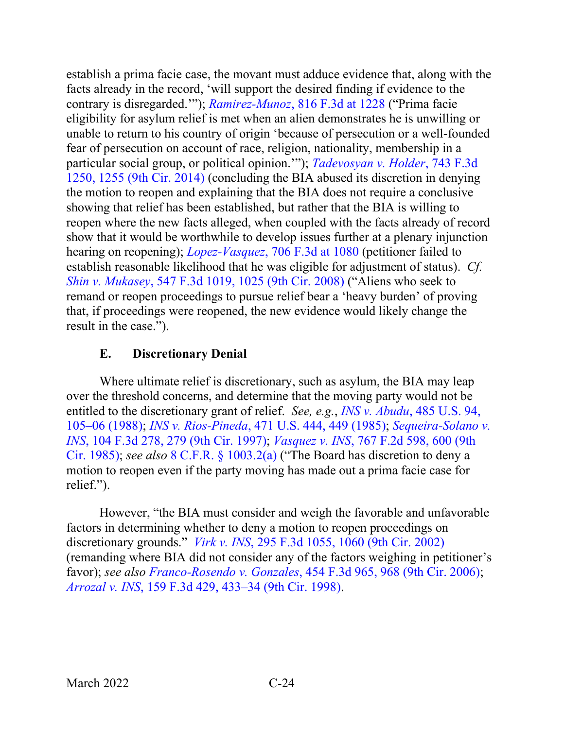establish a prima facie case, the movant must adduce evidence that, along with the facts already in the record, 'will support the desired finding if evidence to the contrary is disregarded.'"); *Ramirez-Munoz*[, 816 F.3d at 1228](https://www.westlaw.com/Document/I3ae05113efbb11e5b4bafa136b480ad2/View/FullText.html?transitionType=Default&contextData=(sc.Default)&VR=3.0&RS=da3.0&fragmentIdentifier=co_pp_sp_506_1228) ("Prima facie eligibility for asylum relief is met when an alien demonstrates he is unwilling or unable to return to his country of origin 'because of persecution or a well-founded fear of persecution on account of race, religion, nationality, membership in a particular social group, or political opinion.'"); *[Tadevosyan v. Holder](https://www.westlaw.com/Document/If35953889fc811e381b8b0e9e015e69e/View/FullText.html?transitionType=Default&contextData=(sc.Default)&VR=3.0&RS=da3.0&fragmentIdentifier=co_pp_sp_506_1255)*, 743 F.3d [1250, 1255 \(9th](https://www.westlaw.com/Document/If35953889fc811e381b8b0e9e015e69e/View/FullText.html?transitionType=Default&contextData=(sc.Default)&VR=3.0&RS=da3.0&fragmentIdentifier=co_pp_sp_506_1255) Cir. 2014) (concluding the BIA abused its discretion in denying the motion to reopen and explaining that the BIA does not require a conclusive showing that relief has been established, but rather that the BIA is willing to reopen where the new facts alleged, when coupled with the facts already of record show that it would be worthwhile to develop issues further at a plenary injunction hearing on reopening); *Lopez-Vasquez*[, 706 F.3d at 1080](https://www.westlaw.com/Document/I32a666d96c9111e2a531ef6793d44951/View/FullText.html?transitionType=Default&contextData=(sc.Default)&VR=3.0&RS=da3.0&fragmentIdentifier=co_pp_sp_506_1080) (petitioner failed to establish reasonable likelihood that he was eligible for adjustment of status). *Cf. Shin v. Mukasey*[, 547 F.3d 1019, 1025 \(9th Cir. 2008\)](https://www.westlaw.com/Document/I83fcd5889fcd11dd9876f446780b7bdc/View/FullText.html?transitionType=Default&contextData=(sc.Default)&VR=3.0&RS=da3.0&fragmentIdentifier=co_pp_sp_506_1025) ("Aliens who seek to remand or reopen proceedings to pursue relief bear a 'heavy burden' of proving that, if proceedings were reopened, the new evidence would likely change the result in the case.").

#### **E. Discretionary Denial**

<span id="page-27-0"></span>Where ultimate relief is discretionary, such as asylum, the BIA may leap over the threshold concerns, and determine that the moving party would not be entitled to the discretionary grant of relief. *See, e.g.*, *INS v. Abudu*[, 485 U.S. 94,](https://www.westlaw.com/Document/I650213d29c9711d9bc61beebb95be672/View/FullText.html?transitionType=Default&contextData=(sc.Default)&VR=3.0&RS=da3.0&fragmentIdentifier=co_pp_sp_780_105)  [105–06 \(1988\);](https://www.westlaw.com/Document/I650213d29c9711d9bc61beebb95be672/View/FullText.html?transitionType=Default&contextData=(sc.Default)&VR=3.0&RS=da3.0&fragmentIdentifier=co_pp_sp_780_105) *INS v. Rios-Pineda*[, 471 U.S. 444, 449 \(1985\);](https://www.westlaw.com/Document/Idf00e7b49c9c11d993e6d35cc61aab4a/View/FullText.html?transitionType=Default&contextData=(sc.Default)&VR=3.0&RS=da3.0&fragmentIdentifier=co_pp_sp_780_449) *[Sequeira-Solano v.](https://www.westlaw.com/Document/I684617a0940d11d993e6d35cc61aab4a/View/FullText.html?transitionType=Default&contextData=(sc.Default)&VR=3.0&RS=da3.0&fragmentIdentifier=co_pp_sp_506_279)  INS*[, 104 F.3d 278, 279 \(9th Cir. 1997\);](https://www.westlaw.com/Document/I684617a0940d11d993e6d35cc61aab4a/View/FullText.html?transitionType=Default&contextData=(sc.Default)&VR=3.0&RS=da3.0&fragmentIdentifier=co_pp_sp_506_279) *Vasquez v. INS*[, 767 F.2d 598, 600 \(9th](https://www.westlaw.com/Document/I4c5d979294af11d9a707f4371c9c34f0/View/FullText.html?transitionType=Default&contextData=(sc.Default)&VR=3.0&RS=da3.0&fragmentIdentifier=co_pp_sp_350_600)  [Cir. 1985\);](https://www.westlaw.com/Document/I4c5d979294af11d9a707f4371c9c34f0/View/FullText.html?transitionType=Default&contextData=(sc.Default)&VR=3.0&RS=da3.0&fragmentIdentifier=co_pp_sp_350_600) *see also* [8 C.F.R. §](https://www.westlaw.com/Document/NA64E50805C1D11ECAE78A32A341D5C78/View/FullText.html?transitionType=Default&contextData=(sc.Default)&VR=3.0&RS=da3.0) 1003.2(a) ("The Board has discretion to deny a motion to reopen even if the party moving has made out a prima facie case for relief.").

However, "the BIA must consider and weigh the favorable and unfavorable factors in determining whether to deny a motion to reopen proceedings on discretionary grounds." *Virk v. INS*, [295 F.3d 1055, 1060 \(9th Cir. 2002\)](https://www.westlaw.com/Document/Ie4426f4479de11d9ac1ffa9f33b6c3b0/View/FullText.html?transitionType=Default&contextData=(sc.Default)&VR=3.0&RS=da3.0&fragmentIdentifier=co_pp_sp_506_1060) (remanding where BIA did not consider any of the factors weighing in petitioner's favor); *see also Franco-Rosendo v. Gonzales*[, 454 F.3d 965, 968 \(9th Cir. 2006\);](https://www.westlaw.com/Document/I56622913162b11db99dab759416ba200/View/FullText.html?transitionType=Default&contextData=(sc.Default)&VR=3.0&RS=da3.0&fragmentIdentifier=co_pp_sp_506_968) *Arrozal v. INS*[, 159 F.3d 429, 433–34 \(9th Cir. 1998\).](https://www.westlaw.com/Document/I8da9284b947811d9bdd1cfdd544ca3a4/View/FullText.html?transitionType=Default&contextData=(sc.Default)&VR=3.0&RS=da3.0&fragmentIdentifier=co_pp_sp_506_433)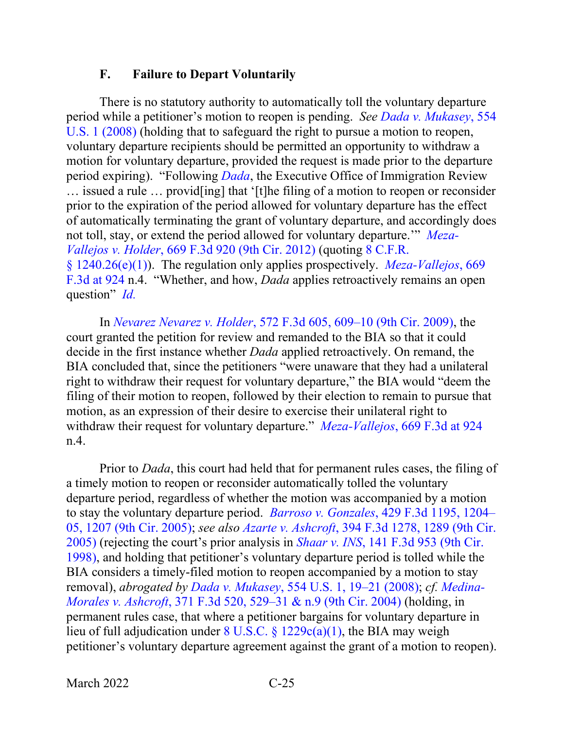#### **F. Failure to Depart Voluntarily**

<span id="page-28-0"></span>There is no statutory authority to automatically toll the voluntary departure period while a petitioner's motion to reopen is pending. *See [Dada v. Mukasey](https://www.westlaw.com/Document/I017a50133b9211ddb6a3a099756c05b7/View/FullText.html?transitionType=Default&contextData=(sc.Default)&VR=3.0&RS=da3.0)*, 554 [U.S. 1 \(2008\)](https://www.westlaw.com/Document/I017a50133b9211ddb6a3a099756c05b7/View/FullText.html?transitionType=Default&contextData=(sc.Default)&VR=3.0&RS=da3.0) (holding that to safeguard the right to pursue a motion to reopen, voluntary departure recipients should be permitted an opportunity to withdraw a motion for voluntary departure, provided the request is made prior to the departure period expiring). "Following *[Dada](https://www.westlaw.com/Document/I017a50133b9211ddb6a3a099756c05b7/View/FullText.html?transitionType=Default&contextData=(sc.Default)&VR=3.0&RS=da3.0)*, the Executive Office of Immigration Review … issued a rule … provid[ing] that '[t]he filing of a motion to reopen or reconsider prior to the expiration of the period allowed for voluntary departure has the effect of automatically terminating the grant of voluntary departure, and accordingly does not toll, stay, or extend the period allowed for voluntary departure.'" *[Meza-](https://www.westlaw.com/Document/I8e547a02436e11e1bd928e1973ff4e60/View/FullText.html?transitionType=Default&contextData=(sc.Default)&VR=3.0&RS=da3.0)Vallejos v. Holder*[, 669 F.3d 920 \(9th Cir. 2012\)](https://www.westlaw.com/Document/I8e547a02436e11e1bd928e1973ff4e60/View/FullText.html?transitionType=Default&contextData=(sc.Default)&VR=3.0&RS=da3.0) (quoting [8 C.F.R.](https://www.westlaw.com/Document/N6A4603305C1311ECBF0FBEFEA0C9DE47/View/FullText.html?transitionType=Default&contextData=(sc.Default)&VR=3.0&RS=da3.0)  [§ 1240.26\(e\)\(1\)\)](https://www.westlaw.com/Document/N6A4603305C1311ECBF0FBEFEA0C9DE47/View/FullText.html?transitionType=Default&contextData=(sc.Default)&VR=3.0&RS=da3.0). The regulation only applies prospectively. *[Meza-Vallejos](https://www.westlaw.com/Document/I8e547a02436e11e1bd928e1973ff4e60/View/FullText.html?transitionType=Default&contextData=(sc.Default)&VR=3.0&RS=da3.0&fragmentIdentifier=co_pp_sp_506_924)*, 669 [F.3d at 924](https://www.westlaw.com/Document/I8e547a02436e11e1bd928e1973ff4e60/View/FullText.html?transitionType=Default&contextData=(sc.Default)&VR=3.0&RS=da3.0&fragmentIdentifier=co_pp_sp_506_924) n.4. "Whether, and how, *Dada* applies retroactively remains an open question" *[Id.](https://www.westlaw.com/Document/I8e547a02436e11e1bd928e1973ff4e60/View/FullText.html?transitionType=Default&contextData=(sc.Default)&VR=3.0&RS=da3.0)*

In *Nevarez Nevarez v. Holder*[, 572 F.3d 605, 609–10 \(9th Cir. 2009\),](https://www.westlaw.com/Document/I680b53a66bbc11de8bf6cd8525c41437/View/FullText.html?transitionType=Default&contextData=(sc.Default)&VR=3.0&RS=da3.0&fragmentIdentifier=co_pp_sp_506_609) the court granted the petition for review and remanded to the BIA so that it could decide in the first instance whether *Dada* applied retroactively. On remand, the BIA concluded that, since the petitioners "were unaware that they had a unilateral right to withdraw their request for voluntary departure," the BIA would "deem the filing of their motion to reopen, followed by their election to remain to pursue that motion, as an expression of their desire to exercise their unilateral right to withdraw their request for voluntary departure." *Meza-Vallejos*[, 669 F.3d at 924](https://www.westlaw.com/Document/I8e547a02436e11e1bd928e1973ff4e60/View/FullText.html?transitionType=Default&contextData=(sc.Default)&VR=3.0&RS=da3.0&fragmentIdentifier=co_pp_sp_506_924) n.4.

Prior to *Dada*, this court had held that for permanent rules cases, the filing of a timely motion to reopen or reconsider automatically tolled the voluntary departure period, regardless of whether the motion was accompanied by a motion to stay the voluntary departure period. *Barroso v. Gonzales*[, 429 F.3d 1195, 1204–](https://www.westlaw.com/Document/I53be4981586d11da8cc9b4c14e983401/View/FullText.html?transitionType=Default&contextData=(sc.Default)&VR=3.0&RS=da3.0&fragmentIdentifier=co_pp_sp_506_1204) [05, 1207 \(9th Cir. 2005\);](https://www.westlaw.com/Document/I53be4981586d11da8cc9b4c14e983401/View/FullText.html?transitionType=Default&contextData=(sc.Default)&VR=3.0&RS=da3.0&fragmentIdentifier=co_pp_sp_506_1204) *see also Azarte v. Ashcroft*[, 394 F.3d 1278, 1289 \(9th Cir.](https://www.westlaw.com/Document/Icb861ea279e011d9ac1ffa9f33b6c3b0/View/FullText.html?transitionType=Default&contextData=(sc.Default)&VR=3.0&RS=da3.0&fragmentIdentifier=co_pp_sp_506_1289)  [2005\)](https://www.westlaw.com/Document/Icb861ea279e011d9ac1ffa9f33b6c3b0/View/FullText.html?transitionType=Default&contextData=(sc.Default)&VR=3.0&RS=da3.0&fragmentIdentifier=co_pp_sp_506_1289) (rejecting the court's prior analysis in *Shaar v. INS*[, 141 F.3d 953 \(9th Cir.](https://www.westlaw.com/Document/I941c42a0944311d9a707f4371c9c34f0/View/FullText.html?transitionType=Default&contextData=(sc.Default)&VR=3.0&RS=da3.0)  [1998\),](https://www.westlaw.com/Document/I941c42a0944311d9a707f4371c9c34f0/View/FullText.html?transitionType=Default&contextData=(sc.Default)&VR=3.0&RS=da3.0) and holding that petitioner's voluntary departure period is tolled while the BIA considers a timely-filed motion to reopen accompanied by a motion to stay removal), *abrogated by Dada v. Mukasey*[, 554 U.S. 1, 19–21 \(2008\);](https://www.westlaw.com/Document/I017a50133b9211ddb6a3a099756c05b7/View/FullText.html?transitionType=Default&contextData=(sc.Default)&VR=3.0&RS=da3.0&fragmentIdentifier=co_pp_sp_780_19) *cf. [Medina-](https://www.westlaw.com/Document/I19ee076f8b9811d99a6fdc806bf1638e/View/FullText.html?transitionType=Default&contextData=(sc.Default)&VR=3.0&RS=da3.0&fragmentIdentifier=co_pp_sp_506_529)Morales v. Ashcroft*[, 371 F.3d 520, 529–31 & n.9 \(9th Cir. 2004\)](https://www.westlaw.com/Document/I19ee076f8b9811d99a6fdc806bf1638e/View/FullText.html?transitionType=Default&contextData=(sc.Default)&VR=3.0&RS=da3.0&fragmentIdentifier=co_pp_sp_506_529) (holding, in permanent rules case, that where a petitioner bargains for voluntary departure in lieu of full adjudication under 8 U.S.C. § [1229c\(a\)\(1\),](https://www.westlaw.com/Document/ND99F9CC08ED711DAAF57BD3E6EFC5A3E/View/FullText.html?transitionType=Default&contextData=(sc.Default)&VR=3.0&RS=da3.0) the BIA may weigh petitioner's voluntary departure agreement against the grant of a motion to reopen).

March 2022 C-25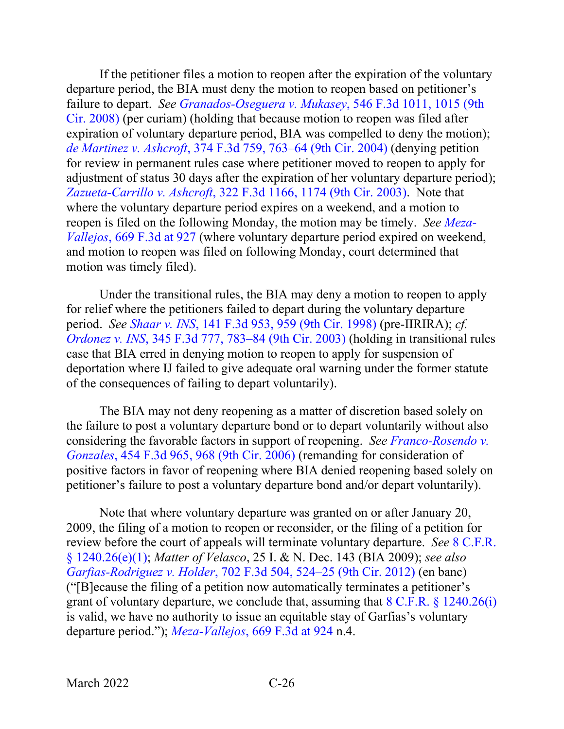If the petitioner files a motion to reopen after the expiration of the voluntary departure period, the BIA must deny the motion to reopen based on petitioner's failure to depart. *See [Granados-Oseguera v. Mukasey](https://www.westlaw.com/Document/I111a0d17949911ddb5cbad29a280d47c/View/FullText.html?transitionType=Default&contextData=(sc.Default)&VR=3.0&RS=da3.0&fragmentIdentifier=co_pp_sp_506_1015)*, 546 F.3d 1011, 1015 (9th [Cir. 2008\)](https://www.westlaw.com/Document/I111a0d17949911ddb5cbad29a280d47c/View/FullText.html?transitionType=Default&contextData=(sc.Default)&VR=3.0&RS=da3.0&fragmentIdentifier=co_pp_sp_506_1015) (per curiam) (holding that because motion to reopen was filed after expiration of voluntary departure period, BIA was compelled to deny the motion); *de Martinez v. Ashcroft*[, 374 F.3d 759, 763–64 \(9th Cir. 2004\)](https://www.westlaw.com/Document/Ibddcad358b9e11d99dcc8cc3e68b51e9/View/FullText.html?transitionType=Default&contextData=(sc.Default)&VR=3.0&RS=da3.0&fragmentIdentifier=co_pp_sp_506_763) (denying petition for review in permanent rules case where petitioner moved to reopen to apply for adjustment of status 30 days after the expiration of her voluntary departure period); *Zazueta-Carrillo v. Ashcroft*[, 322 F.3d 1166, 1174 \(9th Cir. 2003\).](https://www.westlaw.com/Document/I59f962f689cc11d9b6ea9f5a173c4523/View/FullText.html?transitionType=Default&contextData=(sc.Default)&VR=3.0&RS=da3.0&fragmentIdentifier=co_pp_sp_506_1174) Note that where the voluntary departure period expires on a weekend, and a motion to reopen is filed on the following Monday, the motion may be timely. *See [Meza-](https://www.westlaw.com/Document/I8e547a02436e11e1bd928e1973ff4e60/View/FullText.html?transitionType=Default&contextData=(sc.Default)&VR=3.0&RS=da3.0&fragmentIdentifier=co_pp_sp_506_927)Vallejos*, [669 F.3d at 927](https://www.westlaw.com/Document/I8e547a02436e11e1bd928e1973ff4e60/View/FullText.html?transitionType=Default&contextData=(sc.Default)&VR=3.0&RS=da3.0&fragmentIdentifier=co_pp_sp_506_927) (where voluntary departure period expired on weekend, and motion to reopen was filed on following Monday, court determined that motion was timely filed).

Under the transitional rules, the BIA may deny a motion to reopen to apply for relief where the petitioners failed to depart during the voluntary departure period. *See Shaar v. INS*[, 141 F.3d 953, 959 \(9th Cir. 1998\)](https://www.westlaw.com/Document/I941c42a0944311d9a707f4371c9c34f0/View/FullText.html?transitionType=Default&contextData=(sc.Default)&VR=3.0&RS=da3.0&fragmentIdentifier=co_pp_sp_506_959) (pre-IIRIRA); *cf. Ordonez v. INS*[, 345 F.3d 777, 783–84 \(9th Cir. 2003\)](https://www.westlaw.com/Document/Ibb13149989eb11d9903eeb4634b8d78e/View/FullText.html?transitionType=Default&contextData=(sc.Default)&VR=3.0&RS=da3.0&fragmentIdentifier=co_pp_sp_506_783) (holding in transitional rules case that BIA erred in denying motion to reopen to apply for suspension of deportation where IJ failed to give adequate oral warning under the former statute of the consequences of failing to depart voluntarily).

The BIA may not deny reopening as a matter of discretion based solely on the failure to post a voluntary departure bond or to depart voluntarily without also considering the favorable factors in support of reopening. *See [Franco-Rosendo v.](https://www.westlaw.com/Document/I56622913162b11db99dab759416ba200/View/FullText.html?transitionType=Default&contextData=(sc.Default)&VR=3.0&RS=da3.0&fragmentIdentifier=co_pp_sp_506_968)  Gonzales*[, 454 F.3d 965, 968 \(9th Cir. 2006\)](https://www.westlaw.com/Document/I56622913162b11db99dab759416ba200/View/FullText.html?transitionType=Default&contextData=(sc.Default)&VR=3.0&RS=da3.0&fragmentIdentifier=co_pp_sp_506_968) (remanding for consideration of positive factors in favor of reopening where BIA denied reopening based solely on petitioner's failure to post a voluntary departure bond and/or depart voluntarily).

Note that where voluntary departure was granted on or after January 20, 2009, the filing of a motion to reopen or reconsider, or the filing of a petition for review before the court of appeals will terminate voluntary departure. *See* [8 C.F.R.](https://www.westlaw.com/Document/N6A4603305C1311ECBF0FBEFEA0C9DE47/View/FullText.html?transitionType=Default&contextData=(sc.Default)&VR=3.0&RS=da3.0)  [§ 1240.26\(e\)\(1\);](https://www.westlaw.com/Document/N6A4603305C1311ECBF0FBEFEA0C9DE47/View/FullText.html?transitionType=Default&contextData=(sc.Default)&VR=3.0&RS=da3.0) *Matter of Velasco*, 25 I. & N. Dec. 143 (BIA 2009); *see also Garfias-Rodriguez v. Holder*[, 702 F.3d 504, 524–25 \(9th Cir. 2012\)](https://www.westlaw.com/Document/Id9f3d8751a1811e2b343c837631e1747/View/FullText.html?transitionType=Default&contextData=(sc.Default)&VR=3.0&RS=da3.0&fragmentIdentifier=co_pp_sp_506_524) (en banc) ("[B]ecause the filing of a petition now automatically terminates a petitioner's grant of voluntary departure, we conclude that, assuming that  $8 \text{ C.F.R.} \$   $1240.26(i)$ is valid, we have no authority to issue an equitable stay of Garfias's voluntary departure period."); *Meza-Vallejos*[, 669 F.3d at 924](https://www.westlaw.com/Document/I8e547a02436e11e1bd928e1973ff4e60/View/FullText.html?transitionType=Default&contextData=(sc.Default)&VR=3.0&RS=da3.0&fragmentIdentifier=co_pp_sp_506_924) n.4.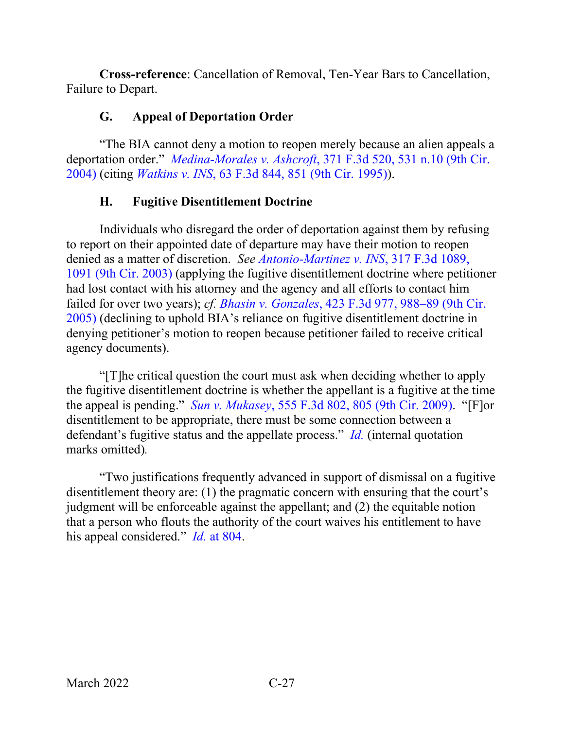**Cross-reference**: Cancellation of Removal, Ten-Year Bars to Cancellation, Failure to Depart.

## **G. Appeal of Deportation Order**

<span id="page-30-0"></span>"The BIA cannot deny a motion to reopen merely because an alien appeals a deportation order." *Medina-Morales v. Ashcroft*[, 371 F.3d 520, 531 n.10 \(9th Cir.](https://www.westlaw.com/Document/I19ee076f8b9811d99a6fdc806bf1638e/View/FullText.html?transitionType=Default&contextData=(sc.Default)&VR=3.0&RS=da3.0&fragmentIdentifier=co_pp_sp_506_531+n.10)  [2004\)](https://www.westlaw.com/Document/I19ee076f8b9811d99a6fdc806bf1638e/View/FullText.html?transitionType=Default&contextData=(sc.Default)&VR=3.0&RS=da3.0&fragmentIdentifier=co_pp_sp_506_531+n.10) (citing *Watkins v. INS*[, 63 F.3d 844, 851 \(9th Cir. 1995\)\)](https://www.westlaw.com/Document/I9dfbc21d919f11d98e8fb00d6c6a02dd/View/FullText.html?transitionType=Default&contextData=(sc.Default)&VR=3.0&RS=da3.0&fragmentIdentifier=co_pp_sp_506_851).

# **H. Fugitive Disentitlement Doctrine**

<span id="page-30-1"></span>Individuals who disregard the order of deportation against them by refusing to report on their appointed date of departure may have their motion to reopen denied as a matter of discretion. *See [Antonio-Martinez v. INS](https://www.westlaw.com/Document/Ib667756189c011d98b51ba734bfc3c79/View/FullText.html?transitionType=Default&contextData=(sc.Default)&VR=3.0&RS=da3.0&fragmentIdentifier=co_pp_sp_506_1091)*, 317 F.3d 1089, [1091 \(9th Cir. 2003\)](https://www.westlaw.com/Document/Ib667756189c011d98b51ba734bfc3c79/View/FullText.html?transitionType=Default&contextData=(sc.Default)&VR=3.0&RS=da3.0&fragmentIdentifier=co_pp_sp_506_1091) (applying the fugitive disentitlement doctrine where petitioner had lost contact with his attorney and the agency and all efforts to contact him failed for over two years); *cf. Bhasin v. Gonzales*[, 423 F.3d 977, 988–89 \(9th Cir.](https://www.westlaw.com/Document/I0d89dd331b0b11daaea49302b5f61a35/View/FullText.html?transitionType=Default&contextData=(sc.Default)&VR=3.0&RS=da3.0&fragmentIdentifier=co_pp_sp_506_988)  [2005\)](https://www.westlaw.com/Document/I0d89dd331b0b11daaea49302b5f61a35/View/FullText.html?transitionType=Default&contextData=(sc.Default)&VR=3.0&RS=da3.0&fragmentIdentifier=co_pp_sp_506_988) (declining to uphold BIA's reliance on fugitive disentitlement doctrine in denying petitioner's motion to reopen because petitioner failed to receive critical agency documents).

"[T]he critical question the court must ask when deciding whether to apply the fugitive disentitlement doctrine is whether the appellant is a fugitive at the time the appeal is pending." *Sun v. Mukasey*[, 555 F.3d 802, 805 \(9th Cir. 2009\).](https://www.westlaw.com/Document/I01a4b2fdf6b411ddb5cbad29a280d47c/View/FullText.html?transitionType=Default&contextData=(sc.Default)&VR=3.0&RS=da3.0&fragmentIdentifier=co_pp_sp_506_805) "[F]or disentitlement to be appropriate, there must be some connection between a defendant's fugitive status and the appellate process." *[Id.](https://www.westlaw.com/Document/I01a4b2fdf6b411ddb5cbad29a280d47c/View/FullText.html?transitionType=Default&contextData=(sc.Default)&VR=3.0&RS=da3.0)* (internal quotation marks omitted)*.*

"Two justifications frequently advanced in support of dismissal on a fugitive disentitlement theory are: (1) the pragmatic concern with ensuring that the court's judgment will be enforceable against the appellant; and (2) the equitable notion that a person who flouts the authority of the court waives his entitlement to have his appeal considered." *Id.* [at 804.](https://www.westlaw.com/Document/I01a4b2fdf6b411ddb5cbad29a280d47c/View/FullText.html?transitionType=Default&contextData=(sc.Default)&VR=3.0&RS=da3.0&fragmentIdentifier=co_pp_sp_506_804)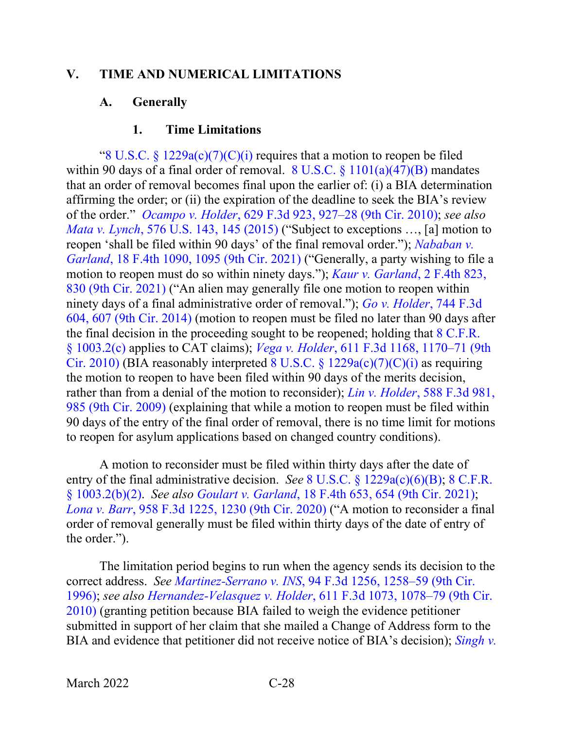#### <span id="page-31-1"></span><span id="page-31-0"></span>**V. TIME AND NUMERICAL LIMITATIONS**

#### **A. Generally**

#### **1. Time Limitations**

<span id="page-31-2"></span>"8 U.S.C. §  $1229a(c)(7)(C)(i)$  requires that a motion to reopen be filed within 90 days of a final order of removal. 8 U.S.C.  $\S 1101(a)(47)(B)$  mandates that an order of removal becomes final upon the earlier of: (i) a BIA determination affirming the order; or (ii) the expiration of the deadline to seek the BIA's review of the order." *Ocampo v. Holder*[, 629 F.3d 923, 927–28 \(9th Cir. 2010\);](https://www.westlaw.com/Document/Iee4287c00c1c11e088699d6fd571daba/View/FullText.html?transitionType=Default&contextData=(sc.Default)&VR=3.0&RS=da3.0&fragmentIdentifier=co_pp_sp_506_927) *see also Mata v. Lynch*[, 576 U.S. 143, 145 \(2015\)](https://www.westlaw.com/Document/I2040d285136211e5a807ad48145ed9f1/View/FullText.html?transitionType=Default&contextData=(sc.Default)&VR=3.0&RS=da3.0&fragmentIdentifier=co_pp_sp_780_145) ("Subject to exceptions …, [a] motion to reopen 'shall be filed within 90 days' of the final removal order."); *[Nababan v.](https://www.westlaw.com/Document/Ic45d3c204c9711ecbe28a1944976b7ad/View/FullText.html?transitionType=Default&contextData=(sc.Default)&VR=3.0&RS=da3.0&fragmentIdentifier=co_pp_sp_8173_1095)  Garland*[, 18 F.4th 1090, 1095 \(9th Cir. 2021\)](https://www.westlaw.com/Document/Ic45d3c204c9711ecbe28a1944976b7ad/View/FullText.html?transitionType=Default&contextData=(sc.Default)&VR=3.0&RS=da3.0&fragmentIdentifier=co_pp_sp_8173_1095) ("Generally, a party wishing to file a motion to reopen must do so within ninety days."); *[Kaur v. Garland](https://www.westlaw.com/Document/Ia5b92ef0d2c111ebb381adeb81954cc5/View/FullText.html?transitionType=Default&contextData=(sc.Default)&VR=3.0&RS=da3.0&fragmentIdentifier=co_pp_sp_8173_830)*, 2 F.4th 823, [830 \(9th Cir. 2021\)](https://www.westlaw.com/Document/Ia5b92ef0d2c111ebb381adeb81954cc5/View/FullText.html?transitionType=Default&contextData=(sc.Default)&VR=3.0&RS=da3.0&fragmentIdentifier=co_pp_sp_8173_830) ("An alien may generally file one motion to reopen within ninety days of a final administrative order of removal."); *[Go v. Holder](https://www.westlaw.com/Document/Ic3bae503a66511e39ac8bab74931929c/View/FullText.html?transitionType=Default&contextData=(sc.Default)&VR=3.0&RS=da3.0&fragmentIdentifier=co_pp_sp_506_607)*, 744 F.3d [604, 607 \(9th Cir. 2014\)](https://www.westlaw.com/Document/Ic3bae503a66511e39ac8bab74931929c/View/FullText.html?transitionType=Default&contextData=(sc.Default)&VR=3.0&RS=da3.0&fragmentIdentifier=co_pp_sp_506_607) (motion to reopen must be filed no later than 90 days after the final decision in the proceeding sought to be reopened; holding that 8 C.F.R. [§ 1003.2\(c\)](https://www.westlaw.com/Document/NA64E50805C1D11ECAE78A32A341D5C78/View/FullText.html?transitionType=Default&contextData=(sc.Default)&VR=3.0&RS=da3.0) applies to CAT claims); *Vega v. Holder*[, 611 F.3d 1168, 1170–71 \(9th](https://www.westlaw.com/Document/Iffd84229932511df8e45a3b5a338fda3/View/FullText.html?transitionType=Default&contextData=(sc.Default)&VR=3.0&RS=da3.0&fragmentIdentifier=co_pp_sp_506_1170)  [Cir. 2010\)](https://www.westlaw.com/Document/Iffd84229932511df8e45a3b5a338fda3/View/FullText.html?transitionType=Default&contextData=(sc.Default)&VR=3.0&RS=da3.0&fragmentIdentifier=co_pp_sp_506_1170) (BIA reasonably interpreted  $8 \text{ U.S.C.}$   $\frac{6}{9}$  1229a(c)(7)(C)(i) as requiring the motion to reopen to have been filed within 90 days of the merits decision, rather than from a denial of the motion to reconsider); *Lin v. Holder*[, 588 F.3d 981,](https://www.westlaw.com/Document/Iae152f54e06b11dea82ab9f4ee295c21/View/FullText.html?transitionType=Default&contextData=(sc.Default)&VR=3.0&RS=da3.0&fragmentIdentifier=co_pp_sp_506_985)  [985 \(9th Cir. 2009\)](https://www.westlaw.com/Document/Iae152f54e06b11dea82ab9f4ee295c21/View/FullText.html?transitionType=Default&contextData=(sc.Default)&VR=3.0&RS=da3.0&fragmentIdentifier=co_pp_sp_506_985) (explaining that while a motion to reopen must be filed within 90 days of the entry of the final order of removal, there is no time limit for motions to reopen for asylum applications based on changed country conditions).

A motion to reconsider must be filed within thirty days after the date of entry of the final administrative decision. *See* [8 U.S.C. § 1229a\(c\)\(6\)\(B\);](https://www.westlaw.com/Document/NFF9ECF308EBA11DAAF57BD3E6EFC5A3E/View/FullText.html?transitionType=Default&contextData=(sc.Default)&VR=3.0&RS=da3.0) [8 C.F.R.](https://www.westlaw.com/Document/NA64E50805C1D11ECAE78A32A341D5C78/View/FullText.html?transitionType=Default&contextData=(sc.Default)&VR=3.0&RS=da3.0)  [§ 1003.2\(b\)\(2\).](https://www.westlaw.com/Document/NA64E50805C1D11ECAE78A32A341D5C78/View/FullText.html?transitionType=Default&contextData=(sc.Default)&VR=3.0&RS=da3.0) *See also Goulart v. Garland*[, 18 F.4th 653, 654 \(9th Cir. 2021\);](https://www.westlaw.com/Document/I2bdeb67048b111ecbc0b8d609f9f6bdf/View/FullText.html?transitionType=Default&contextData=(sc.Default)&VR=3.0&RS=da3.0&fragmentIdentifier=co_pp_sp_8173_654) *Lona v. Barr*[, 958 F.3d 1225, 1230 \(9th Cir. 2020\)](https://www.westlaw.com/Document/I29dec8e096fd11ea8cb395d22c142a61/View/FullText.html?transitionType=Default&contextData=(sc.Default)&VR=3.0&RS=da3.0&fragmentIdentifier=co_pp_sp_506_1230) ("A motion to reconsider a final order of removal generally must be filed within thirty days of the date of entry of the order.").

The limitation period begins to run when the agency sends its decision to the correct address. *See Martinez-Serrano v. INS*[, 94 F.3d 1256, 1258–59 \(9th Cir.](https://www.westlaw.com/Document/I3e3cdc31934611d9bdd1cfdd544ca3a4/View/FullText.html?transitionType=Default&contextData=(sc.Default)&VR=3.0&RS=da3.0&fragmentIdentifier=co_pp_sp_506_1258)  [1996\);](https://www.westlaw.com/Document/I3e3cdc31934611d9bdd1cfdd544ca3a4/View/FullText.html?transitionType=Default&contextData=(sc.Default)&VR=3.0&RS=da3.0&fragmentIdentifier=co_pp_sp_506_1258) *see also Hernandez-Velasquez v. Holder*[, 611 F.3d 1073, 1078–79 \(9th Cir.](https://www.westlaw.com/Document/Ib4e9557f8f3a11df86c1ad798a0ca1c1/View/FullText.html?transitionType=Default&contextData=(sc.Default)&VR=3.0&RS=da3.0&fragmentIdentifier=co_pp_sp_506_1078)  [2010\)](https://www.westlaw.com/Document/Ib4e9557f8f3a11df86c1ad798a0ca1c1/View/FullText.html?transitionType=Default&contextData=(sc.Default)&VR=3.0&RS=da3.0&fragmentIdentifier=co_pp_sp_506_1078) (granting petition because BIA failed to weigh the evidence petitioner submitted in support of her claim that she mailed a Change of Address form to the BIA and evidence that petitioner did not receive notice of BIA's decision); *Singh v.*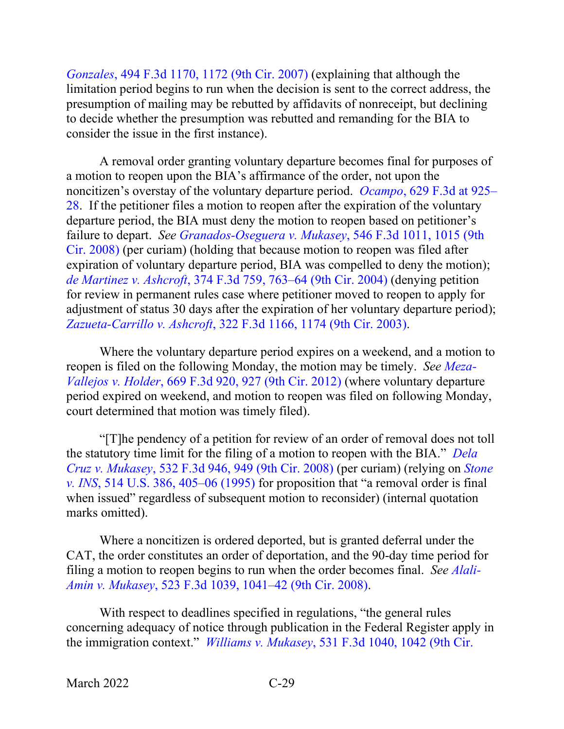*Gonzales*[, 494 F.3d 1170, 1172 \(9th Cir. 2007\)](https://www.westlaw.com/Document/I71293e6e35ea11dcaba8d9d29eb57eff/View/FullText.html?transitionType=Default&contextData=(sc.Default)&VR=3.0&RS=da3.0&fragmentIdentifier=co_pp_sp_506_1172) (explaining that although the limitation period begins to run when the decision is sent to the correct address, the presumption of mailing may be rebutted by affidavits of nonreceipt, but declining to decide whether the presumption was rebutted and remanding for the BIA to consider the issue in the first instance).

A removal order granting voluntary departure becomes final for purposes of a motion to reopen upon the BIA's affirmance of the order, not upon the noncitizen's overstay of the voluntary departure period. *Ocampo*[, 629 F.3d at 925–](https://www.westlaw.com/Document/Iee4287c00c1c11e088699d6fd571daba/View/FullText.html?transitionType=Default&contextData=(sc.Default)&VR=3.0&RS=da3.0&fragmentIdentifier=co_pp_sp_506_925) [28.](https://www.westlaw.com/Document/Iee4287c00c1c11e088699d6fd571daba/View/FullText.html?transitionType=Default&contextData=(sc.Default)&VR=3.0&RS=da3.0&fragmentIdentifier=co_pp_sp_506_925) If the petitioner files a motion to reopen after the expiration of the voluntary departure period, the BIA must deny the motion to reopen based on petitioner's failure to depart. *See [Granados-Oseguera v. Mukasey](https://www.westlaw.com/Document/I111a0d17949911ddb5cbad29a280d47c/View/FullText.html?transitionType=Default&contextData=(sc.Default)&VR=3.0&RS=da3.0&fragmentIdentifier=co_pp_sp_506_1015)*, 546 F.3d 1011, 1015 (9th [Cir. 2008\)](https://www.westlaw.com/Document/I111a0d17949911ddb5cbad29a280d47c/View/FullText.html?transitionType=Default&contextData=(sc.Default)&VR=3.0&RS=da3.0&fragmentIdentifier=co_pp_sp_506_1015) (per curiam) (holding that because motion to reopen was filed after expiration of voluntary departure period, BIA was compelled to deny the motion); *de Martinez v. Ashcroft*[, 374 F.3d 759, 763–64 \(9th Cir. 2004\)](https://www.westlaw.com/Document/Ibddcad358b9e11d99dcc8cc3e68b51e9/View/FullText.html?transitionType=Default&contextData=(sc.Default)&VR=3.0&RS=da3.0&fragmentIdentifier=co_pp_sp_506_763) (denying petition for review in permanent rules case where petitioner moved to reopen to apply for adjustment of status 30 days after the expiration of her voluntary departure period); *[Zazueta-Carrillo v. Ashcroft](https://www.westlaw.com/Document/I59f962f689cc11d9b6ea9f5a173c4523/View/FullText.html?transitionType=Default&contextData=(sc.Default)&VR=3.0&RS=da3.0&fragmentIdentifier=co_pp_sp_506_1174)*, 322 F.3d 1166, 1174 (9th Cir. 2003).

Where the voluntary departure period expires on a weekend, and a motion to reopen is filed on the following Monday, the motion may be timely. *See [Meza-](https://www.westlaw.com/Document/I8e547a02436e11e1bd928e1973ff4e60/View/FullText.html?transitionType=Default&contextData=(sc.Default)&VR=3.0&RS=da3.0&fragmentIdentifier=co_pp_sp_506_927)Vallejos v. Holder*[, 669 F.3d 920, 927 \(9th Cir. 2012\)](https://www.westlaw.com/Document/I8e547a02436e11e1bd928e1973ff4e60/View/FullText.html?transitionType=Default&contextData=(sc.Default)&VR=3.0&RS=da3.0&fragmentIdentifier=co_pp_sp_506_927) (where voluntary departure period expired on weekend, and motion to reopen was filed on following Monday, court determined that motion was timely filed).

"[T]he pendency of a petition for review of an order of removal does not toll the statutory time limit for the filing of a motion to reopen with the BIA." *[Dela](https://www.westlaw.com/Document/Ideaced194dbf11ddb5cbad29a280d47c/View/FullText.html?transitionType=Default&contextData=(sc.Default)&VR=3.0&RS=da3.0&fragmentIdentifier=co_pp_sp_506_949)  Cruz v. Mukasey*[, 532 F.3d 946, 949 \(9th Cir. 2008\)](https://www.westlaw.com/Document/Ideaced194dbf11ddb5cbad29a280d47c/View/FullText.html?transitionType=Default&contextData=(sc.Default)&VR=3.0&RS=da3.0&fragmentIdentifier=co_pp_sp_506_949) (per curiam) (relying on *[Stone](https://www.westlaw.com/Document/I027c48969c4b11d991d0cc6b54f12d4d/View/FullText.html?transitionType=Default&contextData=(sc.Default)&VR=3.0&RS=da3.0&fragmentIdentifier=co_pp_sp_780_405)  v. INS*[, 514 U.S. 386, 405–06 \(1995\)](https://www.westlaw.com/Document/I027c48969c4b11d991d0cc6b54f12d4d/View/FullText.html?transitionType=Default&contextData=(sc.Default)&VR=3.0&RS=da3.0&fragmentIdentifier=co_pp_sp_780_405) for proposition that "a removal order is final when issued" regardless of subsequent motion to reconsider) (internal quotation marks omitted).

Where a noncitizen is ordered deported, but is granted deferral under the CAT, the order constitutes an order of deportation, and the 90-day time period for filing a motion to reopen begins to run when the order becomes final. *See [Alali-](https://www.westlaw.com/Document/Ifd62c482152311ddb7e483ba170699a5/View/FullText.html?transitionType=Default&contextData=(sc.Default)&VR=3.0&RS=da3.0&fragmentIdentifier=co_pp_sp_506_1041)Amin v. Mukasey*[, 523 F.3d 1039, 1041–42 \(9th Cir. 2008\).](https://www.westlaw.com/Document/Ifd62c482152311ddb7e483ba170699a5/View/FullText.html?transitionType=Default&contextData=(sc.Default)&VR=3.0&RS=da3.0&fragmentIdentifier=co_pp_sp_506_1041)

With respect to deadlines specified in regulations, "the general rules concerning adequacy of notice through publication in the Federal Register apply in the immigration context." *Williams v. Mukasey*[, 531 F.3d 1040, 1042 \(9th Cir.](https://www.westlaw.com/Document/Idead62274dbf11ddb5cbad29a280d47c/View/FullText.html?transitionType=Default&contextData=(sc.Default)&VR=3.0&RS=da3.0&fragmentIdentifier=co_pp_sp_506_1042)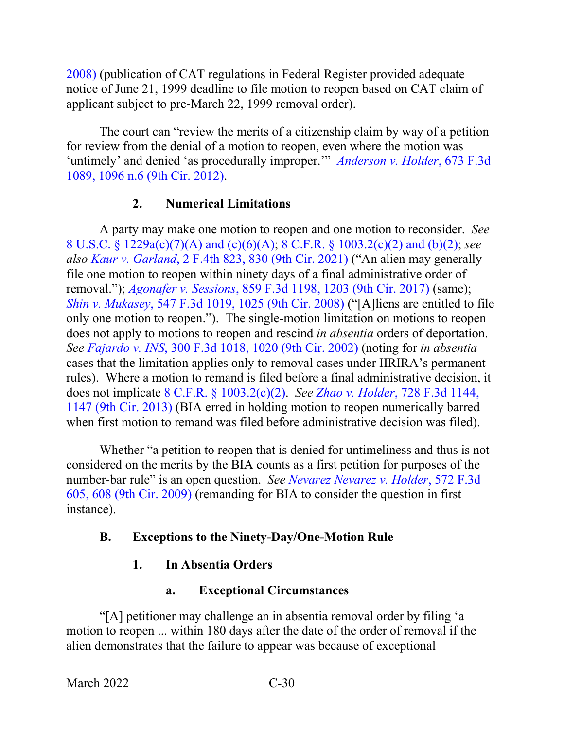[2008\)](https://www.westlaw.com/Document/Idead62274dbf11ddb5cbad29a280d47c/View/FullText.html?transitionType=Default&contextData=(sc.Default)&VR=3.0&RS=da3.0&fragmentIdentifier=co_pp_sp_506_1042) (publication of CAT regulations in Federal Register provided adequate notice of June 21, 1999 deadline to file motion to reopen based on CAT claim of applicant subject to pre-March 22, 1999 removal order).

The court can "review the merits of a citizenship claim by way of a petition for review from the denial of a motion to reopen, even where the motion was 'untimely' and denied 'as procedurally improper.'" *[Anderson v. Holder](https://www.westlaw.com/Document/I1eaef8b76c3711e1be29b2facdefeebe/View/FullText.html?transitionType=Default&contextData=(sc.Default)&VR=3.0&RS=da3.0&fragmentIdentifier=co_pp_sp_506_1096+n.6)*, 673 F.3d [1089, 1096 n.6 \(9th Cir. 2012\).](https://www.westlaw.com/Document/I1eaef8b76c3711e1be29b2facdefeebe/View/FullText.html?transitionType=Default&contextData=(sc.Default)&VR=3.0&RS=da3.0&fragmentIdentifier=co_pp_sp_506_1096+n.6)

# **2. Numerical Limitations**

<span id="page-33-0"></span>A party may make one motion to reopen and one motion to reconsider. *See*  8 U.S.C. § [1229a\(c\)\(7\)\(A\)](https://www.westlaw.com/Document/NFF9ECF308EBA11DAAF57BD3E6EFC5A3E/View/FullText.html?transitionType=Default&contextData=(sc.Default)&VR=3.0&RS=da3.0) and (c)(6)(A); 8 C.F.R. § [1003.2\(c\)\(2\) and \(b\)\(2\);](https://www.westlaw.com/Document/NA64E50805C1D11ECAE78A32A341D5C78/View/FullText.html?transitionType=Default&contextData=(sc.Default)&VR=3.0&RS=da3.0) *see also Kaur v. Garland*[, 2 F.4th 823, 830 \(9th Cir. 2021\)](https://www.westlaw.com/Document/Ia5b92ef0d2c111ebb381adeb81954cc5/View/FullText.html?transitionType=Default&contextData=(sc.Default)&VR=3.0&RS=da3.0&fragmentIdentifier=co_pp_sp_8173_830) ("An alien may generally file one motion to reopen within ninety days of a final administrative order of removal."); *Agonafer v. Sessions*[, 859 F.3d 1198, 1203 \(9th Cir. 2017\)](https://www.westlaw.com/Document/Ic0d3d020583411e7b7978f65e9bf93b3/View/FullText.html?transitionType=Default&contextData=(sc.Default)&VR=3.0&RS=da3.0&fragmentIdentifier=co_pp_sp_506_1203) (same); *Shin v. Mukasey*[, 547 F.3d 1019, 1025 \(9th Cir. 2008\)](https://www.westlaw.com/Document/I83fcd5889fcd11dd9876f446780b7bdc/View/FullText.html?transitionType=Default&contextData=(sc.Default)&VR=3.0&RS=da3.0&fragmentIdentifier=co_pp_sp_506_1025) ("[A]liens are entitled to file only one motion to reopen."). The single-motion limitation on motions to reopen does not apply to motions to reopen and rescind *in absentia* orders of deportation. *See Fajardo v. INS*[, 300 F.3d 1018, 1020 \(9th Cir. 2002\)](https://www.westlaw.com/Document/Icb8ad99d79e011d9ac1ffa9f33b6c3b0/View/FullText.html?transitionType=Default&contextData=(sc.Default)&VR=3.0&RS=da3.0&fragmentIdentifier=co_pp_sp_506_1020) (noting for *in absentia* cases that the limitation applies only to removal cases under IIRIRA's permanent rules). Where a motion to remand is filed before a final administrative decision, it does not implicate 8 C.F.R. § [1003.2\(c\)\(2\).](https://www.westlaw.com/Document/NA64E50805C1D11ECAE78A32A341D5C78/View/FullText.html?transitionType=Default&contextData=(sc.Default)&VR=3.0&RS=da3.0) *See Zhao v. Holder*[, 728 F.3d 1144,](https://www.westlaw.com/Document/Ia0dd0db616b511e3981fa20c4f198a69/View/FullText.html?transitionType=Default&contextData=(sc.Default)&VR=3.0&RS=da3.0&fragmentIdentifier=co_pp_sp_506_1147)  [1147 \(9th Cir. 2013\)](https://www.westlaw.com/Document/Ia0dd0db616b511e3981fa20c4f198a69/View/FullText.html?transitionType=Default&contextData=(sc.Default)&VR=3.0&RS=da3.0&fragmentIdentifier=co_pp_sp_506_1147) (BIA erred in holding motion to reopen numerically barred when first motion to remand was filed before administrative decision was filed).

Whether "a petition to reopen that is denied for untimeliness and thus is not considered on the merits by the BIA counts as a first petition for purposes of the number-bar rule" is an open question. *See [Nevarez Nevarez v. Holder](https://www.westlaw.com/Document/I680b53a66bbc11de8bf6cd8525c41437/View/FullText.html?transitionType=Default&contextData=(sc.Default)&VR=3.0&RS=da3.0&fragmentIdentifier=co_pp_sp_506_608)*, 572 F.3d [605, 608 \(9th Cir. 2009\)](https://www.westlaw.com/Document/I680b53a66bbc11de8bf6cd8525c41437/View/FullText.html?transitionType=Default&contextData=(sc.Default)&VR=3.0&RS=da3.0&fragmentIdentifier=co_pp_sp_506_608) (remanding for BIA to consider the question in first instance).

# <span id="page-33-2"></span><span id="page-33-1"></span>**B. Exceptions to the Ninety-Day/One-Motion Rule**

# **1. In Absentia Orders**

# **a. Exceptional Circumstances**

<span id="page-33-3"></span>"[A] petitioner may challenge an in absentia removal order by filing 'a motion to reopen ... within 180 days after the date of the order of removal if the alien demonstrates that the failure to appear was because of exceptional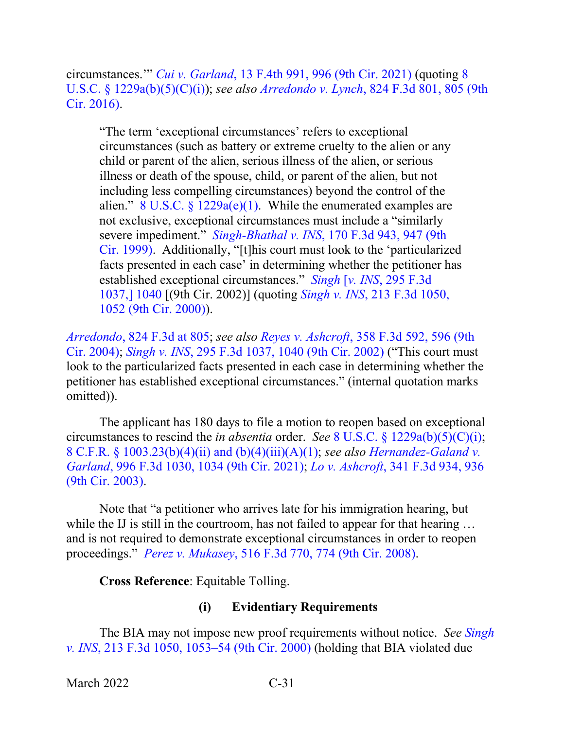circumstances.'" *Cui v. Garland*[, 13 F.4th 991, 996 \(9th Cir. 2021\)](https://www.westlaw.com/Document/I6b62a7b01ca211ec925cb2bf681461fd/View/FullText.html?transitionType=Default&contextData=(sc.Default)&VR=3.0&RS=da3.0&fragmentIdentifier=co_pp_sp_8173_996) (quoting [8](https://www.westlaw.com/Document/NFF9ECF308EBA11DAAF57BD3E6EFC5A3E/View/FullText.html?transitionType=Default&contextData=(sc.Default)&VR=3.0&RS=da3.0)  U.S.C. § [1229a\(b\)\(5\)\(C\)\(i\)\)](https://www.westlaw.com/Document/NFF9ECF308EBA11DAAF57BD3E6EFC5A3E/View/FullText.html?transitionType=Default&contextData=(sc.Default)&VR=3.0&RS=da3.0); *see also Arredondo v. Lynch*[, 824 F.3d 801, 805 \(9th](https://www.westlaw.com/Document/I495893c0265b11e68a49905015f0787e/View/FullText.html?transitionType=Default&contextData=(sc.Default)&VR=3.0&RS=da3.0&fragmentIdentifier=co_pp_sp_506_805)  [Cir. 2016\).](https://www.westlaw.com/Document/I495893c0265b11e68a49905015f0787e/View/FullText.html?transitionType=Default&contextData=(sc.Default)&VR=3.0&RS=da3.0&fragmentIdentifier=co_pp_sp_506_805)

"The term 'exceptional circumstances' refers to exceptional circumstances (such as battery or extreme cruelty to the alien or any child or parent of the alien, serious illness of the alien, or serious illness or death of the spouse, child, or parent of the alien, but not including less compelling circumstances) beyond the control of the alien." 8 U.S.C. §  $1229a(e)(1)$ . While the enumerated examples are not exclusive, exceptional circumstances must include a "similarly severe impediment." *Singh-Bhathal v. INS*[, 170 F.3d 943, 947 \(9th](https://www.westlaw.com/Document/Ibc92a976949011d9bdd1cfdd544ca3a4/View/FullText.html?transitionType=Default&contextData=(sc.Default)&VR=3.0&RS=da3.0&fragmentIdentifier=co_pp_sp_506_947)  [Cir. 1999\).](https://www.westlaw.com/Document/Ibc92a976949011d9bdd1cfdd544ca3a4/View/FullText.html?transitionType=Default&contextData=(sc.Default)&VR=3.0&RS=da3.0&fragmentIdentifier=co_pp_sp_506_947) Additionally, "[t]his court must look to the 'particularized facts presented in each case' in determining whether the petitioner has established exceptional circumstances." *Singh* [*v. INS*[, 295 F.3d](https://www.westlaw.com/Document/I86e3639279de11d99c4dbb2f0352441d/View/FullText.html?transitionType=Default&contextData=(sc.Default)&VR=3.0&RS=da3.0&fragmentIdentifier=co_pp_sp_506_1040)  [1037,\] 1040](https://www.westlaw.com/Document/I86e3639279de11d99c4dbb2f0352441d/View/FullText.html?transitionType=Default&contextData=(sc.Default)&VR=3.0&RS=da3.0&fragmentIdentifier=co_pp_sp_506_1040) [(9th Cir. 2002)] (quoting *Singh v. INS*[, 213 F.3d 1050,](https://www.westlaw.com/Document/I0624f6b0798411d98c82a53fc8ac8757/View/FullText.html?transitionType=Default&contextData=(sc.Default)&VR=3.0&RS=da3.0&fragmentIdentifier=co_pp_sp_506_1052)  [1052 \(9th Cir. 2000\)\)](https://www.westlaw.com/Document/I0624f6b0798411d98c82a53fc8ac8757/View/FullText.html?transitionType=Default&contextData=(sc.Default)&VR=3.0&RS=da3.0&fragmentIdentifier=co_pp_sp_506_1052).

*Arredondo*[, 824 F.3d at 805;](https://www.westlaw.com/Document/I495893c0265b11e68a49905015f0787e/View/FullText.html?transitionType=Default&contextData=(sc.Default)&VR=3.0&RS=da3.0&fragmentIdentifier=co_pp_sp_506_805) *see also Reyes v. Ashcroft*[, 358 F.3d 592, 596 \(9th](https://www.westlaw.com/Document/Id3ae35b189f611d9b6ea9f5a173c4523/View/FullText.html?transitionType=Default&contextData=(sc.Default)&VR=3.0&RS=da3.0&fragmentIdentifier=co_pp_sp_506_596)  [Cir. 2004\);](https://www.westlaw.com/Document/Id3ae35b189f611d9b6ea9f5a173c4523/View/FullText.html?transitionType=Default&contextData=(sc.Default)&VR=3.0&RS=da3.0&fragmentIdentifier=co_pp_sp_506_596) *Singh v. INS*[, 295 F.3d 1037, 1040 \(9th Cir. 2002\)](https://www.westlaw.com/Document/I86e3639279de11d99c4dbb2f0352441d/View/FullText.html?transitionType=Default&contextData=(sc.Default)&VR=3.0&RS=da3.0&fragmentIdentifier=co_pp_sp_506_1040) ("This court must look to the particularized facts presented in each case in determining whether the petitioner has established exceptional circumstances." (internal quotation marks omitted)).

The applicant has 180 days to file a motion to reopen based on exceptional circumstances to rescind the *in absentia* order. *See* 8 U.S.C. § [1229a\(b\)\(5\)\(C\)\(i\);](https://www.westlaw.com/Document/NFF9ECF308EBA11DAAF57BD3E6EFC5A3E/View/FullText.html?transitionType=Default&contextData=(sc.Default)&VR=3.0&RS=da3.0) 8 C.F.R. § [1003.23\(b\)\(4\)\(ii\) and \(b\)\(4\)\(iii\)\(A\)\(1\);](https://www.westlaw.com/Document/N3221B9F05C2111ECBF0FBEFEA0C9DE47/View/FullText.html?transitionType=Default&contextData=(sc.Default)&VR=3.0&RS=da3.0) *see also [Hernandez-Galand v.](https://www.westlaw.com/Document/I9b87f0c0b35d11ebbfe8d873c1c72202/View/FullText.html?transitionType=Default&contextData=(sc.Default)&VR=3.0&RS=da3.0&fragmentIdentifier=co_pp_sp_506_1034)  Garland*[, 996 F.3d 1030, 1034 \(9th Cir. 2021\);](https://www.westlaw.com/Document/I9b87f0c0b35d11ebbfe8d873c1c72202/View/FullText.html?transitionType=Default&contextData=(sc.Default)&VR=3.0&RS=da3.0&fragmentIdentifier=co_pp_sp_506_1034) *Lo v. Ashcroft*, [341 F.3d 934, 936](https://www.westlaw.com/Document/I9865cf4a89e711d9903eeb4634b8d78e/View/FullText.html?transitionType=Default&contextData=(sc.Default)&VR=3.0&RS=da3.0&fragmentIdentifier=co_pp_sp_506_936)  [\(9th Cir. 2003\).](https://www.westlaw.com/Document/I9865cf4a89e711d9903eeb4634b8d78e/View/FullText.html?transitionType=Default&contextData=(sc.Default)&VR=3.0&RS=da3.0&fragmentIdentifier=co_pp_sp_506_936)

Note that "a petitioner who arrives late for his immigration hearing, but while the IJ is still in the courtroom, has not failed to appear for that hearing ... and is not required to demonstrate exceptional circumstances in order to reopen proceedings." *Perez v. Mukasey*[, 516 F.3d 770, 774 \(9th Cir. 2008\).](https://www.westlaw.com/Document/I8002158cdb0211dca9c2f716e0c816ba/View/FullText.html?transitionType=Default&contextData=(sc.Default)&VR=3.0&RS=da3.0&fragmentIdentifier=co_pp_sp_506_774)

**Cross Reference**: Equitable Tolling.

# **(i) Evidentiary Requirements**

<span id="page-34-0"></span>The BIA may not impose new proof requirements without notice. *See [Singh](https://www.westlaw.com/Document/I0624f6b0798411d98c82a53fc8ac8757/View/FullText.html?transitionType=Default&contextData=(sc.Default)&VR=3.0&RS=da3.0&fragmentIdentifier=co_pp_sp_506_1053)  v. INS*[, 213 F.3d 1050, 1053–54 \(9th Cir. 2000\)](https://www.westlaw.com/Document/I0624f6b0798411d98c82a53fc8ac8757/View/FullText.html?transitionType=Default&contextData=(sc.Default)&VR=3.0&RS=da3.0&fragmentIdentifier=co_pp_sp_506_1053) (holding that BIA violated due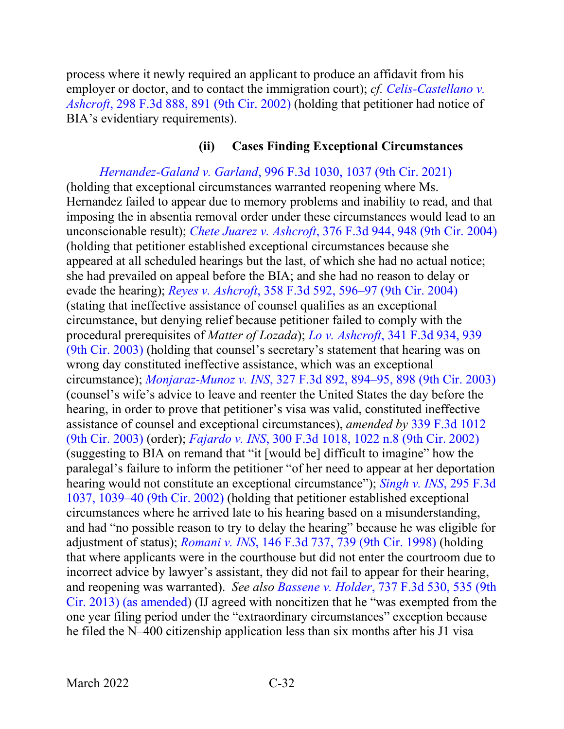process where it newly required an applicant to produce an affidavit from his employer or doctor, and to contact the immigration court); *cf. [Celis-Castellano v.](https://www.westlaw.com/Document/Icba406e679e011d9ac1ffa9f33b6c3b0/View/FullText.html?transitionType=Default&contextData=(sc.Default)&VR=3.0&RS=da3.0&fragmentIdentifier=co_pp_sp_506_891)  Ashcroft*[, 298 F.3d 888, 891 \(9th Cir. 2002\)](https://www.westlaw.com/Document/Icba406e679e011d9ac1ffa9f33b6c3b0/View/FullText.html?transitionType=Default&contextData=(sc.Default)&VR=3.0&RS=da3.0&fragmentIdentifier=co_pp_sp_506_891) (holding that petitioner had notice of BIA's evidentiary requirements).

#### **(ii) Cases Finding Exceptional Circumstances**

<span id="page-35-0"></span>*Hernandez-Galand v. Garland*[, 996 F.3d 1030, 1037 \(9th Cir. 2021\)](https://www.westlaw.com/Document/I9b87f0c0b35d11ebbfe8d873c1c72202/View/FullText.html?transitionType=Default&contextData=(sc.Default)&VR=3.0&RS=da3.0&fragmentIdentifier=co_pp_sp_506_1037) (holding that exceptional circumstances warranted reopening where Ms. Hernandez failed to appear due to memory problems and inability to read, and that imposing the in absentia removal order under these circumstances would lead to an unconscionable result); *Chete Juarez v. Ashcroft*[, 376 F.3d 944, 948 \(9th Cir. 2004\)](https://www.westlaw.com/Document/Ibfc454c58ba511d9af17b5c9441c4c47/View/FullText.html?transitionType=Default&contextData=(sc.Default)&VR=3.0&RS=da3.0&fragmentIdentifier=co_pp_sp_506_948) (holding that petitioner established exceptional circumstances because she appeared at all scheduled hearings but the last, of which she had no actual notice; she had prevailed on appeal before the BIA; and she had no reason to delay or evade the hearing); *Reyes v. Ashcroft*[, 358 F.3d 592, 596–97 \(9th Cir. 2004\)](https://www.westlaw.com/Document/Id3ae35b189f611d9b6ea9f5a173c4523/View/FullText.html?transitionType=Default&contextData=(sc.Default)&VR=3.0&RS=da3.0&fragmentIdentifier=co_pp_sp_506_596) (stating that ineffective assistance of counsel qualifies as an exceptional circumstance, but denying relief because petitioner failed to comply with the procedural prerequisites of *Matter of Lozada*); *Lo v. Ashcroft*, [341 F.3d 934, 939](https://www.westlaw.com/Document/I9865cf4a89e711d9903eeb4634b8d78e/View/FullText.html?transitionType=Default&contextData=(sc.Default)&VR=3.0&RS=da3.0&fragmentIdentifier=co_pp_sp_506_939)  [\(9th Cir. 2003\)](https://www.westlaw.com/Document/I9865cf4a89e711d9903eeb4634b8d78e/View/FullText.html?transitionType=Default&contextData=(sc.Default)&VR=3.0&RS=da3.0&fragmentIdentifier=co_pp_sp_506_939) (holding that counsel's secretary's statement that hearing was on wrong day constituted ineffective assistance, which was an exceptional circumstance); *Monjaraz-Munoz v. INS*[, 327 F.3d 892, 894–95, 898 \(9th Cir. 2003\)](https://www.westlaw.com/Document/I45146a0b89d711d9b6ea9f5a173c4523/View/FullText.html?transitionType=Default&contextData=(sc.Default)&VR=3.0&RS=da3.0&fragmentIdentifier=co_pp_sp_506_894) (counsel's wife's advice to leave and reenter the United States the day before the hearing, in order to prove that petitioner's visa was valid, constituted ineffective assistance of counsel and exceptional circumstances), *amended by* [339 F.3d 1012](https://www.westlaw.com/Document/Icfa8945989e811d9903eeb4634b8d78e/View/FullText.html?transitionType=Default&contextData=(sc.Default)&VR=3.0&RS=da3.0)  [\(9th Cir. 2003\)](https://www.westlaw.com/Document/Icfa8945989e811d9903eeb4634b8d78e/View/FullText.html?transitionType=Default&contextData=(sc.Default)&VR=3.0&RS=da3.0) (order); *Fajardo v. INS*, [300 F.3d 1018, 1022 n.8 \(9th Cir. 2002\)](https://www.westlaw.com/Document/Icb8ad99d79e011d9ac1ffa9f33b6c3b0/View/FullText.html?transitionType=Default&contextData=(sc.Default)&VR=3.0&RS=da3.0&fragmentIdentifier=co_pp_sp_506_1022+n.8) (suggesting to BIA on remand that "it [would be] difficult to imagine" how the paralegal's failure to inform the petitioner "of her need to appear at her deportation hearing would not constitute an exceptional circumstance"); *[Singh v. INS](https://www.westlaw.com/Document/I86e3639279de11d99c4dbb2f0352441d/View/FullText.html?transitionType=Default&contextData=(sc.Default)&VR=3.0&RS=da3.0&fragmentIdentifier=co_pp_sp_506_1039)*, 295 F.3d [1037, 1039–40 \(9th Cir. 2002\)](https://www.westlaw.com/Document/I86e3639279de11d99c4dbb2f0352441d/View/FullText.html?transitionType=Default&contextData=(sc.Default)&VR=3.0&RS=da3.0&fragmentIdentifier=co_pp_sp_506_1039) (holding that petitioner established exceptional circumstances where he arrived late to his hearing based on a misunderstanding, and had "no possible reason to try to delay the hearing" because he was eligible for adjustment of status); *Romani v. INS*[, 146 F.3d 737, 739 \(9th Cir. 1998\)](https://www.westlaw.com/Document/Ic6bfc3c0944911d9bdd1cfdd544ca3a4/View/FullText.html?transitionType=Default&contextData=(sc.Default)&VR=3.0&RS=da3.0&fragmentIdentifier=co_pp_sp_506_739) (holding that where applicants were in the courthouse but did not enter the courtroom due to incorrect advice by lawyer's assistant, they did not fail to appear for their hearing, and reopening was warranted). *See also Bassene v. Holder*[, 737 F.3d 530, 535 \(9th](https://www.westlaw.com/Document/I47eceb2b246611e3a341ea44e5e1f25f/View/FullText.html?transitionType=Default&contextData=(sc.Default)&VR=3.0&RS=da3.0&fragmentIdentifier=co_pp_sp_506_535)  [Cir. 2013\) \(as amended\)](https://www.westlaw.com/Document/I47eceb2b246611e3a341ea44e5e1f25f/View/FullText.html?transitionType=Default&contextData=(sc.Default)&VR=3.0&RS=da3.0&fragmentIdentifier=co_pp_sp_506_535) (IJ agreed with noncitizen that he "was exempted from the one year filing period under the "extraordinary circumstances" exception because he filed the N–400 citizenship application less than six months after his J1 visa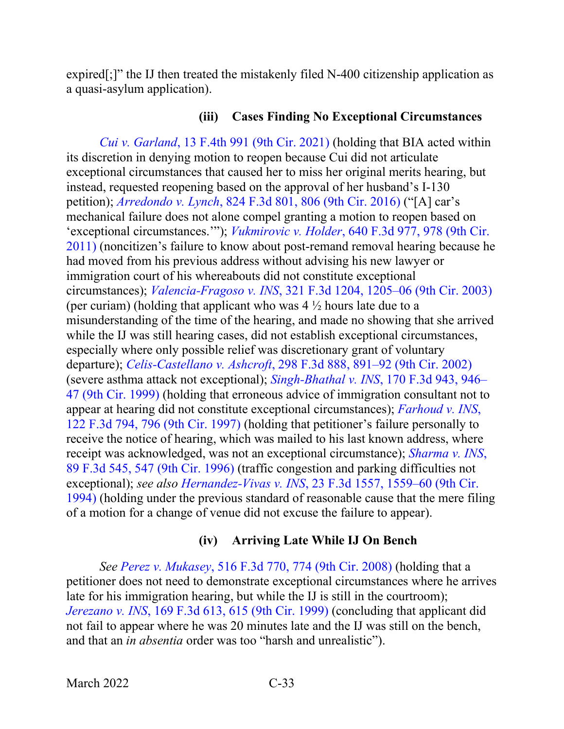expired[;]" the IJ then treated the mistakenly filed N-400 citizenship application as a quasi-asylum application).

#### **(iii) Cases Finding No Exceptional Circumstances**

*Cui v. Garland*[, 13 F.4th 991 \(9th Cir. 2021\)](https://www.westlaw.com/Document/I6b62a7b01ca211ec925cb2bf681461fd/View/FullText.html?transitionType=Default&contextData=(sc.Default)&VR=3.0&RS=da3.0) (holding that BIA acted within its discretion in denying motion to reopen because Cui did not articulate exceptional circumstances that caused her to miss her original merits hearing, but instead, requested reopening based on the approval of her husband's I-130 petition); *Arredondo v. Lynch*[, 824 F.3d 801, 806 \(9th Cir. 2016\)](https://www.westlaw.com/Document/I495893c0265b11e68a49905015f0787e/View/FullText.html?transitionType=Default&contextData=(sc.Default)&VR=3.0&RS=da3.0&fragmentIdentifier=co_pp_sp_506_806) ("[A] car's mechanical failure does not alone compel granting a motion to reopen based on 'exceptional circumstances.'"); *Vukmirovic v. Holder*[, 640 F.3d 977, 978 \(9th Cir.](https://www.westlaw.com/Document/I280e16df611e11e089b3e4fa6356f33d/View/FullText.html?transitionType=Default&contextData=(sc.Default)&VR=3.0&RS=da3.0&fragmentIdentifier=co_pp_sp_506_978)  [2011\)](https://www.westlaw.com/Document/I280e16df611e11e089b3e4fa6356f33d/View/FullText.html?transitionType=Default&contextData=(sc.Default)&VR=3.0&RS=da3.0&fragmentIdentifier=co_pp_sp_506_978) (noncitizen's failure to know about post-remand removal hearing because he had moved from his previous address without advising his new lawyer or immigration court of his whereabouts did not constitute exceptional circumstances); *Valencia-Fragoso v. INS*[, 321 F.3d 1204, 1205–06 \(9th Cir. 2003\)](https://www.westlaw.com/Document/I83d87ad489c711d9b6ea9f5a173c4523/View/FullText.html?transitionType=Default&contextData=(sc.Default)&VR=3.0&RS=da3.0&fragmentIdentifier=co_pp_sp_506_1205) (per curiam) (holding that applicant who was  $4\frac{1}{2}$  hours late due to a misunderstanding of the time of the hearing, and made no showing that she arrived while the IJ was still hearing cases, did not establish exceptional circumstances, especially where only possible relief was discretionary grant of voluntary departure); *Celis-Castellano v. Ashcroft*[, 298 F.3d 888, 891–92 \(9th Cir. 2002\)](https://www.westlaw.com/Document/Icba406e679e011d9ac1ffa9f33b6c3b0/View/FullText.html?transitionType=Default&contextData=(sc.Default)&VR=3.0&RS=da3.0&fragmentIdentifier=co_pp_sp_506_891) (severe asthma attack not exceptional); *[Singh-Bhathal v. INS](https://www.westlaw.com/Document/Ibc92a976949011d9bdd1cfdd544ca3a4/View/FullText.html?transitionType=Default&contextData=(sc.Default)&VR=3.0&RS=da3.0&fragmentIdentifier=co_pp_sp_506_946)*, 170 F.3d 943, 946– [47 \(9th Cir. 1999\)](https://www.westlaw.com/Document/Ibc92a976949011d9bdd1cfdd544ca3a4/View/FullText.html?transitionType=Default&contextData=(sc.Default)&VR=3.0&RS=da3.0&fragmentIdentifier=co_pp_sp_506_946) (holding that erroneous advice of immigration consultant not to appear at hearing did not constitute exceptional circumstances); *[Farhoud v. INS](https://www.westlaw.com/Document/I654e0721942a11d993e6d35cc61aab4a/View/FullText.html?transitionType=Default&contextData=(sc.Default)&VR=3.0&RS=da3.0&fragmentIdentifier=co_pp_sp_506_796)*, [122 F.3d 794, 796 \(9th Cir. 1997\)](https://www.westlaw.com/Document/I654e0721942a11d993e6d35cc61aab4a/View/FullText.html?transitionType=Default&contextData=(sc.Default)&VR=3.0&RS=da3.0&fragmentIdentifier=co_pp_sp_506_796) (holding that petitioner's failure personally to receive the notice of hearing, which was mailed to his last known address, where receipt was acknowledged, was not an exceptional circumstance); *[Sharma v. INS](https://www.westlaw.com/Document/I8fc4a4df933111d9a707f4371c9c34f0/View/FullText.html?transitionType=Default&contextData=(sc.Default)&VR=3.0&RS=da3.0&fragmentIdentifier=co_pp_sp_506_547)*, [89 F.3d 545, 547 \(9th Cir. 1996\)](https://www.westlaw.com/Document/I8fc4a4df933111d9a707f4371c9c34f0/View/FullText.html?transitionType=Default&contextData=(sc.Default)&VR=3.0&RS=da3.0&fragmentIdentifier=co_pp_sp_506_547) (traffic congestion and parking difficulties not exceptional); *see also Hernandez-Vivas v. INS*[, 23 F.3d 1557, 1559–60 \(9th Cir.](https://www.westlaw.com/Document/If781268c970411d9bc61beebb95be672/View/FullText.html?transitionType=Default&contextData=(sc.Default)&VR=3.0&RS=da3.0&fragmentIdentifier=co_pp_sp_506_1559)  [1994\)](https://www.westlaw.com/Document/If781268c970411d9bc61beebb95be672/View/FullText.html?transitionType=Default&contextData=(sc.Default)&VR=3.0&RS=da3.0&fragmentIdentifier=co_pp_sp_506_1559) (holding under the previous standard of reasonable cause that the mere filing of a motion for a change of venue did not excuse the failure to appear).

### **(iv) Arriving Late While IJ On Bench**

*See Perez v. Mukasey*[, 516 F.3d 770, 774 \(9th Cir. 2008\)](https://www.westlaw.com/Document/I8002158cdb0211dca9c2f716e0c816ba/View/FullText.html?transitionType=Default&contextData=(sc.Default)&VR=3.0&RS=da3.0&fragmentIdentifier=co_pp_sp_506_774) (holding that a petitioner does not need to demonstrate exceptional circumstances where he arrives late for his immigration hearing, but while the IJ is still in the courtroom); *Jerezano v. INS*[, 169 F.3d 613, 615 \(9th Cir. 1999\)](https://www.westlaw.com/Document/Ie098d390948a11d993e6d35cc61aab4a/View/FullText.html?transitionType=Default&contextData=(sc.Default)&VR=3.0&RS=da3.0&fragmentIdentifier=co_pp_sp_506_615) (concluding that applicant did not fail to appear where he was 20 minutes late and the IJ was still on the bench, and that an *in absentia* order was too "harsh and unrealistic").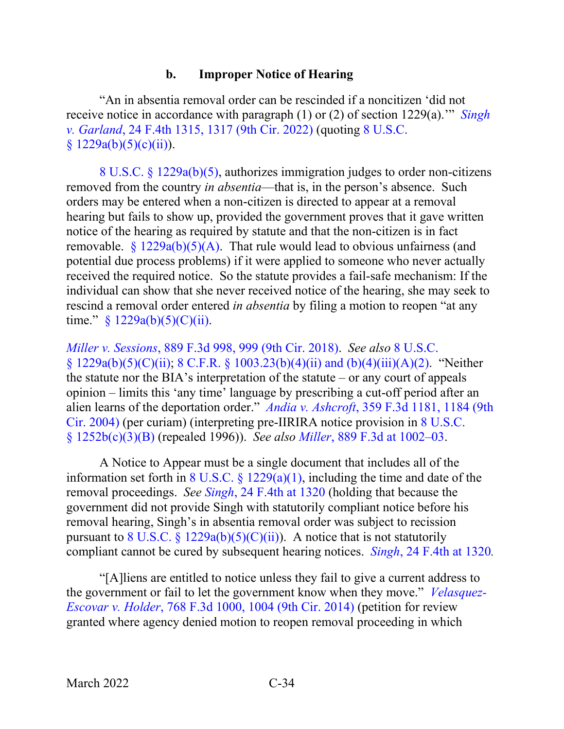### **b. Improper Notice of Hearing**

"An in absentia removal order can be rescinded if a noncitizen 'did not receive notice in accordance with paragraph (1) or (2) of section 1229(a).'" *[Singh](https://www.westlaw.com/Document/Ibd68e52085f611ecb061fecc2fb6bc54/View/FullText.html?transitionType=Default&contextData=(sc.Default)&VR=3.0&RS=da3.0&fragmentIdentifier=co_pp_sp_8173_1317)  v. Garland*[, 24 F.4th 1315, 1317 \(9th Cir. 2022\)](https://www.westlaw.com/Document/Ibd68e52085f611ecb061fecc2fb6bc54/View/FullText.html?transitionType=Default&contextData=(sc.Default)&VR=3.0&RS=da3.0&fragmentIdentifier=co_pp_sp_8173_1317) (quoting [8 U.S.C.](https://www.westlaw.com/Document/NFF9ECF308EBA11DAAF57BD3E6EFC5A3E/View/FullText.html?transitionType=Default&contextData=(sc.Default)&VR=3.0&RS=da3.0)   $§ 1229a(b)(5)(c)(ii)).$  $§ 1229a(b)(5)(c)(ii)).$ 

8 U.S.C. § [1229a\(b\)\(5\),](https://www.westlaw.com/Document/NFF9ECF308EBA11DAAF57BD3E6EFC5A3E/View/FullText.html?transitionType=Default&contextData=(sc.Default)&VR=3.0&RS=da3.0) authorizes immigration judges to order non-citizens removed from the country *in absentia*—that is, in the person's absence. Such orders may be entered when a non-citizen is directed to appear at a removal hearing but fails to show up, provided the government proves that it gave written notice of the hearing as required by statute and that the non-citizen is in fact removable.  $\frac{8}{229a(b)(5)(A)}$ . That rule would lead to obvious unfairness (and potential due process problems) if it were applied to someone who never actually received the required notice. So the statute provides a fail-safe mechanism: If the individual can show that she never received notice of the hearing, she may seek to rescind a removal order entered *in absentia* by filing a motion to reopen "at any time."  $§ 1229a(b)(5)(C)(ii)$ .

*Miller v. Sessions*[, 889 F.3d 998, 999 \(9th Cir. 2018\).](https://www.westlaw.com/Document/I30809a1052db11e89034f60e1699ddbe/View/FullText.html?transitionType=Default&contextData=(sc.Default)&VR=3.0&RS=da3.0&fragmentIdentifier=co_pp_sp_506_999) *See also* [8 U.S.C.](https://www.westlaw.com/Document/NFF9ECF308EBA11DAAF57BD3E6EFC5A3E/View/FullText.html?transitionType=Default&contextData=(sc.Default)&VR=3.0&RS=da3.0)  [§ 1229a\(b\)\(5\)\(C\)\(ii\);](https://www.westlaw.com/Document/NFF9ECF308EBA11DAAF57BD3E6EFC5A3E/View/FullText.html?transitionType=Default&contextData=(sc.Default)&VR=3.0&RS=da3.0) 8 C.F.R. § [1003.23\(b\)\(4\)\(ii\) and \(b\)\(4\)\(iii\)\(A\)\(2\).](https://www.westlaw.com/Document/N3221B9F05C2111ECBF0FBEFEA0C9DE47/View/FullText.html?transitionType=Default&contextData=(sc.Default)&VR=3.0&RS=da3.0) "Neither the statute nor the BIA's interpretation of the statute – or any court of appeals opinion – limits this 'any time' language by prescribing a cut-off period after an alien learns of the deportation order." *Andia v. Ashcroft*[, 359 F.3d 1181, 1184 \(9th](https://www.westlaw.com/Document/I6ae8e78b89fd11d9ac45f46c5ea084a3/View/FullText.html?transitionType=Default&contextData=(sc.Default)&VR=3.0&RS=da3.0&fragmentIdentifier=co_pp_sp_506_1184)  [Cir. 2004\)](https://www.westlaw.com/Document/I6ae8e78b89fd11d9ac45f46c5ea084a3/View/FullText.html?transitionType=Default&contextData=(sc.Default)&VR=3.0&RS=da3.0&fragmentIdentifier=co_pp_sp_506_1184) (per curiam) (interpreting pre-IIRIRA notice provision in [8 U.S.C.](https://www.westlaw.com/Document/N5F85CA10A35911D8B9DE9866EEAFC42E/View/FullText.html?transitionType=Default&contextData=(sc.Default)&VR=3.0&RS=da3.0)  [§ 1252b\(c\)\(3\)\(B\)](https://www.westlaw.com/Document/N5F85CA10A35911D8B9DE9866EEAFC42E/View/FullText.html?transitionType=Default&contextData=(sc.Default)&VR=3.0&RS=da3.0) (repealed 1996)). *See also Miller*[, 889 F.3d at 1002–03.](https://www.westlaw.com/Document/I30809a1052db11e89034f60e1699ddbe/View/FullText.html?transitionType=Default&contextData=(sc.Default)&VR=3.0&RS=da3.0&fragmentIdentifier=co_pp_sp_506_1002)

A Notice to Appear must be a single document that includes all of the information set forth in 8 U.S.C.  $\frac{1229(a)(1)}{1}$ , including the time and date of the removal proceedings. *See Singh*[, 24 F.4th at 1320](https://www.westlaw.com/Document/Ibd68e52085f611ecb061fecc2fb6bc54/View/FullText.html?transitionType=Default&contextData=(sc.Default)&VR=3.0&RS=da3.0&fragmentIdentifier=co_pp_sp_8173_1320) (holding that because the government did not provide Singh with statutorily compliant notice before his removal hearing, Singh's in absentia removal order was subject to recission pursuant to 8 U.S.C.  $\frac{229a(b)(5)(C)(ii)}{2}$ . A notice that is not statutorily compliant cannot be cured by subsequent hearing notices. *Singh*[, 24 F.4th at 1320](https://www.westlaw.com/Document/Ibd68e52085f611ecb061fecc2fb6bc54/View/FullText.html?transitionType=Default&contextData=(sc.Default)&VR=3.0&RS=da3.0&fragmentIdentifier=co_pp_sp_8173_1320)*.* 

"[A]liens are entitled to notice unless they fail to give a current address to the government or fail to let the government know when they move." *[Velasquez-](https://www.westlaw.com/Document/I1fdc6bb5480611e4a795ac035416da91/View/FullText.html?transitionType=Default&contextData=(sc.Default)&VR=3.0&RS=da3.0&fragmentIdentifier=co_pp_sp_506_1004)Escovar v. Holder*[, 768 F.3d 1000, 1004 \(9th Cir. 2014\)](https://www.westlaw.com/Document/I1fdc6bb5480611e4a795ac035416da91/View/FullText.html?transitionType=Default&contextData=(sc.Default)&VR=3.0&RS=da3.0&fragmentIdentifier=co_pp_sp_506_1004) (petition for review granted where agency denied motion to reopen removal proceeding in which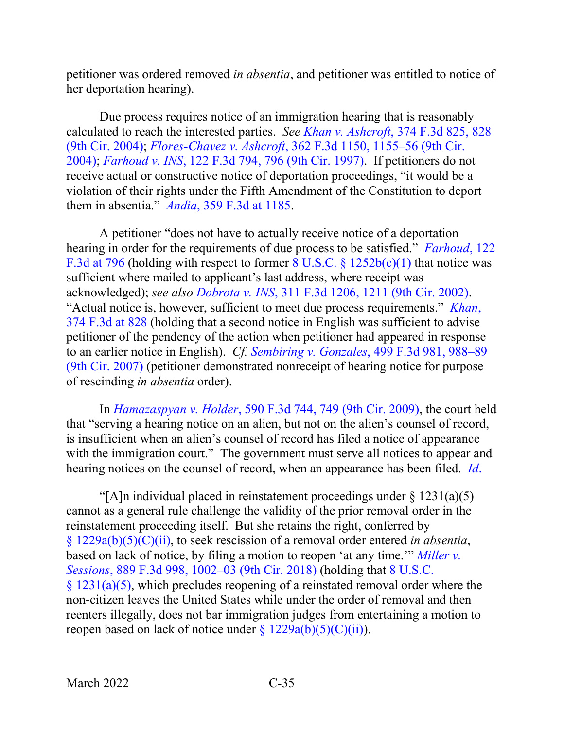petitioner was ordered removed *in absentia*, and petitioner was entitled to notice of her deportation hearing).

Due process requires notice of an immigration hearing that is reasonably calculated to reach the interested parties. *See Khan v. Ashcroft*[, 374 F.3d 825, 828](https://www.westlaw.com/Document/Ibddc862d8b9e11d99dcc8cc3e68b51e9/View/FullText.html?transitionType=Default&contextData=(sc.Default)&VR=3.0&RS=da3.0&fragmentIdentifier=co_pp_sp_506_828)  [\(9th Cir. 2004\);](https://www.westlaw.com/Document/Ibddc862d8b9e11d99dcc8cc3e68b51e9/View/FullText.html?transitionType=Default&contextData=(sc.Default)&VR=3.0&RS=da3.0&fragmentIdentifier=co_pp_sp_506_828) *Flores-Chavez v. Ashcroft*[, 362 F.3d 1150, 1155–56 \(9th Cir.](https://www.westlaw.com/Document/I6ac9edd589fd11d9ac45f46c5ea084a3/View/FullText.html?transitionType=Default&contextData=(sc.Default)&VR=3.0&RS=da3.0&fragmentIdentifier=co_pp_sp_506_1155)  [2004\);](https://www.westlaw.com/Document/I6ac9edd589fd11d9ac45f46c5ea084a3/View/FullText.html?transitionType=Default&contextData=(sc.Default)&VR=3.0&RS=da3.0&fragmentIdentifier=co_pp_sp_506_1155) *Farhoud v. INS*[, 122 F.3d 794, 796 \(9th Cir. 1997\).](https://www.westlaw.com/Document/I654e0721942a11d993e6d35cc61aab4a/View/FullText.html?transitionType=Default&contextData=(sc.Default)&VR=3.0&RS=da3.0&fragmentIdentifier=co_pp_sp_506_796) If petitioners do not receive actual or constructive notice of deportation proceedings, "it would be a violation of their rights under the Fifth Amendment of the Constitution to deport them in absentia." *Andia*[, 359 F.3d at 1185.](https://www.westlaw.com/Document/I6ae8e78b89fd11d9ac45f46c5ea084a3/View/FullText.html?transitionType=Default&contextData=(sc.Default)&VR=3.0&RS=da3.0&fragmentIdentifier=co_pp_sp_506_1185)

A petitioner "does not have to actually receive notice of a deportation hearing in order for the requirements of due process to be satisfied." *[Farhoud](https://www.westlaw.com/Document/I654e0721942a11d993e6d35cc61aab4a/View/FullText.html?transitionType=Default&contextData=(sc.Default)&VR=3.0&RS=da3.0&fragmentIdentifier=co_pp_sp_506_796)*, 122 [F.3d at 796](https://www.westlaw.com/Document/I654e0721942a11d993e6d35cc61aab4a/View/FullText.html?transitionType=Default&contextData=(sc.Default)&VR=3.0&RS=da3.0&fragmentIdentifier=co_pp_sp_506_796) (holding with respect to former 8 U.S.C. § [1252b\(c\)\(1\)](https://www.westlaw.com/Document/N5F85CA10A35911D8B9DE9866EEAFC42E/View/FullText.html?transitionType=Default&contextData=(sc.Default)&VR=3.0&RS=da3.0) that notice was sufficient where mailed to applicant's last address, where receipt was acknowledged); *see also Dobrota v. INS*[, 311 F.3d 1206, 1211 \(9th Cir.](https://www.westlaw.com/Document/I87d1b45e89ba11d98b51ba734bfc3c79/View/FullText.html?transitionType=Default&contextData=(sc.Default)&VR=3.0&RS=da3.0&fragmentIdentifier=co_pp_sp_506_1211) 2002). "Actual notice is, however, sufficient to meet due process requirements." *[Khan](https://www.westlaw.com/Document/Ibddc862d8b9e11d99dcc8cc3e68b51e9/View/FullText.html?transitionType=Default&contextData=(sc.Default)&VR=3.0&RS=da3.0&fragmentIdentifier=co_pp_sp_506_828)*, [374 F.3d at 828](https://www.westlaw.com/Document/Ibddc862d8b9e11d99dcc8cc3e68b51e9/View/FullText.html?transitionType=Default&contextData=(sc.Default)&VR=3.0&RS=da3.0&fragmentIdentifier=co_pp_sp_506_828) (holding that a second notice in English was sufficient to advise petitioner of the pendency of the action when petitioner had appeared in response to an earlier notice in English). *Cf. Sembiring v. Gonzales*[, 499 F.3d 981, 988–89](https://www.westlaw.com/Document/I7306528452d811dc8200d0063168b01f/View/FullText.html?transitionType=Default&contextData=(sc.Default)&VR=3.0&RS=da3.0&fragmentIdentifier=co_pp_sp_506_988)  [\(9th Cir. 2007\)](https://www.westlaw.com/Document/I7306528452d811dc8200d0063168b01f/View/FullText.html?transitionType=Default&contextData=(sc.Default)&VR=3.0&RS=da3.0&fragmentIdentifier=co_pp_sp_506_988) (petitioner demonstrated nonreceipt of hearing notice for purpose of rescinding *in absentia* order).

In *Hamazaspyan v. Holder*[, 590 F.3d 744, 749 \(9th Cir. 2009\),](https://www.westlaw.com/Document/I9cbc1d43ee4d11de8bf6cd8525c41437/View/FullText.html?transitionType=Default&contextData=(sc.Default)&VR=3.0&RS=da3.0&fragmentIdentifier=co_pp_sp_506_749) the court held that "serving a hearing notice on an alien, but not on the alien's counsel of record, is insufficient when an alien's counsel of record has filed a notice of appearance with the immigration court." The government must serve all notices to appear and hearing notices on the counsel of record, when an appearance has been filed. *[Id](https://www.westlaw.com/Document/I9cbc1d43ee4d11de8bf6cd8525c41437/View/FullText.html?transitionType=Default&contextData=(sc.Default)&VR=3.0&RS=da3.0)*.

"[A]n individual placed in reinstatement proceedings under  $\S 1231(a)(5)$ cannot as a general rule challenge the validity of the prior removal order in the reinstatement proceeding itself. But she retains the right, conferred by § [1229a\(b\)\(5\)\(C\)\(ii\),](https://www.westlaw.com/Document/NFF9ECF308EBA11DAAF57BD3E6EFC5A3E/View/FullText.html?transitionType=Default&contextData=(sc.Default)&VR=3.0&RS=da3.0) to seek rescission of a removal order entered *in absentia*, based on lack of notice, by filing a motion to reopen 'at any time.'" *[Miller v.](https://www.westlaw.com/Document/I30809a1052db11e89034f60e1699ddbe/View/FullText.html?transitionType=Default&contextData=(sc.Default)&VR=3.0&RS=da3.0&fragmentIdentifier=co_pp_sp_506_1002)  Sessions*[, 889 F.3d 998, 1002–03 \(9th Cir. 2018\)](https://www.westlaw.com/Document/I30809a1052db11e89034f60e1699ddbe/View/FullText.html?transitionType=Default&contextData=(sc.Default)&VR=3.0&RS=da3.0&fragmentIdentifier=co_pp_sp_506_1002) (holding that [8 U.S.C.](https://www.westlaw.com/Document/N769233908F8B11DAAF58BD3E6EFC5A3E/View/FullText.html?transitionType=Default&contextData=(sc.Default)&VR=3.0&RS=da3.0)   $§ 1231(a)(5)$ , which precludes reopening of a reinstated removal order where the non-citizen leaves the United States while under the order of removal and then reenters illegally, does not bar immigration judges from entertaining a motion to reopen based on lack of notice under  $\frac{\xi}{229a(b)(5)(C)(ii)}$ .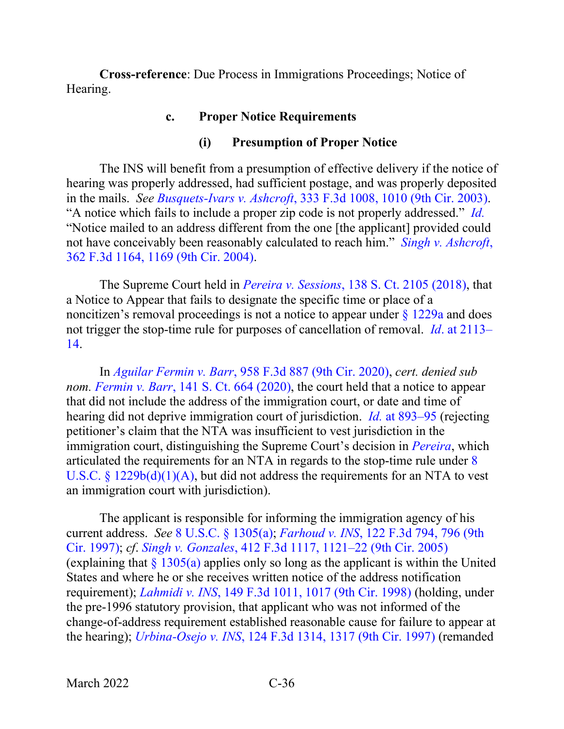**Cross-reference**: Due Process in Immigrations Proceedings; Notice of Hearing.

### **c. Proper Notice Requirements**

#### **(i) Presumption of Proper Notice**

The INS will benefit from a presumption of effective delivery if the notice of hearing was properly addressed, had sufficient postage, and was properly deposited in the mails. *See Busquets-Ivars v. Ashcroft*[, 333 F.3d 1008, 1010 \(9th Cir. 2003\).](https://www.westlaw.com/Document/I53a17c1789dd11d9b6ea9f5a173c4523/View/FullText.html?transitionType=Default&contextData=(sc.Default)&VR=3.0&RS=da3.0&fragmentIdentifier=co_pp_sp_506_1010) "A notice which fails to include a proper zip code is not properly addressed." *[Id.](https://www.westlaw.com/Document/I53a17c1789dd11d9b6ea9f5a173c4523/View/FullText.html?transitionType=Default&contextData=(sc.Default)&VR=3.0&RS=da3.0)* "Notice mailed to an address different from the one [the applicant] provided could not have conceivably been reasonably calculated to reach him." *[Singh v. Ashcroft](https://www.westlaw.com/Document/I6ac8dc6f89fd11d9ac45f46c5ea084a3/View/FullText.html?transitionType=Default&contextData=(sc.Default)&VR=3.0&RS=da3.0&fragmentIdentifier=co_pp_sp_506_1169)*, [362 F.3d 1164, 1169 \(9th Cir. 2004\).](https://www.westlaw.com/Document/I6ac8dc6f89fd11d9ac45f46c5ea084a3/View/FullText.html?transitionType=Default&contextData=(sc.Default)&VR=3.0&RS=da3.0&fragmentIdentifier=co_pp_sp_506_1169)

The Supreme Court held in *Pereira v. Sessions*[, 138 S. Ct. 2105 \(2018\),](https://www.westlaw.com/Document/Ic60a226f752611e89d59c04243316042/View/FullText.html?transitionType=Default&contextData=(sc.Default)&VR=3.0&RS=da3.0) that a Notice to Appear that fails to designate the specific time or place of a noncitizen's removal proceedings is not a notice to appear under  $\frac{1229a}{1229a}$  $\frac{1229a}{1229a}$  $\frac{1229a}{1229a}$  and does not trigger the stop-time rule for purposes of cancellation of removal. *Id*[. at 2113–](https://www.westlaw.com/Document/Ic60a226f752611e89d59c04243316042/View/FullText.html?transitionType=Default&contextData=(sc.Default)&VR=3.0&RS=da3.0&fragmentIdentifier=co_pp_sp_708_2113) [14.](https://www.westlaw.com/Document/Ic60a226f752611e89d59c04243316042/View/FullText.html?transitionType=Default&contextData=(sc.Default)&VR=3.0&RS=da3.0&fragmentIdentifier=co_pp_sp_708_2113)

In *Aguilar Fermin v. Barr*[, 958 F.3d 887 \(9th Cir. 2020\),](https://www.westlaw.com/Document/I0f45f6b08f1511ea8b0f97acce53a660/View/FullText.html?transitionType=Default&contextData=(sc.Default)&VR=3.0&RS=da3.0) *cert. denied sub nom. Fermin v. Barr*[, 141 S. Ct. 664 \(2020\),](https://www.westlaw.com/Link/Document/FullText?cite=141SCT664&VR=3.0&RS=da3.0) the court held that a notice to appear that did not include the address of the immigration court, or date and time of hearing did not deprive immigration court of jurisdiction. *Id.* [at 893–95](https://www.westlaw.com/Document/I0f45f6b08f1511ea8b0f97acce53a660/View/FullText.html?transitionType=Default&contextData=(sc.Default)&VR=3.0&RS=da3.0&fragmentIdentifier=co_pp_sp_506_893) (rejecting petitioner's claim that the NTA was insufficient to vest jurisdiction in the immigration court, distinguishing the Supreme Court's decision in *[Pereira](https://www.westlaw.com/Document/Ic60a226f752611e89d59c04243316042/View/FullText.html?transitionType=Default&contextData=(sc.Default)&VR=3.0&RS=da3.0)*, which articulated the requirements for an NTA in regards to the stop-time rule under [8](https://www.westlaw.com/Document/NB5406150DB4311DDAC3DD76F29978AEE/View/FullText.html?transitionType=Default&contextData=(sc.Default)&VR=3.0&RS=da3.0)  U.S.C.  $\frac{8}{229b(d)(1)(A)}$ , but did not address the requirements for an NTA to vest an immigration court with jurisdiction).

The applicant is responsible for informing the immigration agency of his current address. *See* [8 U.S.C. §](https://www.westlaw.com/Document/N608C3D90A35911D8B9DE9866EEAFC42E/View/FullText.html?transitionType=Default&contextData=(sc.Default)&VR=3.0&RS=da3.0) 1305(a); *Farhoud v. INS*[, 122 F.3d 794, 796 \(9th](https://www.westlaw.com/Document/I654e0721942a11d993e6d35cc61aab4a/View/FullText.html?transitionType=Default&contextData=(sc.Default)&VR=3.0&RS=da3.0&fragmentIdentifier=co_pp_sp_506_796)  [Cir. 1997\);](https://www.westlaw.com/Document/I654e0721942a11d993e6d35cc61aab4a/View/FullText.html?transitionType=Default&contextData=(sc.Default)&VR=3.0&RS=da3.0&fragmentIdentifier=co_pp_sp_506_796) *cf*. *Singh v. Gonzales*, [412 F.3d 1117, 1121–22 \(9th Cir. 2005\)](https://www.westlaw.com/Document/I58f9ca04e4e111d98ac8f235252e36df/View/FullText.html?transitionType=Default&contextData=(sc.Default)&VR=3.0&RS=da3.0&fragmentIdentifier=co_pp_sp_506_1121) (explaining that  $\frac{1305(a)}{a}$  $\frac{1305(a)}{a}$  $\frac{1305(a)}{a}$  applies only so long as the applicant is within the United States and where he or she receives written notice of the address notification requirement); *Lahmidi v. INS*[, 149 F.3d 1011, 1017 \(9th Cir. 1998\)](https://www.westlaw.com/Document/I4f4af52e944f11d9bc61beebb95be672/View/FullText.html?transitionType=Default&contextData=(sc.Default)&VR=3.0&RS=da3.0&fragmentIdentifier=co_pp_sp_506_1017) (holding, under the pre-1996 statutory provision, that applicant who was not informed of the change-of-address requirement established reasonable cause for failure to appear at the hearing); *Urbina-Osejo v. INS*[, 124 F.3d 1314, 1317 \(9th Cir. 1997\)](https://www.westlaw.com/Document/I7859722c942c11d9a707f4371c9c34f0/View/FullText.html?transitionType=Default&contextData=(sc.Default)&VR=3.0&RS=da3.0&fragmentIdentifier=co_pp_sp_506_1317) (remanded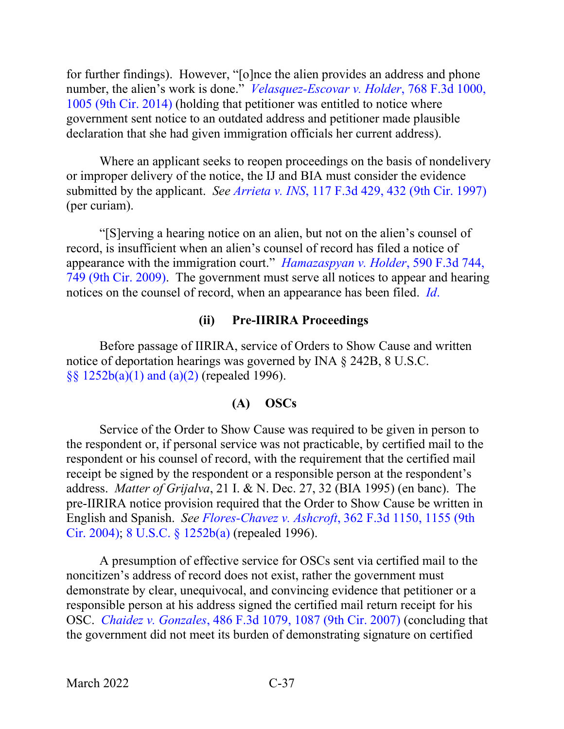for further findings). However, "[o]nce the alien provides an address and phone number, the alien's work is done." *[Velasquez-Escovar v. Holder](https://www.westlaw.com/Document/I1fdc6bb5480611e4a795ac035416da91/View/FullText.html?transitionType=Default&contextData=(sc.Default)&VR=3.0&RS=da3.0&fragmentIdentifier=co_pp_sp_506_1005)*, 768 F.3d 1000, [1005 \(9th Cir. 2014\)](https://www.westlaw.com/Document/I1fdc6bb5480611e4a795ac035416da91/View/FullText.html?transitionType=Default&contextData=(sc.Default)&VR=3.0&RS=da3.0&fragmentIdentifier=co_pp_sp_506_1005) (holding that petitioner was entitled to notice where government sent notice to an outdated address and petitioner made plausible declaration that she had given immigration officials her current address).

Where an applicant seeks to reopen proceedings on the basis of nondelivery or improper delivery of the notice, the IJ and BIA must consider the evidence submitted by the applicant. *See Arrieta v. INS*[, 117 F.3d 429, 432 \(9th Cir. 1997\)](https://www.westlaw.com/Document/I626effd4942611d9bc61beebb95be672/View/FullText.html?transitionType=Default&contextData=(sc.Default)&VR=3.0&RS=da3.0&fragmentIdentifier=co_pp_sp_506_432) (per curiam).

"[S]erving a hearing notice on an alien, but not on the alien's counsel of record, is insufficient when an alien's counsel of record has filed a notice of appearance with the immigration court." *[Hamazaspyan v. Holder](https://www.westlaw.com/Document/I9cbc1d43ee4d11de8bf6cd8525c41437/View/FullText.html?transitionType=Default&contextData=(sc.Default)&VR=3.0&RS=da3.0&fragmentIdentifier=co_pp_sp_506_749)*, 590 F.3d 744, [749 \(9th Cir. 2009\).](https://www.westlaw.com/Document/I9cbc1d43ee4d11de8bf6cd8525c41437/View/FullText.html?transitionType=Default&contextData=(sc.Default)&VR=3.0&RS=da3.0&fragmentIdentifier=co_pp_sp_506_749) The government must serve all notices to appear and hearing notices on the counsel of record, when an appearance has been filed. *[Id](https://www.westlaw.com/Document/I9cbc1d43ee4d11de8bf6cd8525c41437/View/FullText.html?transitionType=Default&contextData=(sc.Default)&VR=3.0&RS=da3.0)*.

### **(ii) Pre-IIRIRA Proceedings**

Before passage of IIRIRA, service of Orders to Show Cause and written notice of deportation hearings was governed by INA § 242B, 8 U.S.C. §§ [1252b\(a\)\(1\) and \(a\)\(2\)](https://www.westlaw.com/Document/N5F85CA10A35911D8B9DE9866EEAFC42E/View/FullText.html?transitionType=Default&contextData=(sc.Default)&VR=3.0&RS=da3.0) (repealed 1996).

## **(A) OSCs**

Service of the Order to Show Cause was required to be given in person to the respondent or, if personal service was not practicable, by certified mail to the respondent or his counsel of record, with the requirement that the certified mail receipt be signed by the respondent or a responsible person at the respondent's address. *Matter of Grijalva*, 21 I. & N. Dec. 27, 32 (BIA 1995) (en banc). The pre-IIRIRA notice provision required that the Order to Show Cause be written in English and Spanish. *See Flores-Chavez v. Ashcroft*[, 362 F.3d 1150, 1155 \(9th](https://www.westlaw.com/Document/I6ac9edd589fd11d9ac45f46c5ea084a3/View/FullText.html?transitionType=Default&contextData=(sc.Default)&VR=3.0&RS=da3.0&fragmentIdentifier=co_pp_sp_506_1155)  [Cir. 2004\);](https://www.westlaw.com/Document/I6ac9edd589fd11d9ac45f46c5ea084a3/View/FullText.html?transitionType=Default&contextData=(sc.Default)&VR=3.0&RS=da3.0&fragmentIdentifier=co_pp_sp_506_1155) [8 U.S.C. §](https://www.westlaw.com/Document/N5F85CA10A35911D8B9DE9866EEAFC42E/View/FullText.html?transitionType=Default&contextData=(sc.Default)&VR=3.0&RS=da3.0) 1252b(a) (repealed 1996).

A presumption of effective service for OSCs sent via certified mail to the noncitizen's address of record does not exist, rather the government must demonstrate by clear, unequivocal, and convincing evidence that petitioner or a responsible person at his address signed the certified mail return receipt for his OSC. *Chaidez v. Gonzales*[, 486 F.3d 1079, 1087 \(9th Cir. 2007\)](https://www.westlaw.com/Document/I9af16466047811dcaf8dafd7ee2b8b26/View/FullText.html?transitionType=Default&contextData=(sc.Default)&VR=3.0&RS=da3.0&fragmentIdentifier=co_pp_sp_506_1087) (concluding that the government did not meet its burden of demonstrating signature on certified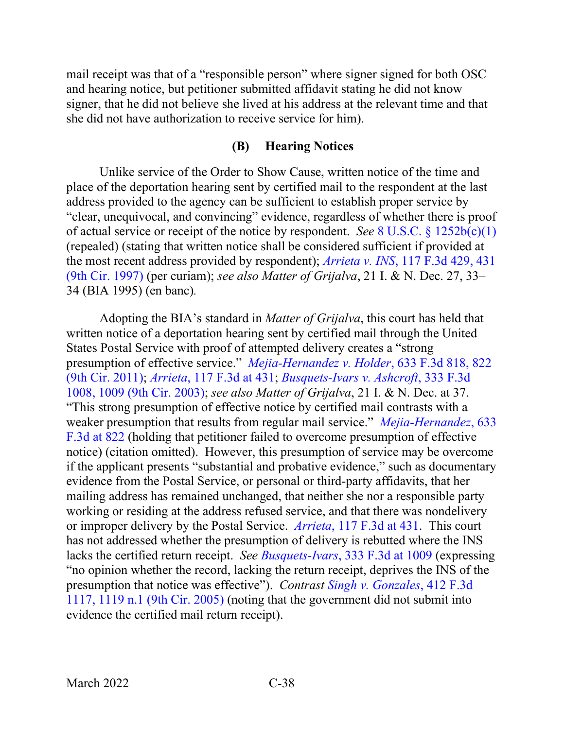mail receipt was that of a "responsible person" where signer signed for both OSC and hearing notice, but petitioner submitted affidavit stating he did not know signer, that he did not believe she lived at his address at the relevant time and that she did not have authorization to receive service for him).

### **(B) Hearing Notices**

Unlike service of the Order to Show Cause, written notice of the time and place of the deportation hearing sent by certified mail to the respondent at the last address provided to the agency can be sufficient to establish proper service by "clear, unequivocal, and convincing" evidence, regardless of whether there is proof of actual service or receipt of the notice by respondent. *See* 8 U.S.C. § [1252b\(c\)\(1\)](https://www.westlaw.com/Document/N5F85CA10A35911D8B9DE9866EEAFC42E/View/FullText.html?transitionType=Default&contextData=(sc.Default)&VR=3.0&RS=da3.0) (repealed) (stating that written notice shall be considered sufficient if provided at the most recent address provided by respondent); *Arrieta v. INS*[, 117 F.3d 429, 431](https://www.westlaw.com/Document/I626effd4942611d9bc61beebb95be672/View/FullText.html?transitionType=Default&contextData=(sc.Default)&VR=3.0&RS=da3.0&fragmentIdentifier=co_pp_sp_506_431)  [\(9th Cir. 1997\)](https://www.westlaw.com/Document/I626effd4942611d9bc61beebb95be672/View/FullText.html?transitionType=Default&contextData=(sc.Default)&VR=3.0&RS=da3.0&fragmentIdentifier=co_pp_sp_506_431) (per curiam); *see also Matter of Grijalva*, 21 I. & N. Dec. 27, 33– 34 (BIA 1995) (en banc)*.*

Adopting the BIA's standard in *Matter of Grijalva*, this court has held that written notice of a deportation hearing sent by certified mail through the United States Postal Service with proof of attempted delivery creates a "strong presumption of effective service." *[Mejia-Hernandez v. Holder](https://www.westlaw.com/Document/Ia7771f1b2a1011e0aa23bccc834e9520/View/FullText.html?transitionType=Default&contextData=(sc.Default)&VR=3.0&RS=da3.0&fragmentIdentifier=co_pp_sp_506_822)*, 633 F.3d 818, 822 [\(9th Cir. 2011\);](https://www.westlaw.com/Document/Ia7771f1b2a1011e0aa23bccc834e9520/View/FullText.html?transitionType=Default&contextData=(sc.Default)&VR=3.0&RS=da3.0&fragmentIdentifier=co_pp_sp_506_822) *Arrieta*[, 117 F.3d at 431;](https://www.westlaw.com/Document/I626effd4942611d9bc61beebb95be672/View/FullText.html?transitionType=Default&contextData=(sc.Default)&VR=3.0&RS=da3.0&fragmentIdentifier=co_pp_sp_506_431) *[Busquets-Ivars v. Ashcroft](https://www.westlaw.com/Document/I53a17c1789dd11d9b6ea9f5a173c4523/View/FullText.html?transitionType=Default&contextData=(sc.Default)&VR=3.0&RS=da3.0&fragmentIdentifier=co_pp_sp_506_1009)*, 333 F.3d [1008, 1009 \(9th Cir. 2003\);](https://www.westlaw.com/Document/I53a17c1789dd11d9b6ea9f5a173c4523/View/FullText.html?transitionType=Default&contextData=(sc.Default)&VR=3.0&RS=da3.0&fragmentIdentifier=co_pp_sp_506_1009) *see also Matter of Grijalva*, 21 I. & N. Dec. at 37. "This strong presumption of effective notice by certified mail contrasts with a weaker presumption that results from regular mail service." *[Mejia-Hernandez](https://www.westlaw.com/Document/Ia7771f1b2a1011e0aa23bccc834e9520/View/FullText.html?transitionType=Default&contextData=(sc.Default)&VR=3.0&RS=da3.0&fragmentIdentifier=co_pp_sp_506_822)*, 633 [F.3d at](https://www.westlaw.com/Document/Ia7771f1b2a1011e0aa23bccc834e9520/View/FullText.html?transitionType=Default&contextData=(sc.Default)&VR=3.0&RS=da3.0&fragmentIdentifier=co_pp_sp_506_822) 822 (holding that petitioner failed to overcome presumption of effective notice) (citation omitted). However, this presumption of service may be overcome if the applicant presents "substantial and probative evidence," such as documentary evidence from the Postal Service, or personal or third-party affidavits, that her mailing address has remained unchanged, that neither she nor a responsible party working or residing at the address refused service, and that there was nondelivery or improper delivery by the Postal Service. *Arrieta*[, 117 F.3d at 431.](https://www.westlaw.com/Document/I626effd4942611d9bc61beebb95be672/View/FullText.html?transitionType=Default&contextData=(sc.Default)&VR=3.0&RS=da3.0&fragmentIdentifier=co_pp_sp_506_431) This court has not addressed whether the presumption of delivery is rebutted where the INS lacks the certified return receipt. *See Busquets-Ivars*[, 333 F.3d at 1009](https://www.westlaw.com/Document/I53a17c1789dd11d9b6ea9f5a173c4523/View/FullText.html?transitionType=Default&contextData=(sc.Default)&VR=3.0&RS=da3.0&fragmentIdentifier=co_pp_sp_506_1009) (expressing "no opinion whether the record, lacking the return receipt, deprives the INS of the presumption that notice was effective"). *Contrast [Singh v. Gonzales](https://www.westlaw.com/Document/I58f9ca04e4e111d98ac8f235252e36df/View/FullText.html?transitionType=Default&contextData=(sc.Default)&VR=3.0&RS=da3.0&fragmentIdentifier=co_pp_sp_506_1119+n.1)*, 412 F.3d [1117, 1119 n.1 \(9th Cir. 2005\)](https://www.westlaw.com/Document/I58f9ca04e4e111d98ac8f235252e36df/View/FullText.html?transitionType=Default&contextData=(sc.Default)&VR=3.0&RS=da3.0&fragmentIdentifier=co_pp_sp_506_1119+n.1) (noting that the government did not submit into evidence the certified mail return receipt).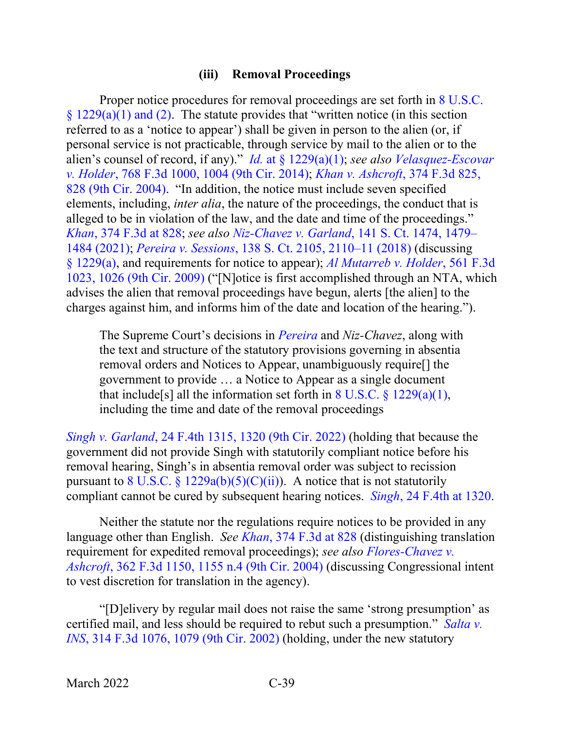### **(iii) Removal Proceedings**

Proper notice procedures for removal proceedings are set forth in 8 U.S.C.  $§ 1229(a)(1)$  and (2). The statute provides that "written notice (in this section referred to as a 'notice to appear') shall be given in person to the alien (or, if personal service is not practicable, through service by mail to the alien or to the alien's counsel of record, if any)." *Id.* at § [1229\(a\)\(1\);](https://www.westlaw.com/Document/NC1CA1910385311DBA787FCD7210A3BDA/View/FullText.html?transitionType=Default&contextData=(sc.Default)&VR=3.0&RS=da3.0) *see also [Velasquez-Escovar](https://www.westlaw.com/Document/I1fdc6bb5480611e4a795ac035416da91/View/FullText.html?transitionType=Default&contextData=(sc.Default)&VR=3.0&RS=da3.0&fragmentIdentifier=co_pp_sp_506_1004)  v. Holder*[, 768 F.3d 1000, 1004 \(9th Cir. 2014\);](https://www.westlaw.com/Document/I1fdc6bb5480611e4a795ac035416da91/View/FullText.html?transitionType=Default&contextData=(sc.Default)&VR=3.0&RS=da3.0&fragmentIdentifier=co_pp_sp_506_1004) *[Khan v. Ashcroft](https://www.westlaw.com/Document/Ibddc862d8b9e11d99dcc8cc3e68b51e9/View/FullText.html?transitionType=Default&contextData=(sc.Default)&VR=3.0&RS=da3.0&fragmentIdentifier=co_pp_sp_506_828)*, 374 F.3d 825, [828 \(9th Cir. 2004\).](https://www.westlaw.com/Document/Ibddc862d8b9e11d99dcc8cc3e68b51e9/View/FullText.html?transitionType=Default&contextData=(sc.Default)&VR=3.0&RS=da3.0&fragmentIdentifier=co_pp_sp_506_828) "In addition, the notice must include seven specified elements, including, *inter alia*, the nature of the proceedings, the conduct that is alleged to be in violation of the law, and the date and time of the proceedings." *Khan*[, 374 F.3d at 828;](https://www.westlaw.com/Document/Ibddc862d8b9e11d99dcc8cc3e68b51e9/View/FullText.html?transitionType=Default&contextData=(sc.Default)&VR=3.0&RS=da3.0&fragmentIdentifier=co_pp_sp_506_828) *see also Niz-Chavez v. Garland*[, 141 S. Ct. 1474, 1479–](https://www.westlaw.com/Document/I304484bca8e711eb9b1b8ea2871b366d/View/FullText.html?transitionType=Default&contextData=(sc.Default)&VR=3.0&RS=da3.0&fragmentIdentifier=co_pp_sp_708_1479) [1484 \(2021\);](https://www.westlaw.com/Document/I304484bca8e711eb9b1b8ea2871b366d/View/FullText.html?transitionType=Default&contextData=(sc.Default)&VR=3.0&RS=da3.0&fragmentIdentifier=co_pp_sp_708_1479) *Pereira v. Sessions*[, 138 S. Ct. 2105, 2110–11 \(2018\)](https://www.westlaw.com/Document/Ic60a226f752611e89d59c04243316042/View/FullText.html?transitionType=Default&contextData=(sc.Default)&VR=3.0&RS=da3.0&fragmentIdentifier=co_pp_sp_708_2110) (discussing § [1229\(a\),](https://www.westlaw.com/Document/NC1CA1910385311DBA787FCD7210A3BDA/View/FullText.html?transitionType=Default&contextData=(sc.Default)&VR=3.0&RS=da3.0) and requirements for notice to appear); *[Al Mutarreb v. Holder](https://www.westlaw.com/Document/I4577455122ab11debc7bf97f340af743/View/FullText.html?transitionType=Default&contextData=(sc.Default)&VR=3.0&RS=da3.0&fragmentIdentifier=co_pp_sp_506_1026)*, 561 F.3d [1023, 1026 \(9th Cir. 2009\)](https://www.westlaw.com/Document/I4577455122ab11debc7bf97f340af743/View/FullText.html?transitionType=Default&contextData=(sc.Default)&VR=3.0&RS=da3.0&fragmentIdentifier=co_pp_sp_506_1026) ("[N]otice is first accomplished through an NTA, which advises the alien that removal proceedings have begun, alerts [the alien] to the charges against him, and informs him of the date and location of the hearing.").

The Supreme Court's decisions in *[Pereira](https://www.westlaw.com/Document/Ic60a226f752611e89d59c04243316042/View/FullText.html?transitionType=Default&contextData=(sc.Default)&VR=3.0&RS=da3.0)* and *Niz-Chavez*, along with the text and structure of the statutory provisions governing in absentia removal orders and Notices to Appear, unambiguously require[] the government to provide … a Notice to Appear as a single document that include<sup>[s]</sup> all the information set forth in  $8 \text{ U.S.C.}$   $\frac{8}{9}$  [1229\(a\)\(1\),](https://www.westlaw.com/Document/NC1CA1910385311DBA787FCD7210A3BDA/View/FullText.html?transitionType=Default&contextData=(sc.Default)&VR=3.0&RS=da3.0) including the time and date of the removal proceedings

*Singh v. Garland*[, 24 F.4th 1315, 1320 \(9th Cir. 2022\)](https://www.westlaw.com/Document/Ibd68e52085f611ecb061fecc2fb6bc54/View/FullText.html?transitionType=Default&contextData=(sc.Default)&VR=3.0&RS=da3.0&fragmentIdentifier=co_pp_sp_8173_1320) (holding that because the government did not provide Singh with statutorily compliant notice before his removal hearing, Singh's in absentia removal order was subject to recission pursuant to 8 U.S.C. §  $1229a(b)(5)(C)(ii)$ ). A notice that is not statutorily compliant cannot be cured by subsequent hearing notices. *Singh*[, 24 F.4th at 1320.](https://www.westlaw.com/Document/Ibd68e52085f611ecb061fecc2fb6bc54/View/FullText.html?transitionType=Default&contextData=(sc.Default)&VR=3.0&RS=da3.0&fragmentIdentifier=co_pp_sp_8173_1320)

Neither the statute nor the regulations require notices to be provided in any language other than English. *See Khan*[, 374 F.3d at 828](https://www.westlaw.com/Document/Ibddc862d8b9e11d99dcc8cc3e68b51e9/View/FullText.html?transitionType=Default&contextData=(sc.Default)&VR=3.0&RS=da3.0&fragmentIdentifier=co_pp_sp_506_828) (distinguishing translation requirement for expedited removal proceedings); *see also [Flores-Chavez v.](https://www.westlaw.com/Document/I6ac9edd589fd11d9ac45f46c5ea084a3/View/FullText.html?transitionType=Default&contextData=(sc.Default)&VR=3.0&RS=da3.0&fragmentIdentifier=co_pp_sp_506_1155+n.4)  Ashcroft*[, 362 F.3d 1150, 1155 n.4 \(9th Cir. 2004\)](https://www.westlaw.com/Document/I6ac9edd589fd11d9ac45f46c5ea084a3/View/FullText.html?transitionType=Default&contextData=(sc.Default)&VR=3.0&RS=da3.0&fragmentIdentifier=co_pp_sp_506_1155+n.4) (discussing Congressional intent to vest discretion for translation in the agency).

"[D]elivery by regular mail does not raise the same 'strong presumption' as certified mail, and less should be required to rebut such a presumption." *[Salta v.](https://www.westlaw.com/Document/Ib6a05fb989c011d98b51ba734bfc3c79/View/FullText.html?transitionType=Default&contextData=(sc.Default)&VR=3.0&RS=da3.0&fragmentIdentifier=co_pp_sp_506_1079)  INS*[, 314 F.3d 1076, 1079 \(9th Cir. 2002\)](https://www.westlaw.com/Document/Ib6a05fb989c011d98b51ba734bfc3c79/View/FullText.html?transitionType=Default&contextData=(sc.Default)&VR=3.0&RS=da3.0&fragmentIdentifier=co_pp_sp_506_1079) (holding, under the new statutory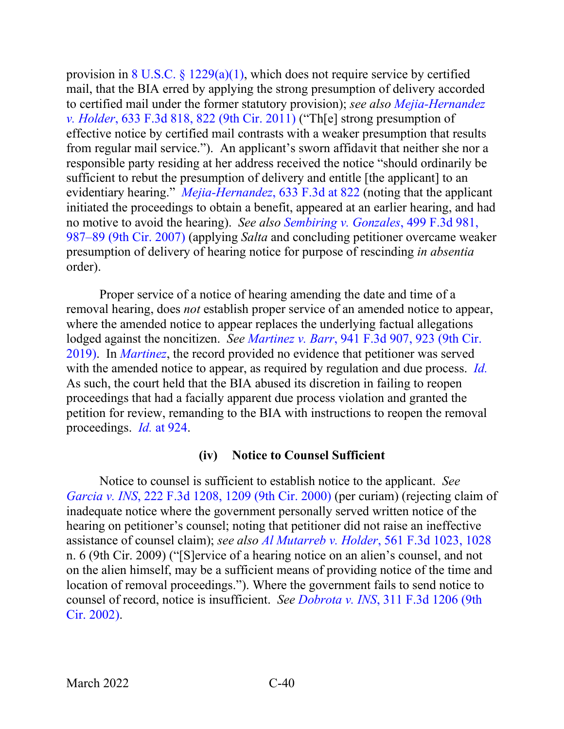provision in 8 U.S.C.  $\S 1229(a)(1)$ , which does not require service by certified mail, that the BIA erred by applying the strong presumption of delivery accorded to certified mail under the former statutory provision); *see also [Mejia-Hernandez](https://www.westlaw.com/Document/Ia7771f1b2a1011e0aa23bccc834e9520/View/FullText.html?transitionType=Default&contextData=(sc.Default)&VR=3.0&RS=da3.0&fragmentIdentifier=co_pp_sp_506_822)  v. Holder*[, 633 F.3d 818, 822 \(9th Cir. 2011\)](https://www.westlaw.com/Document/Ia7771f1b2a1011e0aa23bccc834e9520/View/FullText.html?transitionType=Default&contextData=(sc.Default)&VR=3.0&RS=da3.0&fragmentIdentifier=co_pp_sp_506_822) ("Th[e] strong presumption of effective notice by certified mail contrasts with a weaker presumption that results from regular mail service."). An applicant's sworn affidavit that neither she nor a responsible party residing at her address received the notice "should ordinarily be sufficient to rebut the presumption of delivery and entitle [the applicant] to an evidentiary hearing." *[Mejia-Hernandez](https://www.westlaw.com/Document/Ia7771f1b2a1011e0aa23bccc834e9520/View/FullText.html?transitionType=Default&contextData=(sc.Default)&VR=3.0&RS=da3.0&fragmentIdentifier=co_pp_sp_506_822)*, 633 F.3d at 822 (noting that the applicant initiated the proceedings to obtain a benefit, appeared at an earlier hearing, and had no motive to avoid the hearing). *See also [Sembiring v. Gonzales](https://www.westlaw.com/Document/I7306528452d811dc8200d0063168b01f/View/FullText.html?transitionType=Default&contextData=(sc.Default)&VR=3.0&RS=da3.0&fragmentIdentifier=co_pp_sp_506_987)*, 499 F.3d 981, [987–89 \(9th Cir. 2007\)](https://www.westlaw.com/Document/I7306528452d811dc8200d0063168b01f/View/FullText.html?transitionType=Default&contextData=(sc.Default)&VR=3.0&RS=da3.0&fragmentIdentifier=co_pp_sp_506_987) (applying *Salta* and concluding petitioner overcame weaker presumption of delivery of hearing notice for purpose of rescinding *in absentia* order).

Proper service of a notice of hearing amending the date and time of a removal hearing, does *not* establish proper service of an amended notice to appear, where the amended notice to appear replaces the underlying factual allegations lodged against the noncitizen. *See Martinez v. Barr*[, 941 F.3d 907, 923 \(9th Cir.](https://www.westlaw.com/Document/I41902900fb4611e9ad6fd2296b11a061/View/FullText.html?transitionType=Default&contextData=(sc.Default)&VR=3.0&RS=da3.0&fragmentIdentifier=co_pp_sp_506_923)  [2019\).](https://www.westlaw.com/Document/I41902900fb4611e9ad6fd2296b11a061/View/FullText.html?transitionType=Default&contextData=(sc.Default)&VR=3.0&RS=da3.0&fragmentIdentifier=co_pp_sp_506_923) In *[Martinez](https://www.westlaw.com/Document/I41902900fb4611e9ad6fd2296b11a061/View/FullText.html?transitionType=Default&contextData=(sc.Default)&VR=3.0&RS=da3.0)*, the record provided no evidence that petitioner was served with the amended notice to appear, as required by regulation and due process. *[Id.](https://www.westlaw.com/Document/I41902900fb4611e9ad6fd2296b11a061/View/FullText.html?transitionType=Default&contextData=(sc.Default)&VR=3.0&RS=da3.0)* As such, the court held that the BIA abused its discretion in failing to reopen proceedings that had a facially apparent due process violation and granted the petition for review, remanding to the BIA with instructions to reopen the removal proceedings. *Id.* [at 924.](https://www.westlaw.com/Document/I41902900fb4611e9ad6fd2296b11a061/View/FullText.html?transitionType=Default&contextData=(sc.Default)&VR=3.0&RS=da3.0&fragmentIdentifier=co_pp_sp_506_924)

### **(iv) Notice to Counsel Sufficient**

Notice to counsel is sufficient to establish notice to the applicant. *See Garcia v. INS*[, 222 F.3d 1208, 1209 \(9th Cir. 2000\)](https://www.westlaw.com/Document/I98411f4b798b11d9bf29e2067ad74e5b/View/FullText.html?transitionType=Default&contextData=(sc.Default)&VR=3.0&RS=da3.0&fragmentIdentifier=co_pp_sp_506_1209) (per curiam) (rejecting claim of inadequate notice where the government personally served written notice of the hearing on petitioner's counsel; noting that petitioner did not raise an ineffective assistance of counsel claim); *see also Al Mutarreb v. Holder*[, 561 F.3d 1023, 1028](https://www.westlaw.com/Document/I4577455122ab11debc7bf97f340af743/View/FullText.html?transitionType=Default&contextData=(sc.Default)&VR=3.0&RS=da3.0&fragmentIdentifier=co_pp_sp_506_1028) n. 6 (9th Cir. 2009) ("[S]ervice of a hearing notice on an alien's counsel, and not on the alien himself, may be a sufficient means of providing notice of the time and location of removal proceedings."). Where the government fails to send notice to counsel of record, notice is insufficient. *See Dobrota v. INS*[, 311 F.3d 1206 \(9th](https://www.westlaw.com/Document/I87d1b45e89ba11d98b51ba734bfc3c79/View/FullText.html?transitionType=Default&contextData=(sc.Default)&VR=3.0&RS=da3.0)  [Cir. 2002\).](https://www.westlaw.com/Document/I87d1b45e89ba11d98b51ba734bfc3c79/View/FullText.html?transitionType=Default&contextData=(sc.Default)&VR=3.0&RS=da3.0)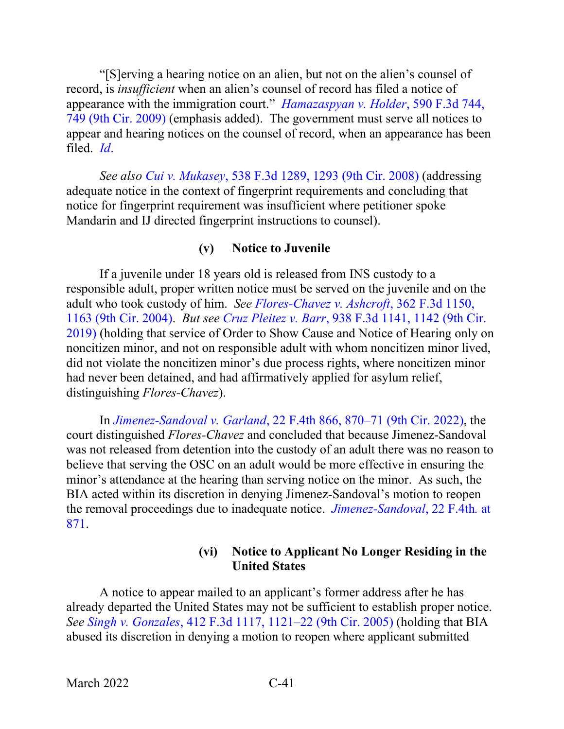"[S]erving a hearing notice on an alien, but not on the alien's counsel of record, is *insufficient* when an alien's counsel of record has filed a notice of appearance with the immigration court." *[Hamazaspyan v. Holder](https://www.westlaw.com/Document/I9cbc1d43ee4d11de8bf6cd8525c41437/View/FullText.html?transitionType=Default&contextData=(sc.Default)&VR=3.0&RS=da3.0&fragmentIdentifier=co_pp_sp_506_749)*, 590 F.3d 744, [749 \(9th Cir. 2009\)](https://www.westlaw.com/Document/I9cbc1d43ee4d11de8bf6cd8525c41437/View/FullText.html?transitionType=Default&contextData=(sc.Default)&VR=3.0&RS=da3.0&fragmentIdentifier=co_pp_sp_506_749) (emphasis added). The government must serve all notices to appear and hearing notices on the counsel of record, when an appearance has been filed. *[Id](https://www.westlaw.com/Document/I9cbc1d43ee4d11de8bf6cd8525c41437/View/FullText.html?transitionType=Default&contextData=(sc.Default)&VR=3.0&RS=da3.0)*.

*See also Cui v. Mukasey*[, 538 F.3d 1289, 1293 \(9th Cir. 2008\)](https://www.westlaw.com/Document/Ib8ee07316e0211dd9876f446780b7bdc/View/FullText.html?transitionType=Default&contextData=(sc.Default)&VR=3.0&RS=da3.0&fragmentIdentifier=co_pp_sp_506_1293) (addressing adequate notice in the context of fingerprint requirements and concluding that notice for fingerprint requirement was insufficient where petitioner spoke Mandarin and IJ directed fingerprint instructions to counsel).

### **(v) Notice to Juvenile**

If a juvenile under 18 years old is released from INS custody to a responsible adult, proper written notice must be served on the juvenile and on the adult who took custody of him. *See [Flores-Chavez v. Ashcroft](https://www.westlaw.com/Document/I6ac9edd589fd11d9ac45f46c5ea084a3/View/FullText.html?transitionType=Default&contextData=(sc.Default)&VR=3.0&RS=da3.0&fragmentIdentifier=co_pp_sp_506_1163)*, 362 F.3d 1150, [1163 \(9th Cir. 2004\).](https://www.westlaw.com/Document/I6ac9edd589fd11d9ac45f46c5ea084a3/View/FullText.html?transitionType=Default&contextData=(sc.Default)&VR=3.0&RS=da3.0&fragmentIdentifier=co_pp_sp_506_1163) *But see Cruz Pleitez v. Barr*[, 938 F.3d 1141, 1142 \(9th Cir.](https://www.westlaw.com/Document/I96c41a80da9411e987aed0112aae066d/View/FullText.html?transitionType=Default&contextData=(sc.Default)&VR=3.0&RS=da3.0&fragmentIdentifier=co_pp_sp_506_1142)  [2019\)](https://www.westlaw.com/Document/I96c41a80da9411e987aed0112aae066d/View/FullText.html?transitionType=Default&contextData=(sc.Default)&VR=3.0&RS=da3.0&fragmentIdentifier=co_pp_sp_506_1142) (holding that service of Order to Show Cause and Notice of Hearing only on noncitizen minor, and not on responsible adult with whom noncitizen minor lived, did not violate the noncitizen minor's due process rights, where noncitizen minor had never been detained, and had affirmatively applied for asylum relief, distinguishing *Flores-Chavez*).

In *Jimenez-Sandoval v. Garland*[, 22 F.4th 866, 870–71 \(9th Cir. 2022\),](https://www.westlaw.com/Document/I33ae8cf074b611ec80a0dd05b5817251/View/FullText.html?transitionType=Default&contextData=(sc.Default)&VR=3.0&RS=da3.0&fragmentIdentifier=co_pp_sp_8173_870) the court distinguished *Flores-Chavez* and concluded that because Jimenez-Sandoval was not released from detention into the custody of an adult there was no reason to believe that serving the OSC on an adult would be more effective in ensuring the minor's attendance at the hearing than serving notice on the minor. As such, the BIA acted within its discretion in denying Jimenez-Sandoval's motion to reopen the removal proceedings due to inadequate notice. *[Jimenez-Sandoval](https://www.westlaw.com/Document/I33ae8cf074b611ec80a0dd05b5817251/View/FullText.html?transitionType=Default&contextData=(sc.Default)&VR=3.0&RS=da3.0&fragmentIdentifier=co_pp_sp_8173_871)*, 22 F.4th*.* at [871.](https://www.westlaw.com/Document/I33ae8cf074b611ec80a0dd05b5817251/View/FullText.html?transitionType=Default&contextData=(sc.Default)&VR=3.0&RS=da3.0&fragmentIdentifier=co_pp_sp_8173_871)

### **(vi) Notice to Applicant No Longer Residing in the United States**

A notice to appear mailed to an applicant's former address after he has already departed the United States may not be sufficient to establish proper notice. *See Singh v. Gonzales*[, 412 F.3d 1117, 1121–22 \(9th Cir. 2005\)](https://www.westlaw.com/Document/I58f9ca04e4e111d98ac8f235252e36df/View/FullText.html?transitionType=Default&contextData=(sc.Default)&VR=3.0&RS=da3.0&fragmentIdentifier=co_pp_sp_506_1121) (holding that BIA abused its discretion in denying a motion to reopen where applicant submitted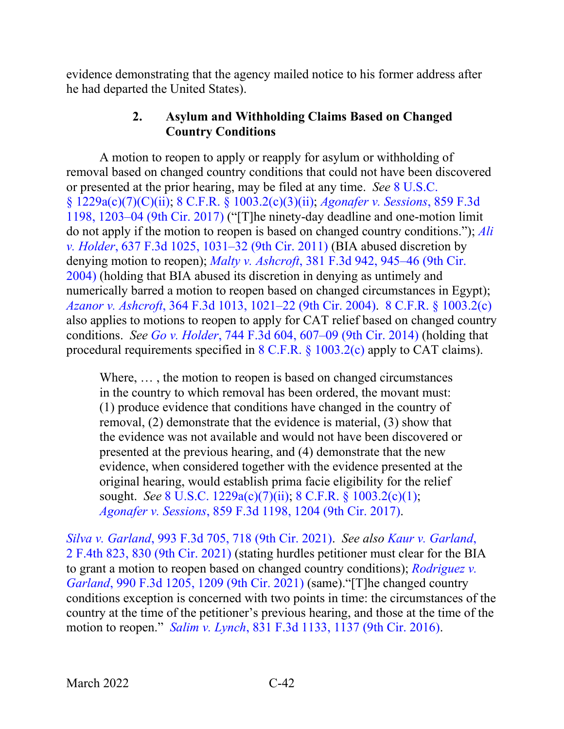evidence demonstrating that the agency mailed notice to his former address after he had departed the United States).

### **2. Asylum and Withholding Claims Based on Changed Country Conditions**

A motion to reopen to apply or reapply for asylum or withholding of removal based on changed country conditions that could not have been discovered or presented at the prior hearing, may be filed at any time. *See* [8 U.S.C.](https://www.westlaw.com/Document/NFF9ECF308EBA11DAAF57BD3E6EFC5A3E/View/FullText.html?transitionType=Default&contextData=(sc.Default)&VR=3.0&RS=da3.0)  [§ 1229a\(c\)\(7\)\(C\)\(ii\);](https://www.westlaw.com/Document/NFF9ECF308EBA11DAAF57BD3E6EFC5A3E/View/FullText.html?transitionType=Default&contextData=(sc.Default)&VR=3.0&RS=da3.0) 8 C.F.R. § [1003.2\(c\)\(3\)\(ii\);](https://www.westlaw.com/Document/NA64E50805C1D11ECAE78A32A341D5C78/View/FullText.html?transitionType=Default&contextData=(sc.Default)&VR=3.0&RS=da3.0) *[Agonafer v. Sessions](https://www.westlaw.com/Document/Ic0d3d020583411e7b7978f65e9bf93b3/View/FullText.html?transitionType=Default&contextData=(sc.Default)&VR=3.0&RS=da3.0&fragmentIdentifier=co_pp_sp_506_1203)*, 859 F.3d [1198, 1203–04 \(9th Cir. 2017\)](https://www.westlaw.com/Document/Ic0d3d020583411e7b7978f65e9bf93b3/View/FullText.html?transitionType=Default&contextData=(sc.Default)&VR=3.0&RS=da3.0&fragmentIdentifier=co_pp_sp_506_1203) ("[T]he ninety-day deadline and one-motion limit do not apply if the motion to reopen is based on changed country conditions."); *[Ali](https://www.westlaw.com/Document/I10dc7c24517a11e0b931b80af77abaf1/View/FullText.html?transitionType=Default&contextData=(sc.Default)&VR=3.0&RS=da3.0&fragmentIdentifier=co_pp_sp_506_1031)  v. Holder*[, 637 F.3d 1025, 1031–32 \(9th Cir. 2011\)](https://www.westlaw.com/Document/I10dc7c24517a11e0b931b80af77abaf1/View/FullText.html?transitionType=Default&contextData=(sc.Default)&VR=3.0&RS=da3.0&fragmentIdentifier=co_pp_sp_506_1031) (BIA abused discretion by denying motion to reopen); *Malty v. Ashcroft*[, 381 F.3d 942, 945–46 \(9th Cir.](https://www.westlaw.com/Document/I3519d29b8bb011d99dcc8cc3e68b51e9/View/FullText.html?transitionType=Default&contextData=(sc.Default)&VR=3.0&RS=da3.0&fragmentIdentifier=co_pp_sp_506_945)  [2004\)](https://www.westlaw.com/Document/I3519d29b8bb011d99dcc8cc3e68b51e9/View/FullText.html?transitionType=Default&contextData=(sc.Default)&VR=3.0&RS=da3.0&fragmentIdentifier=co_pp_sp_506_945) (holding that BIA abused its discretion in denying as untimely and numerically barred a motion to reopen based on changed circumstances in Egypt); *Azanor v. Ashcroft*[, 364 F.3d 1013, 1021–22 \(9th Cir. 2004\).](https://www.westlaw.com/Document/I6abb95f889fd11d9ac45f46c5ea084a3/View/FullText.html?transitionType=Default&contextData=(sc.Default)&VR=3.0&RS=da3.0&fragmentIdentifier=co_pp_sp_506_1021) [8 C.F.R. §](https://www.westlaw.com/Document/NA64E50805C1D11ECAE78A32A341D5C78/View/FullText.html?transitionType=Default&contextData=(sc.Default)&VR=3.0&RS=da3.0) 1003.2(c) also applies to motions to reopen to apply for CAT relief based on changed country conditions. *See Go v. Holder*[, 744 F.3d 604, 607–09 \(9th Cir. 2014\)](https://www.westlaw.com/Document/Ic3bae503a66511e39ac8bab74931929c/View/FullText.html?transitionType=Default&contextData=(sc.Default)&VR=3.0&RS=da3.0&fragmentIdentifier=co_pp_sp_506_607) (holding that procedural requirements specified in [8 C.F.R. §](https://www.westlaw.com/Document/NA64E50805C1D11ECAE78A32A341D5C78/View/FullText.html?transitionType=Default&contextData=(sc.Default)&VR=3.0&RS=da3.0) 1003.2(c) apply to CAT claims).

Where, … , the motion to reopen is based on changed circumstances in the country to which removal has been ordered, the movant must: (1) produce evidence that conditions have changed in the country of removal, (2) demonstrate that the evidence is material, (3) show that the evidence was not available and would not have been discovered or presented at the previous hearing, and (4) demonstrate that the new evidence, when considered together with the evidence presented at the original hearing, would establish prima facie eligibility for the relief sought. *See* [8 U.S.C. 1229a\(c\)\(7\)\(ii\);](https://www.westlaw.com/Document/NFF9ECF308EBA11DAAF57BD3E6EFC5A3E/View/FullText.html?transitionType=Default&contextData=(sc.Default)&VR=3.0&RS=da3.0) 8 C.F.R. § [1003.2\(c\)\(1\);](https://www.westlaw.com/Document/NA64E50805C1D11ECAE78A32A341D5C78/View/FullText.html?transitionType=Default&contextData=(sc.Default)&VR=3.0&RS=da3.0) *Agonafer v. Sessions*[, 859 F.3d 1198, 1204 \(9th Cir. 2017\).](https://www.westlaw.com/Document/Ic0d3d020583411e7b7978f65e9bf93b3/View/FullText.html?transitionType=Default&contextData=(sc.Default)&VR=3.0&RS=da3.0&fragmentIdentifier=co_pp_sp_506_1204)

*Silva v. Garland*[, 993 F.3d 705, 718 \(9th Cir. 2021\).](https://www.westlaw.com/Document/I77eeccc0919711eb86f0fe514fc262aa/View/FullText.html?transitionType=Default&contextData=(sc.Default)&VR=3.0&RS=da3.0&fragmentIdentifier=co_pp_sp_506_718) *See also [Kaur v. Garland](https://www.westlaw.com/Document/Ia5b92ef0d2c111ebb381adeb81954cc5/View/FullText.html?transitionType=Default&contextData=(sc.Default)&VR=3.0&RS=da3.0&fragmentIdentifier=co_pp_sp_8173_830)*, [2 F.4th 823, 830 \(9th Cir. 2021\)](https://www.westlaw.com/Document/Ia5b92ef0d2c111ebb381adeb81954cc5/View/FullText.html?transitionType=Default&contextData=(sc.Default)&VR=3.0&RS=da3.0&fragmentIdentifier=co_pp_sp_8173_830) (stating hurdles petitioner must clear for the BIA to grant a motion to reopen based on changed country conditions); *[Rodriguez v.](https://www.westlaw.com/Document/I7fc981a085d611eb9851e09b8b034c3a/View/FullText.html?transitionType=Default&contextData=(sc.Default)&VR=3.0&RS=da3.0&fragmentIdentifier=co_pp_sp_506_1209)  Garland*[, 990 F.3d 1205, 1209 \(9th Cir. 2021\)](https://www.westlaw.com/Document/I7fc981a085d611eb9851e09b8b034c3a/View/FullText.html?transitionType=Default&contextData=(sc.Default)&VR=3.0&RS=da3.0&fragmentIdentifier=co_pp_sp_506_1209) (same)."[T]he changed country conditions exception is concerned with two points in time: the circumstances of the country at the time of the petitioner's previous hearing, and those at the time of the motion to reopen." *Salim v. Lynch*[, 831 F.3d 1133, 1137 \(9th Cir. 2016\).](https://www.westlaw.com/Document/Ic4d603c0586511e6b150a0f8f302dd90/View/FullText.html?transitionType=Default&contextData=(sc.Default)&VR=3.0&RS=da3.0&fragmentIdentifier=co_pp_sp_506_1137)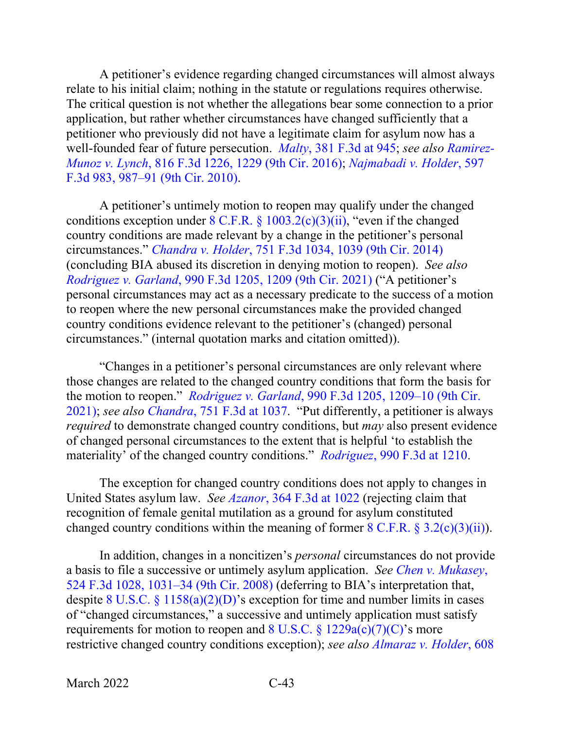A petitioner's evidence regarding changed circumstances will almost always relate to his initial claim; nothing in the statute or regulations requires otherwise. The critical question is not whether the allegations bear some connection to a prior application, but rather whether circumstances have changed sufficiently that a petitioner who previously did not have a legitimate claim for asylum now has a well-founded fear of future persecution. *Malty*[, 381 F.3d at 945;](https://www.westlaw.com/Document/I3519d29b8bb011d99dcc8cc3e68b51e9/View/FullText.html?transitionType=Default&contextData=(sc.Default)&VR=3.0&RS=da3.0&fragmentIdentifier=co_pp_sp_506_945) *see also [Ramirez-](https://www.westlaw.com/Document/I3ae05113efbb11e5b4bafa136b480ad2/View/FullText.html?transitionType=Default&contextData=(sc.Default)&VR=3.0&RS=da3.0&fragmentIdentifier=co_pp_sp_506_1229)Munoz v. Lynch*[, 816 F.3d 1226, 1229 \(9th Cir. 2016\);](https://www.westlaw.com/Document/I3ae05113efbb11e5b4bafa136b480ad2/View/FullText.html?transitionType=Default&contextData=(sc.Default)&VR=3.0&RS=da3.0&fragmentIdentifier=co_pp_sp_506_1229) *[Najmabadi v. Holder](https://www.westlaw.com/Document/I577261602bab11df8bf6cd8525c41437/View/FullText.html?transitionType=Default&contextData=(sc.Default)&VR=3.0&RS=da3.0&fragmentIdentifier=co_pp_sp_506_987)*, 597 [F.3d 983, 987–91 \(9th Cir. 2010\).](https://www.westlaw.com/Document/I577261602bab11df8bf6cd8525c41437/View/FullText.html?transitionType=Default&contextData=(sc.Default)&VR=3.0&RS=da3.0&fragmentIdentifier=co_pp_sp_506_987)

A petitioner's untimely motion to reopen may qualify under the changed conditions exception under  $8 \text{ C.F.R.}$   $\frac{1003.2(c)(3)(ii)}{i}$ , "even if the changed country conditions are made relevant by a change in the petitioner's personal circumstances." *Chandra v. Holder*[, 751 F.3d 1034, 1039 \(9th Cir. 2014\)](https://www.westlaw.com/Document/Ia86600d3d9e211e390d4edf60ce7d742/View/FullText.html?transitionType=Default&contextData=(sc.Default)&VR=3.0&RS=da3.0&fragmentIdentifier=co_pp_sp_506_1039) (concluding BIA abused its discretion in denying motion to reopen). *See also Rodriguez v. Garland*[, 990 F.3d 1205, 1209 \(9th Cir. 2021\)](https://www.westlaw.com/Document/I7fc981a085d611eb9851e09b8b034c3a/View/FullText.html?transitionType=Default&contextData=(sc.Default)&VR=3.0&RS=da3.0&fragmentIdentifier=co_pp_sp_506_1209) ("A petitioner's personal circumstances may act as a necessary predicate to the success of a motion to reopen where the new personal circumstances make the provided changed country conditions evidence relevant to the petitioner's (changed) personal circumstances." (internal quotation marks and citation omitted)).

"Changes in a petitioner's personal circumstances are only relevant where those changes are related to the changed country conditions that form the basis for the motion to reopen." *Rodriguez v. Garland*[, 990 F.3d 1205, 1209–10 \(9th Cir.](https://www.westlaw.com/Document/I7fc981a085d611eb9851e09b8b034c3a/View/FullText.html?transitionType=Default&contextData=(sc.Default)&VR=3.0&RS=da3.0&fragmentIdentifier=co_pp_sp_506_1209)  [2021\);](https://www.westlaw.com/Document/I7fc981a085d611eb9851e09b8b034c3a/View/FullText.html?transitionType=Default&contextData=(sc.Default)&VR=3.0&RS=da3.0&fragmentIdentifier=co_pp_sp_506_1209) *see also Chandra*[, 751 F.3d at 1037.](https://www.westlaw.com/Document/Ia86600d3d9e211e390d4edf60ce7d742/View/FullText.html?transitionType=Default&contextData=(sc.Default)&VR=3.0&RS=da3.0&fragmentIdentifier=co_pp_sp_506_1037) "Put differently, a petitioner is always *required* to demonstrate changed country conditions, but *may* also present evidence of changed personal circumstances to the extent that is helpful 'to establish the materiality' of the changed country conditions." *Rodriguez*[, 990 F.3d at 1210.](https://www.westlaw.com/Document/I7fc981a085d611eb9851e09b8b034c3a/View/FullText.html?transitionType=Default&contextData=(sc.Default)&VR=3.0&RS=da3.0&fragmentIdentifier=co_pp_sp_506_1210)

The exception for changed country conditions does not apply to changes in United States asylum law. *See Azanor*[, 364 F.3d at 1022](https://www.westlaw.com/Document/I6abb95f889fd11d9ac45f46c5ea084a3/View/FullText.html?transitionType=Default&contextData=(sc.Default)&VR=3.0&RS=da3.0&fragmentIdentifier=co_pp_sp_506_1022) (rejecting claim that recognition of female genital mutilation as a ground for asylum constituted changed country conditions within the meaning of former  $8 \text{ C.F.R.} \$   $3.2(c)(3)(ii)$ ).

In addition, changes in a noncitizen's *personal* circumstances do not provide a basis to file a successive or untimely asylum application. *See [Chen v. Mukasey](https://www.westlaw.com/Document/I2c3ca00e186f11dd9876f446780b7bdc/View/FullText.html?transitionType=Default&contextData=(sc.Default)&VR=3.0&RS=da3.0&fragmentIdentifier=co_pp_sp_506_1031)*, [524 F.3d 1028, 1031–34 \(9th Cir. 2008\)](https://www.westlaw.com/Document/I2c3ca00e186f11dd9876f446780b7bdc/View/FullText.html?transitionType=Default&contextData=(sc.Default)&VR=3.0&RS=da3.0&fragmentIdentifier=co_pp_sp_506_1031) (deferring to BIA's interpretation that, despite 8 U.S.C. § [1158\(a\)\(2\)\(D\)'](https://www.westlaw.com/Document/NCF7D02706D9311DEA12F94F40E9A529F/View/FullText.html?transitionType=Default&contextData=(sc.Default)&VR=3.0&RS=da3.0)s exception for time and number limits in cases of "changed circumstances," a successive and untimely application must satisfy requirements for motion to reopen and  $8 \text{ U.S.C.} \$ § [1229a\(c\)\(7\)\(C\)'](https://www.westlaw.com/Document/NFF9ECF308EBA11DAAF57BD3E6EFC5A3E/View/FullText.html?transitionType=Default&contextData=(sc.Default)&VR=3.0&RS=da3.0)s more restrictive changed country conditions exception); *see also [Almaraz v. Holder](https://www.westlaw.com/Document/Ifc19c38d7e2911df8e45a3b5a338fda3/View/FullText.html?transitionType=Default&contextData=(sc.Default)&VR=3.0&RS=da3.0&fragmentIdentifier=co_pp_sp_506_640)*, 608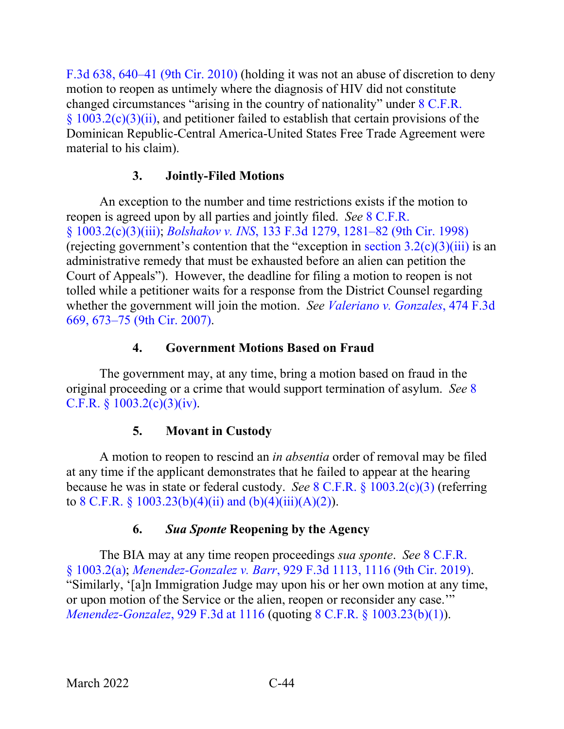[F.3d 638, 640–41 \(9th Cir. 2010\)](https://www.westlaw.com/Document/Ifc19c38d7e2911df8e45a3b5a338fda3/View/FullText.html?transitionType=Default&contextData=(sc.Default)&VR=3.0&RS=da3.0&fragmentIdentifier=co_pp_sp_506_640) (holding it was not an abuse of discretion to deny motion to reopen as untimely where the diagnosis of HIV did not constitute changed circumstances "arising in the country of nationality" under [8 C.F.R.](https://www.westlaw.com/Document/NA64E50805C1D11ECAE78A32A341D5C78/View/FullText.html?transitionType=Default&contextData=(sc.Default)&VR=3.0&RS=da3.0)   $\frac{(8.1003.2(c)(3)(ii))}{(3.1)(i)}$ , and petitioner failed to establish that certain provisions of the Dominican Republic-Central America-United States Free Trade Agreement were material to his claim).

# **3. Jointly-Filed Motions**

An exception to the number and time restrictions exists if the motion to reopen is agreed upon by all parties and jointly filed. *See* [8 C.F.R.](https://www.westlaw.com/Document/NA64E50805C1D11ECAE78A32A341D5C78/View/FullText.html?transitionType=Default&contextData=(sc.Default)&VR=3.0&RS=da3.0)  § [1003.2\(c\)\(3\)\(iii\);](https://www.westlaw.com/Document/NA64E50805C1D11ECAE78A32A341D5C78/View/FullText.html?transitionType=Default&contextData=(sc.Default)&VR=3.0&RS=da3.0) *Bolshakov v. INS*[, 133 F.3d 1279, 1281–82 \(9th Cir. 1998\)](https://www.westlaw.com/Document/I419b3373943811d9a707f4371c9c34f0/View/FullText.html?transitionType=Default&contextData=(sc.Default)&VR=3.0&RS=da3.0&fragmentIdentifier=co_pp_sp_506_1281) (rejecting government's contention that the "exception in section  $3.2(c)(3)(iii)$  is an administrative remedy that must be exhausted before an alien can petition the Court of Appeals"). However, the deadline for filing a motion to reopen is not tolled while a petitioner waits for a response from the District Counsel regarding whether the government will join the motion. *See [Valeriano v. Gonzales](https://www.westlaw.com/Document/I1020105faade11db9127cf4cfcf88547/View/FullText.html?transitionType=Default&contextData=(sc.Default)&VR=3.0&RS=da3.0&fragmentIdentifier=co_pp_sp_506_673)*, 474 F.3d [669, 673–75 \(9th Cir. 2007\).](https://www.westlaw.com/Document/I1020105faade11db9127cf4cfcf88547/View/FullText.html?transitionType=Default&contextData=(sc.Default)&VR=3.0&RS=da3.0&fragmentIdentifier=co_pp_sp_506_673)

# **4. Government Motions Based on Fraud**

The government may, at any time, bring a motion based on fraud in the original proceeding or a crime that would support termination of asylum. *See* [8](https://www.westlaw.com/Document/NA64E50805C1D11ECAE78A32A341D5C78/View/FullText.html?transitionType=Default&contextData=(sc.Default)&VR=3.0&RS=da3.0)  C.F.R.  $\S$  [1003.2\(c\)\(3\)\(iv\).](https://www.westlaw.com/Document/NA64E50805C1D11ECAE78A32A341D5C78/View/FullText.html?transitionType=Default&contextData=(sc.Default)&VR=3.0&RS=da3.0)

# **5. Movant in Custody**

A motion to reopen to rescind an *in absentia* order of removal may be filed at any time if the applicant demonstrates that he failed to appear at the hearing because he was in state or federal custody. *See* 8 C.F.R. § [1003.2\(c\)\(3\)](https://www.westlaw.com/Document/NA64E50805C1D11ECAE78A32A341D5C78/View/FullText.html?transitionType=Default&contextData=(sc.Default)&VR=3.0&RS=da3.0) (referring to 8 C.F.R. § [1003.23\(b\)\(4\)\(ii\) and \(b\)\(4\)\(iii\)\(A\)\(2\)\)](https://www.westlaw.com/Document/N3221B9F05C2111ECBF0FBEFEA0C9DE47/View/FullText.html?transitionType=Default&contextData=(sc.Default)&VR=3.0&RS=da3.0).

# **6.** *Sua Sponte* **Reopening by the Agency**

The BIA may at any time reopen proceedings *sua sponte*. *See* [8 C.F.R.](https://www.westlaw.com/Document/NA64E50805C1D11ECAE78A32A341D5C78/View/FullText.html?transitionType=Default&contextData=(sc.Default)&VR=3.0&RS=da3.0)  § [1003.2\(a\);](https://www.westlaw.com/Document/NA64E50805C1D11ECAE78A32A341D5C78/View/FullText.html?transitionType=Default&contextData=(sc.Default)&VR=3.0&RS=da3.0) *Menendez-Gonzalez v. Barr*[, 929 F.3d 1113, 1116 \(9th Cir. 2019\).](https://www.westlaw.com/Document/Iae0de080a3f911e981b9f3f7c11376fd/View/FullText.html?transitionType=Default&contextData=(sc.Default)&VR=3.0&RS=da3.0&fragmentIdentifier=co_pp_sp_506_1116) "Similarly, '[a]n Immigration Judge may upon his or her own motion at any time, or upon motion of the Service or the alien, reopen or reconsider any case.'" *[Menendez-Gonzalez](https://www.westlaw.com/Document/Iae0de080a3f911e981b9f3f7c11376fd/View/FullText.html?transitionType=Default&contextData=(sc.Default)&VR=3.0&RS=da3.0&fragmentIdentifier=co_pp_sp_506_1116)*, 929 F.3d at 1116 (quoting 8 C.F.R. § [1003.23\(b\)\(1\)\)](https://www.westlaw.com/Document/N3221B9F05C2111ECBF0FBEFEA0C9DE47/View/FullText.html?transitionType=Default&contextData=(sc.Default)&VR=3.0&RS=da3.0).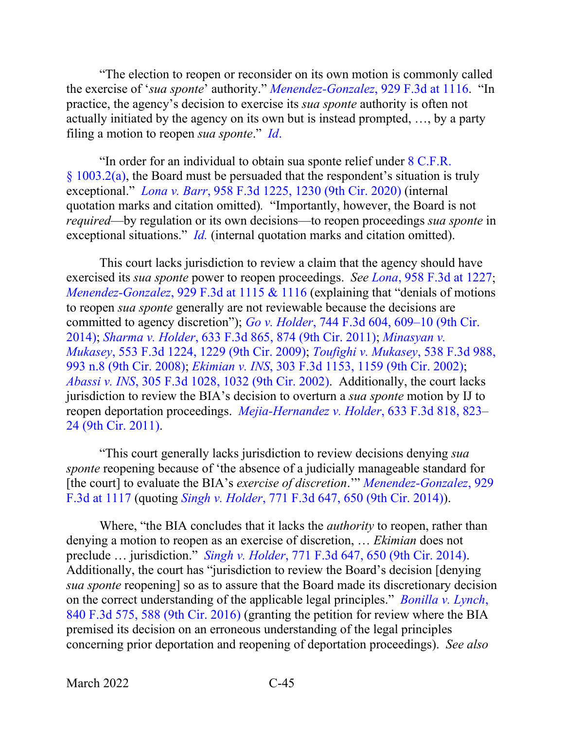"The election to reopen or reconsider on its own motion is commonly called the exercise of '*sua sponte*' authority." *[Menendez-Gonzalez](https://www.westlaw.com/Document/Iae0de080a3f911e981b9f3f7c11376fd/View/FullText.html?transitionType=Default&contextData=(sc.Default)&VR=3.0&RS=da3.0&fragmentIdentifier=co_pp_sp_506_1116)*, 929 F.3d at 1116. "In practice, the agency's decision to exercise its *sua sponte* authority is often not actually initiated by the agency on its own but is instead prompted, …, by a party filing a motion to reopen *sua sponte*." *[Id](https://www.westlaw.com/Document/Iae0de080a3f911e981b9f3f7c11376fd/View/FullText.html?transitionType=Default&contextData=(sc.Default)&VR=3.0&RS=da3.0)*.

"In order for an individual to obtain sua sponte relief under [8 C.F.R.](https://www.westlaw.com/Document/NA64E50805C1D11ECAE78A32A341D5C78/View/FullText.html?transitionType=Default&contextData=(sc.Default)&VR=3.0&RS=da3.0)   $§ 1003.2(a)$ , the Board must be persuaded that the respondent's situation is truly exceptional." *Lona v. Barr*[, 958 F.3d 1225, 1230 \(9th Cir. 2020\)](https://www.westlaw.com/Document/I29dec8e096fd11ea8cb395d22c142a61/View/FullText.html?transitionType=Default&contextData=(sc.Default)&VR=3.0&RS=da3.0&fragmentIdentifier=co_pp_sp_506_1230) (internal quotation marks and citation omitted)*.* "Importantly, however, the Board is not *required*—by regulation or its own decisions—to reopen proceedings *sua sponte* in exceptional situations." *[Id.](https://www.westlaw.com/Document/I29dec8e096fd11ea8cb395d22c142a61/View/FullText.html?transitionType=Default&contextData=(sc.Default)&VR=3.0&RS=da3.0)* (internal quotation marks and citation omitted).

This court lacks jurisdiction to review a claim that the agency should have exercised its *sua sponte* power to reopen proceedings. *See Lona*[, 958 F.3d at 1227;](https://www.westlaw.com/Document/I29dec8e096fd11ea8cb395d22c142a61/View/FullText.html?transitionType=Default&contextData=(sc.Default)&VR=3.0&RS=da3.0&fragmentIdentifier=co_pp_sp_506_1227) *Menendez-Gonzalez*[, 929 F.3d at 1115 & 1116](https://www.westlaw.com/Document/Iae0de080a3f911e981b9f3f7c11376fd/View/FullText.html?transitionType=Default&contextData=(sc.Default)&VR=3.0&RS=da3.0&fragmentIdentifier=co_pp_sp_506_1115+%26+1116) (explaining that "denials of motions to reopen *sua sponte* generally are not reviewable because the decisions are committed to agency discretion"); *Go v. Holder*[, 744 F.3d 604, 609–10 \(9th Cir.](https://www.westlaw.com/Document/Ic3bae503a66511e39ac8bab74931929c/View/FullText.html?transitionType=Default&contextData=(sc.Default)&VR=3.0&RS=da3.0&fragmentIdentifier=co_pp_sp_506_609)  [2014\);](https://www.westlaw.com/Document/Ic3bae503a66511e39ac8bab74931929c/View/FullText.html?transitionType=Default&contextData=(sc.Default)&VR=3.0&RS=da3.0&fragmentIdentifier=co_pp_sp_506_609) *Sharma v. Holder*[, 633 F.3d 865, 874 \(9th Cir. 2011\);](https://www.westlaw.com/Document/I2341540d2dfb11e088699d6fd571daba/View/FullText.html?transitionType=Default&contextData=(sc.Default)&VR=3.0&RS=da3.0&fragmentIdentifier=co_pp_sp_506_874) *[Minasyan v.](https://www.westlaw.com/Document/Ia08ea7a2e72611ddb7e683ba170699a5/View/FullText.html?transitionType=Default&contextData=(sc.Default)&VR=3.0&RS=da3.0&fragmentIdentifier=co_pp_sp_506_1229)  Mukasey*[, 553 F.3d 1224, 1229 \(9th Cir. 2009\);](https://www.westlaw.com/Document/Ia08ea7a2e72611ddb7e683ba170699a5/View/FullText.html?transitionType=Default&contextData=(sc.Default)&VR=3.0&RS=da3.0&fragmentIdentifier=co_pp_sp_506_1229) *[Toufighi v. Mukasey](https://www.westlaw.com/Document/Idecbc5b86d3a11ddbc7bf97f340af743/View/FullText.html?transitionType=Default&contextData=(sc.Default)&VR=3.0&RS=da3.0&fragmentIdentifier=co_pp_sp_506_993+n.8)*, 538 F.3d 988, [993 n.8 \(9th Cir. 2008\);](https://www.westlaw.com/Document/Idecbc5b86d3a11ddbc7bf97f340af743/View/FullText.html?transitionType=Default&contextData=(sc.Default)&VR=3.0&RS=da3.0&fragmentIdentifier=co_pp_sp_506_993+n.8) *Ekimian v. INS*[, 303 F.3d 1153, 1159 \(9th Cir. 2002\);](https://www.westlaw.com/Document/I551690b889ad11d98b51ba734bfc3c79/View/FullText.html?transitionType=Default&contextData=(sc.Default)&VR=3.0&RS=da3.0&fragmentIdentifier=co_pp_sp_506_1159) *Abassi v. INS*[, 305 F.3d 1028, 1032 \(9th Cir. 2002\).](https://www.westlaw.com/Document/I54ff382c89ad11d98b51ba734bfc3c79/View/FullText.html?transitionType=Default&contextData=(sc.Default)&VR=3.0&RS=da3.0&fragmentIdentifier=co_pp_sp_506_1032) Additionally, the court lacks jurisdiction to review the BIA's decision to overturn a *sua sponte* motion by IJ to reopen deportation proceedings. *[Mejia-Hernandez v. Holder](https://www.westlaw.com/Document/Ia7771f1b2a1011e0aa23bccc834e9520/View/FullText.html?transitionType=Default&contextData=(sc.Default)&VR=3.0&RS=da3.0&fragmentIdentifier=co_pp_sp_506_823)*, 633 F.3d 818, 823– [24 \(9th Cir. 2011\).](https://www.westlaw.com/Document/Ia7771f1b2a1011e0aa23bccc834e9520/View/FullText.html?transitionType=Default&contextData=(sc.Default)&VR=3.0&RS=da3.0&fragmentIdentifier=co_pp_sp_506_823)

"This court generally lacks jurisdiction to review decisions denying *sua sponte* reopening because of 'the absence of a judicially manageable standard for [the court] to evaluate the BIA's *exercise of discretion*.'" *[Menendez-Gonzalez](https://www.westlaw.com/Document/Iae0de080a3f911e981b9f3f7c11376fd/View/FullText.html?transitionType=Default&contextData=(sc.Default)&VR=3.0&RS=da3.0&fragmentIdentifier=co_pp_sp_506_1117)*, 929 [F.3d at 1117](https://www.westlaw.com/Document/Iae0de080a3f911e981b9f3f7c11376fd/View/FullText.html?transitionType=Default&contextData=(sc.Default)&VR=3.0&RS=da3.0&fragmentIdentifier=co_pp_sp_506_1117) (quoting *Singh v. Holder*[, 771 F.3d 647, 650 \(9th Cir. 2014\)\)](https://www.westlaw.com/Document/I5d8bedcf6b7311e4b4bafa136b480ad2/View/FullText.html?transitionType=Default&contextData=(sc.Default)&VR=3.0&RS=da3.0&fragmentIdentifier=co_pp_sp_506_650).

Where, "the BIA concludes that it lacks the *authority* to reopen, rather than denying a motion to reopen as an exercise of discretion, … *Ekimian* does not preclude … jurisdiction." *Singh v. Holder*[, 771 F.3d 647, 650 \(9th Cir. 2014\).](https://www.westlaw.com/Document/I5d8bedcf6b7311e4b4bafa136b480ad2/View/FullText.html?transitionType=Default&contextData=(sc.Default)&VR=3.0&RS=da3.0&fragmentIdentifier=co_pp_sp_506_650) Additionally, the court has "jurisdiction to review the Board's decision [denying *sua sponte* reopening] so as to assure that the Board made its discretionary decision on the correct understanding of the applicable legal principles." *[Bonilla v. Lynch](https://www.westlaw.com/Document/I036825c0972511e69e6ceb9009bbadab/View/FullText.html?transitionType=Default&contextData=(sc.Default)&VR=3.0&RS=da3.0&fragmentIdentifier=co_pp_sp_506_588)*, [840 F.3d 575, 588 \(9th Cir. 2016\)](https://www.westlaw.com/Document/I036825c0972511e69e6ceb9009bbadab/View/FullText.html?transitionType=Default&contextData=(sc.Default)&VR=3.0&RS=da3.0&fragmentIdentifier=co_pp_sp_506_588) (granting the petition for review where the BIA premised its decision on an erroneous understanding of the legal principles concerning prior deportation and reopening of deportation proceedings). *See also*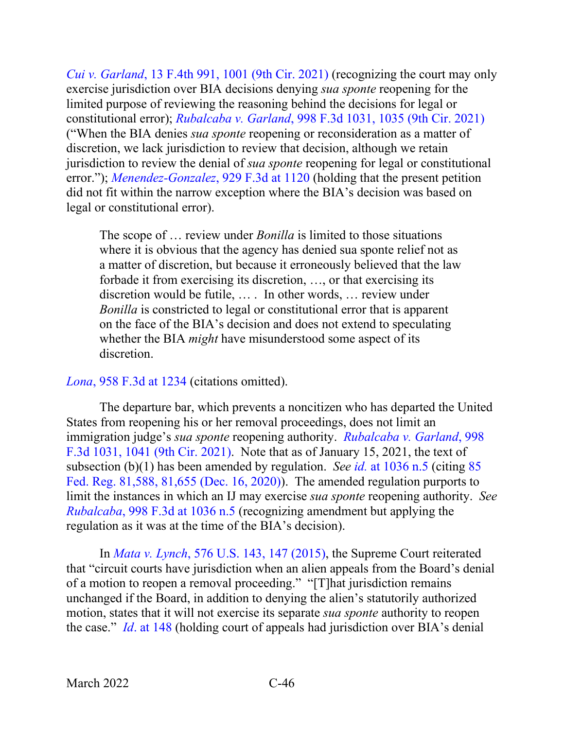*Cui v. Garland*[, 13 F.4th 991, 1001 \(9th Cir. 2021\)](https://www.westlaw.com/Document/I6b62a7b01ca211ec925cb2bf681461fd/View/FullText.html?transitionType=Default&contextData=(sc.Default)&VR=3.0&RS=da3.0&fragmentIdentifier=co_pp_sp_8173_1001) (recognizing the court may only exercise jurisdiction over BIA decisions denying *sua sponte* reopening for the limited purpose of reviewing the reasoning behind the decisions for legal or constitutional error); *Rubalcaba v. Garland*[, 998 F.3d 1031, 1035 \(9th Cir. 2021\)](https://www.westlaw.com/Document/Ib8851b70c3da11ebb1cbbeff33b6dc3d/View/FullText.html?transitionType=Default&contextData=(sc.Default)&VR=3.0&RS=da3.0&fragmentIdentifier=co_pp_sp_506_1035) ("When the BIA denies *sua sponte* reopening or reconsideration as a matter of discretion, we lack jurisdiction to review that decision, although we retain jurisdiction to review the denial of *sua sponte* reopening for legal or constitutional error."); *[Menendez-Gonzalez](https://www.westlaw.com/Document/Iae0de080a3f911e981b9f3f7c11376fd/View/FullText.html?transitionType=Default&contextData=(sc.Default)&VR=3.0&RS=da3.0&fragmentIdentifier=co_pp_sp_506_1120)*, 929 F.3d at 1120 (holding that the present petition did not fit within the narrow exception where the BIA's decision was based on legal or constitutional error).

The scope of … review under *Bonilla* is limited to those situations where it is obvious that the agency has denied sua sponte relief not as a matter of discretion, but because it erroneously believed that the law forbade it from exercising its discretion, …, or that exercising its discretion would be futile, … . In other words, … review under *Bonilla* is constricted to legal or constitutional error that is apparent on the face of the BIA's decision and does not extend to speculating whether the BIA *might* have misunderstood some aspect of its discretion.

### *Lona*[, 958 F.3d at 1234](https://www.westlaw.com/Document/I29dec8e096fd11ea8cb395d22c142a61/View/FullText.html?transitionType=Default&contextData=(sc.Default)&VR=3.0&RS=da3.0&fragmentIdentifier=co_pp_sp_506_1234) (citations omitted).

The departure bar, which prevents a noncitizen who has departed the United States from reopening his or her removal proceedings, does not limit an immigration judge's *sua sponte* reopening authority. *[Rubalcaba v. Garland](https://www.westlaw.com/Document/Ib8851b70c3da11ebb1cbbeff33b6dc3d/View/FullText.html?transitionType=Default&contextData=(sc.Default)&VR=3.0&RS=da3.0&fragmentIdentifier=co_pp_sp_506_1041)*, 998 [F.3d 1031, 1041 \(9th Cir. 2021\).](https://www.westlaw.com/Document/Ib8851b70c3da11ebb1cbbeff33b6dc3d/View/FullText.html?transitionType=Default&contextData=(sc.Default)&VR=3.0&RS=da3.0&fragmentIdentifier=co_pp_sp_506_1041) Note that as of January 15, 2021, the text of subsection (b)(1) has been amended by regulation. *See id.* [at 1036 n.5](https://www.westlaw.com/Document/Ib8851b70c3da11ebb1cbbeff33b6dc3d/View/FullText.html?transitionType=Default&contextData=(sc.Default)&VR=3.0&RS=da3.0&fragmentIdentifier=co_pp_sp_506_1036) (citing [85](https://www.westlaw.com/Document/I7A8514E03F8E11EBACA09EC5772AB024/View/FullText.html?transitionType=Default&contextData=(sc.Default)&VR=3.0&RS=da3.0&fragmentIdentifier=co_pp_sp_1037_81%2c655)  [Fed. Reg. 81,588, 81,655 \(Dec. 16, 2020\)\)](https://www.westlaw.com/Document/I7A8514E03F8E11EBACA09EC5772AB024/View/FullText.html?transitionType=Default&contextData=(sc.Default)&VR=3.0&RS=da3.0&fragmentIdentifier=co_pp_sp_1037_81%2c655). The amended regulation purports to limit the instances in which an IJ may exercise *sua sponte* reopening authority. *See Rubalcaba*[, 998 F.3d at 1036 n.5](https://www.westlaw.com/Document/Ib8851b70c3da11ebb1cbbeff33b6dc3d/View/FullText.html?transitionType=Default&contextData=(sc.Default)&VR=3.0&RS=da3.0&fragmentIdentifier=co_pp_sp_506_1036) (recognizing amendment but applying the regulation as it was at the time of the BIA's decision).

In *Mata v. Lynch*[, 576 U.S. 143, 147 \(2015\),](https://www.westlaw.com/Document/I2040d285136211e5a807ad48145ed9f1/View/FullText.html?transitionType=Default&contextData=(sc.Default)&VR=3.0&RS=da3.0&fragmentIdentifier=co_pp_sp_780_147) the Supreme Court reiterated that "circuit courts have jurisdiction when an alien appeals from the Board's denial of a motion to reopen a removal proceeding." "[T]hat jurisdiction remains unchanged if the Board, in addition to denying the alien's statutorily authorized motion, states that it will not exercise its separate *sua sponte* authority to reopen the case." *Id*[. at 148](https://www.westlaw.com/Document/I2040d285136211e5a807ad48145ed9f1/View/FullText.html?transitionType=Default&contextData=(sc.Default)&VR=3.0&RS=da3.0&fragmentIdentifier=co_pp_sp_780_148) (holding court of appeals had jurisdiction over BIA's denial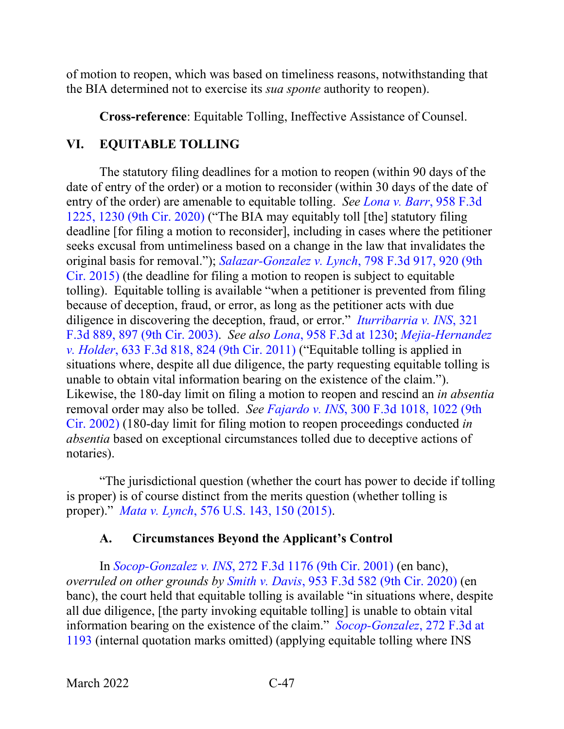of motion to reopen, which was based on timeliness reasons, notwithstanding that the BIA determined not to exercise its *sua sponte* authority to reopen).

**Cross-reference**: Equitable Tolling, Ineffective Assistance of Counsel.

## **VI. EQUITABLE TOLLING**

The statutory filing deadlines for a motion to reopen (within 90 days of the date of entry of the order) or a motion to reconsider (within 30 days of the date of entry of the order) are amenable to equitable tolling. *See [Lona v. Barr](https://www.westlaw.com/Document/I29dec8e096fd11ea8cb395d22c142a61/View/FullText.html?transitionType=Default&contextData=(sc.Default)&VR=3.0&RS=da3.0&fragmentIdentifier=co_pp_sp_506_1230)*, 958 F.3d [1225, 1230 \(9th Cir. 2020\)](https://www.westlaw.com/Document/I29dec8e096fd11ea8cb395d22c142a61/View/FullText.html?transitionType=Default&contextData=(sc.Default)&VR=3.0&RS=da3.0&fragmentIdentifier=co_pp_sp_506_1230) ("The BIA may equitably toll [the] statutory filing deadline [for filing a motion to reconsider], including in cases where the petitioner seeks excusal from untimeliness based on a change in the law that invalidates the original basis for removal."); *[Salazar-Gonzalez v. Lynch](https://www.westlaw.com/Document/I35134605477111e5a807ad48145ed9f1/View/FullText.html?transitionType=Default&contextData=(sc.Default)&VR=3.0&RS=da3.0&fragmentIdentifier=co_pp_sp_506_920)*, 798 F.3d 917, 920 (9th [Cir. 2015\)](https://www.westlaw.com/Document/I35134605477111e5a807ad48145ed9f1/View/FullText.html?transitionType=Default&contextData=(sc.Default)&VR=3.0&RS=da3.0&fragmentIdentifier=co_pp_sp_506_920) (the deadline for filing a motion to reopen is subject to equitable tolling). Equitable tolling is available "when a petitioner is prevented from filing because of deception, fraud, or error, as long as the petitioner acts with due diligence in discovering the deception, fraud, or error." *[Iturribarria v. INS](https://www.westlaw.com/Document/I83dfa6c589c711d9b6ea9f5a173c4523/View/FullText.html?transitionType=Default&contextData=(sc.Default)&VR=3.0&RS=da3.0&fragmentIdentifier=co_pp_sp_506_897)*, 321 [F.3d 889, 897 \(9th Cir. 2003\).](https://www.westlaw.com/Document/I83dfa6c589c711d9b6ea9f5a173c4523/View/FullText.html?transitionType=Default&contextData=(sc.Default)&VR=3.0&RS=da3.0&fragmentIdentifier=co_pp_sp_506_897) *See also Lona*, 958 [F.3d at 1230;](https://www.westlaw.com/Document/I29dec8e096fd11ea8cb395d22c142a61/View/FullText.html?transitionType=Default&contextData=(sc.Default)&VR=3.0&RS=da3.0&fragmentIdentifier=co_pp_sp_506_1230) *[Mejia-Hernandez](https://www.westlaw.com/Document/Ia7771f1b2a1011e0aa23bccc834e9520/View/FullText.html?transitionType=Default&contextData=(sc.Default)&VR=3.0&RS=da3.0&fragmentIdentifier=co_pp_sp_506_824)  v. Holder*[, 633 F.3d 818, 824 \(9th Cir. 2011\)](https://www.westlaw.com/Document/Ia7771f1b2a1011e0aa23bccc834e9520/View/FullText.html?transitionType=Default&contextData=(sc.Default)&VR=3.0&RS=da3.0&fragmentIdentifier=co_pp_sp_506_824) ("Equitable tolling is applied in situations where, despite all due diligence, the party requesting equitable tolling is unable to obtain vital information bearing on the existence of the claim."). Likewise, the 180-day limit on filing a motion to reopen and rescind an *in absentia* removal order may also be tolled. *See Fajardo v. INS*[, 300 F.3d 1018, 1022 \(9th](https://www.westlaw.com/Document/Icb8ad99d79e011d9ac1ffa9f33b6c3b0/View/FullText.html?transitionType=Default&contextData=(sc.Default)&VR=3.0&RS=da3.0&fragmentIdentifier=co_pp_sp_506_1022)  [Cir. 2002\)](https://www.westlaw.com/Document/Icb8ad99d79e011d9ac1ffa9f33b6c3b0/View/FullText.html?transitionType=Default&contextData=(sc.Default)&VR=3.0&RS=da3.0&fragmentIdentifier=co_pp_sp_506_1022) (180-day limit for filing motion to reopen proceedings conducted *in absentia* based on exceptional circumstances tolled due to deceptive actions of notaries).

"The jurisdictional question (whether the court has power to decide if tolling is proper) is of course distinct from the merits question (whether tolling is proper)." *Mata v. Lynch*[, 576 U.S. 143, 150 \(2015\).](https://www.westlaw.com/Document/I2040d285136211e5a807ad48145ed9f1/View/FullText.html?transitionType=Default&contextData=(sc.Default)&VR=3.0&RS=da3.0&fragmentIdentifier=co_pp_sp_780_150)

## **A. Circumstances Beyond the Applicant's Control**

In *Socop-Gonzalez v. INS*[, 272 F.3d 1176 \(9th Cir. 2001\)](https://www.westlaw.com/Document/Id9f0040779b411d98c82a53fc8ac8757/View/FullText.html?transitionType=Default&contextData=(sc.Default)&VR=3.0&RS=da3.0) (en banc), *overruled on other grounds by Smith v. Davis*[, 953 F.3d 582 \(9th Cir. 2020\)](https://www.westlaw.com/Document/Ia0e7a6906b1611ea9354eec9e02fecda/View/FullText.html?transitionType=Default&contextData=(sc.Default)&VR=3.0&RS=da3.0) (en banc), the court held that equitable tolling is available "in situations where, despite all due diligence, [the party invoking equitable tolling] is unable to obtain vital information bearing on the existence of the claim." *[Socop-Gonzalez](https://www.westlaw.com/Document/Id9f0040779b411d98c82a53fc8ac8757/View/FullText.html?transitionType=Default&contextData=(sc.Default)&VR=3.0&RS=da3.0&fragmentIdentifier=co_pp_sp_506_1193)*, 272 F.3d at [1193](https://www.westlaw.com/Document/Id9f0040779b411d98c82a53fc8ac8757/View/FullText.html?transitionType=Default&contextData=(sc.Default)&VR=3.0&RS=da3.0&fragmentIdentifier=co_pp_sp_506_1193) (internal quotation marks omitted) (applying equitable tolling where INS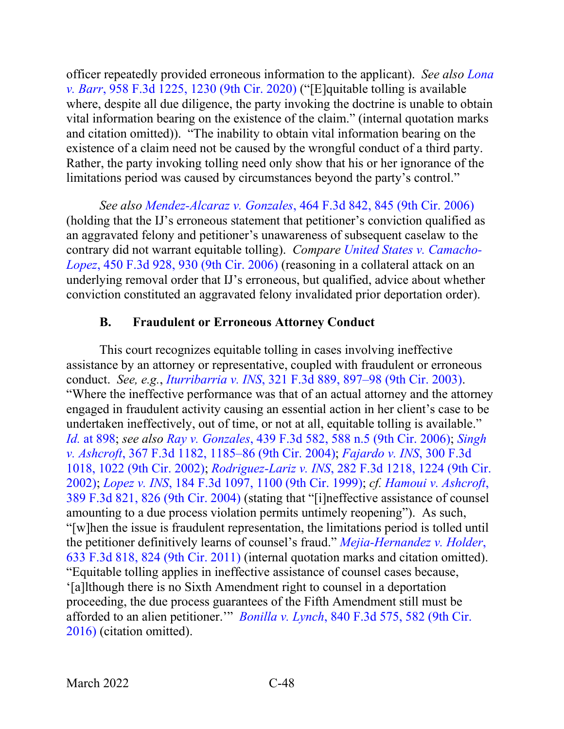officer repeatedly provided erroneous information to the applicant). *See also [Lona](https://www.westlaw.com/Document/I29dec8e096fd11ea8cb395d22c142a61/View/FullText.html?transitionType=Default&contextData=(sc.Default)&VR=3.0&RS=da3.0&fragmentIdentifier=co_pp_sp_506_1230)  v. Barr*[, 958 F.3d 1225, 1230 \(9th Cir. 2020\)](https://www.westlaw.com/Document/I29dec8e096fd11ea8cb395d22c142a61/View/FullText.html?transitionType=Default&contextData=(sc.Default)&VR=3.0&RS=da3.0&fragmentIdentifier=co_pp_sp_506_1230) ("[E]quitable tolling is available where, despite all due diligence, the party invoking the doctrine is unable to obtain vital information bearing on the existence of the claim." (internal quotation marks and citation omitted)). "The inability to obtain vital information bearing on the existence of a claim need not be caused by the wrongful conduct of a third party. Rather, the party invoking tolling need only show that his or her ignorance of the limitations period was caused by circumstances beyond the party's control."

*See also Mendez-Alcaraz v. Gonzales*[, 464 F.3d 842, 845 \(9th Cir. 2006\)](https://www.westlaw.com/Document/Ic56fda31521e11db8ac4e022126eafc3/View/FullText.html?transitionType=Default&contextData=(sc.Default)&VR=3.0&RS=da3.0&fragmentIdentifier=co_pp_sp_506_845) (holding that the IJ's erroneous statement that petitioner's conviction qualified as an aggravated felony and petitioner's unawareness of subsequent caselaw to the contrary did not warrant equitable tolling). *Compare [United States v. Camacho-](https://www.westlaw.com/Document/I5886bd42f00c11daa223cd6b838f54f9/View/FullText.html?transitionType=Default&contextData=(sc.Default)&VR=3.0&RS=da3.0&fragmentIdentifier=co_pp_sp_506_930)Lopez*[, 450 F.3d 928, 930 \(9th Cir. 2006\)](https://www.westlaw.com/Document/I5886bd42f00c11daa223cd6b838f54f9/View/FullText.html?transitionType=Default&contextData=(sc.Default)&VR=3.0&RS=da3.0&fragmentIdentifier=co_pp_sp_506_930) (reasoning in a collateral attack on an underlying removal order that IJ's erroneous, but qualified, advice about whether conviction constituted an aggravated felony invalidated prior deportation order).

## **B. Fraudulent or Erroneous Attorney Conduct**

This court recognizes equitable tolling in cases involving ineffective assistance by an attorney or representative, coupled with fraudulent or erroneous conduct. *See, e.g.*, *Iturribarria v. INS*[, 321 F.3d 889, 897–98 \(9th Cir. 2003\).](https://www.westlaw.com/Document/I83dfa6c589c711d9b6ea9f5a173c4523/View/FullText.html?transitionType=Default&contextData=(sc.Default)&VR=3.0&RS=da3.0&fragmentIdentifier=co_pp_sp_506_897) "Where the ineffective performance was that of an actual attorney and the attorney engaged in fraudulent activity causing an essential action in her client's case to be undertaken ineffectively, out of time, or not at all, equitable tolling is available." *Id.* [at 898;](https://www.westlaw.com/Document/I83dfa6c589c711d9b6ea9f5a173c4523/View/FullText.html?transitionType=Default&contextData=(sc.Default)&VR=3.0&RS=da3.0&fragmentIdentifier=co_pp_sp_506_898) *see also Ray v. Gonzales*[, 439 F.3d 582, 588 n.5 \(9th Cir. 2006\);](https://www.westlaw.com/Document/I3a3977d3a95511da9cfda9de91273d56/View/FullText.html?transitionType=Default&contextData=(sc.Default)&VR=3.0&RS=da3.0&fragmentIdentifier=co_pp_sp_506_588+n.5) *[Singh](https://www.westlaw.com/Document/I02d0acc38a0511d98b51ba734bfc3c79/View/FullText.html?transitionType=Default&contextData=(sc.Default)&VR=3.0&RS=da3.0&fragmentIdentifier=co_pp_sp_506_1185)  v. Ashcroft*[, 367 F.3d 1182, 1185–86 \(9th Cir. 2004\);](https://www.westlaw.com/Document/I02d0acc38a0511d98b51ba734bfc3c79/View/FullText.html?transitionType=Default&contextData=(sc.Default)&VR=3.0&RS=da3.0&fragmentIdentifier=co_pp_sp_506_1185) *[Fajardo v. INS](https://www.westlaw.com/Document/Icb8ad99d79e011d9ac1ffa9f33b6c3b0/View/FullText.html?transitionType=Default&contextData=(sc.Default)&VR=3.0&RS=da3.0&fragmentIdentifier=co_pp_sp_506_1022)*, 300 F.3d [1018, 1022 \(9th Cir. 2002\);](https://www.westlaw.com/Document/Icb8ad99d79e011d9ac1ffa9f33b6c3b0/View/FullText.html?transitionType=Default&contextData=(sc.Default)&VR=3.0&RS=da3.0&fragmentIdentifier=co_pp_sp_506_1022) *Rodriguez-Lariz v. INS*[, 282 F.3d 1218, 1224 \(9th Cir.](https://www.westlaw.com/Document/Ie0594c0a79cf11d9bf29e2067ad74e5b/View/FullText.html?transitionType=Default&contextData=(sc.Default)&VR=3.0&RS=da3.0&fragmentIdentifier=co_pp_sp_506_1224)  [2002\);](https://www.westlaw.com/Document/Ie0594c0a79cf11d9bf29e2067ad74e5b/View/FullText.html?transitionType=Default&contextData=(sc.Default)&VR=3.0&RS=da3.0&fragmentIdentifier=co_pp_sp_506_1224) *Lopez v. INS*[, 184 F.3d 1097, 1100 \(9th Cir. 1999\);](https://www.westlaw.com/Document/Iecb6c62494ab11d993e6d35cc61aab4a/View/FullText.html?transitionType=Default&contextData=(sc.Default)&VR=3.0&RS=da3.0&fragmentIdentifier=co_pp_sp_506_1100) *cf. [Hamoui v. Ashcroft](https://www.westlaw.com/Document/I9f205f148bc411d99a6fdc806bf1638e/View/FullText.html?transitionType=Default&contextData=(sc.Default)&VR=3.0&RS=da3.0&fragmentIdentifier=co_pp_sp_506_826)*, [389 F.3d 821, 826 \(9th Cir. 2004\)](https://www.westlaw.com/Document/I9f205f148bc411d99a6fdc806bf1638e/View/FullText.html?transitionType=Default&contextData=(sc.Default)&VR=3.0&RS=da3.0&fragmentIdentifier=co_pp_sp_506_826) (stating that "[i]neffective assistance of counsel amounting to a due process violation permits untimely reopening"). As such, "[w]hen the issue is fraudulent representation, the limitations period is tolled until the petitioner definitively learns of counsel's fraud." *[Mejia-Hernandez v. Holder](https://www.westlaw.com/Document/Ia7771f1b2a1011e0aa23bccc834e9520/View/FullText.html?transitionType=Default&contextData=(sc.Default)&VR=3.0&RS=da3.0&fragmentIdentifier=co_pp_sp_506_824)*, [633 F.3d 818, 824 \(9th Cir. 2011\)](https://www.westlaw.com/Document/Ia7771f1b2a1011e0aa23bccc834e9520/View/FullText.html?transitionType=Default&contextData=(sc.Default)&VR=3.0&RS=da3.0&fragmentIdentifier=co_pp_sp_506_824) (internal quotation marks and citation omitted). "Equitable tolling applies in ineffective assistance of counsel cases because, '[a]lthough there is no Sixth Amendment right to counsel in a deportation proceeding, the due process guarantees of the Fifth Amendment still must be afforded to an alien petitioner.'" *Bonilla v. Lynch*[, 840 F.3d 575, 582 \(9th Cir.](https://www.westlaw.com/Document/I036825c0972511e69e6ceb9009bbadab/View/FullText.html?transitionType=Default&contextData=(sc.Default)&VR=3.0&RS=da3.0&fragmentIdentifier=co_pp_sp_506_582)  [2016\)](https://www.westlaw.com/Document/I036825c0972511e69e6ceb9009bbadab/View/FullText.html?transitionType=Default&contextData=(sc.Default)&VR=3.0&RS=da3.0&fragmentIdentifier=co_pp_sp_506_582) (citation omitted).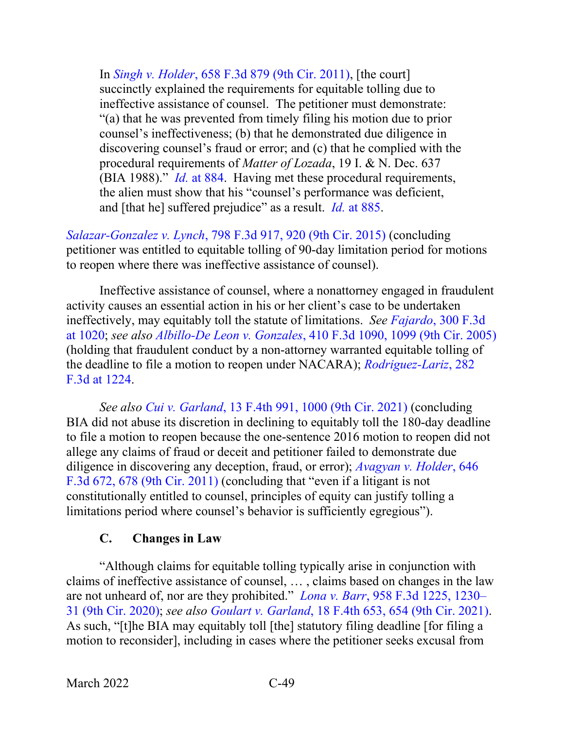In *Singh v. Holder*[, 658 F.3d 879 \(9th Cir. 2011\),](https://www.westlaw.com/Document/I9a259fb1b39911e093b4f77be4dcecfa/View/FullText.html?transitionType=Default&contextData=(sc.Default)&VR=3.0&RS=da3.0) [the court] succinctly explained the requirements for equitable tolling due to ineffective assistance of counsel. The petitioner must demonstrate: "(a) that he was prevented from timely filing his motion due to prior counsel's ineffectiveness; (b) that he demonstrated due diligence in discovering counsel's fraud or error; and (c) that he complied with the procedural requirements of *Matter of Lozada*, 19 I. & N. Dec. 637 (BIA 1988)." *Id.* [at 884.](https://www.westlaw.com/Document/I9a259fb1b39911e093b4f77be4dcecfa/View/FullText.html?transitionType=Default&contextData=(sc.Default)&VR=3.0&RS=da3.0&fragmentIdentifier=co_pp_sp_506_884) Having met these procedural requirements, the alien must show that his "counsel's performance was deficient, and [that he] suffered prejudice" as a result. *Id.* [at 885.](https://www.westlaw.com/Document/I9a259fb1b39911e093b4f77be4dcecfa/View/FullText.html?transitionType=Default&contextData=(sc.Default)&VR=3.0&RS=da3.0&fragmentIdentifier=co_pp_sp_506_885)

*Salazar-Gonzalez v. Lynch*[, 798 F.3d 917, 920 \(9th Cir. 2015\)](https://www.westlaw.com/Document/I35134605477111e5a807ad48145ed9f1/View/FullText.html?transitionType=Default&contextData=(sc.Default)&VR=3.0&RS=da3.0&fragmentIdentifier=co_pp_sp_506_920) (concluding petitioner was entitled to equitable tolling of 90-day limitation period for motions to reopen where there was ineffective assistance of counsel).

Ineffective assistance of counsel, where a nonattorney engaged in fraudulent activity causes an essential action in his or her client's case to be undertaken ineffectively, may equitably toll the statute of limitations. *See Fajardo*[, 300 F.3d](https://www.westlaw.com/Document/Icb8ad99d79e011d9ac1ffa9f33b6c3b0/View/FullText.html?transitionType=Default&contextData=(sc.Default)&VR=3.0&RS=da3.0&fragmentIdentifier=co_pp_sp_506_1020)  [at 1020;](https://www.westlaw.com/Document/Icb8ad99d79e011d9ac1ffa9f33b6c3b0/View/FullText.html?transitionType=Default&contextData=(sc.Default)&VR=3.0&RS=da3.0&fragmentIdentifier=co_pp_sp_506_1020) *see also Albillo-De Leon v. Gonzales*[, 410 F.3d 1090, 1099 \(9th Cir. 2005\)](https://www.westlaw.com/Document/Idbbef7f5d84c11d9a489ee624f1f6e1a/View/FullText.html?transitionType=Default&contextData=(sc.Default)&VR=3.0&RS=da3.0&fragmentIdentifier=co_pp_sp_506_1099) (holding that fraudulent conduct by a non-attorney warranted equitable tolling of the deadline to file a motion to reopen under NACARA); *[Rodriguez-Lariz](https://www.westlaw.com/Document/Ie0594c0a79cf11d9bf29e2067ad74e5b/View/FullText.html?transitionType=Default&contextData=(sc.Default)&VR=3.0&RS=da3.0&fragmentIdentifier=co_pp_sp_506_1224)*, 282 [F.3d at 1224.](https://www.westlaw.com/Document/Ie0594c0a79cf11d9bf29e2067ad74e5b/View/FullText.html?transitionType=Default&contextData=(sc.Default)&VR=3.0&RS=da3.0&fragmentIdentifier=co_pp_sp_506_1224)

*See also Cui v. Garland*[, 13 F.4th 991, 1000 \(9th Cir. 2021\)](https://www.westlaw.com/Document/I6b62a7b01ca211ec925cb2bf681461fd/View/FullText.html?transitionType=Default&contextData=(sc.Default)&VR=3.0&RS=da3.0&fragmentIdentifier=co_pp_sp_8173_1000) (concluding BIA did not abuse its discretion in declining to equitably toll the 180-day deadline to file a motion to reopen because the one-sentence 2016 motion to reopen did not allege any claims of fraud or deceit and petitioner failed to demonstrate due diligence in discovering any deception, fraud, or error); *[Avagyan v. Holder](https://www.westlaw.com/Document/Ib2489e9ba3fa11e093b4f77be4dcecfa/View/FullText.html?transitionType=Default&contextData=(sc.Default)&VR=3.0&RS=da3.0&fragmentIdentifier=co_pp_sp_506_678)*, 646 [F.3d 672, 678 \(9th Cir. 2011\)](https://www.westlaw.com/Document/Ib2489e9ba3fa11e093b4f77be4dcecfa/View/FullText.html?transitionType=Default&contextData=(sc.Default)&VR=3.0&RS=da3.0&fragmentIdentifier=co_pp_sp_506_678) (concluding that "even if a litigant is not constitutionally entitled to counsel, principles of equity can justify tolling a limitations period where counsel's behavior is sufficiently egregious").

## **C. Changes in Law**

"Although claims for equitable tolling typically arise in conjunction with claims of ineffective assistance of counsel, … , claims based on changes in the law are not unheard of, nor are they prohibited." *Lona v. Barr*[, 958 F.3d 1225, 1230–](https://www.westlaw.com/Document/I29dec8e096fd11ea8cb395d22c142a61/View/FullText.html?transitionType=Default&contextData=(sc.Default)&VR=3.0&RS=da3.0&fragmentIdentifier=co_pp_sp_506_1230) [31 \(9th Cir. 2020\);](https://www.westlaw.com/Document/I29dec8e096fd11ea8cb395d22c142a61/View/FullText.html?transitionType=Default&contextData=(sc.Default)&VR=3.0&RS=da3.0&fragmentIdentifier=co_pp_sp_506_1230) *see also Goulart v. Garland*[, 18 F.4th 653, 654 \(9th Cir. 2021\).](https://www.westlaw.com/Document/I2bdeb67048b111ecbc0b8d609f9f6bdf/View/FullText.html?transitionType=Default&contextData=(sc.Default)&VR=3.0&RS=da3.0&fragmentIdentifier=co_pp_sp_8173_654) As such, "[t]he BIA may equitably toll [the] statutory filing deadline [for filing a motion to reconsider], including in cases where the petitioner seeks excusal from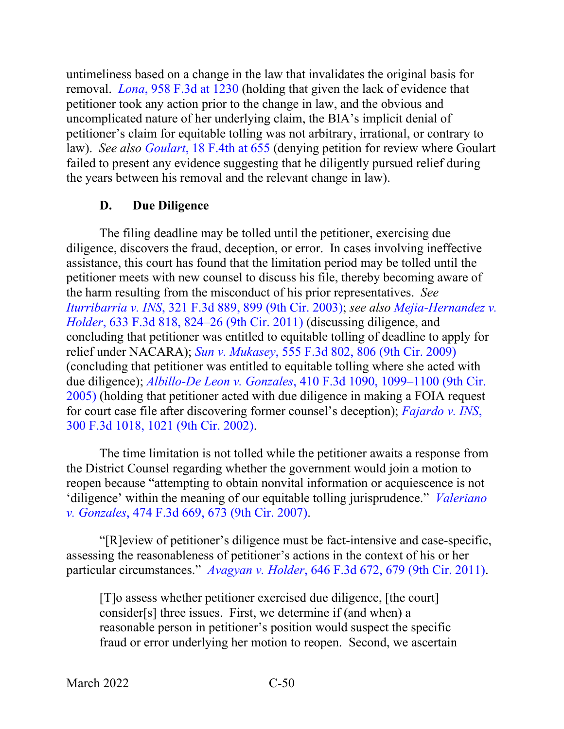untimeliness based on a change in the law that invalidates the original basis for removal. *Lona*[, 958 F.3d](https://www.westlaw.com/Document/I29dec8e096fd11ea8cb395d22c142a61/View/FullText.html?transitionType=Default&contextData=(sc.Default)&VR=3.0&RS=da3.0&fragmentIdentifier=co_pp_sp_506_1230) at 1230 (holding that given the lack of evidence that petitioner took any action prior to the change in law, and the obvious and uncomplicated nature of her underlying claim, the BIA's implicit denial of petitioner's claim for equitable tolling was not arbitrary, irrational, or contrary to law). *See also Goulart*[, 18 F.4th at 655](https://www.westlaw.com/Document/I2bdeb67048b111ecbc0b8d609f9f6bdf/View/FullText.html?transitionType=Default&contextData=(sc.Default)&VR=3.0&RS=da3.0&fragmentIdentifier=co_pp_sp_8173_655) (denying petition for review where Goulart failed to present any evidence suggesting that he diligently pursued relief during the years between his removal and the relevant change in law).

### **D. Due Diligence**

The filing deadline may be tolled until the petitioner, exercising due diligence, discovers the fraud, deception, or error. In cases involving ineffective assistance, this court has found that the limitation period may be tolled until the petitioner meets with new counsel to discuss his file, thereby becoming aware of the harm resulting from the misconduct of his prior representatives. *See Iturribarria v. INS*[, 321 F.3d 889, 899 \(9th Cir. 2003\);](https://www.westlaw.com/Document/I83dfa6c589c711d9b6ea9f5a173c4523/View/FullText.html?transitionType=Default&contextData=(sc.Default)&VR=3.0&RS=da3.0&fragmentIdentifier=co_pp_sp_506_899) *see also [Mejia-Hernandez v.](https://www.westlaw.com/Document/Ia7771f1b2a1011e0aa23bccc834e9520/View/FullText.html?transitionType=Default&contextData=(sc.Default)&VR=3.0&RS=da3.0&fragmentIdentifier=co_pp_sp_506_824)  Holder*[, 633 F.3d 818, 824–26 \(9th Cir.](https://www.westlaw.com/Document/Ia7771f1b2a1011e0aa23bccc834e9520/View/FullText.html?transitionType=Default&contextData=(sc.Default)&VR=3.0&RS=da3.0&fragmentIdentifier=co_pp_sp_506_824) 2011) (discussing diligence, and concluding that petitioner was entitled to equitable tolling of deadline to apply for relief under NACARA); *Sun v. Mukasey*[, 555 F.3d 802, 806 \(9th Cir. 2009\)](https://www.westlaw.com/Document/I01a4b2fdf6b411ddb5cbad29a280d47c/View/FullText.html?transitionType=Default&contextData=(sc.Default)&VR=3.0&RS=da3.0&fragmentIdentifier=co_pp_sp_506_806) (concluding that petitioner was entitled to equitable tolling where she acted with due diligence); *Albillo-De Leon v. Gonzales*[, 410 F.3d 1090, 1099–1100 \(9th Cir.](https://www.westlaw.com/Document/Idbbef7f5d84c11d9a489ee624f1f6e1a/View/FullText.html?transitionType=Default&contextData=(sc.Default)&VR=3.0&RS=da3.0&fragmentIdentifier=co_pp_sp_506_1099)  [2005\)](https://www.westlaw.com/Document/Idbbef7f5d84c11d9a489ee624f1f6e1a/View/FullText.html?transitionType=Default&contextData=(sc.Default)&VR=3.0&RS=da3.0&fragmentIdentifier=co_pp_sp_506_1099) (holding that petitioner acted with due diligence in making a FOIA request for court case file after discovering former counsel's deception); *[Fajardo v. INS](https://www.westlaw.com/Document/Icb8ad99d79e011d9ac1ffa9f33b6c3b0/View/FullText.html?transitionType=Default&contextData=(sc.Default)&VR=3.0&RS=da3.0&fragmentIdentifier=co_pp_sp_506_1021)*, [300 F.3d 1018, 1021 \(9th Cir. 2002\).](https://www.westlaw.com/Document/Icb8ad99d79e011d9ac1ffa9f33b6c3b0/View/FullText.html?transitionType=Default&contextData=(sc.Default)&VR=3.0&RS=da3.0&fragmentIdentifier=co_pp_sp_506_1021)

The time limitation is not tolled while the petitioner awaits a response from the District Counsel regarding whether the government would join a motion to reopen because "attempting to obtain nonvital information or acquiescence is not 'diligence' within the meaning of our equitable tolling jurisprudence." *[Valeriano](https://www.westlaw.com/Document/I1020105faade11db9127cf4cfcf88547/View/FullText.html?transitionType=Default&contextData=(sc.Default)&VR=3.0&RS=da3.0&fragmentIdentifier=co_pp_sp_506_673)  v. Gonzales*[, 474 F.3d 669, 673 \(9th Cir. 2007\).](https://www.westlaw.com/Document/I1020105faade11db9127cf4cfcf88547/View/FullText.html?transitionType=Default&contextData=(sc.Default)&VR=3.0&RS=da3.0&fragmentIdentifier=co_pp_sp_506_673)

"[R]eview of petitioner's diligence must be fact-intensive and case-specific, assessing the reasonableness of petitioner's actions in the context of his or her particular circumstances." *Avagyan v. Holder*[, 646 F.3d 672, 679 \(9th Cir. 2011\).](https://www.westlaw.com/Document/Ib2489e9ba3fa11e093b4f77be4dcecfa/View/FullText.html?transitionType=Default&contextData=(sc.Default)&VR=3.0&RS=da3.0&fragmentIdentifier=co_pp_sp_506_679)

[T]o assess whether petitioner exercised due diligence, [the court] consider[s] three issues. First, we determine if (and when) a reasonable person in petitioner's position would suspect the specific fraud or error underlying her motion to reopen. Second, we ascertain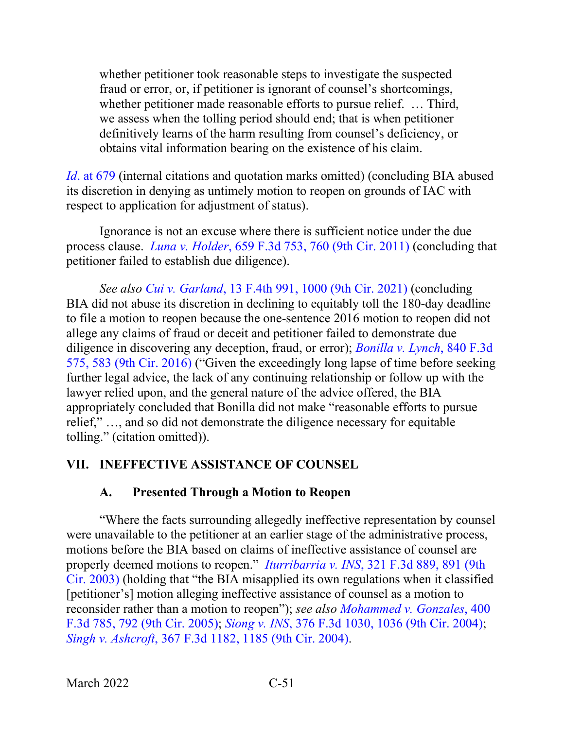whether petitioner took reasonable steps to investigate the suspected fraud or error, or, if petitioner is ignorant of counsel's shortcomings, whether petitioner made reasonable efforts to pursue relief. … Third, we assess when the tolling period should end; that is when petitioner definitively learns of the harm resulting from counsel's deficiency, or obtains vital information bearing on the existence of his claim.

*Id*[. at 679](https://www.westlaw.com/Document/Ib2489e9ba3fa11e093b4f77be4dcecfa/View/FullText.html?transitionType=Default&contextData=(sc.Default)&VR=3.0&RS=da3.0&fragmentIdentifier=co_pp_sp_506_679) (internal citations and quotation marks omitted) (concluding BIA abused its discretion in denying as untimely motion to reopen on grounds of IAC with respect to application for adjustment of status).

Ignorance is not an excuse where there is sufficient notice under the due process clause. *Luna v. Holder*[, 659 F.3d 753, 760 \(9th Cir. 2011\)](https://www.westlaw.com/Document/Ib9e6529de39011e0a9e5bdc02ef2b18e/View/FullText.html?transitionType=Default&contextData=(sc.Default)&VR=3.0&RS=da3.0&fragmentIdentifier=co_pp_sp_506_760) (concluding that petitioner failed to establish due diligence).

*See also Cui v. Garland*[, 13 F.4th 991, 1000 \(9th Cir. 2021\)](https://www.westlaw.com/Document/I6b62a7b01ca211ec925cb2bf681461fd/View/FullText.html?transitionType=Default&contextData=(sc.Default)&VR=3.0&RS=da3.0&fragmentIdentifier=co_pp_sp_8173_1000) (concluding BIA did not abuse its discretion in declining to equitably toll the 180-day deadline to file a motion to reopen because the one-sentence 2016 motion to reopen did not allege any claims of fraud or deceit and petitioner failed to demonstrate due diligence in discovering any deception, fraud, or error); *[Bonilla v. Lynch](https://www.westlaw.com/Document/I036825c0972511e69e6ceb9009bbadab/View/FullText.html?transitionType=Default&contextData=(sc.Default)&VR=3.0&RS=da3.0&fragmentIdentifier=co_pp_sp_506_583)*, 840 F.3d [575, 583 \(9th Cir. 2016\)](https://www.westlaw.com/Document/I036825c0972511e69e6ceb9009bbadab/View/FullText.html?transitionType=Default&contextData=(sc.Default)&VR=3.0&RS=da3.0&fragmentIdentifier=co_pp_sp_506_583) ("Given the exceedingly long lapse of time before seeking further legal advice, the lack of any continuing relationship or follow up with the lawyer relied upon, and the general nature of the advice offered, the BIA appropriately concluded that Bonilla did not make "reasonable efforts to pursue relief," …, and so did not demonstrate the diligence necessary for equitable tolling." (citation omitted)).

## **VII. INEFFECTIVE ASSISTANCE OF COUNSEL**

## **A. Presented Through a Motion to Reopen**

"Where the facts surrounding allegedly ineffective representation by counsel were unavailable to the petitioner at an earlier stage of the administrative process, motions before the BIA based on claims of ineffective assistance of counsel are properly deemed motions to reopen." *Iturribarria v. INS*[, 321 F.3d 889, 891 \(9th](https://www.westlaw.com/Document/I83dfa6c589c711d9b6ea9f5a173c4523/View/FullText.html?transitionType=Default&contextData=(sc.Default)&VR=3.0&RS=da3.0&fragmentIdentifier=co_pp_sp_506_891)  [Cir. 2003\)](https://www.westlaw.com/Document/I83dfa6c589c711d9b6ea9f5a173c4523/View/FullText.html?transitionType=Default&contextData=(sc.Default)&VR=3.0&RS=da3.0&fragmentIdentifier=co_pp_sp_506_891) (holding that "the BIA misapplied its own regulations when it classified [petitioner's] motion alleging ineffective assistance of counsel as a motion to reconsider rather than a motion to reopen"); *see also [Mohammed v. Gonzales](https://www.westlaw.com/Document/Iccc09121919f11d993e6d35cc61aab4a/View/FullText.html?transitionType=Default&contextData=(sc.Default)&VR=3.0&RS=da3.0&fragmentIdentifier=co_pp_sp_506_792)*, 400 [F.3d 785, 792 \(9th Cir. 2005\);](https://www.westlaw.com/Document/Iccc09121919f11d993e6d35cc61aab4a/View/FullText.html?transitionType=Default&contextData=(sc.Default)&VR=3.0&RS=da3.0&fragmentIdentifier=co_pp_sp_506_792) *Siong v. INS*[, 376 F.3d 1030, 1036 \(9th Cir. 2004\);](https://www.westlaw.com/Document/Ibfc258fb8ba511d9af17b5c9441c4c47/View/FullText.html?transitionType=Default&contextData=(sc.Default)&VR=3.0&RS=da3.0&fragmentIdentifier=co_pp_sp_506_1036) *Singh v. Ashcroft*[, 367 F.3d 1182, 1185 \(9th Cir. 2004\).](https://www.westlaw.com/Document/I02d0acc38a0511d98b51ba734bfc3c79/View/FullText.html?transitionType=Default&contextData=(sc.Default)&VR=3.0&RS=da3.0&fragmentIdentifier=co_pp_sp_506_1185)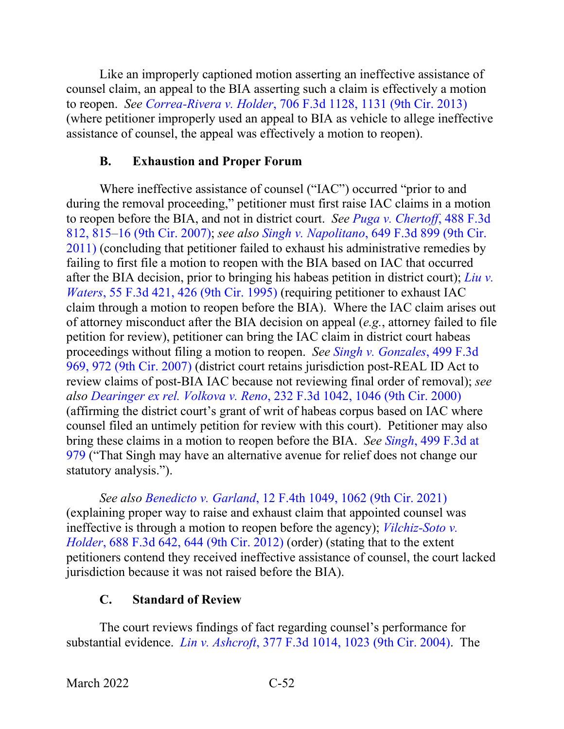Like an improperly captioned motion asserting an ineffective assistance of counsel claim, an appeal to the BIA asserting such a claim is effectively a motion to reopen. *See Correa-Rivera v. Holder*[, 706 F.3d 1128, 1131 \(9th Cir. 2013\)](https://www.westlaw.com/Document/I69c033b8704e11e2a531ef6793d44951/View/FullText.html?transitionType=Default&contextData=(sc.Default)&VR=3.0&RS=da3.0&fragmentIdentifier=co_pp_sp_506_1131) (where petitioner improperly used an appeal to BIA as vehicle to allege ineffective assistance of counsel, the appeal was effectively a motion to reopen).

## **B. Exhaustion and Proper Forum**

Where ineffective assistance of counsel ("IAC") occurred "prior to and during the removal proceeding," petitioner must first raise IAC claims in a motion to reopen before the BIA, and not in district court. *See [Puga v. Chertoff](https://www.westlaw.com/Document/I3246865e0a0111dcb035bac3a32ef289/View/FullText.html?transitionType=Default&contextData=(sc.Default)&VR=3.0&RS=da3.0&fragmentIdentifier=co_pp_sp_506_815)*, 488 F.3d [812, 815–16 \(9th Cir. 2007\);](https://www.westlaw.com/Document/I3246865e0a0111dcb035bac3a32ef289/View/FullText.html?transitionType=Default&contextData=(sc.Default)&VR=3.0&RS=da3.0&fragmentIdentifier=co_pp_sp_506_815) *see also Singh v. Napolitano*[, 649 F.3d 899 \(9th Cir.](https://www.westlaw.com/Document/Iad361b036b1e11e0b63e897ab6fa6920/View/FullText.html?transitionType=Default&contextData=(sc.Default)&VR=3.0&RS=da3.0)  [2011\)](https://www.westlaw.com/Document/Iad361b036b1e11e0b63e897ab6fa6920/View/FullText.html?transitionType=Default&contextData=(sc.Default)&VR=3.0&RS=da3.0) (concluding that petitioner failed to exhaust his administrative remedies by failing to first file a motion to reopen with the BIA based on IAC that occurred after the BIA decision, prior to bringing his habeas petition in district court); *[Liu v.](https://www.westlaw.com/Document/I2a823565918311d9a707f4371c9c34f0/View/FullText.html?transitionType=Default&contextData=(sc.Default)&VR=3.0&RS=da3.0&fragmentIdentifier=co_pp_sp_506_426)  Waters*[, 55 F.3d 421, 426 \(9th Cir. 1995\)](https://www.westlaw.com/Document/I2a823565918311d9a707f4371c9c34f0/View/FullText.html?transitionType=Default&contextData=(sc.Default)&VR=3.0&RS=da3.0&fragmentIdentifier=co_pp_sp_506_426) (requiring petitioner to exhaust IAC claim through a motion to reopen before the BIA). Where the IAC claim arises out of attorney misconduct after the BIA decision on appeal (*e.g.*, attorney failed to file petition for review), petitioner can bring the IAC claim in district court habeas proceedings without filing a motion to reopen. *See [Singh v. Gonzales](https://www.westlaw.com/Document/I7306528852d811dc8200d0063168b01f/View/FullText.html?transitionType=Default&contextData=(sc.Default)&VR=3.0&RS=da3.0&fragmentIdentifier=co_pp_sp_506_972)*, 499 F.3d [969, 972 \(9th Cir. 2007\)](https://www.westlaw.com/Document/I7306528852d811dc8200d0063168b01f/View/FullText.html?transitionType=Default&contextData=(sc.Default)&VR=3.0&RS=da3.0&fragmentIdentifier=co_pp_sp_506_972) (district court retains jurisdiction post-REAL ID Act to review claims of post-BIA IAC because not reviewing final order of removal); *see also Dearinger ex rel. Volkova v. Reno*[, 232 F.3d 1042, 1046 \(9th Cir. 2000\)](https://www.westlaw.com/Document/I94e470a3799411d99c4dbb2f0352441d/View/FullText.html?transitionType=Default&contextData=(sc.Default)&VR=3.0&RS=da3.0&fragmentIdentifier=co_pp_sp_506_1046) (affirming the district court's grant of writ of habeas corpus based on IAC where counsel filed an untimely petition for review with this court). Petitioner may also bring these claims in a motion to reopen before the BIA. *See Singh*[, 499 F.3d at](https://www.westlaw.com/Document/I7306528852d811dc8200d0063168b01f/View/FullText.html?transitionType=Default&contextData=(sc.Default)&VR=3.0&RS=da3.0&fragmentIdentifier=co_pp_sp_506_979)  [979](https://www.westlaw.com/Document/I7306528852d811dc8200d0063168b01f/View/FullText.html?transitionType=Default&contextData=(sc.Default)&VR=3.0&RS=da3.0&fragmentIdentifier=co_pp_sp_506_979) ("That Singh may have an alternative avenue for relief does not change our statutory analysis.").

*See also Benedicto v. Garland*[, 12 F.4th 1049, 1062 \(9th Cir. 2021\)](https://www.westlaw.com/Document/I6100c84011a511ec8aabc101dd28eb2c/View/FullText.html?transitionType=Default&contextData=(sc.Default)&VR=3.0&RS=da3.0&fragmentIdentifier=co_pp_sp_8173_1062) (explaining proper way to raise and exhaust claim that appointed counsel was ineffective is through a motion to reopen before the agency); *[Vilchiz-Soto v.](https://www.westlaw.com/Document/I6fb2e540e25811e1b343c837631e1747/View/FullText.html?transitionType=Default&contextData=(sc.Default)&VR=3.0&RS=da3.0&fragmentIdentifier=co_pp_sp_506_644)  Holder*[, 688 F.3d 642, 644 \(9th Cir. 2012\)](https://www.westlaw.com/Document/I6fb2e540e25811e1b343c837631e1747/View/FullText.html?transitionType=Default&contextData=(sc.Default)&VR=3.0&RS=da3.0&fragmentIdentifier=co_pp_sp_506_644) (order) (stating that to the extent petitioners contend they received ineffective assistance of counsel, the court lacked jurisdiction because it was not raised before the BIA).

## **C. Standard of Review**

The court reviews findings of fact regarding counsel's performance for substantial evidence. *Lin v. Ashcroft*[, 377 F.3d 1014, 1023 \(9th Cir. 2004\).](https://www.westlaw.com/Document/Ibfb07ea48ba511d9af17b5c9441c4c47/View/FullText.html?transitionType=Default&contextData=(sc.Default)&VR=3.0&RS=da3.0&fragmentIdentifier=co_pp_sp_506_1023) The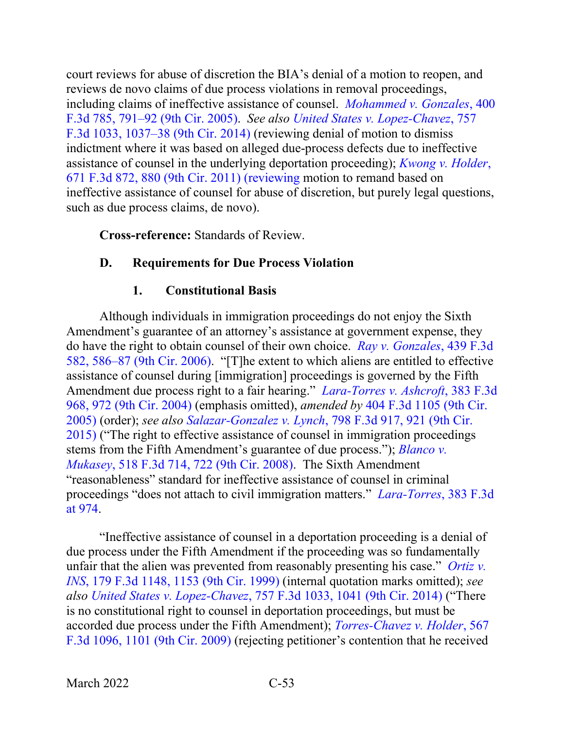court reviews for abuse of discretion the BIA's denial of a motion to reopen, and reviews de novo claims of due process violations in removal proceedings, including claims of ineffective assistance of counsel. *[Mohammed v. Gonzales](https://www.westlaw.com/Document/Iccc09121919f11d993e6d35cc61aab4a/View/FullText.html?transitionType=Default&contextData=(sc.Default)&VR=3.0&RS=da3.0&fragmentIdentifier=co_pp_sp_506_791)*, 400 [F.3d 785, 791–92 \(9th Cir. 2005\).](https://www.westlaw.com/Document/Iccc09121919f11d993e6d35cc61aab4a/View/FullText.html?transitionType=Default&contextData=(sc.Default)&VR=3.0&RS=da3.0&fragmentIdentifier=co_pp_sp_506_791) *See also [United States v. Lopez-Chavez](https://www.westlaw.com/Document/I9b251adf02df11e4a795ac035416da91/View/FullText.html?transitionType=Default&contextData=(sc.Default)&VR=3.0&RS=da3.0&fragmentIdentifier=co_pp_sp_506_1037)*, 757 [F.3d 1033, 1037–38 \(9th Cir. 2014\)](https://www.westlaw.com/Document/I9b251adf02df11e4a795ac035416da91/View/FullText.html?transitionType=Default&contextData=(sc.Default)&VR=3.0&RS=da3.0&fragmentIdentifier=co_pp_sp_506_1037) (reviewing denial of motion to dismiss indictment where it was based on alleged due-process defects due to ineffective assistance of counsel in the underlying deportation proceeding); *[Kwong v. Holder](https://www.westlaw.com/Document/Icf9dc126208f11e1a5d6f94bcaceb380/View/FullText.html?transitionType=Default&contextData=(sc.Default)&VR=3.0&RS=da3.0&fragmentIdentifier=co_pp_sp_506_880)*, [671 F.3d 872, 880 \(9th Cir. 2011\) \(reviewing](https://www.westlaw.com/Document/Icf9dc126208f11e1a5d6f94bcaceb380/View/FullText.html?transitionType=Default&contextData=(sc.Default)&VR=3.0&RS=da3.0&fragmentIdentifier=co_pp_sp_506_880) motion to remand based on ineffective assistance of counsel for abuse of discretion, but purely legal questions, such as due process claims, de novo).

**Cross-reference:** Standards of Review.

## **D. Requirements for Due Process Violation**

## **1. Constitutional Basis**

Although individuals in immigration proceedings do not enjoy the Sixth Amendment's guarantee of an attorney's assistance at government expense, they do have the right to obtain counsel of their own choice. *[Ray v. Gonzales](https://www.westlaw.com/Document/I3a3977d3a95511da9cfda9de91273d56/View/FullText.html?transitionType=Default&contextData=(sc.Default)&VR=3.0&RS=da3.0&fragmentIdentifier=co_pp_sp_506_586)*, 439 F.3d [582, 586–87 \(9th Cir. 2006\).](https://www.westlaw.com/Document/I3a3977d3a95511da9cfda9de91273d56/View/FullText.html?transitionType=Default&contextData=(sc.Default)&VR=3.0&RS=da3.0&fragmentIdentifier=co_pp_sp_506_586) "[T]he extent to which aliens are entitled to effective assistance of counsel during [immigration] proceedings is governed by the Fifth Amendment due process right to a fair hearing." *[Lara-Torres v. Ashcroft](https://www.westlaw.com/Document/Id62f1b9a89f311d9b6ea9f5a173c4523/View/FullText.html?transitionType=Default&contextData=(sc.Default)&VR=3.0&RS=da3.0&fragmentIdentifier=co_pp_sp_506_972)*, 383 F.3d [968, 972 \(9th Cir. 2004\)](https://www.westlaw.com/Document/Id62f1b9a89f311d9b6ea9f5a173c4523/View/FullText.html?transitionType=Default&contextData=(sc.Default)&VR=3.0&RS=da3.0&fragmentIdentifier=co_pp_sp_506_972) (emphasis omitted), *amended by* [404 F.3d 1105 \(9th Cir.](https://www.westlaw.com/Document/I3294d541b1d711d9a707f4371c9c34f0/View/FullText.html?transitionType=Default&contextData=(sc.Default)&VR=3.0&RS=da3.0)  [2005\)](https://www.westlaw.com/Document/I3294d541b1d711d9a707f4371c9c34f0/View/FullText.html?transitionType=Default&contextData=(sc.Default)&VR=3.0&RS=da3.0) (order); *see also Salazar-Gonzalez v. Lynch*[, 798 F.3d 917, 921 \(9th Cir.](https://www.westlaw.com/Document/I35134605477111e5a807ad48145ed9f1/View/FullText.html?transitionType=Default&contextData=(sc.Default)&VR=3.0&RS=da3.0&fragmentIdentifier=co_pp_sp_506_921)  [2015\)](https://www.westlaw.com/Document/I35134605477111e5a807ad48145ed9f1/View/FullText.html?transitionType=Default&contextData=(sc.Default)&VR=3.0&RS=da3.0&fragmentIdentifier=co_pp_sp_506_921) ("The right to effective assistance of counsel in immigration proceedings stems from the Fifth Amendment's guarantee of due process."); *[Blanco v.](https://www.westlaw.com/Document/I9813882ee94e11dca9c2f716e0c816ba/View/FullText.html?transitionType=Default&contextData=(sc.Default)&VR=3.0&RS=da3.0&fragmentIdentifier=co_pp_sp_506_722)  Mukasey*[, 518 F.3d 714, 722 \(9th Cir. 2008\).](https://www.westlaw.com/Document/I9813882ee94e11dca9c2f716e0c816ba/View/FullText.html?transitionType=Default&contextData=(sc.Default)&VR=3.0&RS=da3.0&fragmentIdentifier=co_pp_sp_506_722) The Sixth Amendment "reasonableness" standard for ineffective assistance of counsel in criminal proceedings "does not attach to civil immigration matters." *[Lara-Torres](https://www.westlaw.com/Document/Id62f1b9a89f311d9b6ea9f5a173c4523/View/FullText.html?transitionType=Default&contextData=(sc.Default)&VR=3.0&RS=da3.0&fragmentIdentifier=co_pp_sp_506_974)*, 383 F.3d [at 974.](https://www.westlaw.com/Document/Id62f1b9a89f311d9b6ea9f5a173c4523/View/FullText.html?transitionType=Default&contextData=(sc.Default)&VR=3.0&RS=da3.0&fragmentIdentifier=co_pp_sp_506_974)

"Ineffective assistance of counsel in a deportation proceeding is a denial of due process under the Fifth Amendment if the proceeding was so fundamentally unfair that the alien was prevented from reasonably presenting his case." *[Ortiz v.](https://www.westlaw.com/Document/I47cb34aa94a311d9a707f4371c9c34f0/View/FullText.html?transitionType=Default&contextData=(sc.Default)&VR=3.0&RS=da3.0&fragmentIdentifier=co_pp_sp_506_1153)  INS*[, 179 F.3d 1148, 1153 \(9th Cir. 1999\)](https://www.westlaw.com/Document/I47cb34aa94a311d9a707f4371c9c34f0/View/FullText.html?transitionType=Default&contextData=(sc.Default)&VR=3.0&RS=da3.0&fragmentIdentifier=co_pp_sp_506_1153) (internal quotation marks omitted); *see also United States v. Lopez-Chavez*[, 757 F.3d 1033, 1041 \(9th Cir. 2014\)](https://www.westlaw.com/Document/I9b251adf02df11e4a795ac035416da91/View/FullText.html?transitionType=Default&contextData=(sc.Default)&VR=3.0&RS=da3.0&fragmentIdentifier=co_pp_sp_506_1041) ("There is no constitutional right to counsel in deportation proceedings, but must be accorded due process under the Fifth Amendment); *[Torres-Chavez v. Holder](https://www.westlaw.com/Document/Iea8f7a4551dc11de8bf6cd8525c41437/View/FullText.html?transitionType=Default&contextData=(sc.Default)&VR=3.0&RS=da3.0&fragmentIdentifier=co_pp_sp_506_1101)*, 567 [F.3d 1096, 1101 \(9th Cir. 2009\)](https://www.westlaw.com/Document/Iea8f7a4551dc11de8bf6cd8525c41437/View/FullText.html?transitionType=Default&contextData=(sc.Default)&VR=3.0&RS=da3.0&fragmentIdentifier=co_pp_sp_506_1101) (rejecting petitioner's contention that he received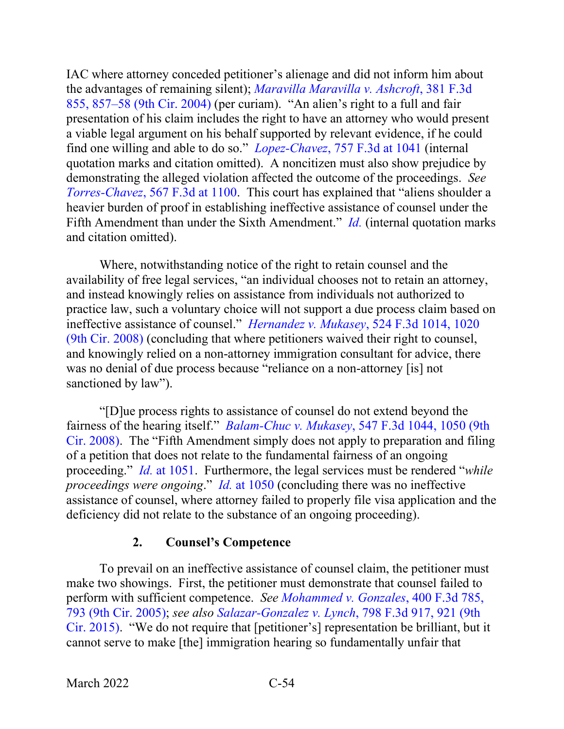IAC where attorney conceded petitioner's alienage and did not inform him about the advantages of remaining silent); *[Maravilla Maravilla v. Ashcroft](https://www.westlaw.com/Document/I352ce5688bb011d99dcc8cc3e68b51e9/View/FullText.html?transitionType=Default&contextData=(sc.Default)&VR=3.0&RS=da3.0&fragmentIdentifier=co_pp_sp_506_857)*, 381 F.3d [855, 857–58 \(9th Cir. 2004\)](https://www.westlaw.com/Document/I352ce5688bb011d99dcc8cc3e68b51e9/View/FullText.html?transitionType=Default&contextData=(sc.Default)&VR=3.0&RS=da3.0&fragmentIdentifier=co_pp_sp_506_857) (per curiam). "An alien's right to a full and fair presentation of his claim includes the right to have an attorney who would present a viable legal argument on his behalf supported by relevant evidence, if he could find one willing and able to do so." *Lopez-Chavez*[, 757 F.3d at 1041](https://www.westlaw.com/Document/I9b251adf02df11e4a795ac035416da91/View/FullText.html?transitionType=Default&contextData=(sc.Default)&VR=3.0&RS=da3.0&fragmentIdentifier=co_pp_sp_506_1041) (internal quotation marks and citation omitted). A noncitizen must also show prejudice by demonstrating the alleged violation affected the outcome of the proceedings. *See Torres-Chavez*[, 567 F.3d at 1100.](https://www.westlaw.com/Document/Iea8f7a4551dc11de8bf6cd8525c41437/View/FullText.html?transitionType=Default&contextData=(sc.Default)&VR=3.0&RS=da3.0&fragmentIdentifier=co_pp_sp_506_1100) This court has explained that "aliens shoulder a heavier burden of proof in establishing ineffective assistance of counsel under the Fifth Amendment than under the Sixth Amendment." *[Id.](https://www.westlaw.com/Document/Iea8f7a4551dc11de8bf6cd8525c41437/View/FullText.html?transitionType=Default&contextData=(sc.Default)&VR=3.0&RS=da3.0)* (internal quotation marks and citation omitted).

Where, notwithstanding notice of the right to retain counsel and the availability of free legal services, "an individual chooses not to retain an attorney, and instead knowingly relies on assistance from individuals not authorized to practice law, such a voluntary choice will not support a due process claim based on ineffective assistance of counsel." *[Hernandez v. Mukasey](https://www.westlaw.com/Document/I54bd015016d911ddb595a478de34cd72/View/FullText.html?transitionType=Default&contextData=(sc.Default)&VR=3.0&RS=da3.0&fragmentIdentifier=co_pp_sp_506_1020)*, 524 F.3d 1014, 1020 [\(9th Cir. 2008\)](https://www.westlaw.com/Document/I54bd015016d911ddb595a478de34cd72/View/FullText.html?transitionType=Default&contextData=(sc.Default)&VR=3.0&RS=da3.0&fragmentIdentifier=co_pp_sp_506_1020) (concluding that where petitioners waived their right to counsel, and knowingly relied on a non-attorney immigration consultant for advice, there was no denial of due process because "reliance on a non-attorney [is] not sanctioned by law").

"[D]ue process rights to assistance of counsel do not extend beyond the fairness of the hearing itself." *Balam-Chuc v. Mukasey*[, 547 F.3d 1044, 1050 \(9th](https://www.westlaw.com/Document/I00c4d6e3a1dc11dd9876f446780b7bdc/View/FullText.html?transitionType=Default&contextData=(sc.Default)&VR=3.0&RS=da3.0&fragmentIdentifier=co_pp_sp_506_1050)  [Cir. 2008\).](https://www.westlaw.com/Document/I00c4d6e3a1dc11dd9876f446780b7bdc/View/FullText.html?transitionType=Default&contextData=(sc.Default)&VR=3.0&RS=da3.0&fragmentIdentifier=co_pp_sp_506_1050) The "Fifth Amendment simply does not apply to preparation and filing of a petition that does not relate to the fundamental fairness of an ongoing proceeding." *Id.* [at 1051.](https://www.westlaw.com/Document/I00c4d6e3a1dc11dd9876f446780b7bdc/View/FullText.html?transitionType=Default&contextData=(sc.Default)&VR=3.0&RS=da3.0&fragmentIdentifier=co_pp_sp_506_1051) Furthermore, the legal services must be rendered "*while proceedings were ongoing*." *Id.* [at 1050](https://www.westlaw.com/Document/I00c4d6e3a1dc11dd9876f446780b7bdc/View/FullText.html?transitionType=Default&contextData=(sc.Default)&VR=3.0&RS=da3.0&fragmentIdentifier=co_pp_sp_506_1050) (concluding there was no ineffective assistance of counsel, where attorney failed to properly file visa application and the deficiency did not relate to the substance of an ongoing proceeding).

## **2. Counsel's Competence**

To prevail on an ineffective assistance of counsel claim, the petitioner must make two showings. First, the petitioner must demonstrate that counsel failed to perform with sufficient competence. *See [Mohammed v. Gonzales](https://www.westlaw.com/Document/Iccc09121919f11d993e6d35cc61aab4a/View/FullText.html?transitionType=Default&contextData=(sc.Default)&VR=3.0&RS=da3.0&fragmentIdentifier=co_pp_sp_506_793)*, 400 F.3d 785, [793 \(9th Cir. 2005\);](https://www.westlaw.com/Document/Iccc09121919f11d993e6d35cc61aab4a/View/FullText.html?transitionType=Default&contextData=(sc.Default)&VR=3.0&RS=da3.0&fragmentIdentifier=co_pp_sp_506_793) *see also [Salazar-Gonzalez v. Lynch](https://www.westlaw.com/Document/I35134605477111e5a807ad48145ed9f1/View/FullText.html?transitionType=Default&contextData=(sc.Default)&VR=3.0&RS=da3.0&fragmentIdentifier=co_pp_sp_506_921)*, 798 F.3d 917, 921 (9th [Cir. 2015\).](https://www.westlaw.com/Document/I35134605477111e5a807ad48145ed9f1/View/FullText.html?transitionType=Default&contextData=(sc.Default)&VR=3.0&RS=da3.0&fragmentIdentifier=co_pp_sp_506_921) "We do not require that [petitioner's] representation be brilliant, but it cannot serve to make [the] immigration hearing so fundamentally unfair that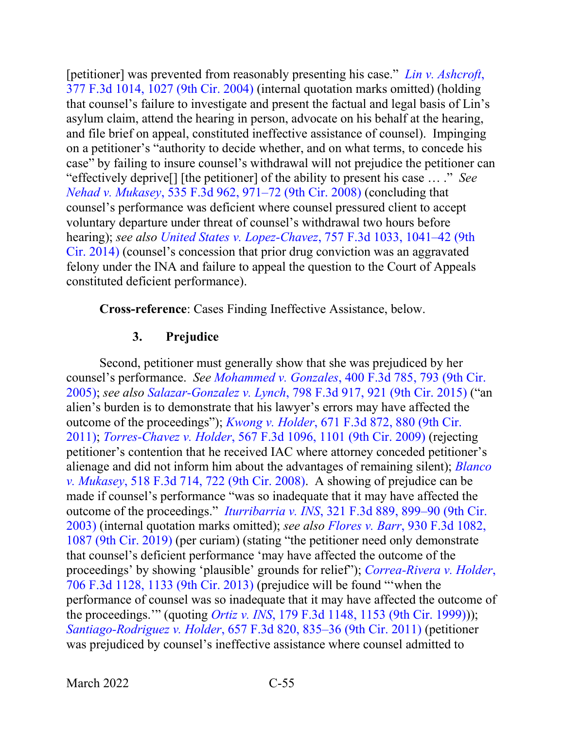[petitioner] was prevented from reasonably presenting his case." *[Lin v. Ashcroft](https://www.westlaw.com/Document/Ibfb07ea48ba511d9af17b5c9441c4c47/View/FullText.html?transitionType=Default&contextData=(sc.Default)&VR=3.0&RS=da3.0&fragmentIdentifier=co_pp_sp_506_1027)*, [377 F.3d 1014, 1027 \(9th Cir. 2004\)](https://www.westlaw.com/Document/Ibfb07ea48ba511d9af17b5c9441c4c47/View/FullText.html?transitionType=Default&contextData=(sc.Default)&VR=3.0&RS=da3.0&fragmentIdentifier=co_pp_sp_506_1027) (internal quotation marks omitted) (holding that counsel's failure to investigate and present the factual and legal basis of Lin's asylum claim, attend the hearing in person, advocate on his behalf at the hearing, and file brief on appeal, constituted ineffective assistance of counsel). Impinging on a petitioner's "authority to decide whether, and on what terms, to concede his case" by failing to insure counsel's withdrawal will not prejudice the petitioner can "effectively deprive[] [the petitioner] of the ability to present his case … ." *See Nehad v. Mukasey*[, 535 F.3d 962, 971–72 \(9th Cir. 2008\)](https://www.westlaw.com/Document/Id36bdcac5f1b11ddb7e583ba170699a5/View/FullText.html?transitionType=Default&contextData=(sc.Default)&VR=3.0&RS=da3.0&fragmentIdentifier=co_pp_sp_506_971) (concluding that counsel's performance was deficient where counsel pressured client to accept voluntary departure under threat of counsel's withdrawal two hours before hearing); *see also United States v. Lopez-Chavez*[, 757 F.3d 1033, 1041–42 \(9th](https://www.westlaw.com/Document/I9b251adf02df11e4a795ac035416da91/View/FullText.html?transitionType=Default&contextData=(sc.Default)&VR=3.0&RS=da3.0&fragmentIdentifier=co_pp_sp_506_1041)  [Cir. 2014\)](https://www.westlaw.com/Document/I9b251adf02df11e4a795ac035416da91/View/FullText.html?transitionType=Default&contextData=(sc.Default)&VR=3.0&RS=da3.0&fragmentIdentifier=co_pp_sp_506_1041) (counsel's concession that prior drug conviction was an aggravated felony under the INA and failure to appeal the question to the Court of Appeals constituted deficient performance).

**Cross-reference**: Cases Finding Ineffective Assistance, below.

### **3. Prejudice**

Second, petitioner must generally show that she was prejudiced by her counsel's performance. *See Mohammed v. Gonzales*[, 400 F.3d 785, 793 \(9th Cir.](https://www.westlaw.com/Document/Iccc09121919f11d993e6d35cc61aab4a/View/FullText.html?transitionType=Default&contextData=(sc.Default)&VR=3.0&RS=da3.0&fragmentIdentifier=co_pp_sp_506_793)  [2005\);](https://www.westlaw.com/Document/Iccc09121919f11d993e6d35cc61aab4a/View/FullText.html?transitionType=Default&contextData=(sc.Default)&VR=3.0&RS=da3.0&fragmentIdentifier=co_pp_sp_506_793) *see also Salazar-Gonzalez v. Lynch*[, 798 F.3d 917, 921 \(9th Cir. 2015\)](https://www.westlaw.com/Document/I35134605477111e5a807ad48145ed9f1/View/FullText.html?transitionType=Default&contextData=(sc.Default)&VR=3.0&RS=da3.0&fragmentIdentifier=co_pp_sp_506_921) ("an alien's burden is to demonstrate that his lawyer's errors may have affected the outcome of the proceedings"); *Kwong v. Holder*[, 671 F.3d 872, 880 \(9th Cir.](https://www.westlaw.com/Document/Icf9dc126208f11e1a5d6f94bcaceb380/View/FullText.html?transitionType=Default&contextData=(sc.Default)&VR=3.0&RS=da3.0&fragmentIdentifier=co_pp_sp_506_880)  [2011\);](https://www.westlaw.com/Document/Icf9dc126208f11e1a5d6f94bcaceb380/View/FullText.html?transitionType=Default&contextData=(sc.Default)&VR=3.0&RS=da3.0&fragmentIdentifier=co_pp_sp_506_880) *Torres-Chavez v. Holder*[, 567 F.3d 1096, 1101 \(9th Cir. 2009\)](https://www.westlaw.com/Document/Iea8f7a4551dc11de8bf6cd8525c41437/View/FullText.html?transitionType=Default&contextData=(sc.Default)&VR=3.0&RS=da3.0&fragmentIdentifier=co_pp_sp_506_1101) (rejecting petitioner's contention that he received IAC where attorney conceded petitioner's alienage and did not inform him about the advantages of remaining silent); *[Blanco](https://www.westlaw.com/Document/I9813882ee94e11dca9c2f716e0c816ba/View/FullText.html?transitionType=Default&contextData=(sc.Default)&VR=3.0&RS=da3.0&fragmentIdentifier=co_pp_sp_506_722)  v. Mukasey*[, 518 F.3d 714, 722 \(9th Cir. 2008\).](https://www.westlaw.com/Document/I9813882ee94e11dca9c2f716e0c816ba/View/FullText.html?transitionType=Default&contextData=(sc.Default)&VR=3.0&RS=da3.0&fragmentIdentifier=co_pp_sp_506_722) A showing of prejudice can be made if counsel's performance "was so inadequate that it may have affected the outcome of the proceedings." *Iturribarria v. INS*[, 321 F.3d 889, 899–90 \(9th Cir.](https://www.westlaw.com/Document/I83dfa6c589c711d9b6ea9f5a173c4523/View/FullText.html?transitionType=Default&contextData=(sc.Default)&VR=3.0&RS=da3.0&fragmentIdentifier=co_pp_sp_506_899)  [2003\)](https://www.westlaw.com/Document/I83dfa6c589c711d9b6ea9f5a173c4523/View/FullText.html?transitionType=Default&contextData=(sc.Default)&VR=3.0&RS=da3.0&fragmentIdentifier=co_pp_sp_506_899) (internal quotation marks omitted); *see also Flores v. Barr*[, 930 F.3d 1082,](https://www.westlaw.com/Document/Icea8af90a99a11e981b9f3f7c11376fd/View/FullText.html?transitionType=Default&contextData=(sc.Default)&VR=3.0&RS=da3.0&fragmentIdentifier=co_pp_sp_506_1087)  [1087 \(9th Cir. 2019\)](https://www.westlaw.com/Document/Icea8af90a99a11e981b9f3f7c11376fd/View/FullText.html?transitionType=Default&contextData=(sc.Default)&VR=3.0&RS=da3.0&fragmentIdentifier=co_pp_sp_506_1087) (per curiam) (stating "the petitioner need only demonstrate that counsel's deficient performance 'may have affected the outcome of the proceedings' by showing 'plausible' grounds for relief"); *[Correa-Rivera v. Holder](https://www.westlaw.com/Document/I69c033b8704e11e2a531ef6793d44951/View/FullText.html?transitionType=Default&contextData=(sc.Default)&VR=3.0&RS=da3.0&fragmentIdentifier=co_pp_sp_506_1133)*, [706 F.3d 1128, 1133 \(9th Cir. 2013\)](https://www.westlaw.com/Document/I69c033b8704e11e2a531ef6793d44951/View/FullText.html?transitionType=Default&contextData=(sc.Default)&VR=3.0&RS=da3.0&fragmentIdentifier=co_pp_sp_506_1133) (prejudice will be found "'when the performance of counsel was so inadequate that it may have affected the outcome of the proceedings.'" (quoting *Ortiz v. INS*[, 179 F.3d 1148, 1153 \(9th Cir. 1999\)\)](https://www.westlaw.com/Document/I47cb34aa94a311d9a707f4371c9c34f0/View/FullText.html?transitionType=Default&contextData=(sc.Default)&VR=3.0&RS=da3.0&fragmentIdentifier=co_pp_sp_506_1153)); *Santiago-Rodriguez v. Holder*[, 657 F.3d 820, 835–36 \(9th Cir. 2011\)](https://www.westlaw.com/Document/I813eb1a1db2411e08b448cf533780ea2/View/FullText.html?transitionType=Default&contextData=(sc.Default)&VR=3.0&RS=da3.0&fragmentIdentifier=co_pp_sp_506_835) (petitioner was prejudiced by counsel's ineffective assistance where counsel admitted to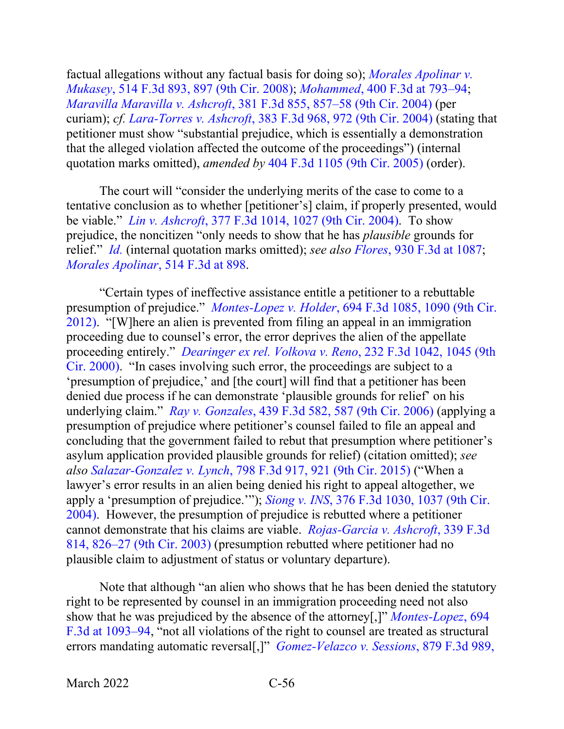factual allegations without any factual basis for doing so); *[Morales Apolinar v.](https://www.westlaw.com/Document/I8cf48729cab111dc9876f446780b7bdc/View/FullText.html?transitionType=Default&contextData=(sc.Default)&VR=3.0&RS=da3.0&fragmentIdentifier=co_pp_sp_506_897)  Mukasey*[, 514 F.3d 893, 897 \(9th Cir. 2008\);](https://www.westlaw.com/Document/I8cf48729cab111dc9876f446780b7bdc/View/FullText.html?transitionType=Default&contextData=(sc.Default)&VR=3.0&RS=da3.0&fragmentIdentifier=co_pp_sp_506_897) *Mohammed*[, 400 F.3d at 793–94;](https://www.westlaw.com/Document/Iccc09121919f11d993e6d35cc61aab4a/View/FullText.html?transitionType=Default&contextData=(sc.Default)&VR=3.0&RS=da3.0&fragmentIdentifier=co_pp_sp_506_793) *Maravilla Maravilla v. Ashcroft*[, 381 F.3d 855, 857–58 \(9th Cir. 2004\)](https://www.westlaw.com/Document/I352ce5688bb011d99dcc8cc3e68b51e9/View/FullText.html?transitionType=Default&contextData=(sc.Default)&VR=3.0&RS=da3.0&fragmentIdentifier=co_pp_sp_506_857) (per curiam); *cf. [Lara-Torres v. Ashcroft](https://www.westlaw.com/Document/Id62f1b9a89f311d9b6ea9f5a173c4523/View/FullText.html?transitionType=Default&contextData=(sc.Default)&VR=3.0&RS=da3.0&fragmentIdentifier=co_pp_sp_506_972)*, 383 F.3d 968, 972 (9th Cir. 2004) (stating that petitioner must show "substantial prejudice, which is essentially a demonstration that the alleged violation affected the outcome of the proceedings") (internal quotation marks omitted), *amended by* [404 F.3d 1105 \(9th Cir. 2005\)](https://www.westlaw.com/Document/I3294d541b1d711d9a707f4371c9c34f0/View/FullText.html?transitionType=Default&contextData=(sc.Default)&VR=3.0&RS=da3.0) (order).

The court will "consider the underlying merits of the case to come to a tentative conclusion as to whether [petitioner's] claim, if properly presented, would be viable." *Lin v. Ashcroft*[, 377 F.3d 1014, 1027 \(9th Cir. 2004\).](https://www.westlaw.com/Document/Ibfb07ea48ba511d9af17b5c9441c4c47/View/FullText.html?transitionType=Default&contextData=(sc.Default)&VR=3.0&RS=da3.0&fragmentIdentifier=co_pp_sp_506_1027) To show prejudice, the noncitizen "only needs to show that he has *plausible* grounds for relief." *[Id.](https://www.westlaw.com/Document/Ibfb07ea48ba511d9af17b5c9441c4c47/View/FullText.html?transitionType=Default&contextData=(sc.Default)&VR=3.0&RS=da3.0)* (internal quotation marks omitted); *see also Flores*[, 930 F.3d at 1087;](https://www.westlaw.com/Document/Icea8af90a99a11e981b9f3f7c11376fd/View/FullText.html?transitionType=Default&contextData=(sc.Default)&VR=3.0&RS=da3.0&fragmentIdentifier=co_pp_sp_506_1087) *[Morales Apolinar](https://www.westlaw.com/Document/I8cf48729cab111dc9876f446780b7bdc/View/FullText.html?transitionType=Default&contextData=(sc.Default)&VR=3.0&RS=da3.0&fragmentIdentifier=co_pp_sp_506_898)*, 514 F.3d at 898.

"Certain types of ineffective assistance entitle a petitioner to a rebuttable presumption of prejudice." *Montes-Lopez v. Holder*[, 694 F.3d 1085, 1090 \(9th Cir.](https://www.westlaw.com/Document/I4dfa324601bf11e2b66bbd5332e2d275/View/FullText.html?transitionType=Default&contextData=(sc.Default)&VR=3.0&RS=da3.0&fragmentIdentifier=co_pp_sp_506_1090)  [2012\).](https://www.westlaw.com/Document/I4dfa324601bf11e2b66bbd5332e2d275/View/FullText.html?transitionType=Default&contextData=(sc.Default)&VR=3.0&RS=da3.0&fragmentIdentifier=co_pp_sp_506_1090) "[W]here an alien is prevented from filing an appeal in an immigration proceeding due to counsel's error, the error deprives the alien of the appellate proceeding entirely." *[Dearinger ex rel. Volkova v. Reno](https://www.westlaw.com/Document/I94e470a3799411d99c4dbb2f0352441d/View/FullText.html?transitionType=Default&contextData=(sc.Default)&VR=3.0&RS=da3.0&fragmentIdentifier=co_pp_sp_506_1045)*, 232 F.3d 1042, 1045 (9th [Cir. 2000\).](https://www.westlaw.com/Document/I94e470a3799411d99c4dbb2f0352441d/View/FullText.html?transitionType=Default&contextData=(sc.Default)&VR=3.0&RS=da3.0&fragmentIdentifier=co_pp_sp_506_1045) "In cases involving such error, the proceedings are subject to a 'presumption of prejudice,' and [the court] will find that a petitioner has been denied due process if he can demonstrate 'plausible grounds for relief' on his underlying claim." *Ray v. Gonzales*[, 439 F.3d 582, 587 \(9th Cir. 2006\)](https://www.westlaw.com/Document/I3a3977d3a95511da9cfda9de91273d56/View/FullText.html?transitionType=Default&contextData=(sc.Default)&VR=3.0&RS=da3.0&fragmentIdentifier=co_pp_sp_506_587) (applying a presumption of prejudice where petitioner's counsel failed to file an appeal and concluding that the government failed to rebut that presumption where petitioner's asylum application provided plausible grounds for relief) (citation omitted); *see also Salazar-Gonzalez v. Lynch*[, 798 F.3d 917, 921 \(9th Cir. 2015\)](https://www.westlaw.com/Document/I35134605477111e5a807ad48145ed9f1/View/FullText.html?transitionType=Default&contextData=(sc.Default)&VR=3.0&RS=da3.0&fragmentIdentifier=co_pp_sp_506_921) ("When a lawyer's error results in an alien being denied his right to appeal altogether, we apply a 'presumption of prejudice.'"); *Siong v. INS*[, 376 F.3d 1030, 1037 \(9th Cir.](https://www.westlaw.com/Document/Ibfc258fb8ba511d9af17b5c9441c4c47/View/FullText.html?transitionType=Default&contextData=(sc.Default)&VR=3.0&RS=da3.0&fragmentIdentifier=co_pp_sp_506_1037)  [2004\).](https://www.westlaw.com/Document/Ibfc258fb8ba511d9af17b5c9441c4c47/View/FullText.html?transitionType=Default&contextData=(sc.Default)&VR=3.0&RS=da3.0&fragmentIdentifier=co_pp_sp_506_1037) However, the presumption of prejudice is rebutted where a petitioner cannot demonstrate that his claims are viable. *[Rojas-Garcia v. Ashcroft](https://www.westlaw.com/Document/Ie9d46cc289e111d9903eeb4634b8d78e/View/FullText.html?transitionType=Default&contextData=(sc.Default)&VR=3.0&RS=da3.0&fragmentIdentifier=co_pp_sp_506_826)*, 339 F.3d [814, 826–27 \(9th Cir. 2003\)](https://www.westlaw.com/Document/Ie9d46cc289e111d9903eeb4634b8d78e/View/FullText.html?transitionType=Default&contextData=(sc.Default)&VR=3.0&RS=da3.0&fragmentIdentifier=co_pp_sp_506_826) (presumption rebutted where petitioner had no plausible claim to adjustment of status or voluntary departure).

Note that although "an alien who shows that he has been denied the statutory right to be represented by counsel in an immigration proceeding need not also show that he was prejudiced by the absence of the attorney[,]" *[Montes-Lopez](https://www.westlaw.com/Document/I4dfa324601bf11e2b66bbd5332e2d275/View/FullText.html?transitionType=Default&contextData=(sc.Default)&VR=3.0&RS=da3.0&fragmentIdentifier=co_pp_sp_506_1093)*, 694 [F.3d at 1093–94,](https://www.westlaw.com/Document/I4dfa324601bf11e2b66bbd5332e2d275/View/FullText.html?transitionType=Default&contextData=(sc.Default)&VR=3.0&RS=da3.0&fragmentIdentifier=co_pp_sp_506_1093) "not all violations of the right to counsel are treated as structural errors mandating automatic reversal[,]" *[Gomez-Velazco v. Sessions](https://www.westlaw.com/Document/I588e9000f63f11e78c5db03c58f2bc1d/View/FullText.html?transitionType=Default&contextData=(sc.Default)&VR=3.0&RS=da3.0&fragmentIdentifier=co_pp_sp_506_993)*, 879 F.3d 989,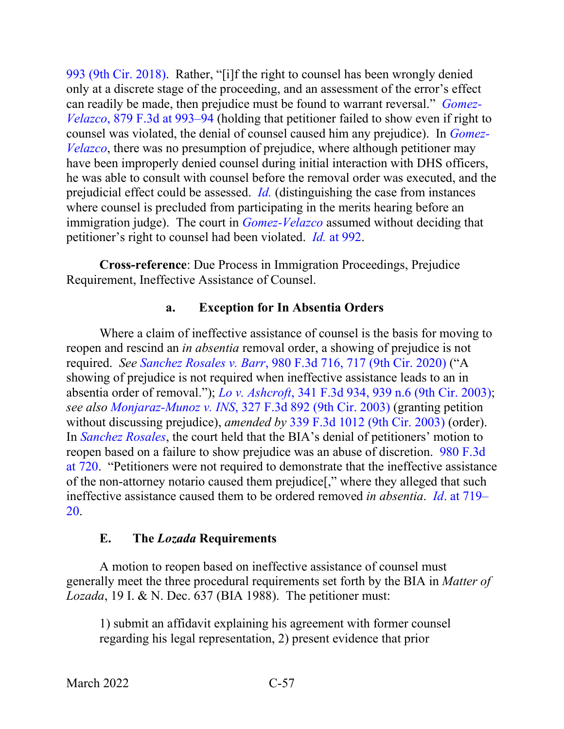[993 \(9th Cir. 2018\).](https://www.westlaw.com/Document/I588e9000f63f11e78c5db03c58f2bc1d/View/FullText.html?transitionType=Default&contextData=(sc.Default)&VR=3.0&RS=da3.0&fragmentIdentifier=co_pp_sp_506_993) Rather, "[i]f the right to counsel has been wrongly denied only at a discrete stage of the proceeding, and an assessment of the error's effect can readily be made, then prejudice must be found to warrant reversal." *[Gomez-](https://www.westlaw.com/Document/I588e9000f63f11e78c5db03c58f2bc1d/View/FullText.html?transitionType=Default&contextData=(sc.Default)&VR=3.0&RS=da3.0&fragmentIdentifier=co_pp_sp_506_993)Velazco*[, 879 F.3d at 993–94](https://www.westlaw.com/Document/I588e9000f63f11e78c5db03c58f2bc1d/View/FullText.html?transitionType=Default&contextData=(sc.Default)&VR=3.0&RS=da3.0&fragmentIdentifier=co_pp_sp_506_993) (holding that petitioner failed to show even if right to counsel was violated, the denial of counsel caused him any prejudice). In *[Gomez-](https://www.westlaw.com/Document/I588e9000f63f11e78c5db03c58f2bc1d/View/FullText.html?transitionType=Default&contextData=(sc.Default)&VR=3.0&RS=da3.0)[Velazco](https://www.westlaw.com/Document/I588e9000f63f11e78c5db03c58f2bc1d/View/FullText.html?transitionType=Default&contextData=(sc.Default)&VR=3.0&RS=da3.0)*, there was no presumption of prejudice, where although petitioner may have been improperly denied counsel during initial interaction with DHS officers, he was able to consult with counsel before the removal order was executed, and the prejudicial effect could be assessed. *[Id.](https://www.westlaw.com/Document/I588e9000f63f11e78c5db03c58f2bc1d/View/FullText.html?transitionType=Default&contextData=(sc.Default)&VR=3.0&RS=da3.0)* (distinguishing the case from instances where counsel is precluded from participating in the merits hearing before an immigration judge). The court in *[Gomez-Velazco](https://www.westlaw.com/Document/I588e9000f63f11e78c5db03c58f2bc1d/View/FullText.html?transitionType=Default&contextData=(sc.Default)&VR=3.0&RS=da3.0)* assumed without deciding that petitioner's right to counsel had been violated. *Id.* [at 992.](https://www.westlaw.com/Document/I588e9000f63f11e78c5db03c58f2bc1d/View/FullText.html?transitionType=Default&contextData=(sc.Default)&VR=3.0&RS=da3.0&fragmentIdentifier=co_pp_sp_506_992)

**Cross-reference**: Due Process in Immigration Proceedings, Prejudice Requirement, Ineffective Assistance of Counsel.

### **a. Exception for In Absentia Orders**

Where a claim of ineffective assistance of counsel is the basis for moving to reopen and rescind an *in absentia* removal order, a showing of prejudice is not required. *See Sanchez Rosales v. Barr*[, 980 F.3d 716, 717 \(9th Cir. 2020\)](https://www.westlaw.com/Document/Icfa9f87029e311ebad91f726ad2fe5fa/View/FullText.html?transitionType=Default&contextData=(sc.Default)&VR=3.0&RS=da3.0&fragmentIdentifier=co_pp_sp_506_717) ("A showing of prejudice is not required when ineffective assistance leads to an in absentia order of removal."); *Lo v. Ashcroft*[, 341 F.3d 934, 939 n.6 \(9th Cir. 2003\);](https://www.westlaw.com/Document/I9865cf4a89e711d9903eeb4634b8d78e/View/FullText.html?transitionType=Default&contextData=(sc.Default)&VR=3.0&RS=da3.0&fragmentIdentifier=co_pp_sp_506_939+n.6) *see also Monjaraz-Munoz v. INS*[, 327 F.3d 892 \(9th Cir. 2003\)](https://www.westlaw.com/Document/I45146a0b89d711d9b6ea9f5a173c4523/View/FullText.html?transitionType=Default&contextData=(sc.Default)&VR=3.0&RS=da3.0) (granting petition without discussing prejudice), *amended by* [339 F.3d 1012 \(9th Cir. 2003\)](https://www.westlaw.com/Document/Icfa8945989e811d9903eeb4634b8d78e/View/FullText.html?transitionType=Default&contextData=(sc.Default)&VR=3.0&RS=da3.0) (order). In *[Sanchez Rosales](https://www.westlaw.com/Document/Icfa9f87029e311ebad91f726ad2fe5fa/View/FullText.html?transitionType=Default&contextData=(sc.Default)&VR=3.0&RS=da3.0)*, the court held that the BIA's denial of petitioners' motion to reopen based on a failure to show prejudice was an abuse of discretion. [980 F.3d](https://www.westlaw.com/Document/Icfa9f87029e311ebad91f726ad2fe5fa/View/FullText.html?transitionType=Default&contextData=(sc.Default)&VR=3.0&RS=da3.0&fragmentIdentifier=co_pp_sp_506_720)  [at 720.](https://www.westlaw.com/Document/Icfa9f87029e311ebad91f726ad2fe5fa/View/FullText.html?transitionType=Default&contextData=(sc.Default)&VR=3.0&RS=da3.0&fragmentIdentifier=co_pp_sp_506_720) "Petitioners were not required to demonstrate that the ineffective assistance of the non-attorney notario caused them prejudice[," where they alleged that such ineffective assistance caused them to be ordered removed *in absentia*. *Id*[. at 719–](https://www.westlaw.com/Document/Icfa9f87029e311ebad91f726ad2fe5fa/View/FullText.html?transitionType=Default&contextData=(sc.Default)&VR=3.0&RS=da3.0&fragmentIdentifier=co_pp_sp_506_719) [20.](https://www.westlaw.com/Document/Icfa9f87029e311ebad91f726ad2fe5fa/View/FullText.html?transitionType=Default&contextData=(sc.Default)&VR=3.0&RS=da3.0&fragmentIdentifier=co_pp_sp_506_719)

## **E. The** *Lozada* **Requirements**

A motion to reopen based on ineffective assistance of counsel must generally meet the three procedural requirements set forth by the BIA in *Matter of Lozada*, 19 I. & N. Dec. 637 (BIA 1988). The petitioner must:

1) submit an affidavit explaining his agreement with former counsel regarding his legal representation, 2) present evidence that prior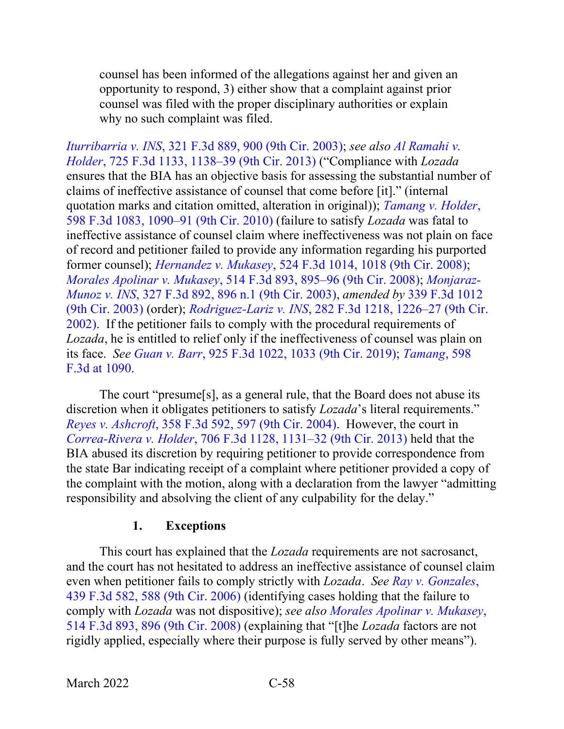counsel has been informed of the allegations against her and given an opportunity to respond, 3) either show that a complaint against prior counsel was filed with the proper disciplinary authorities or explain why no such complaint was filed.

*Iturribarria v. INS*[, 321 F.3d 889, 900 \(9th Cir. 2003\);](https://www.westlaw.com/Document/I83dfa6c589c711d9b6ea9f5a173c4523/View/FullText.html?transitionType=Default&contextData=(sc.Default)&VR=3.0&RS=da3.0&fragmentIdentifier=co_pp_sp_506_900) *see also [Al Ramahi v.](https://www.westlaw.com/Document/I2f205412fe9b11e2a98ec867961a22de/View/FullText.html?transitionType=Default&contextData=(sc.Default)&VR=3.0&RS=da3.0&fragmentIdentifier=co_pp_sp_506_1138)  Holder*[, 725 F.3d 1133, 1138–39 \(9th Cir. 2013\)](https://www.westlaw.com/Document/I2f205412fe9b11e2a98ec867961a22de/View/FullText.html?transitionType=Default&contextData=(sc.Default)&VR=3.0&RS=da3.0&fragmentIdentifier=co_pp_sp_506_1138) ("Compliance with *Lozada*  ensures that the BIA has an objective basis for assessing the substantial number of claims of ineffective assistance of counsel that come before [it]." (internal quotation marks and citation omitted, alteration in original)); *[Tamang v. Holder](https://www.westlaw.com/Document/Ib6d89c5a310911df8bf6cd8525c41437/View/FullText.html?transitionType=Default&contextData=(sc.Default)&VR=3.0&RS=da3.0&fragmentIdentifier=co_pp_sp_506_1090)*, [598 F.3d 1083, 1090–91 \(9th Cir. 2010\)](https://www.westlaw.com/Document/Ib6d89c5a310911df8bf6cd8525c41437/View/FullText.html?transitionType=Default&contextData=(sc.Default)&VR=3.0&RS=da3.0&fragmentIdentifier=co_pp_sp_506_1090) (failure to satisfy *Lozada* was fatal to ineffective assistance of counsel claim where ineffectiveness was not plain on face of record and petitioner failed to provide any information regarding his purported former counsel); *Hernandez v. Mukasey*[, 524 F.3d 1014, 1018 \(9th Cir. 2008\);](https://www.westlaw.com/Document/I54bd015016d911ddb595a478de34cd72/View/FullText.html?transitionType=Default&contextData=(sc.Default)&VR=3.0&RS=da3.0&fragmentIdentifier=co_pp_sp_506_1018) *Morales Apolinar v. Mukasey*[, 514 F.3d 893, 895–96 \(9th Cir. 2008\);](https://www.westlaw.com/Document/I8cf48729cab111dc9876f446780b7bdc/View/FullText.html?transitionType=Default&contextData=(sc.Default)&VR=3.0&RS=da3.0&fragmentIdentifier=co_pp_sp_506_895) *[Monjaraz-](https://www.westlaw.com/Document/I45146a0b89d711d9b6ea9f5a173c4523/View/FullText.html?transitionType=Default&contextData=(sc.Default)&VR=3.0&RS=da3.0&fragmentIdentifier=co_pp_sp_506_896+n.1)Munoz v. INS*[, 327 F.3d 892, 896 n.1 \(9th Cir. 2003\),](https://www.westlaw.com/Document/I45146a0b89d711d9b6ea9f5a173c4523/View/FullText.html?transitionType=Default&contextData=(sc.Default)&VR=3.0&RS=da3.0&fragmentIdentifier=co_pp_sp_506_896+n.1) *amended by* [339 F.3d 1012](https://www.westlaw.com/Document/Icfa8945989e811d9903eeb4634b8d78e/View/FullText.html?transitionType=Default&contextData=(sc.Default)&VR=3.0&RS=da3.0)  [\(9th Cir. 2003\)](https://www.westlaw.com/Document/Icfa8945989e811d9903eeb4634b8d78e/View/FullText.html?transitionType=Default&contextData=(sc.Default)&VR=3.0&RS=da3.0) (order); *Rodriguez-Lariz v. INS*[, 282 F.3d 1218, 1226–27 \(9th Cir.](https://www.westlaw.com/Document/Ie0594c0a79cf11d9bf29e2067ad74e5b/View/FullText.html?transitionType=Default&contextData=(sc.Default)&VR=3.0&RS=da3.0&fragmentIdentifier=co_pp_sp_506_1226)  [2002\).](https://www.westlaw.com/Document/Ie0594c0a79cf11d9bf29e2067ad74e5b/View/FullText.html?transitionType=Default&contextData=(sc.Default)&VR=3.0&RS=da3.0&fragmentIdentifier=co_pp_sp_506_1226) If the petitioner fails to comply with the procedural requirements of *Lozada*, he is entitled to relief only if the ineffectiveness of counsel was plain on its face. *See Guan v. Barr*[, 925 F.3d 1022, 1033 \(9th Cir. 2019\);](https://www.westlaw.com/Document/Iecc73d30830b11e98eaef725d418138a/View/FullText.html?transitionType=Default&contextData=(sc.Default)&VR=3.0&RS=da3.0&fragmentIdentifier=co_pp_sp_506_1033) *[Tamang](https://www.westlaw.com/Document/Ib6d89c5a310911df8bf6cd8525c41437/View/FullText.html?transitionType=Default&contextData=(sc.Default)&VR=3.0&RS=da3.0&fragmentIdentifier=co_pp_sp_506_1090)*, 598 [F.3d at 1090.](https://www.westlaw.com/Document/Ib6d89c5a310911df8bf6cd8525c41437/View/FullText.html?transitionType=Default&contextData=(sc.Default)&VR=3.0&RS=da3.0&fragmentIdentifier=co_pp_sp_506_1090)

The court "presume[s], as a general rule, that the Board does not abuse its discretion when it obligates petitioners to satisfy *Lozada*'s literal requirements." *Reyes v. Ashcroft*[, 358 F.3d 592, 597 \(9th Cir. 2004\).](https://www.westlaw.com/Document/Id3ae35b189f611d9b6ea9f5a173c4523/View/FullText.html?transitionType=Default&contextData=(sc.Default)&VR=3.0&RS=da3.0&fragmentIdentifier=co_pp_sp_506_597) However, the court in *Correa-Rivera v. Holder*[, 706 F.3d 1128, 1131–32 \(9th Cir. 2013\)](https://www.westlaw.com/Document/I69c033b8704e11e2a531ef6793d44951/View/FullText.html?transitionType=Default&contextData=(sc.Default)&VR=3.0&RS=da3.0&fragmentIdentifier=co_pp_sp_506_1131) held that the BIA abused its discretion by requiring petitioner to provide correspondence from the state Bar indicating receipt of a complaint where petitioner provided a copy of the complaint with the motion, along with a declaration from the lawyer "admitting responsibility and absolving the client of any culpability for the delay."

## **1. Exceptions**

This court has explained that the *Lozada* requirements are not sacrosanct, and the court has not hesitated to address an ineffective assistance of counsel claim even when petitioner fails to comply strictly with *Lozada*. *See [Ray v. Gonzales](https://www.westlaw.com/Document/I3a3977d3a95511da9cfda9de91273d56/View/FullText.html?transitionType=Default&contextData=(sc.Default)&VR=3.0&RS=da3.0&fragmentIdentifier=co_pp_sp_506_588)*, [439 F.3d 582, 588 \(9th Cir. 2006\)](https://www.westlaw.com/Document/I3a3977d3a95511da9cfda9de91273d56/View/FullText.html?transitionType=Default&contextData=(sc.Default)&VR=3.0&RS=da3.0&fragmentIdentifier=co_pp_sp_506_588) (identifying cases holding that the failure to comply with *Lozada* was not dispositive); *see also [Morales Apolinar v. Mukasey](https://www.westlaw.com/Document/I8cf48729cab111dc9876f446780b7bdc/View/FullText.html?transitionType=Default&contextData=(sc.Default)&VR=3.0&RS=da3.0&fragmentIdentifier=co_pp_sp_506_896)*, [514 F.3d 893, 896 \(9th Cir. 2008\)](https://www.westlaw.com/Document/I8cf48729cab111dc9876f446780b7bdc/View/FullText.html?transitionType=Default&contextData=(sc.Default)&VR=3.0&RS=da3.0&fragmentIdentifier=co_pp_sp_506_896) (explaining that "[t]he *Lozada* factors are not rigidly applied, especially where their purpose is fully served by other means").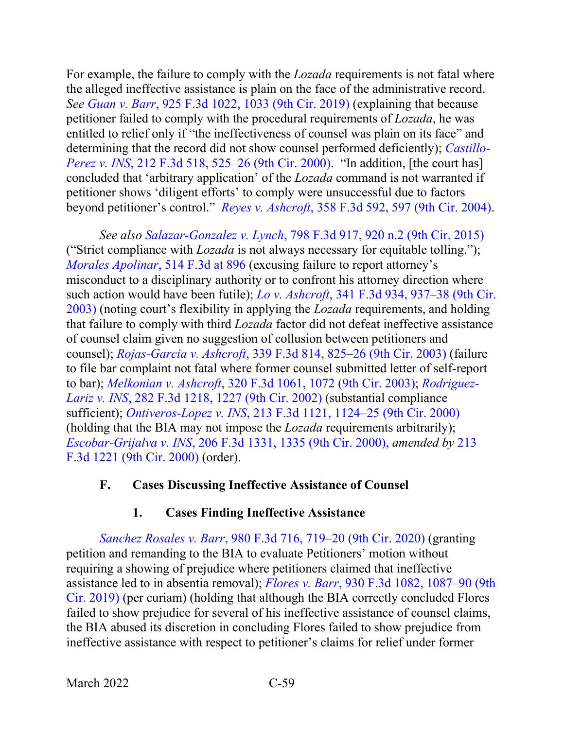For example, the failure to comply with the *Lozada* requirements is not fatal where the alleged ineffective assistance is plain on the face of the administrative record. *See Guan v. Barr*[, 925 F.3d 1022, 1033 \(9th Cir. 2019\)](https://www.westlaw.com/Document/Iecc73d30830b11e98eaef725d418138a/View/FullText.html?transitionType=Default&contextData=(sc.Default)&VR=3.0&RS=da3.0&fragmentIdentifier=co_pp_sp_506_1033) (explaining that because petitioner failed to comply with the procedural requirements of *Lozada*, he was entitled to relief only if "the ineffectiveness of counsel was plain on its face" and determining that the record did not show counsel performed deficiently); *[Castillo-](https://www.westlaw.com/Document/Id34e6ffc798311d99c4dbb2f0352441d/View/FullText.html?transitionType=Default&contextData=(sc.Default)&VR=3.0&RS=da3.0&fragmentIdentifier=co_pp_sp_506_525)Perez v. INS*[, 212 F.3d 518, 525–26 \(9th Cir. 2000\).](https://www.westlaw.com/Document/Id34e6ffc798311d99c4dbb2f0352441d/View/FullText.html?transitionType=Default&contextData=(sc.Default)&VR=3.0&RS=da3.0&fragmentIdentifier=co_pp_sp_506_525) "In addition, [the court has] concluded that 'arbitrary application' of the *Lozada* command is not warranted if petitioner shows 'diligent efforts' to comply were unsuccessful due to factors beyond petitioner's control." *Reyes v. Ashcroft*[, 358 F.3d 592, 597 \(9th Cir. 2004\).](https://www.westlaw.com/Document/Id3ae35b189f611d9b6ea9f5a173c4523/View/FullText.html?transitionType=Default&contextData=(sc.Default)&VR=3.0&RS=da3.0&fragmentIdentifier=co_pp_sp_506_597)

*See also Salazar-Gonzalez v. Lynch*[, 798 F.3d 917, 920 n.2 \(9th Cir. 2015\)](https://www.westlaw.com/Document/I35134605477111e5a807ad48145ed9f1/View/FullText.html?transitionType=Default&contextData=(sc.Default)&VR=3.0&RS=da3.0&fragmentIdentifier=co_pp_sp_506_920+n.2) ("Strict compliance with *Lozada* is not always necessary for equitable tolling."); *[Morales Apolinar](https://www.westlaw.com/Document/I8cf48729cab111dc9876f446780b7bdc/View/FullText.html?transitionType=Default&contextData=(sc.Default)&VR=3.0&RS=da3.0&fragmentIdentifier=co_pp_sp_506_896)*, 514 F.3d at 896 (excusing failure to report attorney's misconduct to a disciplinary authority or to confront his attorney direction where such action would have been futile); *Lo v. Ashcroft*, [341 F.3d 934, 937–38 \(9th Cir.](https://www.westlaw.com/Document/I9865cf4a89e711d9903eeb4634b8d78e/View/FullText.html?transitionType=Default&contextData=(sc.Default)&VR=3.0&RS=da3.0&fragmentIdentifier=co_pp_sp_506_937)  [2003\)](https://www.westlaw.com/Document/I9865cf4a89e711d9903eeb4634b8d78e/View/FullText.html?transitionType=Default&contextData=(sc.Default)&VR=3.0&RS=da3.0&fragmentIdentifier=co_pp_sp_506_937) (noting court's flexibility in applying the *Lozada* requirements, and holding that failure to comply with third *Lozada* factor did not defeat ineffective assistance of counsel claim given no suggestion of collusion between petitioners and counsel); *Rojas-Garcia v. Ashcroft*[, 339 F.3d 814, 825–26 \(9th Cir. 2003\)](https://www.westlaw.com/Document/Ie9d46cc289e111d9903eeb4634b8d78e/View/FullText.html?transitionType=Default&contextData=(sc.Default)&VR=3.0&RS=da3.0&fragmentIdentifier=co_pp_sp_506_825) (failure to file bar complaint not fatal where former counsel submitted letter of self-report to bar); *Melkonian v. Ashcroft*[, 320 F.3d 1061, 1072 \(9th Cir. 2003\);](https://www.westlaw.com/Document/I689b2bf389c611d9ac45f46c5ea084a3/View/FullText.html?transitionType=Default&contextData=(sc.Default)&VR=3.0&RS=da3.0&fragmentIdentifier=co_pp_sp_506_1072) *[Rodriguez-](https://www.westlaw.com/Document/Ie0594c0a79cf11d9bf29e2067ad74e5b/View/FullText.html?transitionType=Default&contextData=(sc.Default)&VR=3.0&RS=da3.0&fragmentIdentifier=co_pp_sp_506_1227)Lariz v. INS*[, 282 F.3d 1218, 1227 \(9th Cir. 2002\)](https://www.westlaw.com/Document/Ie0594c0a79cf11d9bf29e2067ad74e5b/View/FullText.html?transitionType=Default&contextData=(sc.Default)&VR=3.0&RS=da3.0&fragmentIdentifier=co_pp_sp_506_1227) (substantial compliance sufficient); *Ontiveros-Lopez v. INS*[, 213 F.3d 1121, 1124–25 \(9th Cir. 2000\)](https://www.westlaw.com/Document/Id33569b3798311d99c4dbb2f0352441d/View/FullText.html?transitionType=Default&contextData=(sc.Default)&VR=3.0&RS=da3.0&fragmentIdentifier=co_pp_sp_506_1124) (holding that the BIA may not impose the *Lozada* requirements arbitrarily); *Escobar-Grijalva v. INS*[, 206 F.3d 1331, 1335 \(9th Cir. 2000\),](https://www.westlaw.com/Document/I28996371796111d98c82a53fc8ac8757/View/FullText.html?transitionType=Default&contextData=(sc.Default)&VR=3.0&RS=da3.0&fragmentIdentifier=co_pp_sp_506_1335) *amended by* [213](https://www.westlaw.com/Link/Document/FullText?cite=213FE3D1221&VR=3.0&RS=da3.0)  [F.3d 1221 \(9th Cir. 2000\)](https://www.westlaw.com/Link/Document/FullText?cite=213FE3D1221&VR=3.0&RS=da3.0) (order).

## **F. Cases Discussing Ineffective Assistance of Counsel**

# **1. Cases Finding Ineffective Assistance**

*Sanchez Rosales v. Barr*[, 980 F.3d 716, 719–20 \(9th Cir. 2020\)](https://www.westlaw.com/Document/Icfa9f87029e311ebad91f726ad2fe5fa/View/FullText.html?transitionType=Default&contextData=(sc.Default)&VR=3.0&RS=da3.0&fragmentIdentifier=co_pp_sp_506_719) (granting petition and remanding to the BIA to evaluate Petitioners' motion without requiring a showing of prejudice where petitioners claimed that ineffective assistance led to in absentia removal); *Flores v. Barr*[, 930 F.3d 1082, 1087–90 \(9th](https://www.westlaw.com/Document/Icea8af90a99a11e981b9f3f7c11376fd/View/FullText.html?transitionType=Default&contextData=(sc.Default)&VR=3.0&RS=da3.0&fragmentIdentifier=co_pp_sp_506_1087)  [Cir. 2019\)](https://www.westlaw.com/Document/Icea8af90a99a11e981b9f3f7c11376fd/View/FullText.html?transitionType=Default&contextData=(sc.Default)&VR=3.0&RS=da3.0&fragmentIdentifier=co_pp_sp_506_1087) (per curiam) (holding that although the BIA correctly concluded Flores failed to show prejudice for several of his ineffective assistance of counsel claims, the BIA abused its discretion in concluding Flores failed to show prejudice from ineffective assistance with respect to petitioner's claims for relief under former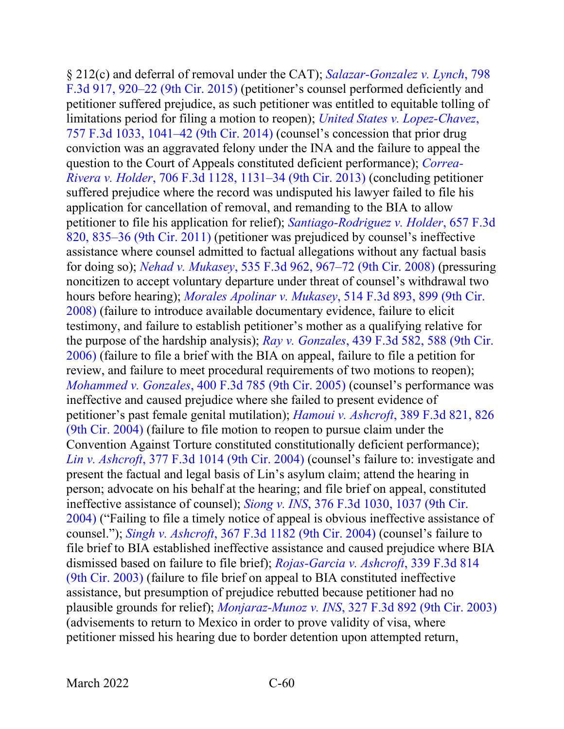§ 212(c) and deferral of removal under the CAT); *[Salazar-Gonzalez v. Lynch](https://www.westlaw.com/Document/I35134605477111e5a807ad48145ed9f1/View/FullText.html?transitionType=Default&contextData=(sc.Default)&VR=3.0&RS=da3.0&fragmentIdentifier=co_pp_sp_506_920)*, 798 [F.3d 917, 920–22 \(9th Cir. 2015\)](https://www.westlaw.com/Document/I35134605477111e5a807ad48145ed9f1/View/FullText.html?transitionType=Default&contextData=(sc.Default)&VR=3.0&RS=da3.0&fragmentIdentifier=co_pp_sp_506_920) (petitioner's counsel performed deficiently and petitioner suffered prejudice, as such petitioner was entitled to equitable tolling of limitations period for filing a motion to reopen); *[United States v. Lopez-Chavez](https://www.westlaw.com/Document/I9b251adf02df11e4a795ac035416da91/View/FullText.html?transitionType=Default&contextData=(sc.Default)&VR=3.0&RS=da3.0&fragmentIdentifier=co_pp_sp_506_1041)*, [757 F.3d 1033, 1041–42 \(9th Cir. 2014\)](https://www.westlaw.com/Document/I9b251adf02df11e4a795ac035416da91/View/FullText.html?transitionType=Default&contextData=(sc.Default)&VR=3.0&RS=da3.0&fragmentIdentifier=co_pp_sp_506_1041) (counsel's concession that prior drug conviction was an aggravated felony under the INA and the failure to appeal the question to the Court of Appeals constituted deficient performance); *[Correa-](https://www.westlaw.com/Document/I69c033b8704e11e2a531ef6793d44951/View/FullText.html?transitionType=Default&contextData=(sc.Default)&VR=3.0&RS=da3.0&fragmentIdentifier=co_pp_sp_506_1131)Rivera v. Holder*[, 706 F.3d 1128, 1131–34 \(9th Cir. 2013\)](https://www.westlaw.com/Document/I69c033b8704e11e2a531ef6793d44951/View/FullText.html?transitionType=Default&contextData=(sc.Default)&VR=3.0&RS=da3.0&fragmentIdentifier=co_pp_sp_506_1131) (concluding petitioner suffered prejudice where the record was undisputed his lawyer failed to file his application for cancellation of removal, and remanding to the BIA to allow petitioner to file his application for relief); *[Santiago-Rodriguez v. Holder](https://www.westlaw.com/Document/I813eb1a1db2411e08b448cf533780ea2/View/FullText.html?transitionType=Default&contextData=(sc.Default)&VR=3.0&RS=da3.0&fragmentIdentifier=co_pp_sp_506_835)*, 657 F.3d [820, 835–36 \(9th Cir. 2011\)](https://www.westlaw.com/Document/I813eb1a1db2411e08b448cf533780ea2/View/FullText.html?transitionType=Default&contextData=(sc.Default)&VR=3.0&RS=da3.0&fragmentIdentifier=co_pp_sp_506_835) (petitioner was prejudiced by counsel's ineffective assistance where counsel admitted to factual allegations without any factual basis for doing so); *Nehad v. Mukasey*[, 535 F.3d 962, 967–72 \(9th Cir. 2008\)](https://www.westlaw.com/Document/Id36bdcac5f1b11ddb7e583ba170699a5/View/FullText.html?transitionType=Default&contextData=(sc.Default)&VR=3.0&RS=da3.0&fragmentIdentifier=co_pp_sp_506_967) (pressuring noncitizen to accept voluntary departure under threat of counsel's withdrawal two hours before hearing); *[Morales Apolinar v. Mukasey](https://www.westlaw.com/Document/I8cf48729cab111dc9876f446780b7bdc/View/FullText.html?transitionType=Default&contextData=(sc.Default)&VR=3.0&RS=da3.0&fragmentIdentifier=co_pp_sp_506_899)*, 514 F.3d 893, 899 (9th Cir. [2008\)](https://www.westlaw.com/Document/I8cf48729cab111dc9876f446780b7bdc/View/FullText.html?transitionType=Default&contextData=(sc.Default)&VR=3.0&RS=da3.0&fragmentIdentifier=co_pp_sp_506_899) (failure to introduce available documentary evidence, failure to elicit testimony, and failure to establish petitioner's mother as a qualifying relative for the purpose of the hardship analysis); *Ray v. Gonzales*[, 439 F.3d 582, 588 \(9th Cir.](https://www.westlaw.com/Document/I3a3977d3a95511da9cfda9de91273d56/View/FullText.html?transitionType=Default&contextData=(sc.Default)&VR=3.0&RS=da3.0&fragmentIdentifier=co_pp_sp_506_588)  [2006\)](https://www.westlaw.com/Document/I3a3977d3a95511da9cfda9de91273d56/View/FullText.html?transitionType=Default&contextData=(sc.Default)&VR=3.0&RS=da3.0&fragmentIdentifier=co_pp_sp_506_588) (failure to file a brief with the BIA on appeal, failure to file a petition for review, and failure to meet procedural requirements of two motions to reopen); *Mohammed v. Gonzales*[, 400 F.3d 785 \(9th Cir. 2005\)](https://www.westlaw.com/Document/Iccc09121919f11d993e6d35cc61aab4a/View/FullText.html?transitionType=Default&contextData=(sc.Default)&VR=3.0&RS=da3.0) (counsel's performance was ineffective and caused prejudice where she failed to present evidence of petitioner's past female genital mutilation); *Hamoui v. Ashcroft*[, 389 F.3d 821, 826](https://www.westlaw.com/Document/I9f205f148bc411d99a6fdc806bf1638e/View/FullText.html?transitionType=Default&contextData=(sc.Default)&VR=3.0&RS=da3.0&fragmentIdentifier=co_pp_sp_506_826)  [\(9th Cir. 2004\)](https://www.westlaw.com/Document/I9f205f148bc411d99a6fdc806bf1638e/View/FullText.html?transitionType=Default&contextData=(sc.Default)&VR=3.0&RS=da3.0&fragmentIdentifier=co_pp_sp_506_826) (failure to file motion to reopen to pursue claim under the Convention Against Torture constituted constitutionally deficient performance); *Lin v. Ashcroft*[, 377 F.3d 1014 \(9th Cir. 2004\)](https://www.westlaw.com/Document/Ibfb07ea48ba511d9af17b5c9441c4c47/View/FullText.html?transitionType=Default&contextData=(sc.Default)&VR=3.0&RS=da3.0) (counsel's failure to: investigate and present the factual and legal basis of Lin's asylum claim; attend the hearing in person; advocate on his behalf at the hearing; and file brief on appeal, constituted ineffective assistance of counsel); *Siong v. INS*[, 376 F.3d 1030, 1037 \(9th Cir.](https://www.westlaw.com/Document/Ibfc258fb8ba511d9af17b5c9441c4c47/View/FullText.html?transitionType=Default&contextData=(sc.Default)&VR=3.0&RS=da3.0&fragmentIdentifier=co_pp_sp_506_1037)  [2004\)](https://www.westlaw.com/Document/Ibfc258fb8ba511d9af17b5c9441c4c47/View/FullText.html?transitionType=Default&contextData=(sc.Default)&VR=3.0&RS=da3.0&fragmentIdentifier=co_pp_sp_506_1037) ("Failing to file a timely notice of appeal is obvious ineffective assistance of counsel."); *Singh v. Ashcroft*[, 367 F.3d 1182 \(9th Cir. 2004\)](https://www.westlaw.com/Document/I02d0acc38a0511d98b51ba734bfc3c79/View/FullText.html?transitionType=Default&contextData=(sc.Default)&VR=3.0&RS=da3.0) (counsel's failure to file brief to BIA established ineffective assistance and caused prejudice where BIA dismissed based on failure to file brief); *[Rojas-Garcia v. Ashcroft](https://www.westlaw.com/Document/Ie9d46cc289e111d9903eeb4634b8d78e/View/FullText.html?transitionType=Default&contextData=(sc.Default)&VR=3.0&RS=da3.0)*, 339 F.3d 814 [\(9th Cir. 2003\)](https://www.westlaw.com/Document/Ie9d46cc289e111d9903eeb4634b8d78e/View/FullText.html?transitionType=Default&contextData=(sc.Default)&VR=3.0&RS=da3.0) (failure to file brief on appeal to BIA constituted ineffective assistance, but presumption of prejudice rebutted because petitioner had no plausible grounds for relief); *Monjaraz-Munoz v. INS*[, 327 F.3d 892 \(9th Cir. 2003\)](https://www.westlaw.com/Document/I45146a0b89d711d9b6ea9f5a173c4523/View/FullText.html?transitionType=Default&contextData=(sc.Default)&VR=3.0&RS=da3.0) (advisements to return to Mexico in order to prove validity of visa, where petitioner missed his hearing due to border detention upon attempted return,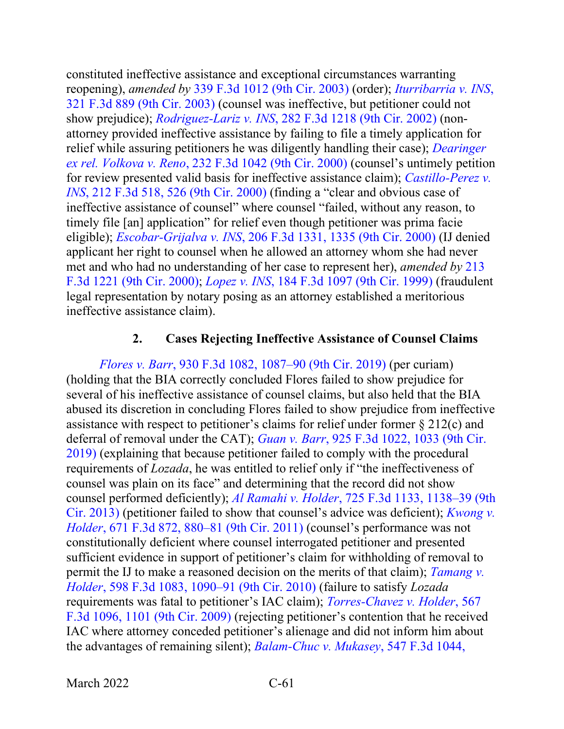constituted ineffective assistance and exceptional circumstances warranting reopening), *amended by* [339 F.3d 1012 \(9th Cir. 2003\)](https://www.westlaw.com/Document/Icfa8945989e811d9903eeb4634b8d78e/View/FullText.html?transitionType=Default&contextData=(sc.Default)&VR=3.0&RS=da3.0) (order); *[Iturribarria v. INS](https://www.westlaw.com/Document/I83dfa6c589c711d9b6ea9f5a173c4523/View/FullText.html?transitionType=Default&contextData=(sc.Default)&VR=3.0&RS=da3.0)*, [321 F.3d 889 \(9th Cir. 2003\)](https://www.westlaw.com/Document/I83dfa6c589c711d9b6ea9f5a173c4523/View/FullText.html?transitionType=Default&contextData=(sc.Default)&VR=3.0&RS=da3.0) (counsel was ineffective, but petitioner could not show prejudice); *Rodriguez-Lariz v. INS*[, 282 F.3d 1218 \(9th Cir. 2002\)](https://www.westlaw.com/Document/Ie0594c0a79cf11d9bf29e2067ad74e5b/View/FullText.html?transitionType=Default&contextData=(sc.Default)&VR=3.0&RS=da3.0) (nonattorney provided ineffective assistance by failing to file a timely application for relief while assuring petitioners he was diligently handling their case); *[Dearinger](https://www.westlaw.com/Document/I94e470a3799411d99c4dbb2f0352441d/View/FullText.html?transitionType=Default&contextData=(sc.Default)&VR=3.0&RS=da3.0)  ex rel. Volkova v. Reno*[, 232 F.3d 1042 \(9th Cir. 2000\)](https://www.westlaw.com/Document/I94e470a3799411d99c4dbb2f0352441d/View/FullText.html?transitionType=Default&contextData=(sc.Default)&VR=3.0&RS=da3.0) (counsel's untimely petition for review presented valid basis for ineffective assistance claim); *[Castillo-Perez v.](https://www.westlaw.com/Document/Id34e6ffc798311d99c4dbb2f0352441d/View/FullText.html?transitionType=Default&contextData=(sc.Default)&VR=3.0&RS=da3.0&fragmentIdentifier=co_pp_sp_506_526)  INS*[, 212 F.3d 518, 526 \(9th Cir. 2000\)](https://www.westlaw.com/Document/Id34e6ffc798311d99c4dbb2f0352441d/View/FullText.html?transitionType=Default&contextData=(sc.Default)&VR=3.0&RS=da3.0&fragmentIdentifier=co_pp_sp_506_526) (finding a "clear and obvious case of ineffective assistance of counsel" where counsel "failed, without any reason, to timely file [an] application" for relief even though petitioner was prima facie eligible); *Escobar-Grijalva v. INS*[, 206 F.3d 1331, 1335 \(9th Cir. 2000\)](https://www.westlaw.com/Document/I28996371796111d98c82a53fc8ac8757/View/FullText.html?transitionType=Default&contextData=(sc.Default)&VR=3.0&RS=da3.0&fragmentIdentifier=co_pp_sp_506_1335) (IJ denied applicant her right to counsel when he allowed an attorney whom she had never met and who had no understanding of her case to represent her), *amended by* [213](https://www.westlaw.com/Link/Document/FullText?cite=213FE3D1221&VR=3.0&RS=da3.0)  [F.3d 1221 \(9th Cir. 2000\);](https://www.westlaw.com/Link/Document/FullText?cite=213FE3D1221&VR=3.0&RS=da3.0) *Lopez v. INS*[, 184 F.3d 1097 \(9th Cir. 1999\)](https://www.westlaw.com/Document/Iecb6c62494ab11d993e6d35cc61aab4a/View/FullText.html?transitionType=Default&contextData=(sc.Default)&VR=3.0&RS=da3.0) (fraudulent legal representation by notary posing as an attorney established a meritorious ineffective assistance claim).

#### **2. Cases Rejecting Ineffective Assistance of Counsel Claims**

*Flores v. Barr*[, 930 F.3d 1082, 1087–90 \(9th Cir. 2019\)](https://www.westlaw.com/Document/Icea8af90a99a11e981b9f3f7c11376fd/View/FullText.html?transitionType=Default&contextData=(sc.Default)&VR=3.0&RS=da3.0&fragmentIdentifier=co_pp_sp_506_1087) (per curiam) (holding that the BIA correctly concluded Flores failed to show prejudice for several of his ineffective assistance of counsel claims, but also held that the BIA abused its discretion in concluding Flores failed to show prejudice from ineffective assistance with respect to petitioner's claims for relief under former § 212(c) and deferral of removal under the CAT); *Guan v. Barr*[, 925 F.3d 1022, 1033 \(9th Cir.](https://www.westlaw.com/Document/Iecc73d30830b11e98eaef725d418138a/View/FullText.html?transitionType=Default&contextData=(sc.Default)&VR=3.0&RS=da3.0&fragmentIdentifier=co_pp_sp_506_1033)  [2019\)](https://www.westlaw.com/Document/Iecc73d30830b11e98eaef725d418138a/View/FullText.html?transitionType=Default&contextData=(sc.Default)&VR=3.0&RS=da3.0&fragmentIdentifier=co_pp_sp_506_1033) (explaining that because petitioner failed to comply with the procedural requirements of *Lozada*, he was entitled to relief only if "the ineffectiveness of counsel was plain on its face" and determining that the record did not show counsel performed deficiently); *Al Ramahi v. Holder*[, 725 F.3d 1133, 1138–39 \(9th](https://www.westlaw.com/Document/I2f205412fe9b11e2a98ec867961a22de/View/FullText.html?transitionType=Default&contextData=(sc.Default)&VR=3.0&RS=da3.0&fragmentIdentifier=co_pp_sp_506_1138)  [Cir. 2013\)](https://www.westlaw.com/Document/I2f205412fe9b11e2a98ec867961a22de/View/FullText.html?transitionType=Default&contextData=(sc.Default)&VR=3.0&RS=da3.0&fragmentIdentifier=co_pp_sp_506_1138) (petitioner failed to show that counsel's advice was deficient); *[Kwong v.](https://www.westlaw.com/Document/Icf9dc126208f11e1a5d6f94bcaceb380/View/FullText.html?transitionType=Default&contextData=(sc.Default)&VR=3.0&RS=da3.0&fragmentIdentifier=co_pp_sp_506_880)  Holder*[, 671 F.3d 872, 880–81 \(9th Cir. 2011\)](https://www.westlaw.com/Document/Icf9dc126208f11e1a5d6f94bcaceb380/View/FullText.html?transitionType=Default&contextData=(sc.Default)&VR=3.0&RS=da3.0&fragmentIdentifier=co_pp_sp_506_880) (counsel's performance was not constitutionally deficient where counsel interrogated petitioner and presented sufficient evidence in support of petitioner's claim for withholding of removal to permit the IJ to make a reasoned decision on the merits of that claim); *[Tamang v.](https://www.westlaw.com/Document/Ib6d89c5a310911df8bf6cd8525c41437/View/FullText.html?transitionType=Default&contextData=(sc.Default)&VR=3.0&RS=da3.0&fragmentIdentifier=co_pp_sp_506_1090)  Holder*[, 598 F.3d 1083, 1090–91 \(9th Cir. 2010\)](https://www.westlaw.com/Document/Ib6d89c5a310911df8bf6cd8525c41437/View/FullText.html?transitionType=Default&contextData=(sc.Default)&VR=3.0&RS=da3.0&fragmentIdentifier=co_pp_sp_506_1090) (failure to satisfy *Lozada* requirements was fatal to petitioner's IAC claim); *[Torres-Chavez v. Holder](https://www.westlaw.com/Document/Iea8f7a4551dc11de8bf6cd8525c41437/View/FullText.html?transitionType=Default&contextData=(sc.Default)&VR=3.0&RS=da3.0&fragmentIdentifier=co_pp_sp_506_1101)*, 567 [F.3d 1096, 1101 \(9th Cir. 2009\)](https://www.westlaw.com/Document/Iea8f7a4551dc11de8bf6cd8525c41437/View/FullText.html?transitionType=Default&contextData=(sc.Default)&VR=3.0&RS=da3.0&fragmentIdentifier=co_pp_sp_506_1101) (rejecting petitioner's contention that he received IAC where attorney conceded petitioner's alienage and did not inform him about the advantages of remaining silent); *[Balam-Chuc v. Mukasey](https://www.westlaw.com/Document/I00c4d6e3a1dc11dd9876f446780b7bdc/View/FullText.html?transitionType=Default&contextData=(sc.Default)&VR=3.0&RS=da3.0&fragmentIdentifier=co_pp_sp_506_1050)*, 547 F.3d 1044,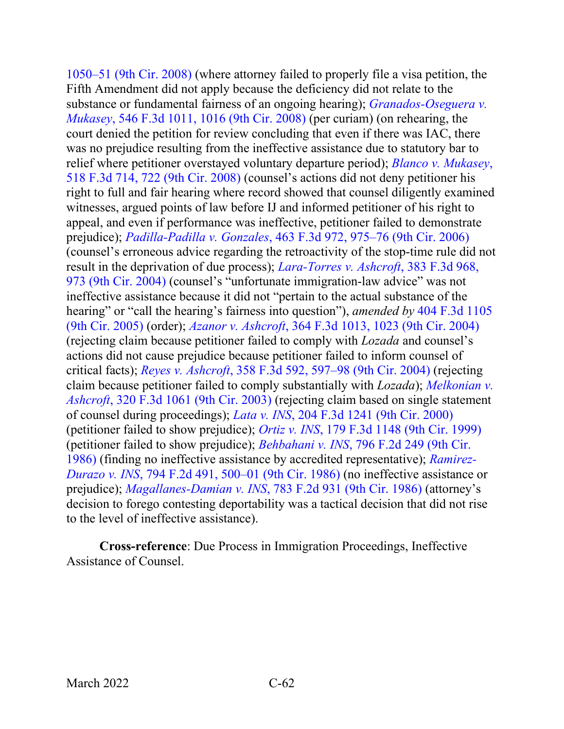1050–51 [\(9th Cir. 2008\)](https://www.westlaw.com/Document/I00c4d6e3a1dc11dd9876f446780b7bdc/View/FullText.html?transitionType=Default&contextData=(sc.Default)&VR=3.0&RS=da3.0&fragmentIdentifier=co_pp_sp_506_1050) (where attorney failed to properly file a visa petition, the Fifth Amendment did not apply because the deficiency did not relate to the substance or fundamental fairness of an ongoing hearing); *[Granados-Oseguera v.](https://www.westlaw.com/Document/I111a0d17949911ddb5cbad29a280d47c/View/FullText.html?transitionType=Default&contextData=(sc.Default)&VR=3.0&RS=da3.0&fragmentIdentifier=co_pp_sp_506_1016)  Mukasey*[, 546 F.3d 1011, 1016 \(9th Cir. 2008\)](https://www.westlaw.com/Document/I111a0d17949911ddb5cbad29a280d47c/View/FullText.html?transitionType=Default&contextData=(sc.Default)&VR=3.0&RS=da3.0&fragmentIdentifier=co_pp_sp_506_1016) (per curiam) (on rehearing, the court denied the petition for review concluding that even if there was IAC, there was no prejudice resulting from the ineffective assistance due to statutory bar to relief where petitioner overstayed voluntary departure period); *[Blanco v. Mukasey](https://www.westlaw.com/Document/I9813882ee94e11dca9c2f716e0c816ba/View/FullText.html?transitionType=Default&contextData=(sc.Default)&VR=3.0&RS=da3.0&fragmentIdentifier=co_pp_sp_506_722)*, [518 F.3d 714, 722 \(9th Cir. 2008\)](https://www.westlaw.com/Document/I9813882ee94e11dca9c2f716e0c816ba/View/FullText.html?transitionType=Default&contextData=(sc.Default)&VR=3.0&RS=da3.0&fragmentIdentifier=co_pp_sp_506_722) (counsel's actions did not deny petitioner his right to full and fair hearing where record showed that counsel diligently examined witnesses, argued points of law before IJ and informed petitioner of his right to appeal, and even if performance was ineffective, petitioner failed to demonstrate prejudice); *Padilla-Padilla v. Gonzales*[, 463 F.3d 972, 975–76 \(9th Cir. 2006\)](https://www.westlaw.com/Document/Idc77f581435211dbbffafa490ee528f6/View/FullText.html?transitionType=Default&contextData=(sc.Default)&VR=3.0&RS=da3.0&fragmentIdentifier=co_pp_sp_506_975) (counsel's erroneous advice regarding the retroactivity of the stop-time rule did not result in the deprivation of due process); *[Lara-Torres v. Ashcroft](https://www.westlaw.com/Document/Id62f1b9a89f311d9b6ea9f5a173c4523/View/FullText.html?transitionType=Default&contextData=(sc.Default)&VR=3.0&RS=da3.0&fragmentIdentifier=co_pp_sp_506_973)*, 383 F.3d 968, [973 \(9th Cir. 2004\)](https://www.westlaw.com/Document/Id62f1b9a89f311d9b6ea9f5a173c4523/View/FullText.html?transitionType=Default&contextData=(sc.Default)&VR=3.0&RS=da3.0&fragmentIdentifier=co_pp_sp_506_973) (counsel's "unfortunate immigration-law advice" was not ineffective assistance because it did not "pertain to the actual substance of the hearing" or "call the hearing's fairness into question"), *amended by* [404 F.3d 1105](https://www.westlaw.com/Document/I3294d541b1d711d9a707f4371c9c34f0/View/FullText.html?transitionType=Default&contextData=(sc.Default)&VR=3.0&RS=da3.0)  [\(9th Cir. 2005\)](https://www.westlaw.com/Document/I3294d541b1d711d9a707f4371c9c34f0/View/FullText.html?transitionType=Default&contextData=(sc.Default)&VR=3.0&RS=da3.0) (order); *Azanor v. Ashcroft*[, 364 F.3d 1013, 1023 \(9th Cir. 2004\)](https://www.westlaw.com/Document/I6abb95f889fd11d9ac45f46c5ea084a3/View/FullText.html?transitionType=Default&contextData=(sc.Default)&VR=3.0&RS=da3.0&fragmentIdentifier=co_pp_sp_506_1023) (rejecting claim because petitioner failed to comply with *Lozada* and counsel's actions did not cause prejudice because petitioner failed to inform counsel of critical facts); *Reyes v. Ashcroft*[, 358 F.3d 592, 597–98 \(9th Cir. 2004\)](https://www.westlaw.com/Document/Id3ae35b189f611d9b6ea9f5a173c4523/View/FullText.html?transitionType=Default&contextData=(sc.Default)&VR=3.0&RS=da3.0&fragmentIdentifier=co_pp_sp_506_597) (rejecting claim because petitioner failed to comply substantially with *Lozada*); *[Melkonian v.](https://www.westlaw.com/Document/I689b2bf389c611d9ac45f46c5ea084a3/View/FullText.html?transitionType=Default&contextData=(sc.Default)&VR=3.0&RS=da3.0)  Ashcroft*[, 320 F.3d 1061 \(9th Cir. 2003\)](https://www.westlaw.com/Document/I689b2bf389c611d9ac45f46c5ea084a3/View/FullText.html?transitionType=Default&contextData=(sc.Default)&VR=3.0&RS=da3.0) (rejecting claim based on single statement of counsel during proceedings); *Lata v. INS*[, 204 F.3d 1241 \(9th Cir. 2000\)](https://www.westlaw.com/Document/Idec608ac795d11d9bf29e2067ad74e5b/View/FullText.html?transitionType=Default&contextData=(sc.Default)&VR=3.0&RS=da3.0) (petitioner failed to show prejudice); *Ortiz v. INS*[, 179 F.3d 1148 \(9th Cir. 1999\)](https://www.westlaw.com/Document/I47cb34aa94a311d9a707f4371c9c34f0/View/FullText.html?transitionType=Default&contextData=(sc.Default)&VR=3.0&RS=da3.0) (petitioner failed to show prejudice); *Behbahani v. INS*[, 796 F.2d 249 \(9th Cir.](https://www.westlaw.com/Document/Ia63136fb94cd11d9a707f4371c9c34f0/View/FullText.html?transitionType=Default&contextData=(sc.Default)&VR=3.0&RS=da3.0)  [1986\)](https://www.westlaw.com/Document/Ia63136fb94cd11d9a707f4371c9c34f0/View/FullText.html?transitionType=Default&contextData=(sc.Default)&VR=3.0&RS=da3.0) (finding no ineffective assistance by accredited representative); *[Ramirez-](https://www.westlaw.com/Document/Ibf2ac3f78b9111d98aaaa007097b7893/View/FullText.html?transitionType=Default&contextData=(sc.Default)&VR=3.0&RS=da3.0&fragmentIdentifier=co_pp_sp_350_500)Durazo v. INS*[, 794 F.2d 491, 500–01 \(9th Cir. 1986\)](https://www.westlaw.com/Document/Ibf2ac3f78b9111d98aaaa007097b7893/View/FullText.html?transitionType=Default&contextData=(sc.Default)&VR=3.0&RS=da3.0&fragmentIdentifier=co_pp_sp_350_500) (no ineffective assistance or prejudice); *[Magallanes-Damian v. INS](https://www.westlaw.com/Document/I8b5de6da94c711d9bc61beebb95be672/View/FullText.html?transitionType=Default&contextData=(sc.Default)&VR=3.0&RS=da3.0)*, 783 F.2d 931 (9th Cir. 1986) (attorney's decision to forego contesting deportability was a tactical decision that did not rise to the level of ineffective assistance).

**Cross-reference**: Due Process in Immigration Proceedings, Ineffective Assistance of Counsel.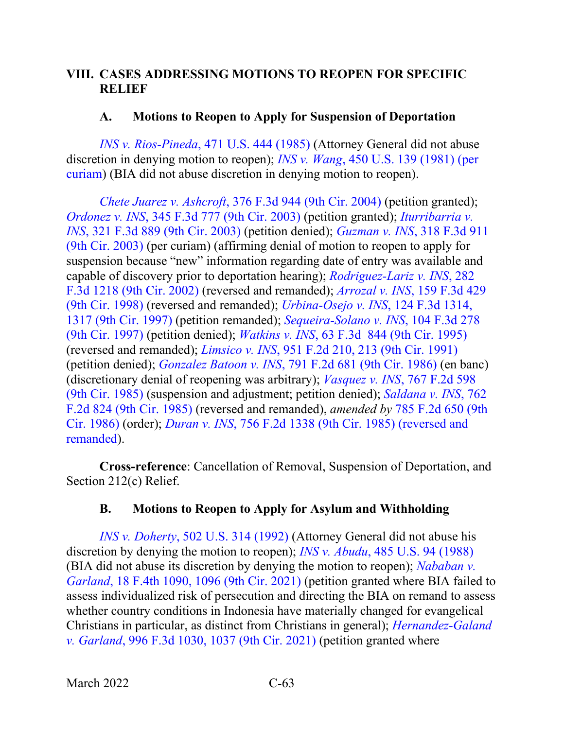## **VIII. CASES ADDRESSING MOTIONS TO REOPEN FOR SPECIFIC RELIEF**

### **A. Motions to Reopen to Apply for Suspension of Deportation**

*INS v. Rios-Pineda*[, 471 U.S. 444 \(1985\)](https://www.westlaw.com/Document/Idf00e7b49c9c11d993e6d35cc61aab4a/View/FullText.html?transitionType=Default&contextData=(sc.Default)&VR=3.0&RS=da3.0) (Attorney General did not abuse discretion in denying motion to reopen); *INS v. Wang*[, 450 U.S. 139 \(1981\) \(per](https://www.westlaw.com/Document/I178ff5949c1f11d993e6d35cc61aab4a/View/FullText.html?transitionType=Default&contextData=(sc.Default)&VR=3.0&RS=da3.0)  [curiam\)](https://www.westlaw.com/Document/I178ff5949c1f11d993e6d35cc61aab4a/View/FullText.html?transitionType=Default&contextData=(sc.Default)&VR=3.0&RS=da3.0) (BIA did not abuse discretion in denying motion to reopen).

*Chete Juarez v. Ashcroft*[, 376 F.3d 944 \(9th Cir. 2004\)](https://www.westlaw.com/Document/Ibfc454c58ba511d9af17b5c9441c4c47/View/FullText.html?transitionType=Default&contextData=(sc.Default)&VR=3.0&RS=da3.0) (petition granted); *Ordonez v. INS*[, 345 F.3d 777 \(9th Cir. 2003\)](https://www.westlaw.com/Document/Ibb13149989eb11d9903eeb4634b8d78e/View/FullText.html?transitionType=Default&contextData=(sc.Default)&VR=3.0&RS=da3.0) (petition granted); *[Iturribarria v.](https://www.westlaw.com/Document/I83dfa6c589c711d9b6ea9f5a173c4523/View/FullText.html?transitionType=Default&contextData=(sc.Default)&VR=3.0&RS=da3.0)  INS*[, 321 F.3d 889 \(9th Cir. 2003\)](https://www.westlaw.com/Document/I83dfa6c589c711d9b6ea9f5a173c4523/View/FullText.html?transitionType=Default&contextData=(sc.Default)&VR=3.0&RS=da3.0) (petition denied); *Guzman v. INS*[, 318 F.3d 911](https://www.westlaw.com/Document/Ib669e66689c011d98b51ba734bfc3c79/View/FullText.html?transitionType=Default&contextData=(sc.Default)&VR=3.0&RS=da3.0)  [\(9th Cir. 2003\)](https://www.westlaw.com/Document/Ib669e66689c011d98b51ba734bfc3c79/View/FullText.html?transitionType=Default&contextData=(sc.Default)&VR=3.0&RS=da3.0) (per curiam) (affirming denial of motion to reopen to apply for suspension because "new" information regarding date of entry was available and capable of discovery prior to deportation hearing); *[Rodriguez-Lariz v. INS](https://www.westlaw.com/Document/Ie0594c0a79cf11d9bf29e2067ad74e5b/View/FullText.html?transitionType=Default&contextData=(sc.Default)&VR=3.0&RS=da3.0)*, 282 [F.3d 1218 \(9th Cir. 2002\)](https://www.westlaw.com/Document/Ie0594c0a79cf11d9bf29e2067ad74e5b/View/FullText.html?transitionType=Default&contextData=(sc.Default)&VR=3.0&RS=da3.0) (reversed and remanded); *Arrozal v. INS*[, 159 F.3d 429](https://www.westlaw.com/Document/I8da9284b947811d9bdd1cfdd544ca3a4/View/FullText.html?transitionType=Default&contextData=(sc.Default)&VR=3.0&RS=da3.0)  [\(9th Cir. 1998\)](https://www.westlaw.com/Document/I8da9284b947811d9bdd1cfdd544ca3a4/View/FullText.html?transitionType=Default&contextData=(sc.Default)&VR=3.0&RS=da3.0) (reversed and remanded); *[Urbina-Osejo v. INS](https://www.westlaw.com/Document/I7859722c942c11d9a707f4371c9c34f0/View/FullText.html?transitionType=Default&contextData=(sc.Default)&VR=3.0&RS=da3.0&fragmentIdentifier=co_pp_sp_506_1317)*, 124 F.3d 1314, [1317 \(9th Cir. 1997\)](https://www.westlaw.com/Document/I7859722c942c11d9a707f4371c9c34f0/View/FullText.html?transitionType=Default&contextData=(sc.Default)&VR=3.0&RS=da3.0&fragmentIdentifier=co_pp_sp_506_1317) (petition remanded); *[Sequeira-Solano v. INS](https://www.westlaw.com/Document/I684617a0940d11d993e6d35cc61aab4a/View/FullText.html?transitionType=Default&contextData=(sc.Default)&VR=3.0&RS=da3.0)*, 104 F.3d 278 [\(9th Cir. 1997\)](https://www.westlaw.com/Document/I684617a0940d11d993e6d35cc61aab4a/View/FullText.html?transitionType=Default&contextData=(sc.Default)&VR=3.0&RS=da3.0) (petition denied); *Watkins v. INS*[, 63 F.3d 844 \(9th Cir. 1995\)](https://www.westlaw.com/Document/I9dfbc21d919f11d98e8fb00d6c6a02dd/View/FullText.html?transitionType=Default&contextData=(sc.Default)&VR=3.0&RS=da3.0) (reversed and remanded); *Limsico v. INS*[, 951 F.2d 210, 213 \(9th Cir. 1991\)](https://www.westlaw.com/Document/I1f63cd1394c611d9a707f4371c9c34f0/View/FullText.html?transitionType=Default&contextData=(sc.Default)&VR=3.0&RS=da3.0&fragmentIdentifier=co_pp_sp_350_213) (petition denied); *Gonzalez Batoon v. INS*[, 791 F.2d 681 \(9th Cir. 1986\)](https://www.westlaw.com/Document/I3552d34694cc11d9bc61beebb95be672/View/FullText.html?transitionType=Default&contextData=(sc.Default)&VR=3.0&RS=da3.0) (en banc) (discretionary denial of reopening was arbitrary); *Vasquez v. INS*[, 767 F.2d 598](https://www.westlaw.com/Document/I4c5d979294af11d9a707f4371c9c34f0/View/FullText.html?transitionType=Default&contextData=(sc.Default)&VR=3.0&RS=da3.0)  [\(9th Cir. 1985\)](https://www.westlaw.com/Document/I4c5d979294af11d9a707f4371c9c34f0/View/FullText.html?transitionType=Default&contextData=(sc.Default)&VR=3.0&RS=da3.0) (suspension and adjustment; petition denied); *[Saldana v. INS](https://www.westlaw.com/Document/I916b946594ad11d9a707f4371c9c34f0/View/FullText.html?transitionType=Default&contextData=(sc.Default)&VR=3.0&RS=da3.0)*, 762 [F.2d 824 \(9th Cir. 1985\)](https://www.westlaw.com/Document/I916b946594ad11d9a707f4371c9c34f0/View/FullText.html?transitionType=Default&contextData=(sc.Default)&VR=3.0&RS=da3.0) (reversed and remanded), *amended by* [785 F.2d 650 \(9th](https://www.westlaw.com/Document/I2506569a94c911d993e6d35cc61aab4a/View/FullText.html?transitionType=Default&contextData=(sc.Default)&VR=3.0&RS=da3.0)  [Cir. 1986\)](https://www.westlaw.com/Document/I2506569a94c911d993e6d35cc61aab4a/View/FullText.html?transitionType=Default&contextData=(sc.Default)&VR=3.0&RS=da3.0) (order); *Duran v. INS*, [756 F.2d 1338 \(9th Cir. 1985\) \(reversed and](https://www.westlaw.com/Document/Ib2100113945311d9bc61beebb95be672/View/FullText.html?transitionType=Default&contextData=(sc.Default)&VR=3.0&RS=da3.0)  [remanded\)](https://www.westlaw.com/Document/Ib2100113945311d9bc61beebb95be672/View/FullText.html?transitionType=Default&contextData=(sc.Default)&VR=3.0&RS=da3.0).

**Cross-reference**: Cancellation of Removal, Suspension of Deportation, and Section 212(c) Relief.

### **B. Motions to Reopen to Apply for Asylum and Withholding**

*INS v. Doherty*[, 502 U.S. 314 \(1992\)](https://www.westlaw.com/Document/Idf00c0b09c9c11d993e6d35cc61aab4a/View/FullText.html?transitionType=Default&contextData=(sc.Default)&VR=3.0&RS=da3.0) (Attorney General did not abuse his discretion by denying the motion to reopen); *INS v. Abudu*[, 485 U.S. 94 \(1988\)](https://www.westlaw.com/Document/I650213d29c9711d9bc61beebb95be672/View/FullText.html?transitionType=Default&contextData=(sc.Default)&VR=3.0&RS=da3.0) (BIA did not abuse its discretion by denying the motion to reopen); *[Nababan v.](https://www.westlaw.com/Document/Ic45d3c204c9711ecbe28a1944976b7ad/View/FullText.html?transitionType=Default&contextData=(sc.Default)&VR=3.0&RS=da3.0&fragmentIdentifier=co_pp_sp_8173_1096)  Garland*[, 18 F.4th 1090, 1096 \(9th Cir. 2021\)](https://www.westlaw.com/Document/Ic45d3c204c9711ecbe28a1944976b7ad/View/FullText.html?transitionType=Default&contextData=(sc.Default)&VR=3.0&RS=da3.0&fragmentIdentifier=co_pp_sp_8173_1096) (petition granted where BIA failed to assess individualized risk of persecution and directing the BIA on remand to assess whether country conditions in Indonesia have materially changed for evangelical Christians in particular, as distinct from Christians in general); *[Hernandez-Galand](https://www.westlaw.com/Document/I9b87f0c0b35d11ebbfe8d873c1c72202/View/FullText.html?transitionType=Default&contextData=(sc.Default)&VR=3.0&RS=da3.0&fragmentIdentifier=co_pp_sp_506_1037)  v. Garland*[, 996 F.3d 1030, 1037 \(9th Cir. 2021\)](https://www.westlaw.com/Document/I9b87f0c0b35d11ebbfe8d873c1c72202/View/FullText.html?transitionType=Default&contextData=(sc.Default)&VR=3.0&RS=da3.0&fragmentIdentifier=co_pp_sp_506_1037) (petition granted where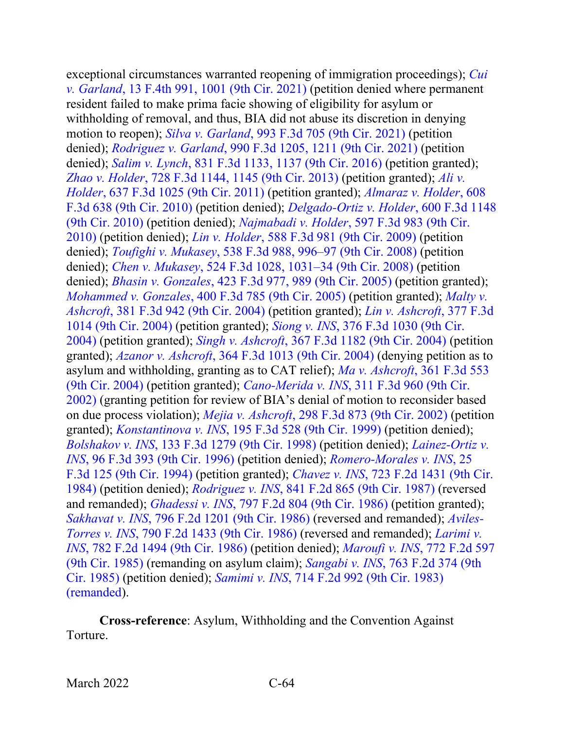exceptional circumstances warranted reopening of immigration proceedings); *[Cui](https://www.westlaw.com/Document/I6b62a7b01ca211ec925cb2bf681461fd/View/FullText.html?transitionType=Default&contextData=(sc.Default)&VR=3.0&RS=da3.0&fragmentIdentifier=co_pp_sp_8173_1001)  v. Garland*[, 13 F.4th 991, 1001 \(9th Cir. 2021\)](https://www.westlaw.com/Document/I6b62a7b01ca211ec925cb2bf681461fd/View/FullText.html?transitionType=Default&contextData=(sc.Default)&VR=3.0&RS=da3.0&fragmentIdentifier=co_pp_sp_8173_1001) (petition denied where permanent resident failed to make prima facie showing of eligibility for asylum or withholding of removal, and thus, BIA did not abuse its discretion in denying motion to reopen); *Silva v. Garland*[, 993 F.3d 705 \(9th Cir. 2021\)](https://www.westlaw.com/Document/I77eeccc0919711eb86f0fe514fc262aa/View/FullText.html?transitionType=Default&contextData=(sc.Default)&VR=3.0&RS=da3.0) (petition denied); *Rodriguez v. Garland*[, 990 F.3d 1205, 1211 \(9th Cir. 2021\)](https://www.westlaw.com/Document/I7fc981a085d611eb9851e09b8b034c3a/View/FullText.html?transitionType=Default&contextData=(sc.Default)&VR=3.0&RS=da3.0&fragmentIdentifier=co_pp_sp_506_1211) (petition denied); *Salim v. Lynch*[, 831 F.3d 1133, 1137 \(9th Cir. 2016\)](https://www.westlaw.com/Document/Ic4d603c0586511e6b150a0f8f302dd90/View/FullText.html?transitionType=Default&contextData=(sc.Default)&VR=3.0&RS=da3.0&fragmentIdentifier=co_pp_sp_506_1137) (petition granted); *Zhao v. Holder*[, 728 F.3d 1144, 1145 \(9th Cir. 2013\)](https://www.westlaw.com/Document/Ia0dd0db616b511e3981fa20c4f198a69/View/FullText.html?transitionType=Default&contextData=(sc.Default)&VR=3.0&RS=da3.0&fragmentIdentifier=co_pp_sp_506_1145) (petition granted); *[Ali v.](https://www.westlaw.com/Document/I10dc7c24517a11e0b931b80af77abaf1/View/FullText.html?transitionType=Default&contextData=(sc.Default)&VR=3.0&RS=da3.0)  Holder*[, 637 F.3d 1025 \(9th Cir. 2011\)](https://www.westlaw.com/Document/I10dc7c24517a11e0b931b80af77abaf1/View/FullText.html?transitionType=Default&contextData=(sc.Default)&VR=3.0&RS=da3.0) (petition granted); *[Almaraz v. Holder](https://www.westlaw.com/Document/Ifc19c38d7e2911df8e45a3b5a338fda3/View/FullText.html?transitionType=Default&contextData=(sc.Default)&VR=3.0&RS=da3.0)*, 608 [F.3d 638 \(9th Cir. 2010\)](https://www.westlaw.com/Document/Ifc19c38d7e2911df8e45a3b5a338fda3/View/FullText.html?transitionType=Default&contextData=(sc.Default)&VR=3.0&RS=da3.0) (petition denied); *[Delgado-Ortiz v. Holder](https://www.westlaw.com/Document/I56b6ac4e46a311dfae65b23e804c3c12/View/FullText.html?transitionType=Default&contextData=(sc.Default)&VR=3.0&RS=da3.0)*, 600 F.3d 1148 [\(9th Cir. 2010\)](https://www.westlaw.com/Document/I56b6ac4e46a311dfae65b23e804c3c12/View/FullText.html?transitionType=Default&contextData=(sc.Default)&VR=3.0&RS=da3.0) (petition denied); *Najmabadi v. Holder*[, 597 F.3d 983 \(9th Cir.](https://www.westlaw.com/Document/I577261602bab11df8bf6cd8525c41437/View/FullText.html?transitionType=Default&contextData=(sc.Default)&VR=3.0&RS=da3.0)  [2010\)](https://www.westlaw.com/Document/I577261602bab11df8bf6cd8525c41437/View/FullText.html?transitionType=Default&contextData=(sc.Default)&VR=3.0&RS=da3.0) (petition denied); *Lin v. Holder*[, 588 F.3d 981 \(9th Cir. 2009\)](https://www.westlaw.com/Document/Iae152f54e06b11dea82ab9f4ee295c21/View/FullText.html?transitionType=Default&contextData=(sc.Default)&VR=3.0&RS=da3.0) (petition denied); *Toufighi v. Mukasey*[, 538 F.3d 988, 996–97 \(9th Cir. 2008\)](https://www.westlaw.com/Document/Idecbc5b86d3a11ddbc7bf97f340af743/View/FullText.html?transitionType=Default&contextData=(sc.Default)&VR=3.0&RS=da3.0&fragmentIdentifier=co_pp_sp_506_996) (petition denied); *Chen v. Mukasey*[, 524 F.3d 1028, 1031–34 \(9th Cir. 2008\)](https://www.westlaw.com/Document/I2c3ca00e186f11dd9876f446780b7bdc/View/FullText.html?transitionType=Default&contextData=(sc.Default)&VR=3.0&RS=da3.0&fragmentIdentifier=co_pp_sp_506_1031) (petition denied); *Bhasin v. Gonzales*[, 423 F.3d 977, 989 \(9th Cir. 2005\)](https://www.westlaw.com/Document/I0d89dd331b0b11daaea49302b5f61a35/View/FullText.html?transitionType=Default&contextData=(sc.Default)&VR=3.0&RS=da3.0&fragmentIdentifier=co_pp_sp_506_989) (petition granted); *Mohammed v. Gonzales*[, 400 F.3d 785 \(9th Cir. 2005\)](https://www.westlaw.com/Document/Iccc09121919f11d993e6d35cc61aab4a/View/FullText.html?transitionType=Default&contextData=(sc.Default)&VR=3.0&RS=da3.0) (petition granted); *[Malty v.](https://www.westlaw.com/Document/I3519d29b8bb011d99dcc8cc3e68b51e9/View/FullText.html?transitionType=Default&contextData=(sc.Default)&VR=3.0&RS=da3.0)  Ashcroft*[, 381 F.3d 942 \(9th Cir. 2004\)](https://www.westlaw.com/Document/I3519d29b8bb011d99dcc8cc3e68b51e9/View/FullText.html?transitionType=Default&contextData=(sc.Default)&VR=3.0&RS=da3.0) (petition granted); *[Lin v. Ashcroft](https://www.westlaw.com/Document/Ibfb07ea48ba511d9af17b5c9441c4c47/View/FullText.html?transitionType=Default&contextData=(sc.Default)&VR=3.0&RS=da3.0)*, 377 F.3d [1014 \(9th Cir. 2004\)](https://www.westlaw.com/Document/Ibfb07ea48ba511d9af17b5c9441c4c47/View/FullText.html?transitionType=Default&contextData=(sc.Default)&VR=3.0&RS=da3.0) (petition granted); *Siong v. INS*[, 376 F.3d 1030 \(9th Cir.](https://www.westlaw.com/Document/Ibfc258fb8ba511d9af17b5c9441c4c47/View/FullText.html?transitionType=Default&contextData=(sc.Default)&VR=3.0&RS=da3.0)  [2004\)](https://www.westlaw.com/Document/Ibfc258fb8ba511d9af17b5c9441c4c47/View/FullText.html?transitionType=Default&contextData=(sc.Default)&VR=3.0&RS=da3.0) (petition granted); *Singh v. Ashcroft*[, 367 F.3d 1182 \(9th Cir. 2004\)](https://www.westlaw.com/Document/I02d0acc38a0511d98b51ba734bfc3c79/View/FullText.html?transitionType=Default&contextData=(sc.Default)&VR=3.0&RS=da3.0) (petition granted); *Azanor v. Ashcroft*[, 364 F.3d 1013 \(9th Cir. 2004\)](https://www.westlaw.com/Document/I6abb95f889fd11d9ac45f46c5ea084a3/View/FullText.html?transitionType=Default&contextData=(sc.Default)&VR=3.0&RS=da3.0) (denying petition as to asylum and withholding, granting as to CAT relief); *Ma v. Ashcroft*[, 361 F.3d 553](https://www.westlaw.com/Document/I7d8ae9cd89fc11d98b51ba734bfc3c79/View/FullText.html?transitionType=Default&contextData=(sc.Default)&VR=3.0&RS=da3.0)  [\(9th Cir. 2004\)](https://www.westlaw.com/Document/I7d8ae9cd89fc11d98b51ba734bfc3c79/View/FullText.html?transitionType=Default&contextData=(sc.Default)&VR=3.0&RS=da3.0) (petition granted); *Cano-Merida v. INS*[, 311 F.3d 960 \(9th Cir.](https://www.westlaw.com/Document/I38f6820a89b711d9ac45f46c5ea084a3/View/FullText.html?transitionType=Default&contextData=(sc.Default)&VR=3.0&RS=da3.0)  [2002\)](https://www.westlaw.com/Document/I38f6820a89b711d9ac45f46c5ea084a3/View/FullText.html?transitionType=Default&contextData=(sc.Default)&VR=3.0&RS=da3.0) (granting petition for review of BIA's denial of motion to reconsider based on due process violation); *Mejia v. Ashcroft*[, 298 F.3d 873 \(9th Cir. 2002\)](https://www.westlaw.com/Document/I5212a89379e011d99c4dbb2f0352441d/View/FullText.html?transitionType=Default&contextData=(sc.Default)&VR=3.0&RS=da3.0) (petition granted); *Konstantinova v. INS*[, 195 F.3d 528 \(9th Cir. 1999\)](https://www.westlaw.com/Document/I986e898794b611d9bc61beebb95be672/View/FullText.html?transitionType=Default&contextData=(sc.Default)&VR=3.0&RS=da3.0) (petition denied); *Bolshakov v. INS*[, 133 F.3d 1279 \(9th Cir. 1998\)](https://www.westlaw.com/Document/I419b3373943811d9a707f4371c9c34f0/View/FullText.html?transitionType=Default&contextData=(sc.Default)&VR=3.0&RS=da3.0) (petition denied); *[Lainez-Ortiz v.](https://www.westlaw.com/Document/I433ac8a3934611d993e6d35cc61aab4a/View/FullText.html?transitionType=Default&contextData=(sc.Default)&VR=3.0&RS=da3.0)  INS*[, 96 F.3d 393 \(9th Cir. 1996\)](https://www.westlaw.com/Document/I433ac8a3934611d993e6d35cc61aab4a/View/FullText.html?transitionType=Default&contextData=(sc.Default)&VR=3.0&RS=da3.0) (petition denied); *[Romero-Morales v. INS](https://www.westlaw.com/Document/I38808e06970511d993e6d35cc61aab4a/View/FullText.html?transitionType=Default&contextData=(sc.Default)&VR=3.0&RS=da3.0)*, 25 [F.3d 125 \(9th Cir. 1994\)](https://www.westlaw.com/Document/I38808e06970511d993e6d35cc61aab4a/View/FullText.html?transitionType=Default&contextData=(sc.Default)&VR=3.0&RS=da3.0) (petition granted); *Chavez v. INS*[, 723 F.2d 1431 \(9th Cir.](https://www.westlaw.com/Document/I057a5645944811d9bc61beebb95be672/View/FullText.html?transitionType=Default&contextData=(sc.Default)&VR=3.0&RS=da3.0)  [1984\)](https://www.westlaw.com/Document/I057a5645944811d9bc61beebb95be672/View/FullText.html?transitionType=Default&contextData=(sc.Default)&VR=3.0&RS=da3.0) (petition denied); *Rodriguez v. INS*[, 841 F.2d 865 \(9th Cir. 1987\)](https://www.westlaw.com/Document/I84b31702957211d993e6d35cc61aab4a/View/FullText.html?transitionType=Default&contextData=(sc.Default)&VR=3.0&RS=da3.0) (reversed and remanded); *Ghadessi v. INS*[, 797 F.2d 804 \(9th Cir. 1986\)](https://www.westlaw.com/Document/Iaba7d5dc94cd11d9a707f4371c9c34f0/View/FullText.html?transitionType=Default&contextData=(sc.Default)&VR=3.0&RS=da3.0) (petition granted); *Sakhavat v. INS*[, 796 F.2d 1201 \(9th Cir. 1986\)](https://www.westlaw.com/Document/Ia6221bd094cd11d9a707f4371c9c34f0/View/FullText.html?transitionType=Default&contextData=(sc.Default)&VR=3.0&RS=da3.0) (reversed and remanded); *[Aviles-](https://www.westlaw.com/Document/Iaeb5444d94ca11d9bdd1cfdd544ca3a4/View/FullText.html?transitionType=Default&contextData=(sc.Default)&VR=3.0&RS=da3.0)Torres v. INS*, [790 F.2d 1433 \(9th Cir. 1986\)](https://www.westlaw.com/Document/Iaeb5444d94ca11d9bdd1cfdd544ca3a4/View/FullText.html?transitionType=Default&contextData=(sc.Default)&VR=3.0&RS=da3.0) (reversed and remanded); *[Larimi v.](https://www.westlaw.com/Document/I8b69588894c711d9bc61beebb95be672/View/FullText.html?transitionType=Default&contextData=(sc.Default)&VR=3.0&RS=da3.0)  INS*[, 782 F.2d 1494 \(9th Cir. 1986\)](https://www.westlaw.com/Document/I8b69588894c711d9bc61beebb95be672/View/FullText.html?transitionType=Default&contextData=(sc.Default)&VR=3.0&RS=da3.0) (petition denied); *Maroufi v. INS*[, 772 F.2d 597](https://www.westlaw.com/Document/I8f8a861b94b211d993e6d35cc61aab4a/View/FullText.html?transitionType=Default&contextData=(sc.Default)&VR=3.0&RS=da3.0)  [\(9th Cir. 1985\)](https://www.westlaw.com/Document/I8f8a861b94b211d993e6d35cc61aab4a/View/FullText.html?transitionType=Default&contextData=(sc.Default)&VR=3.0&RS=da3.0) (remanding on asylum claim); *Sangabi v. INS*[, 763 F.2d 374 \(9th](https://www.westlaw.com/Document/I9162bacb94ad11d9a707f4371c9c34f0/View/FullText.html?transitionType=Default&contextData=(sc.Default)&VR=3.0&RS=da3.0)  [Cir. 1985\)](https://www.westlaw.com/Document/I9162bacb94ad11d9a707f4371c9c34f0/View/FullText.html?transitionType=Default&contextData=(sc.Default)&VR=3.0&RS=da3.0) (petition denied); *Samimi v. INS*, 714 F.2d [992 \(9th Cir. 1983\)](https://www.westlaw.com/Document/I683997a1941111d9a707f4371c9c34f0/View/FullText.html?transitionType=Default&contextData=(sc.Default)&VR=3.0&RS=da3.0)  [\(remanded\)](https://www.westlaw.com/Document/I683997a1941111d9a707f4371c9c34f0/View/FullText.html?transitionType=Default&contextData=(sc.Default)&VR=3.0&RS=da3.0).

**Cross-reference**: Asylum, Withholding and the Convention Against Torture.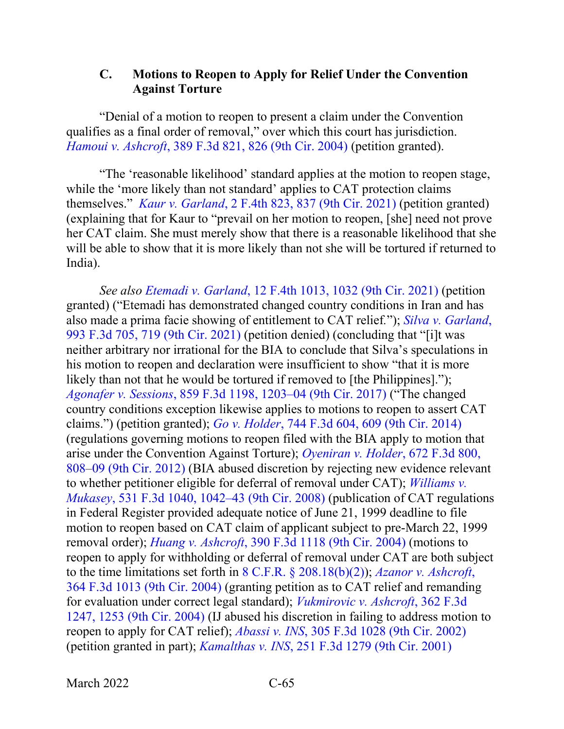### **C. Motions to Reopen to Apply for Relief Under the Convention Against Torture**

"Denial of a motion to reopen to present a claim under the Convention qualifies as a final order of removal," over which this court has jurisdiction. *Hamoui v. Ashcroft*[, 389 F.3d 821, 826 \(9th Cir. 2004\)](https://www.westlaw.com/Document/I9f205f148bc411d99a6fdc806bf1638e/View/FullText.html?transitionType=Default&contextData=(sc.Default)&VR=3.0&RS=da3.0&fragmentIdentifier=co_pp_sp_506_826) (petition granted).

"The 'reasonable likelihood' standard applies at the motion to reopen stage, while the 'more likely than not standard' applies to CAT protection claims themselves." *Kaur v. Garland*[, 2 F.4th 823, 837 \(9th Cir. 2021\)](https://www.westlaw.com/Document/Ia5b92ef0d2c111ebb381adeb81954cc5/View/FullText.html?transitionType=Default&contextData=(sc.Default)&VR=3.0&RS=da3.0&fragmentIdentifier=co_pp_sp_8173_837) (petition granted) (explaining that for Kaur to "prevail on her motion to reopen, [she] need not prove her CAT claim. She must merely show that there is a reasonable likelihood that she will be able to show that it is more likely than not she will be tortured if returned to India).

*See also Etemadi v. Garland*[, 12 F.4th 1013, 1032 \(9th Cir. 2021\)](https://www.westlaw.com/Document/I5967496011a511ecb72ce2c86e84f35e/View/FullText.html?transitionType=Default&contextData=(sc.Default)&VR=3.0&RS=da3.0&fragmentIdentifier=co_pp_sp_8173_1032) (petition granted) ("Etemadi has demonstrated changed country conditions in Iran and has also made a prima facie showing of entitlement to CAT relief*.*"); *[Silva v. Garland](https://www.westlaw.com/Document/I77eeccc0919711eb86f0fe514fc262aa/View/FullText.html?transitionType=Default&contextData=(sc.Default)&VR=3.0&RS=da3.0&fragmentIdentifier=co_pp_sp_506_719)*, [993 F.3d 705, 719 \(9th Cir. 2021\)](https://www.westlaw.com/Document/I77eeccc0919711eb86f0fe514fc262aa/View/FullText.html?transitionType=Default&contextData=(sc.Default)&VR=3.0&RS=da3.0&fragmentIdentifier=co_pp_sp_506_719) (petition denied) (concluding that "[i]t was neither arbitrary nor irrational for the BIA to conclude that Silva's speculations in his motion to reopen and declaration were insufficient to show "that it is more likely than not that he would be tortured if removed to [the Philippines]."); *Agonafer v. Sessions*[, 859 F.3d 1198, 1203–04 \(9th Cir. 2017\)](https://www.westlaw.com/Document/Ic0d3d020583411e7b7978f65e9bf93b3/View/FullText.html?transitionType=Default&contextData=(sc.Default)&VR=3.0&RS=da3.0&fragmentIdentifier=co_pp_sp_506_1203) ("The changed country conditions exception likewise applies to motions to reopen to assert CAT claims.") (petition granted); *Go v. Holder*[, 744 F.3d 604, 609 \(9th Cir. 2014\)](https://www.westlaw.com/Document/Ic3bae503a66511e39ac8bab74931929c/View/FullText.html?transitionType=Default&contextData=(sc.Default)&VR=3.0&RS=da3.0&fragmentIdentifier=co_pp_sp_506_609) (regulations governing motions to reopen filed with the BIA apply to motion that arise under the Convention Against Torture); *[Oyeniran v. Holder](https://www.westlaw.com/Document/I8201589067ea11e18b1ac573b20fcfb7/View/FullText.html?transitionType=Default&contextData=(sc.Default)&VR=3.0&RS=da3.0&fragmentIdentifier=co_pp_sp_506_808)*, 672 F.3d 800, [808–09 \(9th Cir. 2012\)](https://www.westlaw.com/Document/I8201589067ea11e18b1ac573b20fcfb7/View/FullText.html?transitionType=Default&contextData=(sc.Default)&VR=3.0&RS=da3.0&fragmentIdentifier=co_pp_sp_506_808) (BIA abused discretion by rejecting new evidence relevant to whether petitioner eligible for deferral of removal under CAT); *[Williams v.](https://www.westlaw.com/Document/Idead62274dbf11ddb5cbad29a280d47c/View/FullText.html?transitionType=Default&contextData=(sc.Default)&VR=3.0&RS=da3.0&fragmentIdentifier=co_pp_sp_506_1042)  Mukasey*[, 531 F.3d 1040, 1042–43 \(9th Cir. 2008\)](https://www.westlaw.com/Document/Idead62274dbf11ddb5cbad29a280d47c/View/FullText.html?transitionType=Default&contextData=(sc.Default)&VR=3.0&RS=da3.0&fragmentIdentifier=co_pp_sp_506_1042) (publication of CAT regulations in Federal Register provided adequate notice of June 21, 1999 deadline to file motion to reopen based on CAT claim of applicant subject to pre-March 22, 1999 removal order); *Huang v. Ashcroft*[, 390 F.3d 1118 \(9th Cir. 2004\)](https://www.westlaw.com/Document/I9f077fe18bc411d99a6fdc806bf1638e/View/FullText.html?transitionType=Default&contextData=(sc.Default)&VR=3.0&RS=da3.0) (motions to reopen to apply for withholding or deferral of removal under CAT are both subject to the time limitations set forth in 8 C.F.R. § [208.18\(b\)\(2\)\)](https://www.westlaw.com/Document/N9081343053FD11EBAA6BE0BB0F48E02C/View/FullText.html?transitionType=Default&contextData=(sc.Default)&VR=3.0&RS=da3.0); *[Azanor v. Ashcroft](https://www.westlaw.com/Document/I6abb95f889fd11d9ac45f46c5ea084a3/View/FullText.html?transitionType=Default&contextData=(sc.Default)&VR=3.0&RS=da3.0)*, [364 F.3d 1013 \(9th Cir. 2004\)](https://www.westlaw.com/Document/I6abb95f889fd11d9ac45f46c5ea084a3/View/FullText.html?transitionType=Default&contextData=(sc.Default)&VR=3.0&RS=da3.0) (granting petition as to CAT relief and remanding for evaluation under correct legal standard); *[Vukmirovic v. Ashcroft](https://www.westlaw.com/Document/I6abb47de89fd11d9ac45f46c5ea084a3/View/FullText.html?transitionType=Default&contextData=(sc.Default)&VR=3.0&RS=da3.0&fragmentIdentifier=co_pp_sp_506_1253)*, 362 F.3d [1247, 1253 \(9th Cir. 2004\)](https://www.westlaw.com/Document/I6abb47de89fd11d9ac45f46c5ea084a3/View/FullText.html?transitionType=Default&contextData=(sc.Default)&VR=3.0&RS=da3.0&fragmentIdentifier=co_pp_sp_506_1253) (IJ abused his discretion in failing to address motion to reopen to apply for CAT relief); *Abassi v. INS*[, 305 F.3d 1028 \(9th Cir. 2002\)](https://www.westlaw.com/Document/I54ff382c89ad11d98b51ba734bfc3c79/View/FullText.html?transitionType=Default&contextData=(sc.Default)&VR=3.0&RS=da3.0) (petition granted in part); *Kamalthas v. INS*[, 251 F.3d 1279 \(9th Cir. 2001\)](https://www.westlaw.com/Document/Ida022c7c79b411d98c82a53fc8ac8757/View/FullText.html?transitionType=Default&contextData=(sc.Default)&VR=3.0&RS=da3.0)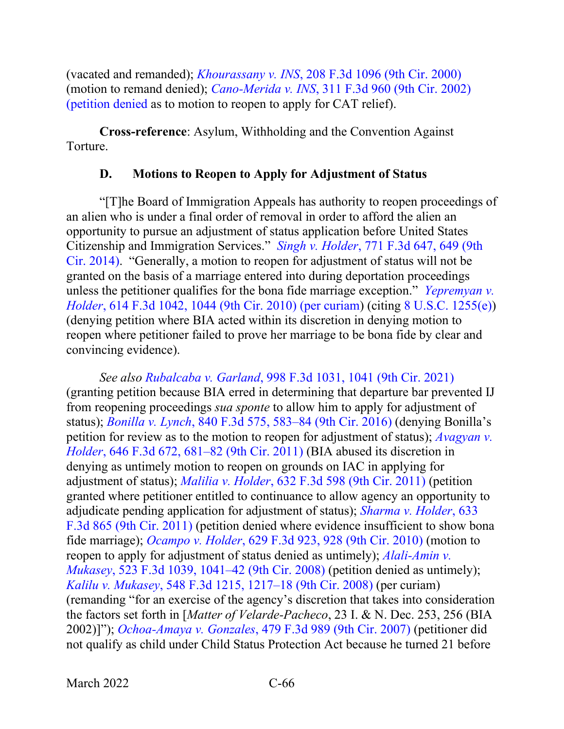(vacated and remanded); *Khourassany v. INS*[, 208 F.3d 1096 \(9th Cir. 2000\)](https://www.westlaw.com/Document/I24ba5486796111d99c4dbb2f0352441d/View/FullText.html?transitionType=Default&contextData=(sc.Default)&VR=3.0&RS=da3.0) (motion to remand denied); *Cano-Merida v. INS*, [311 F.3d 960 \(9th Cir. 2002\)](https://www.westlaw.com/Document/I38f6820a89b711d9ac45f46c5ea084a3/View/FullText.html?transitionType=Default&contextData=(sc.Default)&VR=3.0&RS=da3.0)  [\(petition denied](https://www.westlaw.com/Document/I38f6820a89b711d9ac45f46c5ea084a3/View/FullText.html?transitionType=Default&contextData=(sc.Default)&VR=3.0&RS=da3.0) as to motion to reopen to apply for CAT relief).

**Cross-reference**: Asylum, Withholding and the Convention Against Torture.

## **D. Motions to Reopen to Apply for Adjustment of Status**

"[T]he Board of Immigration Appeals has authority to reopen proceedings of an alien who is under a final order of removal in order to afford the alien an opportunity to pursue an adjustment of status application before United States Citizenship and Immigration Services." *Singh v. Holder*[, 771 F.3d 647, 649 \(9th](https://www.westlaw.com/Document/I5d8bedcf6b7311e4b4bafa136b480ad2/View/FullText.html?transitionType=Default&contextData=(sc.Default)&VR=3.0&RS=da3.0&fragmentIdentifier=co_pp_sp_506_649)  [Cir. 2014\).](https://www.westlaw.com/Document/I5d8bedcf6b7311e4b4bafa136b480ad2/View/FullText.html?transitionType=Default&contextData=(sc.Default)&VR=3.0&RS=da3.0&fragmentIdentifier=co_pp_sp_506_649) "Generally, a motion to reopen for adjustment of status will not be granted on the basis of a marriage entered into during deportation proceedings unless the petitioner qualifies for the bona fide marriage exception." *[Yepremyan v.](https://www.westlaw.com/Document/I65c20260a49511df89d7bf2e8566150b/View/FullText.html?transitionType=Default&contextData=(sc.Default)&VR=3.0&RS=da3.0&fragmentIdentifier=co_pp_sp_506_1044)  Holder*[, 614 F.3d 1042, 1044 \(9th Cir. 2010\) \(per curiam\)](https://www.westlaw.com/Document/I65c20260a49511df89d7bf2e8566150b/View/FullText.html?transitionType=Default&contextData=(sc.Default)&VR=3.0&RS=da3.0&fragmentIdentifier=co_pp_sp_506_1044) (citing [8 U.S.C. 1255\(e\)\)](https://www.westlaw.com/Document/N39908FF1B08F11EC9625F0F3857FB0D2/View/FullText.html?transitionType=Default&contextData=(sc.Default)&VR=3.0&RS=da3.0) (denying petition where BIA acted within its discretion in denying motion to reopen where petitioner failed to prove her marriage to be bona fide by clear and convincing evidence).

*See also Rubalcaba v. Garland*[, 998 F.3d 1031, 1041 \(9th Cir. 2021\)](https://www.westlaw.com/Document/Ib8851b70c3da11ebb1cbbeff33b6dc3d/View/FullText.html?transitionType=Default&contextData=(sc.Default)&VR=3.0&RS=da3.0&fragmentIdentifier=co_pp_sp_506_1041) (granting petition because BIA erred in determining that departure bar prevented IJ from reopening proceedings *sua sponte* to allow him to apply for adjustment of status); *Bonilla v. Lynch*[, 840 F.3d 575, 583–84 \(9th Cir. 2016\)](https://www.westlaw.com/Document/I036825c0972511e69e6ceb9009bbadab/View/FullText.html?transitionType=Default&contextData=(sc.Default)&VR=3.0&RS=da3.0&fragmentIdentifier=co_pp_sp_506_583) (denying Bonilla's petition for review as to the motion to reopen for adjustment of status); *[Avagyan](https://www.westlaw.com/Document/Ib2489e9ba3fa11e093b4f77be4dcecfa/View/FullText.html?transitionType=Default&contextData=(sc.Default)&VR=3.0&RS=da3.0&fragmentIdentifier=co_pp_sp_506_681) v. Holder*[, 646 F.3d 672, 681–82 \(9th Cir. 2011\)](https://www.westlaw.com/Document/Ib2489e9ba3fa11e093b4f77be4dcecfa/View/FullText.html?transitionType=Default&contextData=(sc.Default)&VR=3.0&RS=da3.0&fragmentIdentifier=co_pp_sp_506_681) (BIA abused its discretion in denying as untimely motion to reopen on grounds on IAC in applying for adjustment of status); *Malilia v. Holder*[, 632 F.3d 598 \(9th Cir. 2011\)](https://www.westlaw.com/Document/I6f9cd8f82f8911e09d9dae30585baa87/View/FullText.html?transitionType=Default&contextData=(sc.Default)&VR=3.0&RS=da3.0) (petition granted where petitioner entitled to continuance to allow agency an opportunity to adjudicate pending application for adjustment of status); *[Sharma v. Holder](https://www.westlaw.com/Document/I2341540d2dfb11e088699d6fd571daba/View/FullText.html?transitionType=Default&contextData=(sc.Default)&VR=3.0&RS=da3.0)*, 633 [F.3d 865 \(9th Cir. 2011\)](https://www.westlaw.com/Document/I2341540d2dfb11e088699d6fd571daba/View/FullText.html?transitionType=Default&contextData=(sc.Default)&VR=3.0&RS=da3.0) (petition denied where evidence insufficient to show bona fide marriage); *Ocampo v. Holder*[, 629 F.3d 923, 928 \(9th Cir. 2010\)](https://www.westlaw.com/Document/Iee4287c00c1c11e088699d6fd571daba/View/FullText.html?transitionType=Default&contextData=(sc.Default)&VR=3.0&RS=da3.0&fragmentIdentifier=co_pp_sp_506_928) (motion to reopen to apply for adjustment of status denied as untimely); *[Alali-Amin v.](https://www.westlaw.com/Document/Ifd62c482152311ddb7e483ba170699a5/View/FullText.html?transitionType=Default&contextData=(sc.Default)&VR=3.0&RS=da3.0&fragmentIdentifier=co_pp_sp_506_1041)  Mukasey*[, 523 F.3d 1039, 1041–42 \(9th Cir. 2008\)](https://www.westlaw.com/Document/Ifd62c482152311ddb7e483ba170699a5/View/FullText.html?transitionType=Default&contextData=(sc.Default)&VR=3.0&RS=da3.0&fragmentIdentifier=co_pp_sp_506_1041) (petition denied as untimely); *Kalilu v. Mukasey*[, 548 F.3d 1215, 1217–18 \(9th Cir. 2008\)](https://www.westlaw.com/Document/I57a80256b70911dd9876f446780b7bdc/View/FullText.html?transitionType=Default&contextData=(sc.Default)&VR=3.0&RS=da3.0&fragmentIdentifier=co_pp_sp_506_1217) (per curiam) (remanding "for an exercise of the agency's discretion that takes into consideration the factors set forth in [*Matter of Velarde-Pacheco*, 23 I. & N. Dec. 253, 256 (BIA 2002)]"); *Ochoa-Amaya v. Gonzales*[, 479 F.3d 989 \(9th Cir. 2007\)](https://www.westlaw.com/Document/I5207e161d89011dbb035bac3a32ef289/View/FullText.html?transitionType=Default&contextData=(sc.Default)&VR=3.0&RS=da3.0) (petitioner did not qualify as child under Child Status Protection Act because he turned 21 before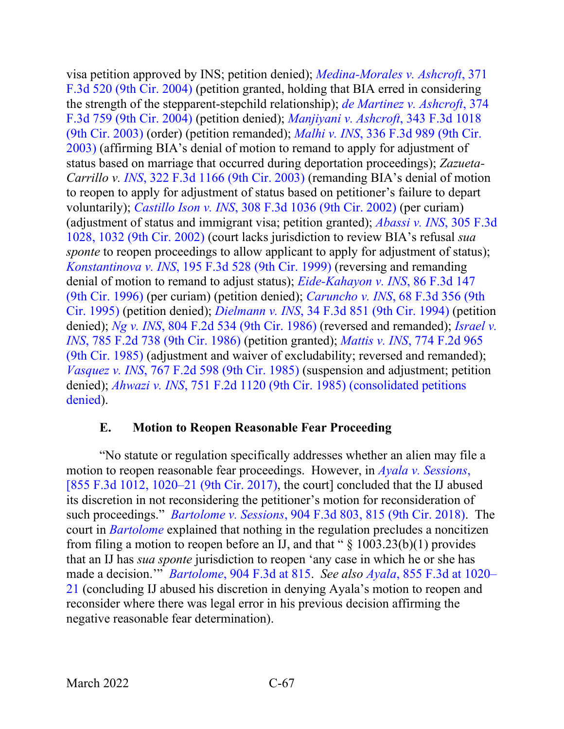visa petition approved by INS; petition denied); *[Medina-Morales v. Ashcroft](https://www.westlaw.com/Document/I19ee076f8b9811d99a6fdc806bf1638e/View/FullText.html?transitionType=Default&contextData=(sc.Default)&VR=3.0&RS=da3.0)*, 371 [F.3d 520 \(9th Cir. 2004\)](https://www.westlaw.com/Document/I19ee076f8b9811d99a6fdc806bf1638e/View/FullText.html?transitionType=Default&contextData=(sc.Default)&VR=3.0&RS=da3.0) (petition granted, holding that BIA erred in considering the strength of the stepparent-stepchild relationship); *de [Martinez v. Ashcroft](https://www.westlaw.com/Document/Ibddcad358b9e11d99dcc8cc3e68b51e9/View/FullText.html?transitionType=Default&contextData=(sc.Default)&VR=3.0&RS=da3.0)*, 374 [F.3d 759 \(9th Cir. 2004\)](https://www.westlaw.com/Document/Ibddcad358b9e11d99dcc8cc3e68b51e9/View/FullText.html?transitionType=Default&contextData=(sc.Default)&VR=3.0&RS=da3.0) (petition denied); *[Manjiyani v. Ashcroft](https://www.westlaw.com/Document/Ibb336ddb89eb11d9903eeb4634b8d78e/View/FullText.html?transitionType=Default&contextData=(sc.Default)&VR=3.0&RS=da3.0)*, 343 F.3d 1018 [\(9th Cir. 2003\)](https://www.westlaw.com/Document/Ibb336ddb89eb11d9903eeb4634b8d78e/View/FullText.html?transitionType=Default&contextData=(sc.Default)&VR=3.0&RS=da3.0) (order) (petition remanded); *Malhi v. INS*[, 336 F.3d 989 \(9th Cir.](https://www.westlaw.com/Document/If91816ed89e211d9b6ea9f5a173c4523/View/FullText.html?transitionType=Default&contextData=(sc.Default)&VR=3.0&RS=da3.0)  [2003\)](https://www.westlaw.com/Document/If91816ed89e211d9b6ea9f5a173c4523/View/FullText.html?transitionType=Default&contextData=(sc.Default)&VR=3.0&RS=da3.0) (affirming BIA's denial of motion to remand to apply for adjustment of status based on marriage that occurred during deportation proceedings); *Zazueta-Carrillo v. INS*, [322 F.3d 1166 \(9th Cir. 2003\)](https://www.westlaw.com/Document/I81907f3689ca11d9b6ea9f5a173c4523/View/FullText.html?transitionType=Default&contextData=(sc.Default)&VR=3.0&RS=da3.0) (remanding BIA's denial of motion to reopen to apply for adjustment of status based on petitioner's failure to depart voluntarily); *Castillo Ison v. INS*[, 308 F.3d 1036 \(9th Cir. 2002\)](https://www.westlaw.com/Document/Iad58791789b611d98b51ba734bfc3c79/View/FullText.html?transitionType=Default&contextData=(sc.Default)&VR=3.0&RS=da3.0) (per curiam) (adjustment of status and immigrant visa; petition granted); *[Abassi v. INS](https://www.westlaw.com/Document/I54ff382c89ad11d98b51ba734bfc3c79/View/FullText.html?transitionType=Default&contextData=(sc.Default)&VR=3.0&RS=da3.0&fragmentIdentifier=co_pp_sp_506_1032)*, 305 F.3d [1028, 1032 \(9th Cir. 2002\)](https://www.westlaw.com/Document/I54ff382c89ad11d98b51ba734bfc3c79/View/FullText.html?transitionType=Default&contextData=(sc.Default)&VR=3.0&RS=da3.0&fragmentIdentifier=co_pp_sp_506_1032) (court lacks jurisdiction to review BIA's refusal *sua sponte* to reopen proceedings to allow applicant to apply for adjustment of status); *Konstantinova v. INS*[, 195 F.3d 528 \(9th Cir. 1999\)](https://www.westlaw.com/Document/I986e898794b611d9bc61beebb95be672/View/FullText.html?transitionType=Default&contextData=(sc.Default)&VR=3.0&RS=da3.0) (reversing and remanding denial of motion to remand to adjust status); *[Eide-Kahayon v. INS](https://www.westlaw.com/Document/I88bf095492b411d9a707f4371c9c34f0/View/FullText.html?transitionType=Default&contextData=(sc.Default)&VR=3.0&RS=da3.0)*, 86 F.3d 147 [\(9th Cir. 1996\)](https://www.westlaw.com/Document/I88bf095492b411d9a707f4371c9c34f0/View/FullText.html?transitionType=Default&contextData=(sc.Default)&VR=3.0&RS=da3.0) (per curiam) (petition denied); *Caruncho v. INS*[, 68 F.3d 356 \(9th](https://www.westlaw.com/Document/I9505d9f591bf11d9bc61beebb95be672/View/FullText.html?transitionType=Default&contextData=(sc.Default)&VR=3.0&RS=da3.0)  [Cir. 1995\)](https://www.westlaw.com/Document/I9505d9f591bf11d9bc61beebb95be672/View/FullText.html?transitionType=Default&contextData=(sc.Default)&VR=3.0&RS=da3.0) (petition denied); *Dielmann v. INS*, [34 F.3d 851 \(9th Cir. 1994\)](https://www.westlaw.com/Document/Id5fcfe48970811d9a707f4371c9c34f0/View/FullText.html?transitionType=Default&contextData=(sc.Default)&VR=3.0&RS=da3.0) (petition denied); *Ng v. INS*[, 804 F.2d 534 \(9th Cir. 1986\)](https://www.westlaw.com/Document/I80719d0194d311d9a707f4371c9c34f0/View/FullText.html?transitionType=Default&contextData=(sc.Default)&VR=3.0&RS=da3.0) (reversed and remanded); *[Israel v.](https://www.westlaw.com/Document/I2ec0b9a094c911d993e6d35cc61aab4a/View/FullText.html?transitionType=Default&contextData=(sc.Default)&VR=3.0&RS=da3.0)  INS*[, 785 F.2d 738 \(9th Cir. 1986\)](https://www.westlaw.com/Document/I2ec0b9a094c911d993e6d35cc61aab4a/View/FullText.html?transitionType=Default&contextData=(sc.Default)&VR=3.0&RS=da3.0) (petition granted); *Mattis v. INS*[, 774 F.2d 965](https://www.westlaw.com/Document/I8f71a6e694b211d993e6d35cc61aab4a/View/FullText.html?transitionType=Default&contextData=(sc.Default)&VR=3.0&RS=da3.0)  [\(9th Cir. 1985\)](https://www.westlaw.com/Document/I8f71a6e694b211d993e6d35cc61aab4a/View/FullText.html?transitionType=Default&contextData=(sc.Default)&VR=3.0&RS=da3.0) (adjustment and waiver of excludability; reversed and remanded); *Vasquez v. INS*[, 767 F.2d 598 \(9th Cir. 1985\)](https://www.westlaw.com/Document/I4c5d979294af11d9a707f4371c9c34f0/View/FullText.html?transitionType=Default&contextData=(sc.Default)&VR=3.0&RS=da3.0) (suspension and adjustment; petition denied); *Ahwazi v. INS*[, 751 F.2d 1120 \(9th Cir. 1985\) \(consolidated petitions](https://www.westlaw.com/Document/Id0d5d69c94a511d9a707f4371c9c34f0/View/FullText.html?transitionType=Default&contextData=(sc.Default)&VR=3.0&RS=da3.0)  [denied\)](https://www.westlaw.com/Document/Id0d5d69c94a511d9a707f4371c9c34f0/View/FullText.html?transitionType=Default&contextData=(sc.Default)&VR=3.0&RS=da3.0).

### **E. Motion to Reopen Reasonable Fear Proceeding**

"No statute or regulation specifically addresses whether an alien may file a motion to reopen reasonable fear proceedings. However, in *[Ayala v. Sessions](https://www.westlaw.com/Document/Ie2aa3c402e9d11e7815ea6969ee18a03/View/FullText.html?transitionType=Default&contextData=(sc.Default)&VR=3.0&RS=da3.0&fragmentIdentifier=co_pp_sp_506_1020)*, [\[855 F.3d 1012, 1020–21 \(9th Cir. 2017\),](https://www.westlaw.com/Document/Ie2aa3c402e9d11e7815ea6969ee18a03/View/FullText.html?transitionType=Default&contextData=(sc.Default)&VR=3.0&RS=da3.0&fragmentIdentifier=co_pp_sp_506_1020) the court] concluded that the IJ abused its discretion in not reconsidering the petitioner's motion for reconsideration of such proceedings." *Bartolome v. Sessions*[, 904 F.3d 803, 815 \(9th Cir. 2018\).](https://www.westlaw.com/Document/Id75f61d0b83511e8b93ad6f77bf99296/View/FullText.html?transitionType=Default&contextData=(sc.Default)&VR=3.0&RS=da3.0&fragmentIdentifier=co_pp_sp_506_815) The court in *[Bartolome](https://www.westlaw.com/Document/Id75f61d0b83511e8b93ad6f77bf99296/View/FullText.html?transitionType=Default&contextData=(sc.Default)&VR=3.0&RS=da3.0)* explained that nothing in the regulation precludes a noncitizen from filing a motion to reopen before an IJ, and that "  $\S$  1003.23(b)(1) provides that an IJ has *sua sponte* jurisdiction to reopen 'any case in which he or she has made a decision.'" *Bartolome*[, 904 F.3d at 815.](https://www.westlaw.com/Document/Id75f61d0b83511e8b93ad6f77bf99296/View/FullText.html?transitionType=Default&contextData=(sc.Default)&VR=3.0&RS=da3.0&fragmentIdentifier=co_pp_sp_506_815) *See also Ayala*[, 855 F.3d at 1020–](https://www.westlaw.com/Document/Ie2aa3c402e9d11e7815ea6969ee18a03/View/FullText.html?transitionType=Default&contextData=(sc.Default)&VR=3.0&RS=da3.0&fragmentIdentifier=co_pp_sp_506_1020) [21](https://www.westlaw.com/Document/Ie2aa3c402e9d11e7815ea6969ee18a03/View/FullText.html?transitionType=Default&contextData=(sc.Default)&VR=3.0&RS=da3.0&fragmentIdentifier=co_pp_sp_506_1020) (concluding IJ abused his discretion in denying Ayala's motion to reopen and reconsider where there was legal error in his previous decision affirming the negative reasonable fear determination).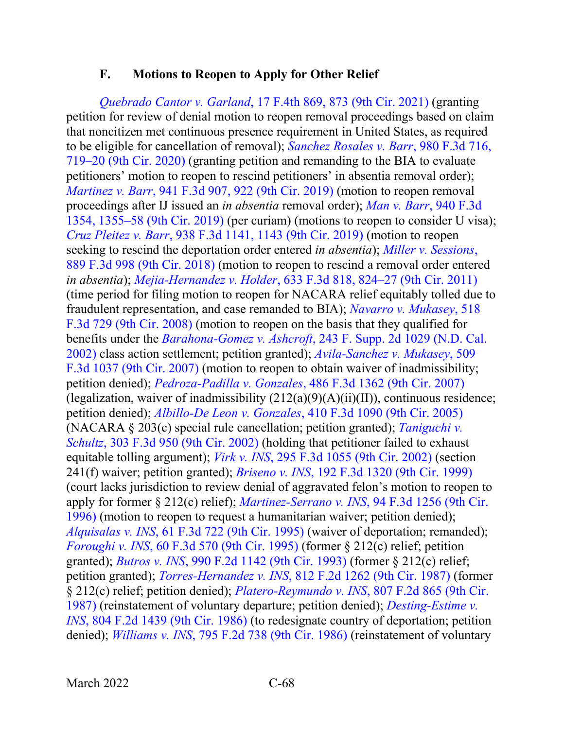### **F. Motions to Reopen to Apply for Other Relief**

*Quebrado Cantor v. Garland*[, 17 F.4th 869, 873 \(9th Cir. 2021\)](https://www.westlaw.com/Document/I1f8e01603cda11eca7c2915f4c7de286/View/FullText.html?transitionType=Default&contextData=(sc.Default)&VR=3.0&RS=da3.0&fragmentIdentifier=co_pp_sp_8173_873) (granting petition for review of denial motion to reopen removal proceedings based on claim that noncitizen met continuous presence requirement in United States, as required to be eligible for cancellation of removal); *[Sanchez Rosales v. Barr](https://www.westlaw.com/Document/Icfa9f87029e311ebad91f726ad2fe5fa/View/FullText.html?transitionType=Default&contextData=(sc.Default)&VR=3.0&RS=da3.0&fragmentIdentifier=co_pp_sp_506_719)*, 980 F.3d 716, [719–20 \(9th Cir. 2020\)](https://www.westlaw.com/Document/Icfa9f87029e311ebad91f726ad2fe5fa/View/FullText.html?transitionType=Default&contextData=(sc.Default)&VR=3.0&RS=da3.0&fragmentIdentifier=co_pp_sp_506_719) (granting petition and remanding to the BIA to evaluate petitioners' motion to reopen to rescind petitioners' in absentia removal order); *Martinez v. Barr*[, 941 F.3d 907, 922 \(9th Cir. 2019\)](https://www.westlaw.com/Document/I41902900fb4611e9ad6fd2296b11a061/View/FullText.html?transitionType=Default&contextData=(sc.Default)&VR=3.0&RS=da3.0&fragmentIdentifier=co_pp_sp_506_922) (motion to reopen removal proceedings after IJ issued an *in absentia* removal order); *[Man v. Barr](https://www.westlaw.com/Document/If5b7be80f6a411e9831490f1ca5ff4e0/View/FullText.html?transitionType=Default&contextData=(sc.Default)&VR=3.0&RS=da3.0&fragmentIdentifier=co_pp_sp_506_1355)*, 940 F.3d [1354, 1355–58 \(9th Cir. 2019\)](https://www.westlaw.com/Document/If5b7be80f6a411e9831490f1ca5ff4e0/View/FullText.html?transitionType=Default&contextData=(sc.Default)&VR=3.0&RS=da3.0&fragmentIdentifier=co_pp_sp_506_1355) (per curiam) (motions to reopen to consider U visa); *Cruz Pleitez v. Barr*[, 938 F.3d 1141, 1143 \(9th Cir. 2019\)](https://www.westlaw.com/Document/I96c41a80da9411e987aed0112aae066d/View/FullText.html?transitionType=Default&contextData=(sc.Default)&VR=3.0&RS=da3.0&fragmentIdentifier=co_pp_sp_506_1143) (motion to reopen seeking to rescind the deportation order entered *in absentia*); *[Miller v. Sessions](https://www.westlaw.com/Document/I30809a1052db11e89034f60e1699ddbe/View/FullText.html?transitionType=Default&contextData=(sc.Default)&VR=3.0&RS=da3.0)*, [889 F.3d 998 \(9th Cir. 2018\)](https://www.westlaw.com/Document/I30809a1052db11e89034f60e1699ddbe/View/FullText.html?transitionType=Default&contextData=(sc.Default)&VR=3.0&RS=da3.0) (motion to reopen to rescind a removal order entered *in absentia*); *Mejia-Hernandez v. Holder*[, 633 F.3d 818, 824–27 \(9th Cir.](https://www.westlaw.com/Document/Ia7771f1b2a1011e0aa23bccc834e9520/View/FullText.html?transitionType=Default&contextData=(sc.Default)&VR=3.0&RS=da3.0&fragmentIdentifier=co_pp_sp_506_824) 2011) (time period for filing motion to reopen for NACARA relief equitably tolled due to fraudulent representation, and case remanded to BIA); *[Navarro v. Mukasey](https://www.westlaw.com/Document/If4ea859de9f211dcb6a3a099756c05b7/View/FullText.html?transitionType=Default&contextData=(sc.Default)&VR=3.0&RS=da3.0)*, 518 [F.3d 729 \(9th Cir. 2008\)](https://www.westlaw.com/Document/If4ea859de9f211dcb6a3a099756c05b7/View/FullText.html?transitionType=Default&contextData=(sc.Default)&VR=3.0&RS=da3.0) (motion to reopen on the basis that they qualified for benefits under the *Barahona-Gomez v. Ashcroft*[, 243 F. Supp. 2d 1029 \(N.D. Cal.](https://www.westlaw.com/Document/I20f8aa04540411d9b17ee4cdc604a702/View/FullText.html?transitionType=Default&contextData=(sc.Default)&VR=3.0&RS=da3.0)  [2002\)](https://www.westlaw.com/Document/I20f8aa04540411d9b17ee4cdc604a702/View/FullText.html?transitionType=Default&contextData=(sc.Default)&VR=3.0&RS=da3.0) class action settlement; petition granted); *[Avila-Sanchez v. Mukasey](https://www.westlaw.com/Document/Ia6b125f5a1cc11dcb6a3a099756c05b7/View/FullText.html?transitionType=Default&contextData=(sc.Default)&VR=3.0&RS=da3.0)*, 509 [F.3d 1037 \(9th Cir. 2007\)](https://www.westlaw.com/Document/Ia6b125f5a1cc11dcb6a3a099756c05b7/View/FullText.html?transitionType=Default&contextData=(sc.Default)&VR=3.0&RS=da3.0) (motion to reopen to obtain waiver of inadmissibility; petition denied); *Pedroza-Padilla v. Gonzales*[, 486 F.3d 1362 \(9th Cir. 2007\)](https://www.westlaw.com/Document/I5ed4981f02d611dcb92c924f6a2d2928/View/FullText.html?transitionType=Default&contextData=(sc.Default)&VR=3.0&RS=da3.0) (legalization, waiver of inadmissibility  $(212(a)(9)(A)(ii)(II))$ , continuous residence; petition denied); *Albillo-De Leon v. Gonzales*[, 410 F.3d 1090 \(9th Cir. 2005\)](https://www.westlaw.com/Document/Idbbef7f5d84c11d9a489ee624f1f6e1a/View/FullText.html?transitionType=Default&contextData=(sc.Default)&VR=3.0&RS=da3.0) (NACARA § 203(c) special rule cancellation; petition granted); *[Taniguchi v.](https://www.westlaw.com/Document/Idcd4224d79e211d9bf29e2067ad74e5b/View/FullText.html?transitionType=Default&contextData=(sc.Default)&VR=3.0&RS=da3.0)  Schultz*[, 303 F.3d 950 \(9th Cir. 2002\)](https://www.westlaw.com/Document/Idcd4224d79e211d9bf29e2067ad74e5b/View/FullText.html?transitionType=Default&contextData=(sc.Default)&VR=3.0&RS=da3.0) (holding that petitioner failed to exhaust equitable tolling argument); *Virk v. INS*, [295 F.3d 1055 \(9th Cir. 2002\)](https://www.westlaw.com/Document/Ie4426f4479de11d9ac1ffa9f33b6c3b0/View/FullText.html?transitionType=Default&contextData=(sc.Default)&VR=3.0&RS=da3.0) (section 241(f) waiver; petition granted); *Briseno v. INS*[, 192 F.3d 1320 \(9th Cir. 1999\)](https://www.westlaw.com/Document/I689c05e094b411d993e6d35cc61aab4a/View/FullText.html?transitionType=Default&contextData=(sc.Default)&VR=3.0&RS=da3.0) (court lacks jurisdiction to review denial of aggravated felon's motion to reopen to apply for former § 212(c) relief); *[Martinez-Serrano v. INS](https://www.westlaw.com/Document/I3e3cdc31934611d9bdd1cfdd544ca3a4/View/FullText.html?transitionType=Default&contextData=(sc.Default)&VR=3.0&RS=da3.0)*, 94 F.3d 1256 (9th Cir. [1996\)](https://www.westlaw.com/Document/I3e3cdc31934611d9bdd1cfdd544ca3a4/View/FullText.html?transitionType=Default&contextData=(sc.Default)&VR=3.0&RS=da3.0) (motion to reopen to request a humanitarian waiver; petition denied); *Alquisalas v. INS*, [61 F.3d 722 \(9th Cir. 1995\)](https://www.westlaw.com/Document/Ia48fa7e5918b11d9bc61beebb95be672/View/FullText.html?transitionType=Default&contextData=(sc.Default)&VR=3.0&RS=da3.0) (waiver of deportation; remanded); *Foroughi v. INS*, [60 F.3d 570 \(9th Cir. 1995\)](https://www.westlaw.com/Document/I9c6de630918b11d9bc61beebb95be672/View/FullText.html?transitionType=Default&contextData=(sc.Default)&VR=3.0&RS=da3.0) (former § 212(c) relief; petition granted); *Butros v. INS*[, 990 F.2d 1142 \(9th Cir. 1993\)](https://www.westlaw.com/Document/Ieec35039957511d9bc61beebb95be672/View/FullText.html?transitionType=Default&contextData=(sc.Default)&VR=3.0&RS=da3.0) (former § 212(c) relief; petition granted); *Torres-Hernandez v. INS*[, 812 F.2d 1262 \(9th Cir. 1987\)](https://www.westlaw.com/Document/I764eb89094f111d993e6d35cc61aab4a/View/FullText.html?transitionType=Default&contextData=(sc.Default)&VR=3.0&RS=da3.0) (former § 212(c) relief; petition denied); *[Platero-Reymundo v. INS](https://www.westlaw.com/Document/I032f2453904311d98e8fb00d6c6a02dd/View/FullText.html?transitionType=Default&contextData=(sc.Default)&VR=3.0&RS=da3.0)*, 807 F.2d 865 (9th Cir. [1987\)](https://www.westlaw.com/Document/I032f2453904311d98e8fb00d6c6a02dd/View/FullText.html?transitionType=Default&contextData=(sc.Default)&VR=3.0&RS=da3.0) (reinstatement of voluntary departure; petition denied); *[Desting-Estime v.](https://www.westlaw.com/Document/I91812d8294d411d9bc61beebb95be672/View/FullText.html?transitionType=Default&contextData=(sc.Default)&VR=3.0&RS=da3.0)  INS*[, 804 F.2d 1439 \(9th Cir. 1986\)](https://www.westlaw.com/Document/I91812d8294d411d9bc61beebb95be672/View/FullText.html?transitionType=Default&contextData=(sc.Default)&VR=3.0&RS=da3.0) (to redesignate country of deportation; petition denied); *Williams v. INS*[, 795 F.2d 738 \(9th Cir. 1986\)](https://www.westlaw.com/Document/Ia64422bd94cd11d9a707f4371c9c34f0/View/FullText.html?transitionType=Default&contextData=(sc.Default)&VR=3.0&RS=da3.0) (reinstatement of voluntary